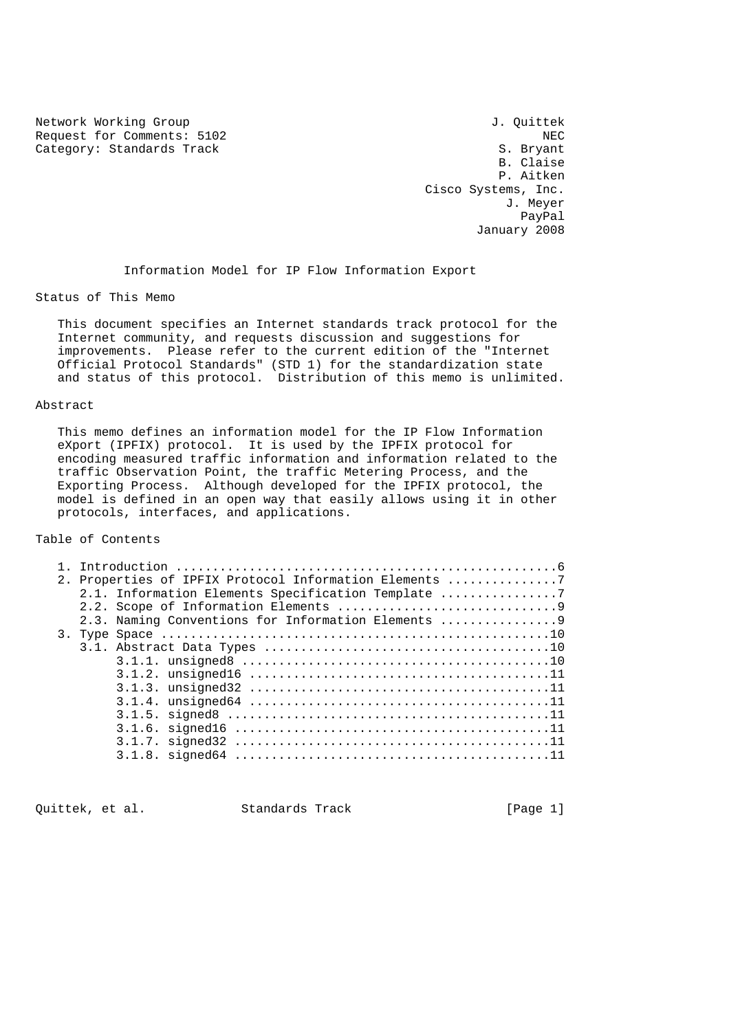Network Working Group J. Quittek Request for Comments: 5102<br>Category: Standards Track S. Bryant Category: Standards Track

 B. Claise P. Aitken Cisco Systems, Inc. J. Meyer in the control of the control of the control of the control of the control of the control of the control of the control of the control of the control of the control of the control of the control of the control of the contr January 2008

Information Model for IP Flow Information Export

Status of This Memo

 This document specifies an Internet standards track protocol for the Internet community, and requests discussion and suggestions for improvements. Please refer to the current edition of the "Internet Official Protocol Standards" (STD 1) for the standardization state and status of this protocol. Distribution of this memo is unlimited.

#### Abstract

 This memo defines an information model for the IP Flow Information eXport (IPFIX) protocol. It is used by the IPFIX protocol for encoding measured traffic information and information related to the traffic Observation Point, the traffic Metering Process, and the Exporting Process. Although developed for the IPFIX protocol, the model is defined in an open way that easily allows using it in other protocols, interfaces, and applications.

Table of Contents

|  | 2. Properties of IPFIX Protocol Information Elements 7 |
|--|--------------------------------------------------------|
|  | 2.1. Information Elements Specification Template 7     |
|  |                                                        |
|  | 2.3. Naming Conventions for Information Elements 9     |
|  |                                                        |
|  |                                                        |
|  |                                                        |
|  |                                                        |
|  |                                                        |
|  |                                                        |
|  |                                                        |
|  |                                                        |
|  |                                                        |
|  |                                                        |
|  |                                                        |

Quittek, et al. Standards Track [Page 1]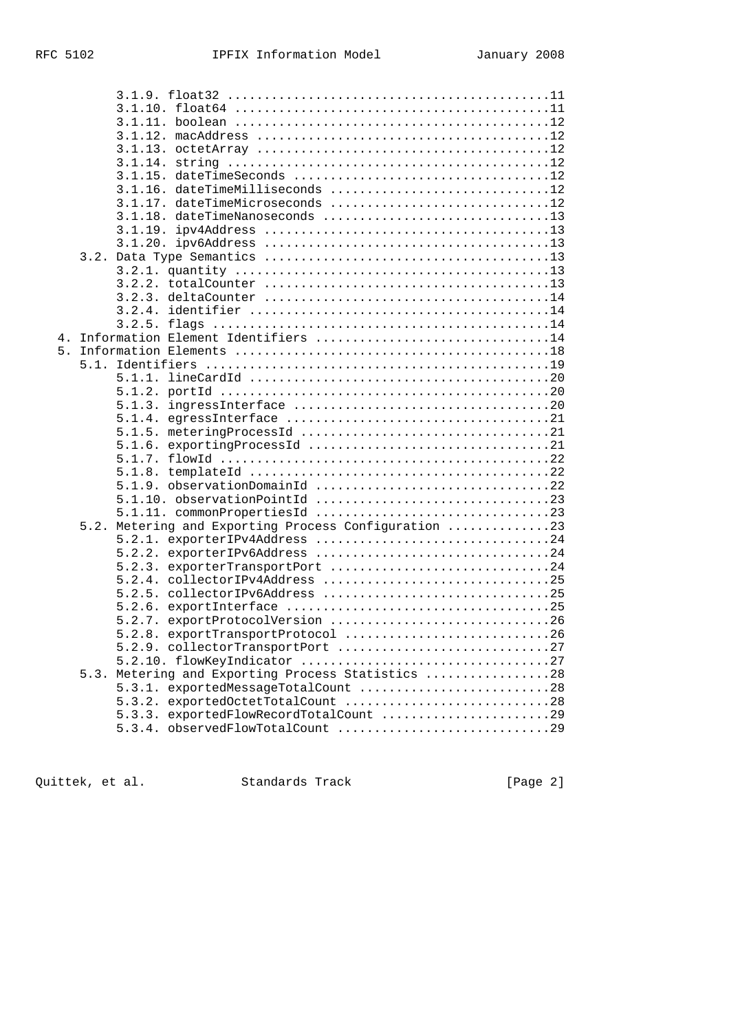| 3.1.17. dateTimeMicroseconds 12                      |  |
|------------------------------------------------------|--|
| 3.1.18. dateTimeNanoseconds 13                       |  |
|                                                      |  |
|                                                      |  |
|                                                      |  |
|                                                      |  |
|                                                      |  |
|                                                      |  |
|                                                      |  |
|                                                      |  |
| 4. Information Element Identifiers 14                |  |
|                                                      |  |
|                                                      |  |
|                                                      |  |
|                                                      |  |
|                                                      |  |
|                                                      |  |
|                                                      |  |
|                                                      |  |
|                                                      |  |
|                                                      |  |
| 5.1.9. observationDomainId 22                        |  |
|                                                      |  |
|                                                      |  |
| 5.2. Metering and Exporting Process Configuration 23 |  |
| 5.2.1. exporterIPv4Address 24                        |  |
|                                                      |  |
| 5.2.3. exporterTransportPort 24                      |  |
| 5.2.4. collectorIPv4Address 25                       |  |
| 5.2.5. collectorIPv6Address 25                       |  |
|                                                      |  |
| 5.2.7. exportProtocolVersion 26                      |  |
| 5.2.8. exportTransportProtocol 26                    |  |
| 5.2.9. collectorTransportPort 27                     |  |
|                                                      |  |
| 5.3. Metering and Exporting Process Statistics 28    |  |
| 5.3.1. exportedMessageTotalCount 28                  |  |
| 5.3.2. exportedOctetTotalCount 28                    |  |
| 5.3.3. exportedFlowRecordTotalCount 29               |  |
|                                                      |  |

Quittek, et al. Standards Track [Page 2]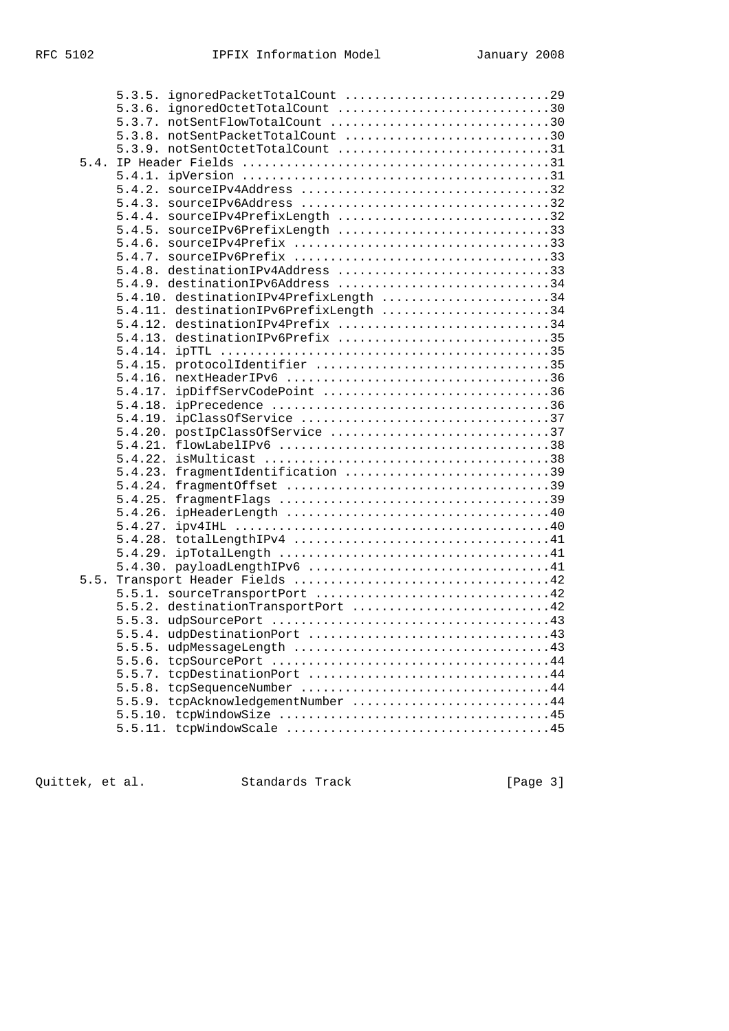|  | 5.3.5. ignoredPacketTotalCount 29                                 |  |
|--|-------------------------------------------------------------------|--|
|  | 5.3.6. ignoredOctetTotalCount 30                                  |  |
|  | 5.3.7. notSentFlowTotalCount 30                                   |  |
|  | 5.3.8. notSentPacketTotalCount 30                                 |  |
|  | 5.3.9. notSentOctetTotalCount 31                                  |  |
|  |                                                                   |  |
|  |                                                                   |  |
|  |                                                                   |  |
|  | $5.4.3.$ sourceIPv6Address 32                                     |  |
|  | 5.4.4. sourceIPv4PrefixLength 32                                  |  |
|  | 5.4.5. sourceIPv6PrefixLength 33                                  |  |
|  |                                                                   |  |
|  |                                                                   |  |
|  | 5.4.8. destinationIPv4Address 33                                  |  |
|  | 5.4.9. destinationIPv6Address 34                                  |  |
|  | 5.4.10. destinationIPv4PrefixLength 34                            |  |
|  | 5.4.11. destinationIPv6PrefixLength 34                            |  |
|  | 5.4.12. destinationIPv4Prefix 34                                  |  |
|  | 5.4.13. destinationIPv6Prefix 35                                  |  |
|  |                                                                   |  |
|  | 5.4.15. protocolIdentifier 35                                     |  |
|  |                                                                   |  |
|  | 5.4.17. ipDiffServCodePoint 36                                    |  |
|  |                                                                   |  |
|  |                                                                   |  |
|  | 5.4.20. postIpClassOfService 37                                   |  |
|  |                                                                   |  |
|  |                                                                   |  |
|  | 5.4.23. fragmentIdentification 39                                 |  |
|  |                                                                   |  |
|  |                                                                   |  |
|  |                                                                   |  |
|  |                                                                   |  |
|  |                                                                   |  |
|  |                                                                   |  |
|  |                                                                   |  |
|  |                                                                   |  |
|  | 5.5.1. sourceTransportPort 42                                     |  |
|  | 5.5.2. destinationTransportPort 42                                |  |
|  |                                                                   |  |
|  |                                                                   |  |
|  |                                                                   |  |
|  |                                                                   |  |
|  | 5.5.7. tcpDestinationPort 44                                      |  |
|  | 5.5.8. tcpSequenceNumber 44<br>5.5.9. tcpAcknowledgementNumber 44 |  |
|  |                                                                   |  |
|  |                                                                   |  |
|  |                                                                   |  |

Quittek, et al. Standards Track [Page 3]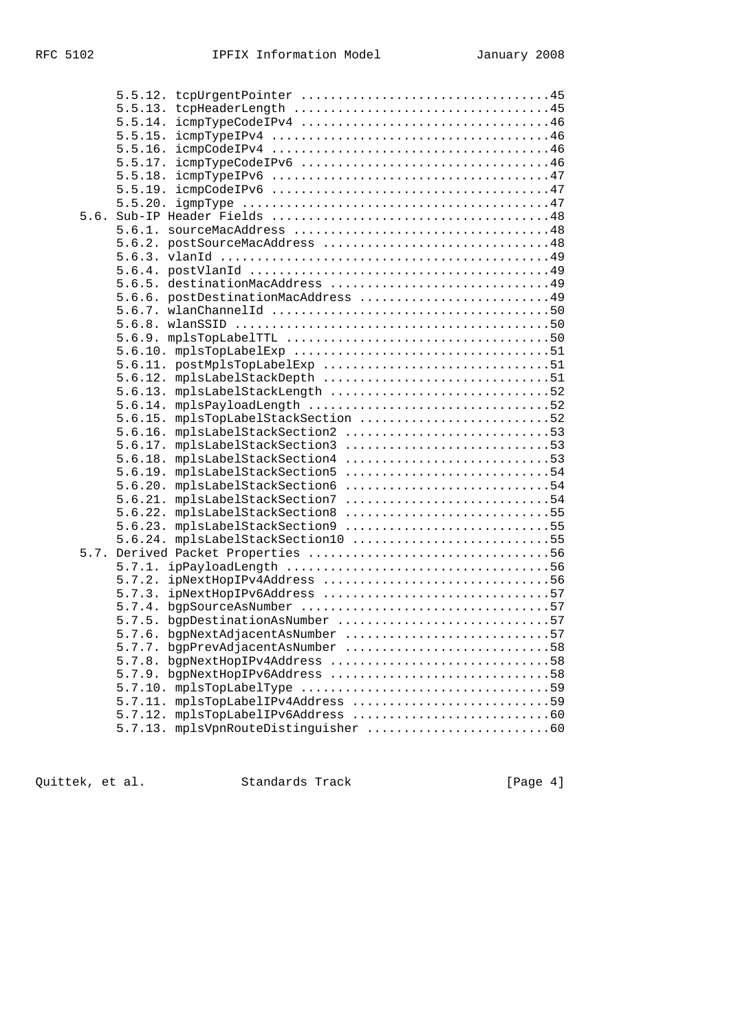| 5.6.2. postSourceMacAddress 48      |  |
|-------------------------------------|--|
|                                     |  |
|                                     |  |
| 5.6.5. destinationMacAddress 49     |  |
| 5.6.6. postDestinationMacAddress 49 |  |
|                                     |  |
|                                     |  |
|                                     |  |
|                                     |  |
| 5.6.11. postMplsTopLabelExp 51      |  |
| 5.6.12. mplsLabelStackDepth 51      |  |
| 5.6.13. mplsLabelStackLength 52     |  |
| 5.6.14. mplsPayloadLength 52        |  |
| 5.6.15. mplsTopLabelStackSection 52 |  |
| 5.6.16. mplsLabelStackSection2 53   |  |
| 5.6.17. mplsLabelStackSection3 53   |  |
| 5.6.18. mplsLabelStackSection4 53   |  |
| 5.6.19. mplsLabelStackSection5 54   |  |
| 5.6.20. mplsLabelStackSection6 54   |  |
| 5.6.21. mplsLabelStackSection7 54   |  |
| 5.6.22. mplsLabelStackSection8 55   |  |
| 5.6.23. mplsLabelStackSection9 55   |  |
| 5.6.24. mplsLabelStackSection10 55  |  |
|                                     |  |
|                                     |  |
| 5.7.2. ipNextHopIPv4Address 56      |  |
| 5.7.3. ipNextHopIPv6Address 57      |  |
|                                     |  |
| 5.7.5. bgpDestinationAsNumber 57    |  |
| 5.7.6. bgpNextAdjacentAsNumber 57   |  |
| 5.7.7. bgpPrevAdjacentAsNumber 58   |  |
| 5.7.8. bgpNextHopIPv4Address 58     |  |
| 5.7.9. bgpNextHopIPv6Address 58     |  |
|                                     |  |
| 5.7.11. mplsTopLabelIPv4Address 59  |  |
|                                     |  |
|                                     |  |

Quittek, et al. Standards Track [Page 4]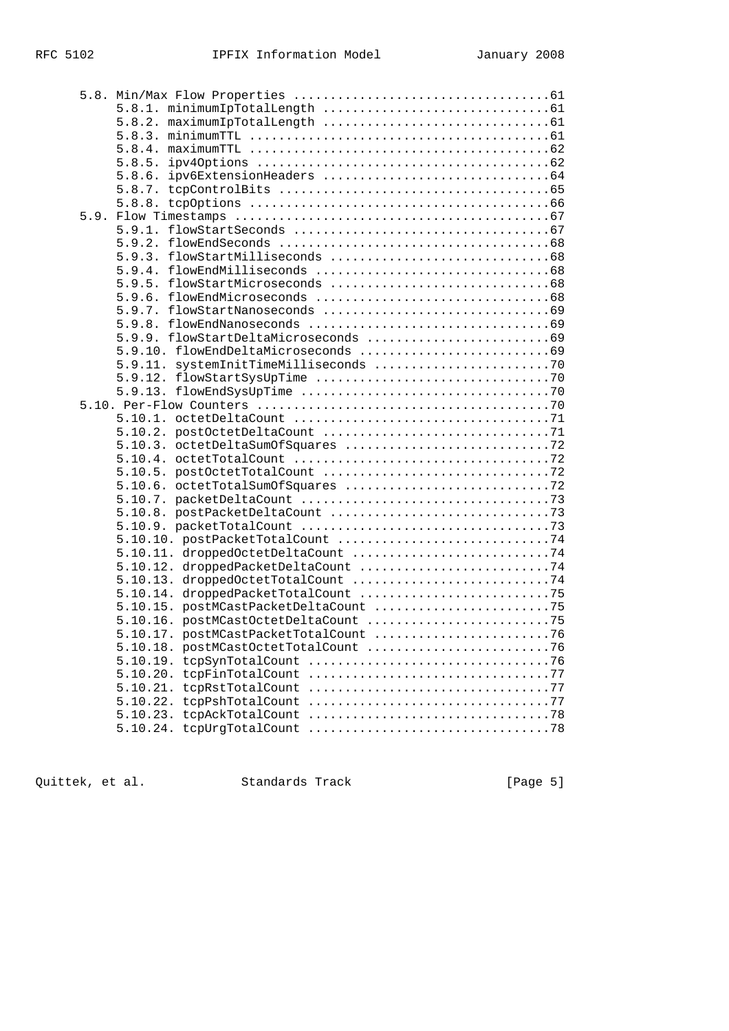| 5.10.12. droppedPacketDeltaCount 74   |  |
|---------------------------------------|--|
| 5.10.13. droppedOctetTotalCount 74    |  |
|                                       |  |
| 5.10.15. postMCastPacketDeltaCount 75 |  |
|                                       |  |
| 5.10.17. postMCastPacketTotalCount 76 |  |
|                                       |  |
|                                       |  |
| 5.10.20. tcpFinTotalCount             |  |
| 5.10.21. tcpRstTotalCount             |  |
| 5.10.22.<br>tcpPshTotalCount          |  |
| 5.10.23.<br>tcpAckTotalCount          |  |
| 5.10.24. tcpUrgTotalCount             |  |

Quittek, et al. Standards Track [Page 5]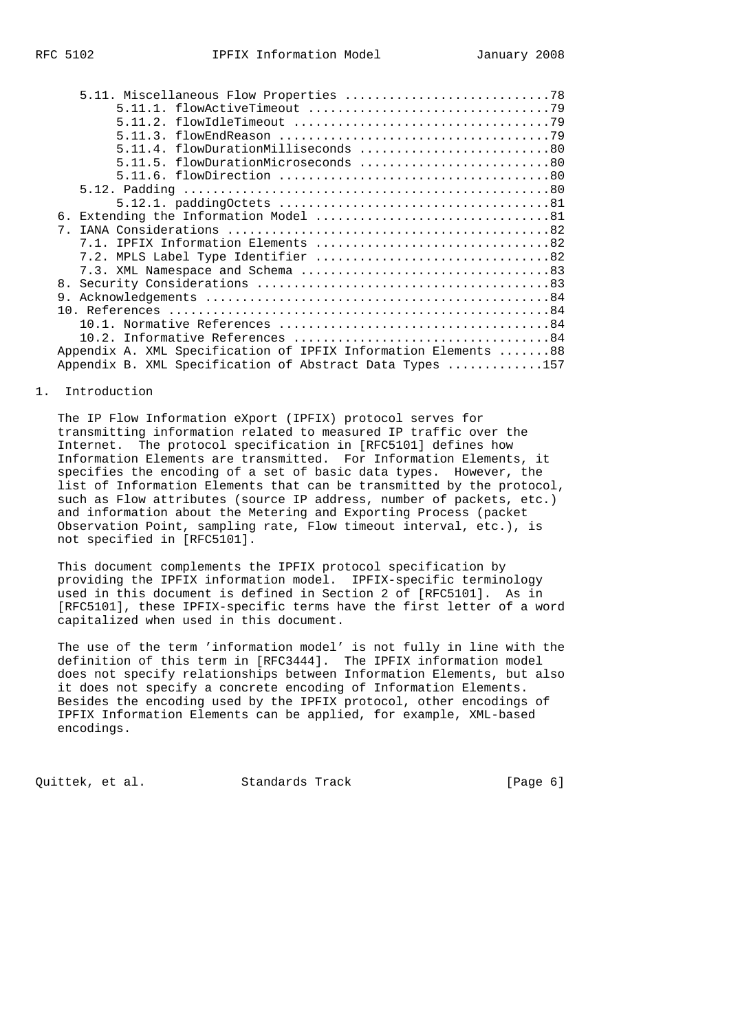| 5.11.4. flowDurationMilliseconds 80                             |
|-----------------------------------------------------------------|
| 5.11.5. flowDurationMicroseconds 80                             |
|                                                                 |
|                                                                 |
|                                                                 |
|                                                                 |
| $7_{\odot}$                                                     |
|                                                                 |
|                                                                 |
|                                                                 |
| 8 <sub>1</sub>                                                  |
| 9.                                                              |
|                                                                 |
|                                                                 |
|                                                                 |
| Appendix A. XML Specification of IPFIX Information Elements  88 |
| Appendix B. XML Specification of Abstract Data Types 157        |

# 1. Introduction

 The IP Flow Information eXport (IPFIX) protocol serves for transmitting information related to measured IP traffic over the Internet. The protocol specification in [RFC5101] defines how Information Elements are transmitted. For Information Elements, it specifies the encoding of a set of basic data types. However, the list of Information Elements that can be transmitted by the protocol, such as Flow attributes (source IP address, number of packets, etc.) and information about the Metering and Exporting Process (packet Observation Point, sampling rate, Flow timeout interval, etc.), is not specified in [RFC5101].

 This document complements the IPFIX protocol specification by providing the IPFIX information model. IPFIX-specific terminology used in this document is defined in Section 2 of [RFC5101]. As in [RFC5101], these IPFIX-specific terms have the first letter of a word capitalized when used in this document.

 The use of the term 'information model' is not fully in line with the definition of this term in [RFC3444]. The IPFIX information model does not specify relationships between Information Elements, but also it does not specify a concrete encoding of Information Elements. Besides the encoding used by the IPFIX protocol, other encodings of IPFIX Information Elements can be applied, for example, XML-based encodings.

Quittek, et al. Standards Track [Page 6]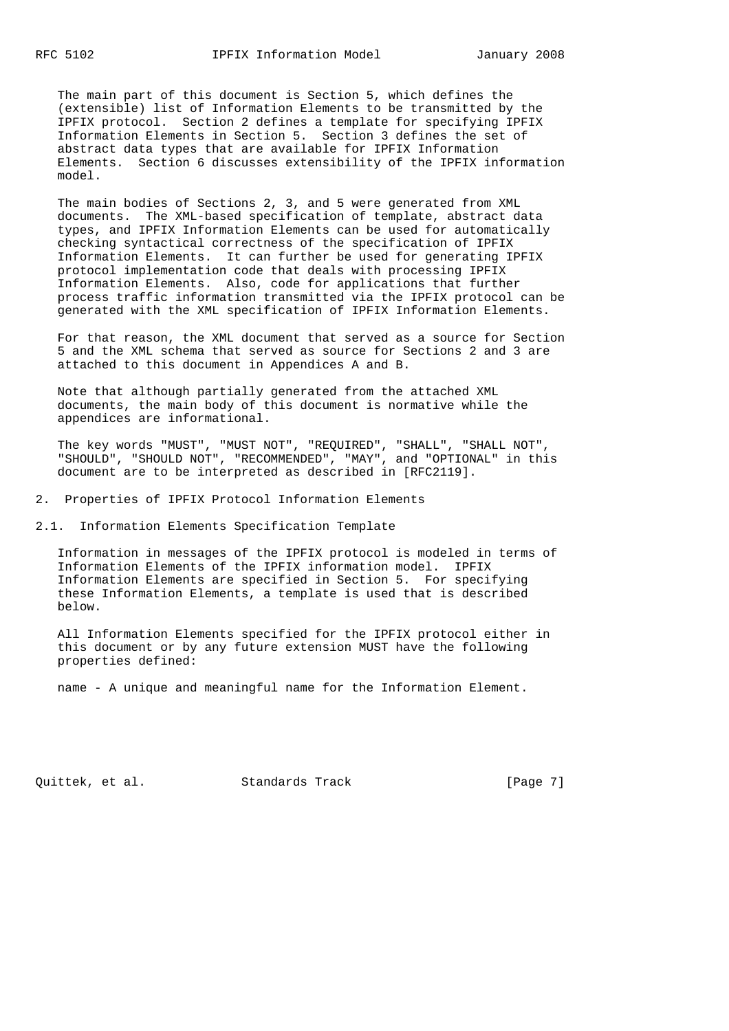The main part of this document is Section 5, which defines the (extensible) list of Information Elements to be transmitted by the IPFIX protocol. Section 2 defines a template for specifying IPFIX Information Elements in Section 5. Section 3 defines the set of abstract data types that are available for IPFIX Information Elements. Section 6 discusses extensibility of the IPFIX information model.

 The main bodies of Sections 2, 3, and 5 were generated from XML documents. The XML-based specification of template, abstract data types, and IPFIX Information Elements can be used for automatically checking syntactical correctness of the specification of IPFIX Information Elements. It can further be used for generating IPFIX protocol implementation code that deals with processing IPFIX Information Elements. Also, code for applications that further process traffic information transmitted via the IPFIX protocol can be generated with the XML specification of IPFIX Information Elements.

 For that reason, the XML document that served as a source for Section 5 and the XML schema that served as source for Sections 2 and 3 are attached to this document in Appendices A and B.

 Note that although partially generated from the attached XML documents, the main body of this document is normative while the appendices are informational.

 The key words "MUST", "MUST NOT", "REQUIRED", "SHALL", "SHALL NOT", "SHOULD", "SHOULD NOT", "RECOMMENDED", "MAY", and "OPTIONAL" in this document are to be interpreted as described in [RFC2119].

2. Properties of IPFIX Protocol Information Elements

2.1. Information Elements Specification Template

 Information in messages of the IPFIX protocol is modeled in terms of Information Elements of the IPFIX information model. IPFIX Information Elements are specified in Section 5. For specifying these Information Elements, a template is used that is described below.

 All Information Elements specified for the IPFIX protocol either in this document or by any future extension MUST have the following properties defined:

name - A unique and meaningful name for the Information Element.

Quittek, et al. Standards Track [Page 7]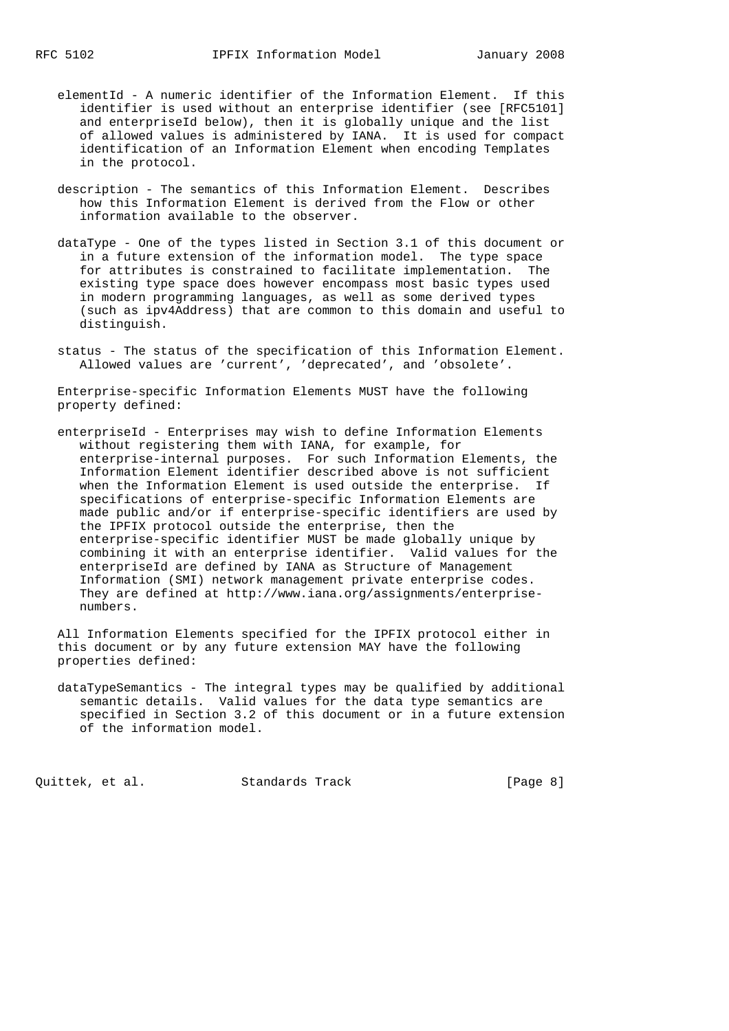- elementId A numeric identifier of the Information Element. If this identifier is used without an enterprise identifier (see [RFC5101] and enterpriseId below), then it is globally unique and the list of allowed values is administered by IANA. It is used for compact identification of an Information Element when encoding Templates in the protocol.
- description The semantics of this Information Element. Describes how this Information Element is derived from the Flow or other information available to the observer.
- dataType One of the types listed in Section 3.1 of this document or in a future extension of the information model. The type space for attributes is constrained to facilitate implementation. The existing type space does however encompass most basic types used in modern programming languages, as well as some derived types (such as ipv4Address) that are common to this domain and useful to distinguish.
- status The status of the specification of this Information Element. Allowed values are 'current', 'deprecated', and 'obsolete'.

 Enterprise-specific Information Elements MUST have the following property defined:

 enterpriseId - Enterprises may wish to define Information Elements without registering them with IANA, for example, for enterprise-internal purposes. For such Information Elements, the Information Element identifier described above is not sufficient when the Information Element is used outside the enterprise. If specifications of enterprise-specific Information Elements are made public and/or if enterprise-specific identifiers are used by the IPFIX protocol outside the enterprise, then the enterprise-specific identifier MUST be made globally unique by combining it with an enterprise identifier. Valid values for the enterpriseId are defined by IANA as Structure of Management Information (SMI) network management private enterprise codes. They are defined at http://www.iana.org/assignments/enterprise numbers.

 All Information Elements specified for the IPFIX protocol either in this document or by any future extension MAY have the following properties defined:

 dataTypeSemantics - The integral types may be qualified by additional semantic details. Valid values for the data type semantics are specified in Section 3.2 of this document or in a future extension of the information model.

Quittek, et al. Standards Track [Page 8]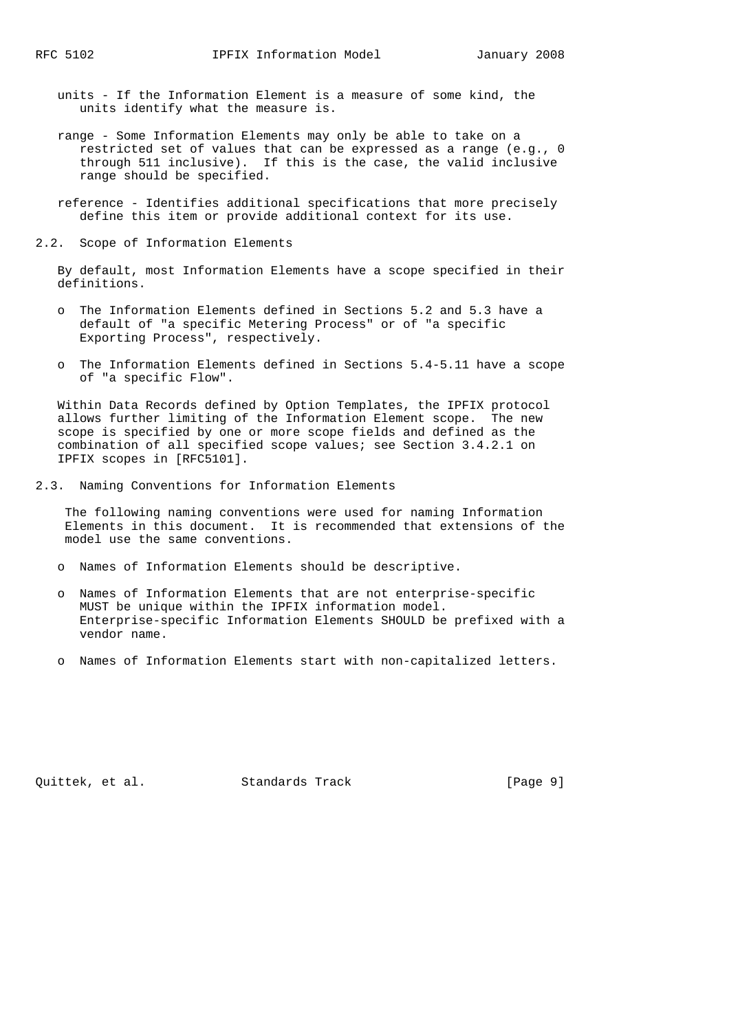- units If the Information Element is a measure of some kind, the units identify what the measure is.
- range Some Information Elements may only be able to take on a restricted set of values that can be expressed as a range (e.g., 0 through 511 inclusive). If this is the case, the valid inclusive range should be specified.
- reference Identifies additional specifications that more precisely define this item or provide additional context for its use.
- 2.2. Scope of Information Elements

 By default, most Information Elements have a scope specified in their definitions.

- o The Information Elements defined in Sections 5.2 and 5.3 have a default of "a specific Metering Process" or of "a specific Exporting Process", respectively.
- o The Information Elements defined in Sections 5.4-5.11 have a scope of "a specific Flow".

 Within Data Records defined by Option Templates, the IPFIX protocol allows further limiting of the Information Element scope. The new scope is specified by one or more scope fields and defined as the combination of all specified scope values; see Section 3.4.2.1 on IPFIX scopes in [RFC5101].

2.3. Naming Conventions for Information Elements

 The following naming conventions were used for naming Information Elements in this document. It is recommended that extensions of the model use the same conventions.

- o Names of Information Elements should be descriptive.
- o Names of Information Elements that are not enterprise-specific MUST be unique within the IPFIX information model. Enterprise-specific Information Elements SHOULD be prefixed with a vendor name.
- o Names of Information Elements start with non-capitalized letters.

Quittek, et al. Standards Track [Page 9]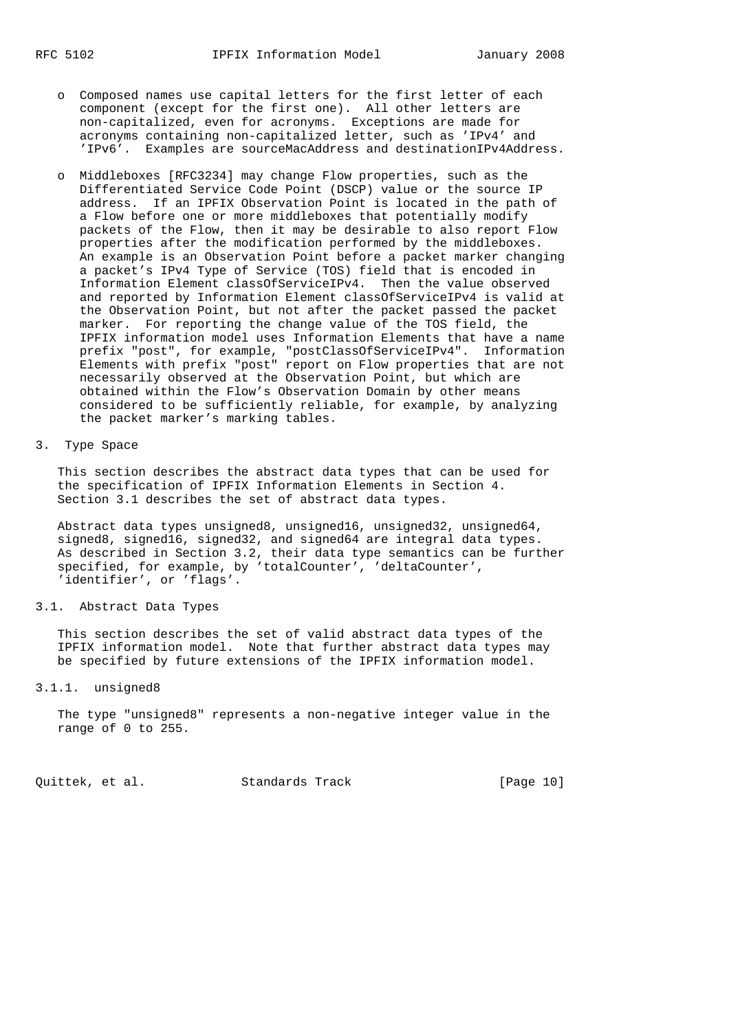- o Composed names use capital letters for the first letter of each component (except for the first one). All other letters are non-capitalized, even for acronyms. Exceptions are made for acronyms containing non-capitalized letter, such as 'IPv4' and 'IPv6'. Examples are sourceMacAddress and destinationIPv4Address.
- o Middleboxes [RFC3234] may change Flow properties, such as the Differentiated Service Code Point (DSCP) value or the source IP address. If an IPFIX Observation Point is located in the path of a Flow before one or more middleboxes that potentially modify packets of the Flow, then it may be desirable to also report Flow properties after the modification performed by the middleboxes. An example is an Observation Point before a packet marker changing a packet's IPv4 Type of Service (TOS) field that is encoded in Information Element classOfServiceIPv4. Then the value observed and reported by Information Element classOfServiceIPv4 is valid at the Observation Point, but not after the packet passed the packet marker. For reporting the change value of the TOS field, the IPFIX information model uses Information Elements that have a name prefix "post", for example, "postClassOfServiceIPv4". Information Elements with prefix "post" report on Flow properties that are not necessarily observed at the Observation Point, but which are obtained within the Flow's Observation Domain by other means considered to be sufficiently reliable, for example, by analyzing the packet marker's marking tables.
- 3. Type Space

 This section describes the abstract data types that can be used for the specification of IPFIX Information Elements in Section 4. Section 3.1 describes the set of abstract data types.

 Abstract data types unsigned8, unsigned16, unsigned32, unsigned64, signed8, signed16, signed32, and signed64 are integral data types. As described in Section 3.2, their data type semantics can be further specified, for example, by 'totalCounter', 'deltaCounter', 'identifier', or 'flags'.

### 3.1. Abstract Data Types

 This section describes the set of valid abstract data types of the IPFIX information model. Note that further abstract data types may be specified by future extensions of the IPFIX information model.

### 3.1.1. unsigned8

 The type "unsigned8" represents a non-negative integer value in the range of 0 to 255.

Quittek, et al. Standards Track [Page 10]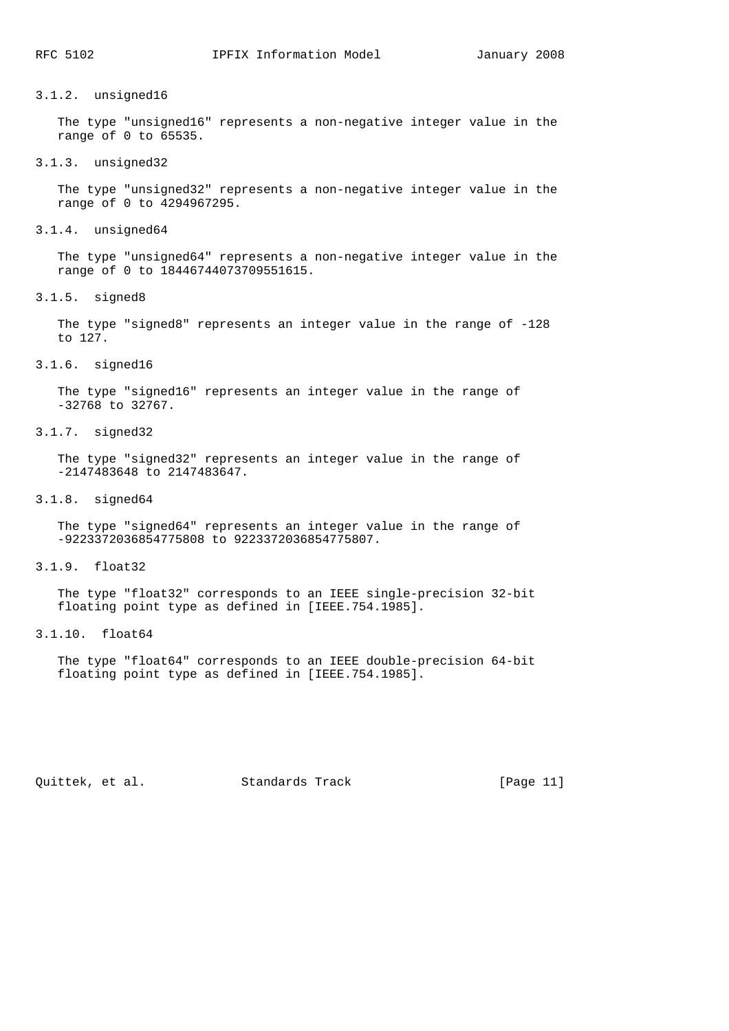# 3.1.2. unsigned16

 The type "unsigned16" represents a non-negative integer value in the range of 0 to 65535.

3.1.3. unsigned32

 The type "unsigned32" represents a non-negative integer value in the range of 0 to 4294967295.

3.1.4. unsigned64

 The type "unsigned64" represents a non-negative integer value in the range of 0 to 18446744073709551615.

3.1.5. signed8

 The type "signed8" represents an integer value in the range of -128 to 127.

3.1.6. signed16

 The type "signed16" represents an integer value in the range of -32768 to 32767.

3.1.7. signed32

 The type "signed32" represents an integer value in the range of -2147483648 to 2147483647.

3.1.8. signed64

 The type "signed64" represents an integer value in the range of -9223372036854775808 to 9223372036854775807.

3.1.9. float32

 The type "float32" corresponds to an IEEE single-precision 32-bit floating point type as defined in [IEEE.754.1985].

3.1.10. float64

 The type "float64" corresponds to an IEEE double-precision 64-bit floating point type as defined in [IEEE.754.1985].

Quittek, et al. Standards Track [Page 11]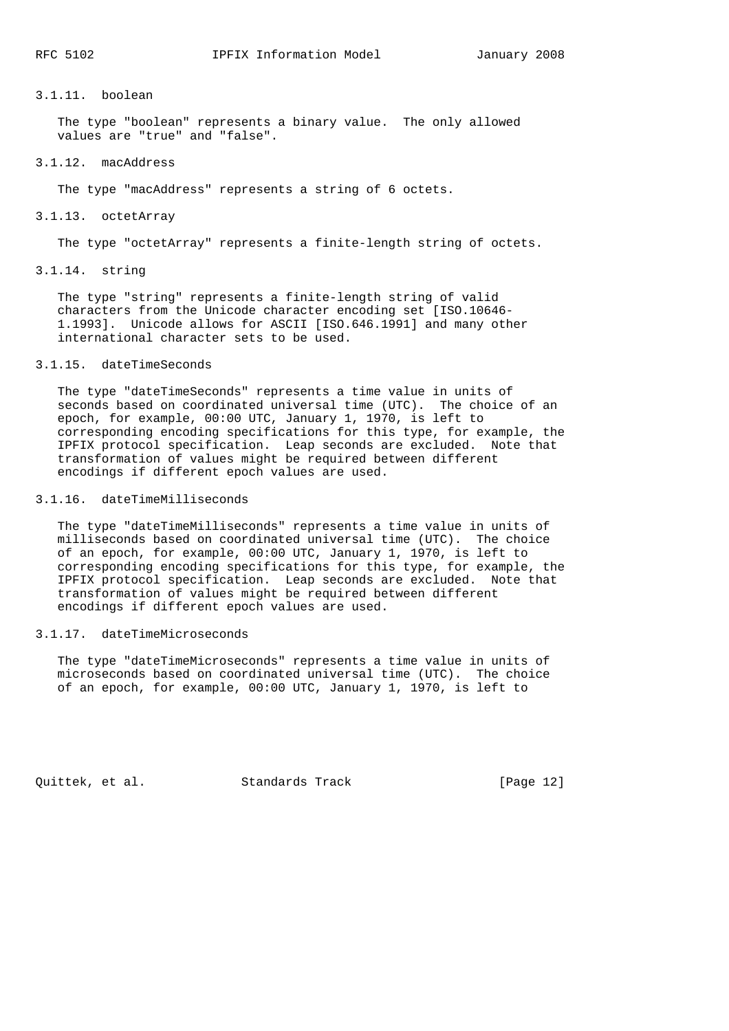# 3.1.11. boolean

 The type "boolean" represents a binary value. The only allowed values are "true" and "false".

### 3.1.12. macAddress

The type "macAddress" represents a string of 6 octets.

#### 3.1.13. octetArray

The type "octetArray" represents a finite-length string of octets.

#### 3.1.14. string

 The type "string" represents a finite-length string of valid characters from the Unicode character encoding set [ISO.10646- 1.1993]. Unicode allows for ASCII [ISO.646.1991] and many other international character sets to be used.

# 3.1.15. dateTimeSeconds

 The type "dateTimeSeconds" represents a time value in units of seconds based on coordinated universal time (UTC). The choice of an epoch, for example, 00:00 UTC, January 1, 1970, is left to corresponding encoding specifications for this type, for example, the IPFIX protocol specification. Leap seconds are excluded. Note that transformation of values might be required between different encodings if different epoch values are used.

### 3.1.16. dateTimeMilliseconds

 The type "dateTimeMilliseconds" represents a time value in units of milliseconds based on coordinated universal time (UTC). The choice of an epoch, for example, 00:00 UTC, January 1, 1970, is left to corresponding encoding specifications for this type, for example, the IPFIX protocol specification. Leap seconds are excluded. Note that transformation of values might be required between different encodings if different epoch values are used.

### 3.1.17. dateTimeMicroseconds

 The type "dateTimeMicroseconds" represents a time value in units of microseconds based on coordinated universal time (UTC). The choice of an epoch, for example, 00:00 UTC, January 1, 1970, is left to

Quittek, et al. Standards Track [Page 12]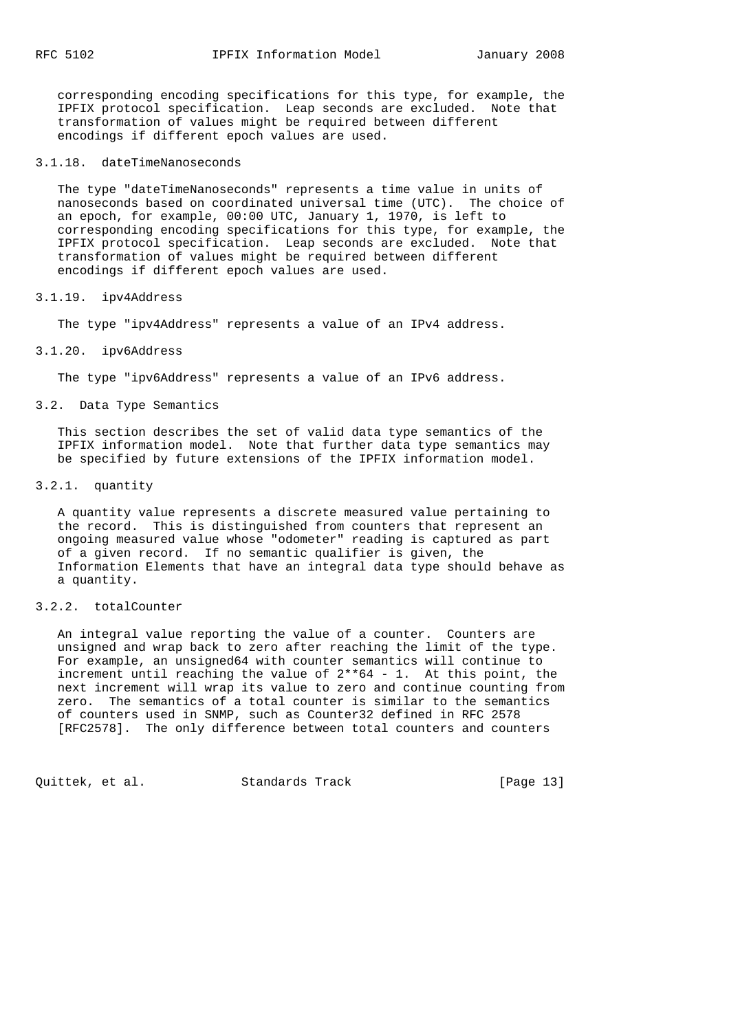corresponding encoding specifications for this type, for example, the IPFIX protocol specification. Leap seconds are excluded. Note that transformation of values might be required between different encodings if different epoch values are used.

### 3.1.18. dateTimeNanoseconds

 The type "dateTimeNanoseconds" represents a time value in units of nanoseconds based on coordinated universal time (UTC). The choice of an epoch, for example, 00:00 UTC, January 1, 1970, is left to corresponding encoding specifications for this type, for example, the IPFIX protocol specification. Leap seconds are excluded. Note that transformation of values might be required between different encodings if different epoch values are used.

### 3.1.19. ipv4Address

The type "ipv4Address" represents a value of an IPv4 address.

# 3.1.20. ipv6Address

The type "ipv6Address" represents a value of an IPv6 address.

#### 3.2. Data Type Semantics

 This section describes the set of valid data type semantics of the IPFIX information model. Note that further data type semantics may be specified by future extensions of the IPFIX information model.

#### 3.2.1. quantity

 A quantity value represents a discrete measured value pertaining to the record. This is distinguished from counters that represent an ongoing measured value whose "odometer" reading is captured as part of a given record. If no semantic qualifier is given, the Information Elements that have an integral data type should behave as a quantity.

### 3.2.2. totalCounter

 An integral value reporting the value of a counter. Counters are unsigned and wrap back to zero after reaching the limit of the type. For example, an unsigned64 with counter semantics will continue to increment until reaching the value of 2\*\*64 - 1. At this point, the next increment will wrap its value to zero and continue counting from zero. The semantics of a total counter is similar to the semantics of counters used in SNMP, such as Counter32 defined in RFC 2578 [RFC2578]. The only difference between total counters and counters

Quittek, et al. Standards Track [Page 13]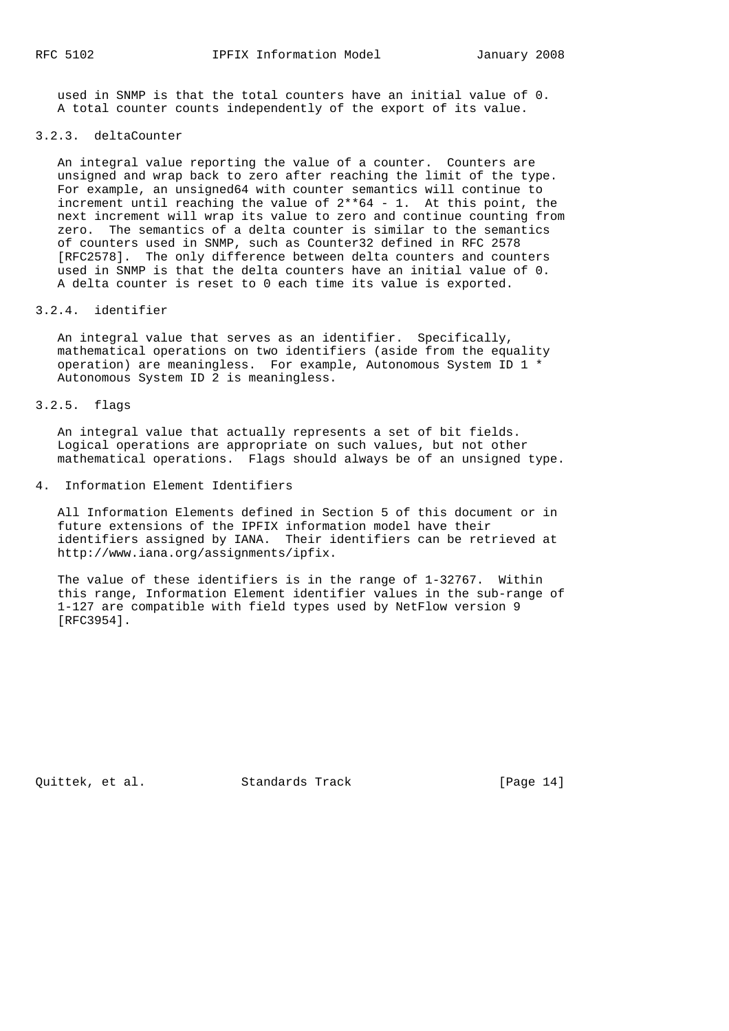used in SNMP is that the total counters have an initial value of 0. A total counter counts independently of the export of its value.

# 3.2.3. deltaCounter

 An integral value reporting the value of a counter. Counters are unsigned and wrap back to zero after reaching the limit of the type. For example, an unsigned64 with counter semantics will continue to increment until reaching the value of 2\*\*64 - 1. At this point, the next increment will wrap its value to zero and continue counting from zero. The semantics of a delta counter is similar to the semantics of counters used in SNMP, such as Counter32 defined in RFC 2578 [RFC2578]. The only difference between delta counters and counters used in SNMP is that the delta counters have an initial value of 0. A delta counter is reset to 0 each time its value is exported.

# 3.2.4. identifier

 An integral value that serves as an identifier. Specifically, mathematical operations on two identifiers (aside from the equality operation) are meaningless. For example, Autonomous System ID 1 \* Autonomous System ID 2 is meaningless.

# 3.2.5. flags

 An integral value that actually represents a set of bit fields. Logical operations are appropriate on such values, but not other mathematical operations. Flags should always be of an unsigned type.

#### 4. Information Element Identifiers

 All Information Elements defined in Section 5 of this document or in future extensions of the IPFIX information model have their identifiers assigned by IANA. Their identifiers can be retrieved at http://www.iana.org/assignments/ipfix.

 The value of these identifiers is in the range of 1-32767. Within this range, Information Element identifier values in the sub-range of 1-127 are compatible with field types used by NetFlow version 9 [RFC3954].

Quittek, et al. Standards Track [Page 14]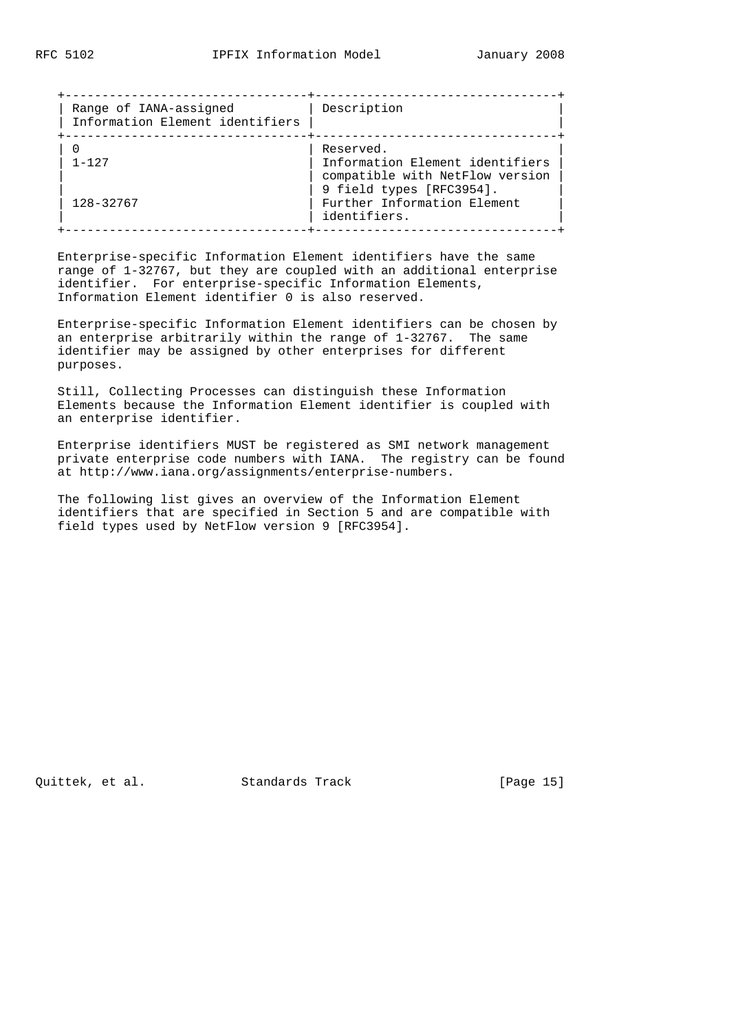| Range of IANA-assigned<br>Information Element identifiers | Description                                                                                                 |
|-----------------------------------------------------------|-------------------------------------------------------------------------------------------------------------|
| $1 - 127$                                                 | Reserved.<br>Information Element identifiers<br>compatible with NetFlow version<br>9 field types [RFC3954]. |
| 128-32767                                                 | Further Information Element<br>identifiers.                                                                 |

 Enterprise-specific Information Element identifiers have the same range of 1-32767, but they are coupled with an additional enterprise identifier. For enterprise-specific Information Elements, Information Element identifier 0 is also reserved.

 Enterprise-specific Information Element identifiers can be chosen by an enterprise arbitrarily within the range of 1-32767. The same identifier may be assigned by other enterprises for different purposes.

 Still, Collecting Processes can distinguish these Information Elements because the Information Element identifier is coupled with an enterprise identifier.

 Enterprise identifiers MUST be registered as SMI network management private enterprise code numbers with IANA. The registry can be found at http://www.iana.org/assignments/enterprise-numbers.

 The following list gives an overview of the Information Element identifiers that are specified in Section 5 and are compatible with field types used by NetFlow version 9 [RFC3954].

Quittek, et al. Standards Track [Page 15]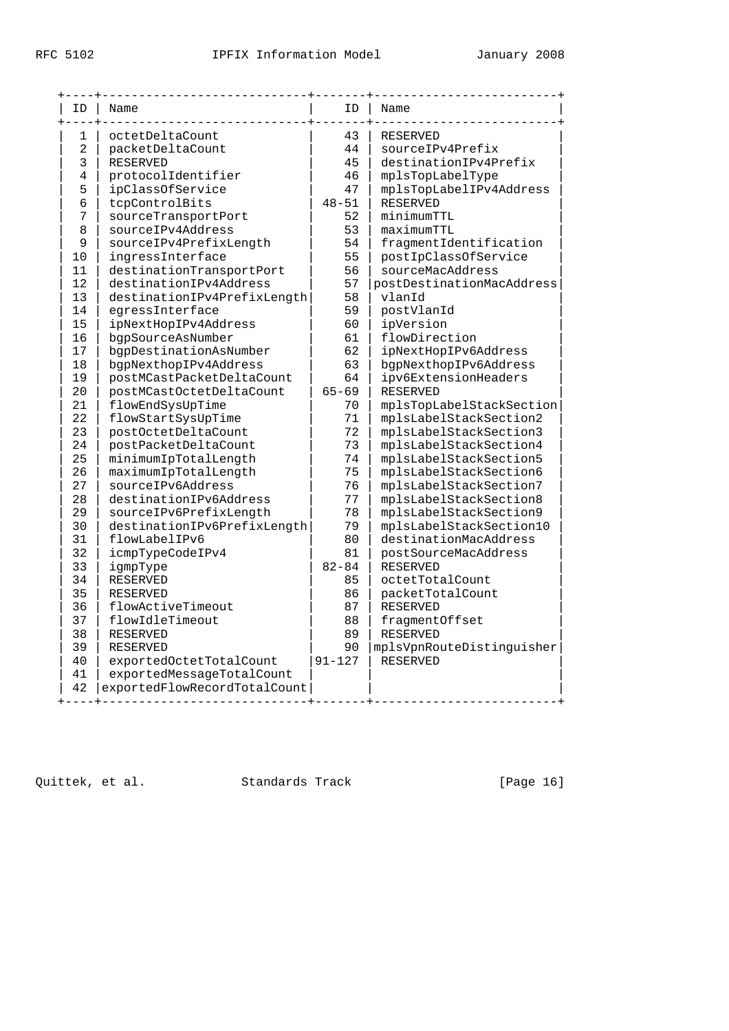| ID             | Name                         | ID         | Name                      |
|----------------|------------------------------|------------|---------------------------|
| 1              | octetDeltaCount              | 43         | <b>RESERVED</b>           |
| $\overline{2}$ | packetDeltaCount             | 44         | sourceIPv4Prefix          |
| 3              | <b>RESERVED</b>              | 45         | destinationIPv4Prefix     |
| 4              | protocolIdentifier           | 46         | mplsTopLabelType          |
| 5              | ipClassOfService             | 47         | mplsTopLabelIPv4Address   |
| 6              | tcpControlBits               | $48 - 51$  | <b>RESERVED</b>           |
| 7              | sourceTransportPort          | 52         | minimumTTL                |
| 8              | sourceIPv4Address            | 53         | maximumTTL                |
| 9              | sourceIPv4PrefixLength       | 54         | fragmentIdentification    |
| 10             | ingressInterface             | 55         | postIpClassOfService      |
| 11             | destinationTransportPort     | 56         | sourceMacAddress          |
| 12             | destinationIPv4Address       | 57         | postDestinationMacAddress |
| 13             | destinationIPv4PrefixLength  | 58         | vlanId                    |
| 14             | egressInterface              | 59         | postVlanId                |
| 15             | ipNextHopIPv4Address         | 60         | ipVersion                 |
| 16             | bqpSourceAsNumber            | 61         | flowDirection             |
| 17             | bgpDestinationAsNumber       | 62         | ipNextHopIPv6Address      |
| 18             | bqpNexthopIPv4Address        | 63         | bgpNexthopIPv6Address     |
| 19             | postMCastPacketDeltaCount    | 64         | ipv6ExtensionHeaders      |
| 20             | postMCastOctetDeltaCount     | $65 - 69$  | <b>RESERVED</b>           |
| 21             | flowEndSysUpTime             | 70         | mplsTopLabelStackSection  |
| 22             | flowStartSysUpTime           | 71         | mplsLabelStackSection2    |
| 23             | postOctetDeltaCount          | 72         | mplsLabelStackSection3    |
| 24             | postPacketDeltaCount         | 73         | mplsLabelStackSection4    |
| 25             | minimumIpTotalLength         | 74         | mplsLabelStackSection5    |
| 26             | maximumIpTotalLength         | 75         | mplsLabelStackSection6    |
| 27             | sourceIPv6Address            | 76         | mplsLabelStackSection7    |
| 28             | destinationIPv6Address       | 77         | mplsLabelStackSection8    |
| 29             | sourceIPv6PrefixLength       | 78         | mplsLabelStackSection9    |
| 30             | destinationIPv6PrefixLength  | 79         | mplsLabelStackSection10   |
| 31             | flowLabelIPv6                | 80         | destinationMacAddress     |
| 32             | icmpTypeCodeIPv4             | 81         | postSourceMacAddress      |
| 33             | igmpType                     | $82 - 84$  | <b>RESERVED</b>           |
| 34             | <b>RESERVED</b>              | 85         | octetTotalCount           |
| 35             | <b>RESERVED</b>              | 86         | packetTotalCount          |
| 36             | flowActiveTimeout            | 87         | <b>RESERVED</b>           |
| 37             | flowIdleTimeout              | 88         | fragmentOffset            |
| 38             | <b>RESERVED</b>              | 89         | <b>RESERVED</b>           |
| 39             | RESERVED                     | 90         | mplsVpnRouteDistinguisher |
| 40             | exportedOctetTotalCount      | $91 - 127$ | <b>RESERVED</b>           |
| 41             | exportedMessageTotalCount    |            |                           |
| 42             | exportedFlowRecordTotalCount |            |                           |

Quittek, et al. Standards Track [Page 16]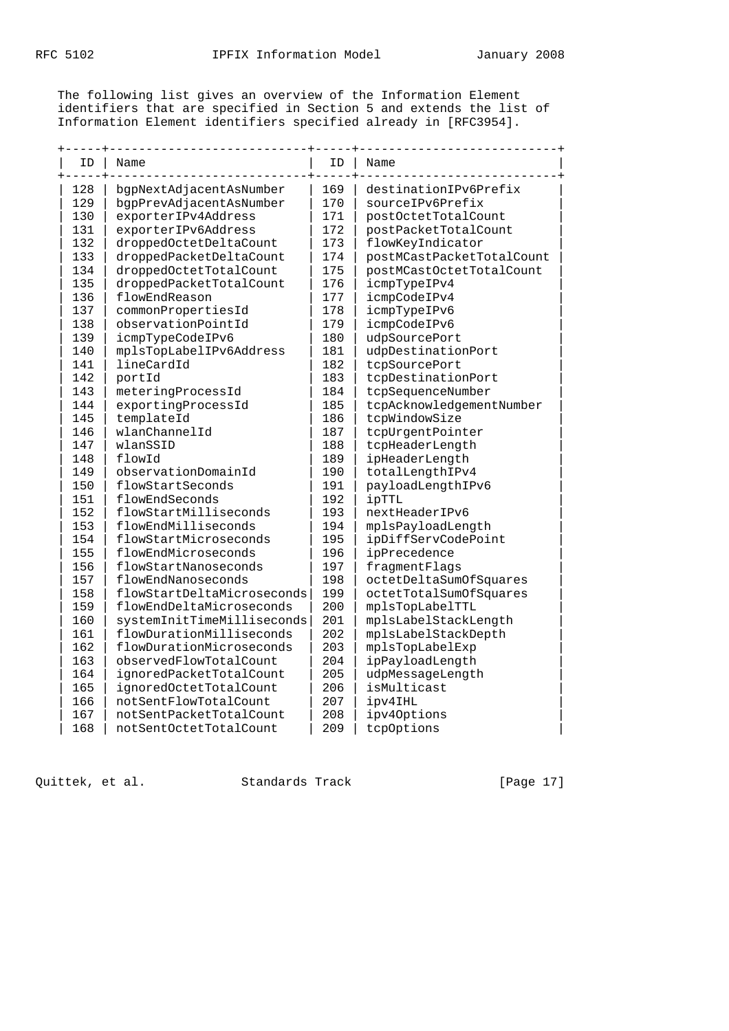The following list gives an overview of the Information Element identifiers that are specified in Section 5 and extends the list of Information Element identifiers specified already in [RFC3954].

| ID  | Name                       | ID  | Name                      |  |
|-----|----------------------------|-----|---------------------------|--|
| 128 | bgpNextAdjacentAsNumber    | 169 | destinationIPv6Prefix     |  |
| 129 | bgpPrevAdjacentAsNumber    | 170 | sourceIPv6Prefix          |  |
| 130 | exporterIPv4Address        | 171 | postOctetTotalCount       |  |
| 131 | exporterIPv6Address        | 172 | postPacketTotalCount      |  |
| 132 | droppedOctetDeltaCount     | 173 | flowKeyIndicator          |  |
| 133 | droppedPacketDeltaCount    | 174 | postMCastPacketTotalCount |  |
| 134 | droppedOctetTotalCount     | 175 | postMCastOctetTotalCount  |  |
| 135 | droppedPacketTotalCount    | 176 | icmpTypeIPv4              |  |
| 136 | flowEndReason              | 177 | icmpCodeIPv4              |  |
| 137 | commonPropertiesId         | 178 | icmpTypeIPv6              |  |
| 138 | observationPointId         | 179 | icmpCodeIPv6              |  |
| 139 | icmpTypeCodeIPv6           | 180 | udpSourcePort             |  |
| 140 | mplsTopLabelIPv6Address    | 181 | udpDestinationPort        |  |
| 141 | lineCardId                 | 182 | tcpSourcePort             |  |
| 142 | portId                     | 183 | tcpDestinationPort        |  |
| 143 | meteringProcessId          | 184 | tcpSequenceNumber         |  |
| 144 | exportingProcessId         | 185 | tcpAcknowledgementNumber  |  |
| 145 | templateId                 | 186 | tcpWindowSize             |  |
| 146 | wlanChannelId              | 187 | tcpUrgentPointer          |  |
| 147 | wlanSSID                   | 188 | tcpHeaderLength           |  |
| 148 | flowId                     | 189 | ipHeaderLength            |  |
| 149 | observationDomainId        | 190 | totalLengthIPv4           |  |
| 150 | flowStartSeconds           | 191 | payloadLengthIPv6         |  |
| 151 | flowEndSeconds             | 192 | ipTTL                     |  |
| 152 | flowStartMilliseconds      | 193 | nextHeaderIPv6            |  |
| 153 | flowEndMilliseconds        | 194 | mplsPayloadLength         |  |
| 154 | flowStartMicroseconds      | 195 | ipDiffServCodePoint       |  |
| 155 | flowEndMicroseconds        | 196 | ipPrecedence              |  |
| 156 | flowStartNanoseconds       | 197 | fragmentFlags             |  |
| 157 | flowEndNanoseconds         | 198 | octetDeltaSumOfSquares    |  |
| 158 | flowStartDeltaMicroseconds | 199 | octetTotalSumOfSquares    |  |
| 159 | flowEndDeltaMicroseconds   | 200 | mplsTopLabelTTL           |  |
| 160 | systemInitTimeMilliseconds | 201 | mplsLabelStackLength      |  |
| 161 | flowDurationMilliseconds   | 202 | mplsLabelStackDepth       |  |
| 162 | flowDurationMicroseconds   | 203 | mplsTopLabelExp           |  |
| 163 | observedFlowTotalCount     | 204 | ipPayloadLength           |  |
| 164 | ignoredPacketTotalCount    | 205 | udpMessageLength          |  |
| 165 | ignoredOctetTotalCount     | 206 | isMulticast               |  |
| 166 | notSentFlowTotalCount      | 207 | ipv4IHL                   |  |
| 167 | notSentPacketTotalCount    | 208 | ipv40ptions               |  |
|     |                            |     |                           |  |

Quittek, et al. Standards Track [Page 17]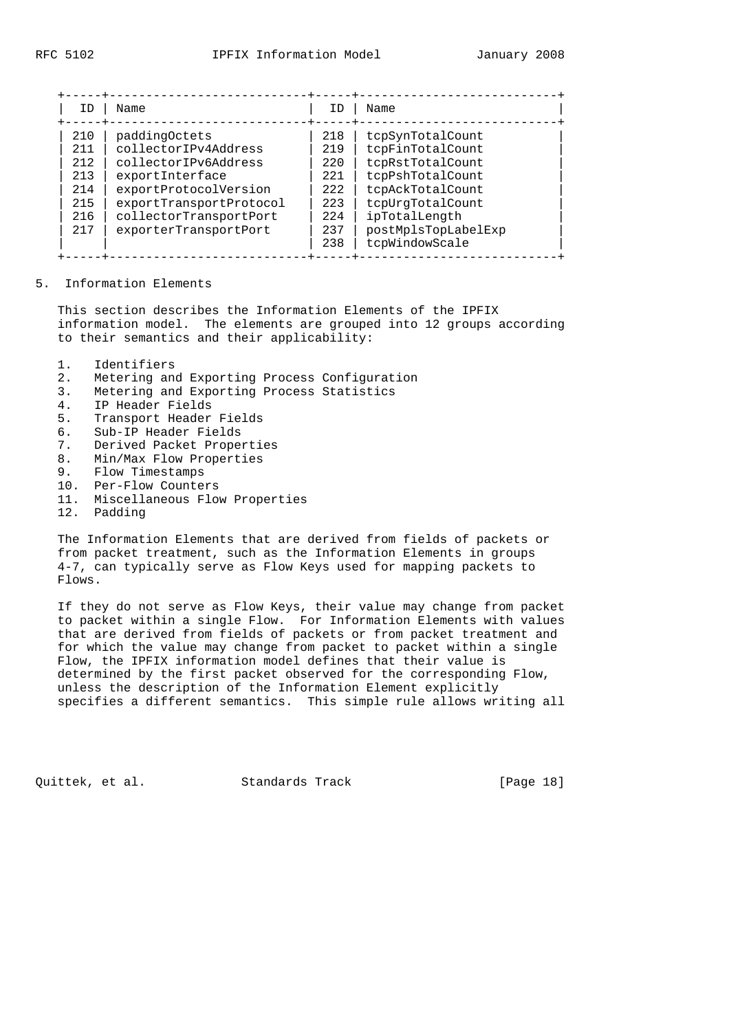| ΙD                                                    | Name                                                                                                                                                                                    | ΙD                                                             | Name                                                                                                                                                                           |
|-------------------------------------------------------|-----------------------------------------------------------------------------------------------------------------------------------------------------------------------------------------|----------------------------------------------------------------|--------------------------------------------------------------------------------------------------------------------------------------------------------------------------------|
| 210<br>211<br>212<br>213<br>2.14<br>215<br>216<br>217 | paddingOctets<br>collectorIPv4Address<br>collectorIPv6Address<br>exportInterface<br>exportProtocolVersion<br>exportTransportProtocol<br>collectorTransportPort<br>exporterTransportPort | 218<br>219<br>220<br>221<br>2.2.2<br>223<br>2.24<br>237<br>238 | tcpSynTotalCount<br>tcpFinTotalCount<br>tcpRstTotalCount<br>tcpPshTotalCount<br>tcpAckTotalCount<br>tcpUrqTotalCount<br>ipTotalLength<br>postMplsTopLabelExp<br>tcpWindowScale |

5. Information Elements

 This section describes the Information Elements of the IPFIX information model. The elements are grouped into 12 groups according to their semantics and their applicability:

- 1. Identifiers
- 2. Metering and Exporting Process Configuration
- 3. Metering and Exporting Process Statistics
- 4. IP Header Fields
- 4. IF neauer Processe<br>5. Transport Header Fields
- 6. Sub-IP Header Fields
- 7. Derived Packet Properties
	- 8. Min/Max Flow Properties
	- 9. Flow Timestamps
	- 10. Per-Flow Counters
	- 11. Miscellaneous Flow Properties
	- 12. Padding

 The Information Elements that are derived from fields of packets or from packet treatment, such as the Information Elements in groups 4-7, can typically serve as Flow Keys used for mapping packets to Flows.

 If they do not serve as Flow Keys, their value may change from packet to packet within a single Flow. For Information Elements with values that are derived from fields of packets or from packet treatment and for which the value may change from packet to packet within a single Flow, the IPFIX information model defines that their value is determined by the first packet observed for the corresponding Flow, unless the description of the Information Element explicitly specifies a different semantics. This simple rule allows writing all

Quittek, et al. Standards Track [Page 18]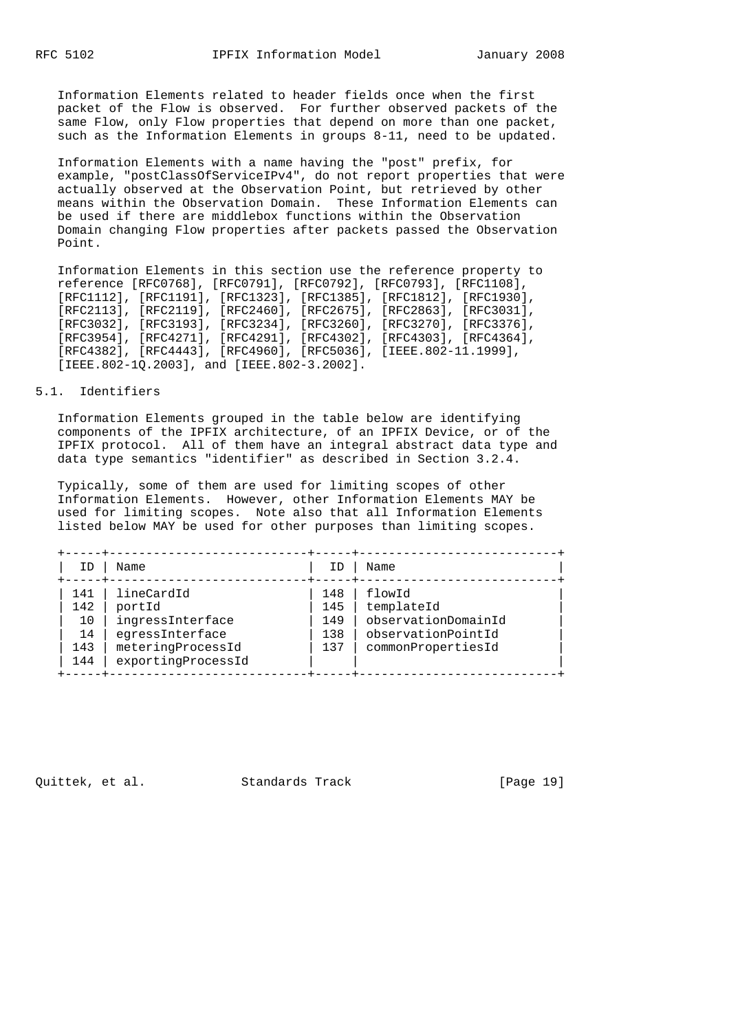Information Elements related to header fields once when the first packet of the Flow is observed. For further observed packets of the same Flow, only Flow properties that depend on more than one packet, such as the Information Elements in groups 8-11, need to be updated.

 Information Elements with a name having the "post" prefix, for example, "postClassOfServiceIPv4", do not report properties that were actually observed at the Observation Point, but retrieved by other means within the Observation Domain. These Information Elements can be used if there are middlebox functions within the Observation Domain changing Flow properties after packets passed the Observation Point.

 Information Elements in this section use the reference property to reference [RFC0768], [RFC0791], [RFC0792], [RFC0793], [RFC1108], [RFC1112], [RFC1191], [RFC1323], [RFC1385], [RFC1812], [RFC1930], [RFC2113], [RFC2119], [RFC2460], [RFC2675], [RFC2863], [RFC3031], [RFC3032], [RFC3193], [RFC3234], [RFC3260], [RFC3270], [RFC3376], [RFC3954], [RFC4271], [RFC4291], [RFC4302], [RFC4303], [RFC4364], [RFC4382], [RFC4443], [RFC4960], [RFC5036], [IEEE.802-11.1999], [IEEE.802-1Q.2003], and [IEEE.802-3.2002].

# 5.1. Identifiers

 Information Elements grouped in the table below are identifying components of the IPFIX architecture, of an IPFIX Device, or of the IPFIX protocol. All of them have an integral abstract data type and data type semantics "identifier" as described in Section 3.2.4.

 Typically, some of them are used for limiting scopes of other Information Elements. However, other Information Elements MAY be used for limiting scopes. Note also that all Information Elements listed below MAY be used for other purposes than limiting scopes.

+-----+---------------------------+-----+---------------------------+

| ΙD  | Name               | ΙD  | Name                |
|-----|--------------------|-----|---------------------|
| 141 | lineCardId         | 148 | flowId              |
| 142 | portId             | 145 | templateId          |
| 10  | ingressInterface   | 149 | observationDomainId |
| 14  | egressInterface    | 138 | observationPointId  |
| 143 | meteringProcessId  | 137 | commonPropertiesId  |
| 144 | exportingProcessId |     |                     |

Quittek, et al. Standards Track [Page 19]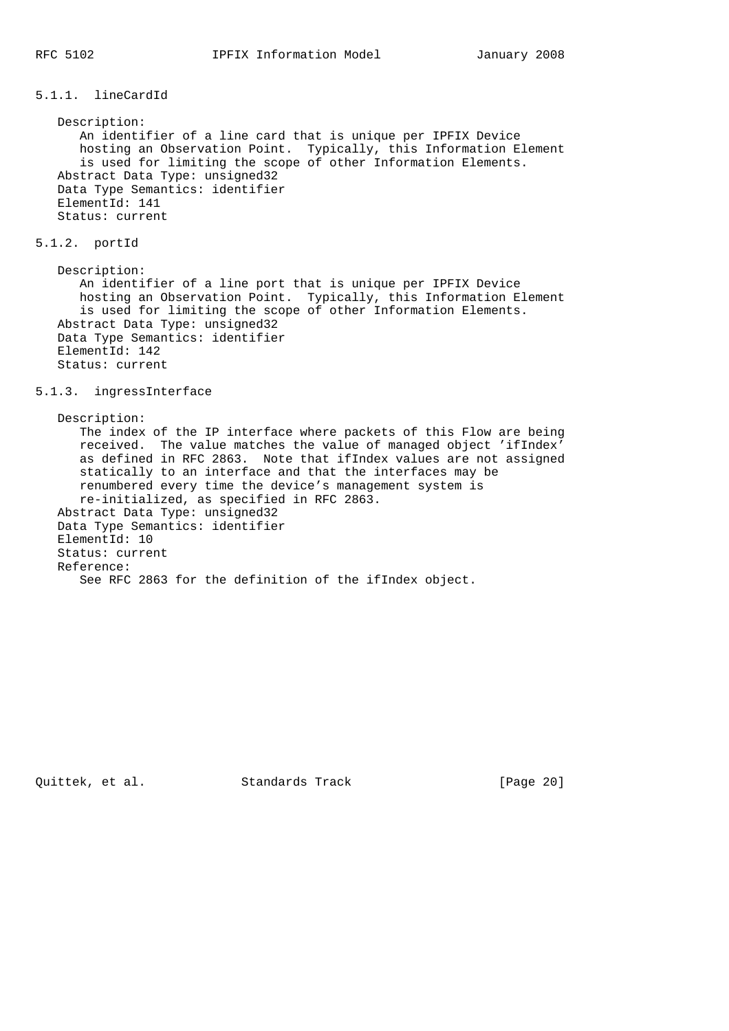5.1.1. lineCardId

 Description: An identifier of a line card that is unique per IPFIX Device hosting an Observation Point. Typically, this Information Element is used for limiting the scope of other Information Elements. Abstract Data Type: unsigned32 Data Type Semantics: identifier ElementId: 141 Status: current 5.1.2. portId Description: An identifier of a line port that is unique per IPFIX Device hosting an Observation Point. Typically, this Information Element is used for limiting the scope of other Information Elements.

 Abstract Data Type: unsigned32 Data Type Semantics: identifier ElementId: 142 Status: current

5.1.3. ingressInterface

 Description: The index of the IP interface where packets of this Flow are being received. The value matches the value of managed object 'ifIndex' as defined in RFC 2863. Note that ifIndex values are not assigned statically to an interface and that the interfaces may be renumbered every time the device's management system is re-initialized, as specified in RFC 2863. Abstract Data Type: unsigned32 Data Type Semantics: identifier ElementId: 10 Status: current Reference: See RFC 2863 for the definition of the ifIndex object.

Quittek, et al. Standards Track [Page 20]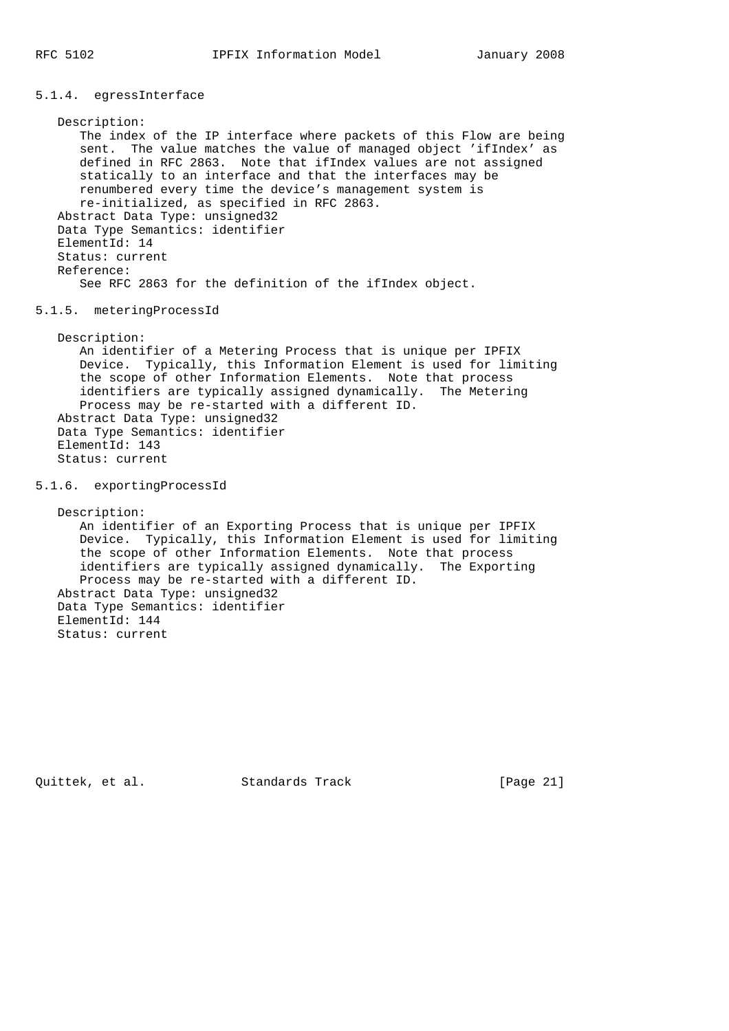### 5.1.4. egressInterface

 Description: The index of the IP interface where packets of this Flow are being sent. The value matches the value of managed object 'ifIndex' as defined in RFC 2863. Note that ifIndex values are not assigned statically to an interface and that the interfaces may be renumbered every time the device's management system is re-initialized, as specified in RFC 2863. Abstract Data Type: unsigned32 Data Type Semantics: identifier ElementId: 14 Status: current Reference: See RFC 2863 for the definition of the ifIndex object.

#### 5.1.5. meteringProcessId

Description:

 An identifier of a Metering Process that is unique per IPFIX Device. Typically, this Information Element is used for limiting the scope of other Information Elements. Note that process identifiers are typically assigned dynamically. The Metering Process may be re-started with a different ID. Abstract Data Type: unsigned32 Data Type Semantics: identifier ElementId: 143 Status: current

5.1.6. exportingProcessId

 Description: An identifier of an Exporting Process that is unique per IPFIX Device. Typically, this Information Element is used for limiting the scope of other Information Elements. Note that process identifiers are typically assigned dynamically. The Exporting Process may be re-started with a different ID. Abstract Data Type: unsigned32 Data Type Semantics: identifier ElementId: 144 Status: current

Quittek, et al. Standards Track [Page 21]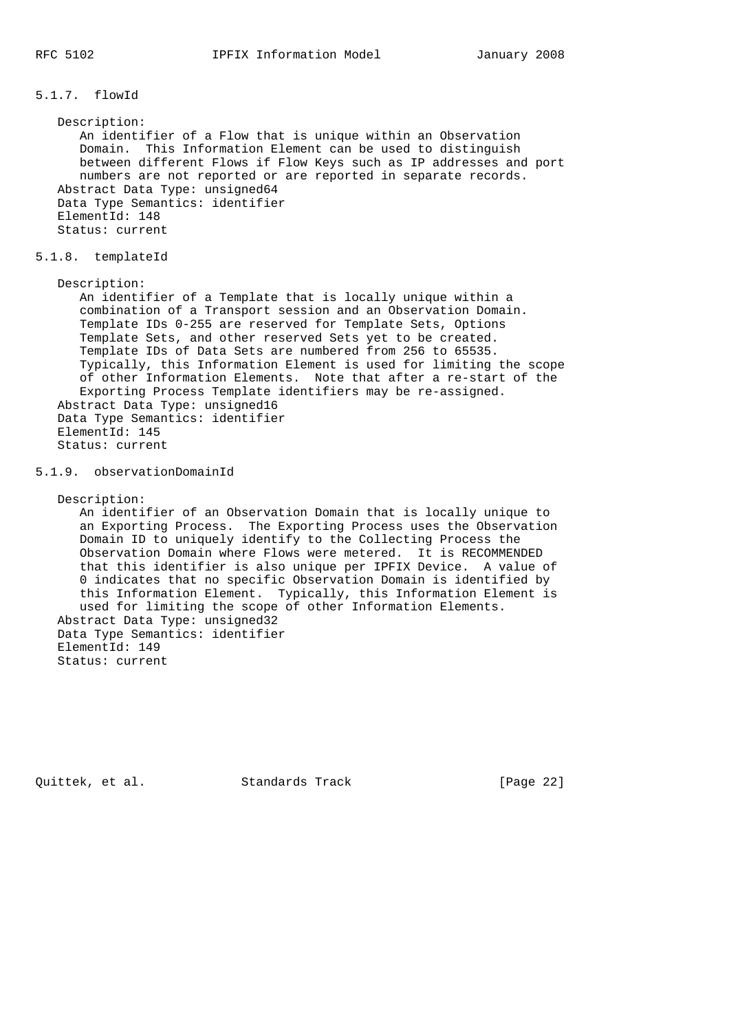# 5.1.7. flowId Description: An identifier of a Flow that is unique within an Observation Domain. This Information Element can be used to distinguish between different Flows if Flow Keys such as IP addresses and port numbers are not reported or are reported in separate records. Abstract Data Type: unsigned64 Data Type Semantics: identifier ElementId: 148 Status: current 5.1.8. templateId Description: An identifier of a Template that is locally unique within a combination of a Transport session and an Observation Domain. Template IDs 0-255 are reserved for Template Sets, Options Template Sets, and other reserved Sets yet to be created. Template IDs of Data Sets are numbered from 256 to 65535. Typically, this Information Element is used for limiting the scope of other Information Elements. Note that after a re-start of the Exporting Process Template identifiers may be re-assigned. Abstract Data Type: unsigned16 Data Type Semantics: identifier ElementId: 145 Status: current

5.1.9. observationDomainId

#### Description:

 An identifier of an Observation Domain that is locally unique to an Exporting Process. The Exporting Process uses the Observation Domain ID to uniquely identify to the Collecting Process the Observation Domain where Flows were metered. It is RECOMMENDED that this identifier is also unique per IPFIX Device. A value of 0 indicates that no specific Observation Domain is identified by this Information Element. Typically, this Information Element is used for limiting the scope of other Information Elements. Abstract Data Type: unsigned32 Data Type Semantics: identifier ElementId: 149 Status: current

Quittek, et al. Standards Track [Page 22]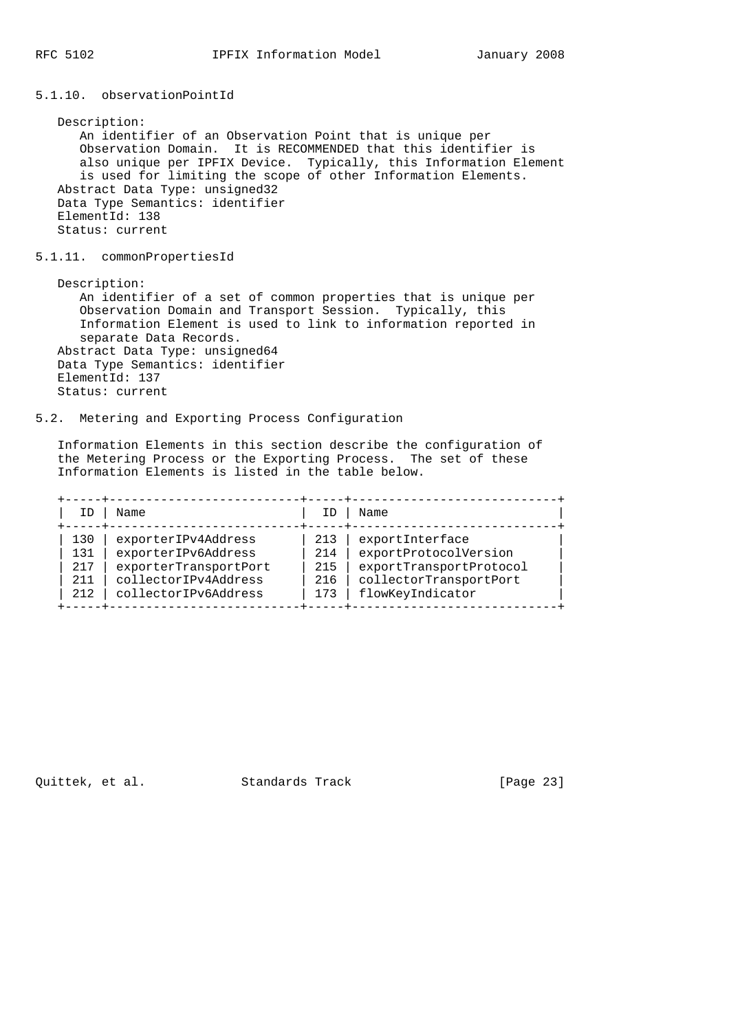5.1.10. observationPointId

 Description: An identifier of an Observation Point that is unique per Observation Domain. It is RECOMMENDED that this identifier is also unique per IPFIX Device. Typically, this Information Element is used for limiting the scope of other Information Elements. Abstract Data Type: unsigned32 Data Type Semantics: identifier ElementId: 138 Status: current

5.1.11. commonPropertiesId

 Description: An identifier of a set of common properties that is unique per Observation Domain and Transport Session. Typically, this Information Element is used to link to information reported in separate Data Records. Abstract Data Type: unsigned64 Data Type Semantics: identifier ElementId: 137 Status: current

5.2. Metering and Exporting Process Configuration

 Information Elements in this section describe the configuration of the Metering Process or the Exporting Process. The set of these Information Elements is listed in the table below.

| ΙD   | Name                  |     | Name                    |
|------|-----------------------|-----|-------------------------|
| 130  | exporterIPv4Address   | 213 | exportInterface         |
| 131  | exporterIPv6Address   | 214 | exportProtocolVersion   |
| 217  | exporterTransportPort | 215 | exportTransportProtocol |
| 2.11 | collectorIPv4Address  | 216 | collectorTransportPort  |
| 212  | collectorIPv6Address  | 173 | flowKeyIndicator        |

Quittek, et al. Standards Track [Page 23]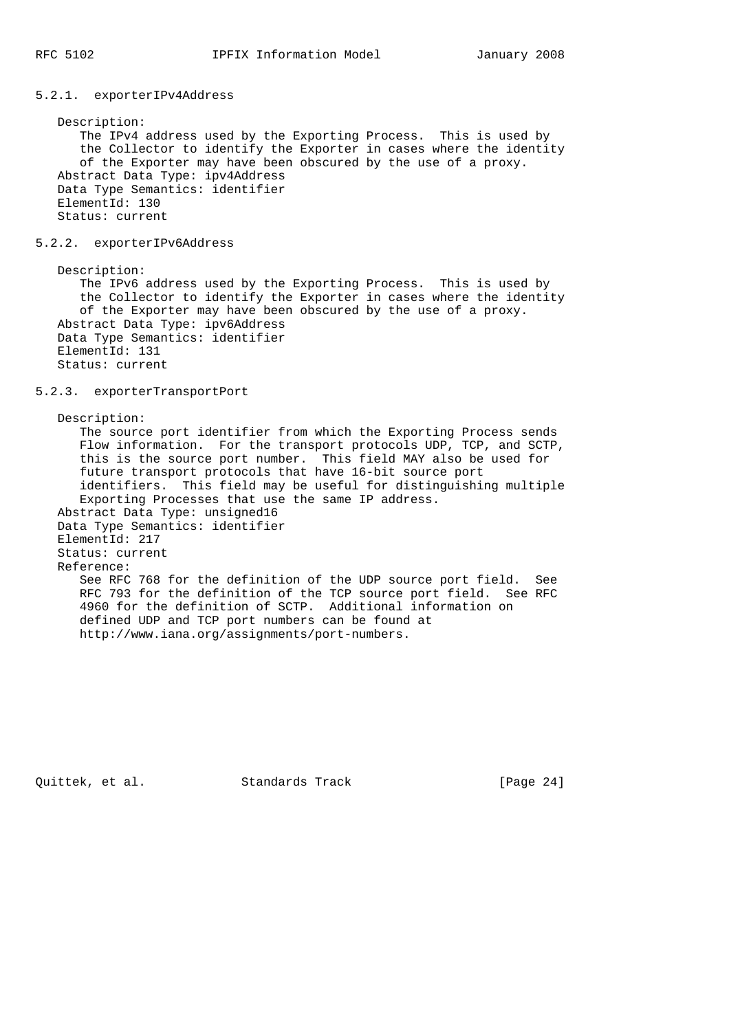#### 5.2.1. exporterIPv4Address

 Description: The IPv4 address used by the Exporting Process. This is used by the Collector to identify the Exporter in cases where the identity of the Exporter may have been obscured by the use of a proxy. Abstract Data Type: ipv4Address Data Type Semantics: identifier ElementId: 130 Status: current

#### 5.2.2. exporterIPv6Address

 Description: The IPv6 address used by the Exporting Process. This is used by the Collector to identify the Exporter in cases where the identity of the Exporter may have been obscured by the use of a proxy. Abstract Data Type: ipv6Address Data Type Semantics: identifier ElementId: 131 Status: current

#### 5.2.3. exporterTransportPort

 Description: The source port identifier from which the Exporting Process sends Flow information. For the transport protocols UDP, TCP, and SCTP, this is the source port number. This field MAY also be used for future transport protocols that have 16-bit source port identifiers. This field may be useful for distinguishing multiple Exporting Processes that use the same IP address. Abstract Data Type: unsigned16 Data Type Semantics: identifier ElementId: 217 Status: current Reference: See RFC 768 for the definition of the UDP source port field. See RFC 793 for the definition of the TCP source port field. See RFC 4960 for the definition of SCTP. Additional information on defined UDP and TCP port numbers can be found at http://www.iana.org/assignments/port-numbers.

Quittek, et al. Standards Track [Page 24]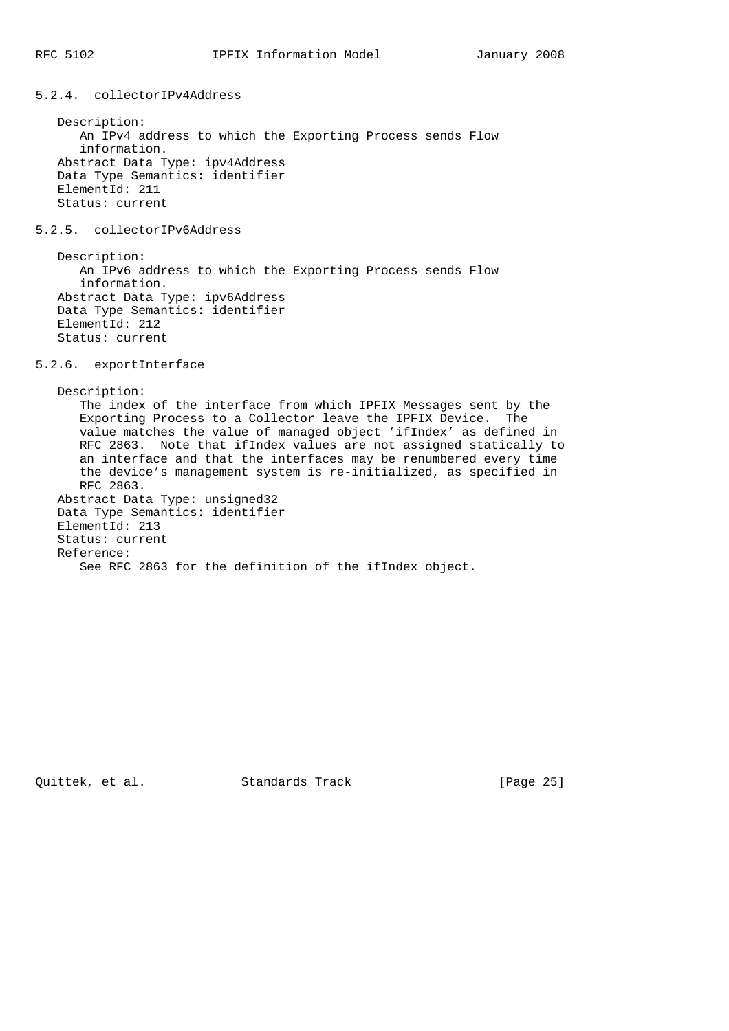5.2.4. collectorIPv4Address

 Description: An IPv4 address to which the Exporting Process sends Flow information. Abstract Data Type: ipv4Address Data Type Semantics: identifier ElementId: 211 Status: current

5.2.5. collectorIPv6Address

 Description: An IPv6 address to which the Exporting Process sends Flow information. Abstract Data Type: ipv6Address Data Type Semantics: identifier ElementId: 212 Status: current

5.2.6. exportInterface

 Description: The index of the interface from which IPFIX Messages sent by the Exporting Process to a Collector leave the IPFIX Device. The value matches the value of managed object 'ifIndex' as defined in RFC 2863. Note that ifIndex values are not assigned statically to an interface and that the interfaces may be renumbered every time the device's management system is re-initialized, as specified in RFC 2863. Abstract Data Type: unsigned32 Data Type Semantics: identifier ElementId: 213 Status: current Reference: See RFC 2863 for the definition of the ifIndex object.

Quittek, et al. Standards Track [Page 25]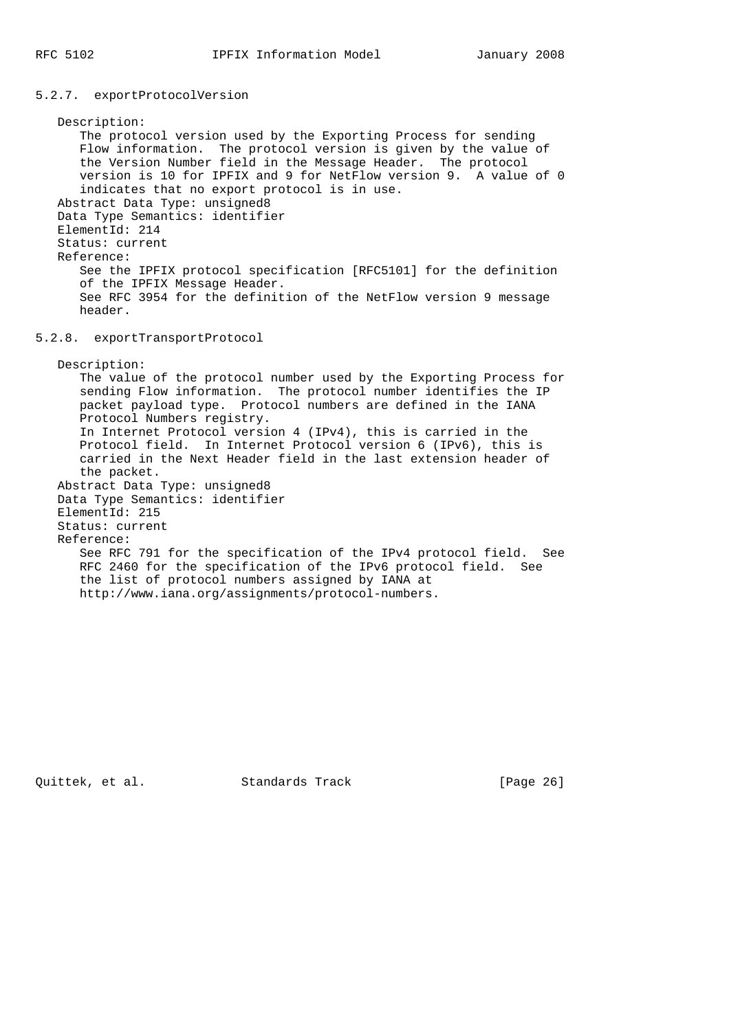5.2.7. exportProtocolVersion

 Description: The protocol version used by the Exporting Process for sending Flow information. The protocol version is given by the value of the Version Number field in the Message Header. The protocol version is 10 for IPFIX and 9 for NetFlow version 9. A value of 0 indicates that no export protocol is in use. Abstract Data Type: unsigned8 Data Type Semantics: identifier ElementId: 214 Status: current Reference: See the IPFIX protocol specification [RFC5101] for the definition of the IPFIX Message Header. See RFC 3954 for the definition of the NetFlow version 9 message header. 5.2.8. exportTransportProtocol Description: The value of the protocol number used by the Exporting Process for sending Flow information. The protocol number identifies the IP packet payload type. Protocol numbers are defined in the IANA Protocol Numbers registry. In Internet Protocol version 4 (IPv4), this is carried in the Protocol field. In Internet Protocol version 6 (IPv6), this is carried in the Next Header field in the last extension header of the packet. Abstract Data Type: unsigned8 Data Type Semantics: identifier ElementId: 215 Status: current Reference: See RFC 791 for the specification of the IPv4 protocol field. See RFC 2460 for the specification of the IPv6 protocol field. See the list of protocol numbers assigned by IANA at http://www.iana.org/assignments/protocol-numbers.

Quittek, et al. Standards Track [Page 26]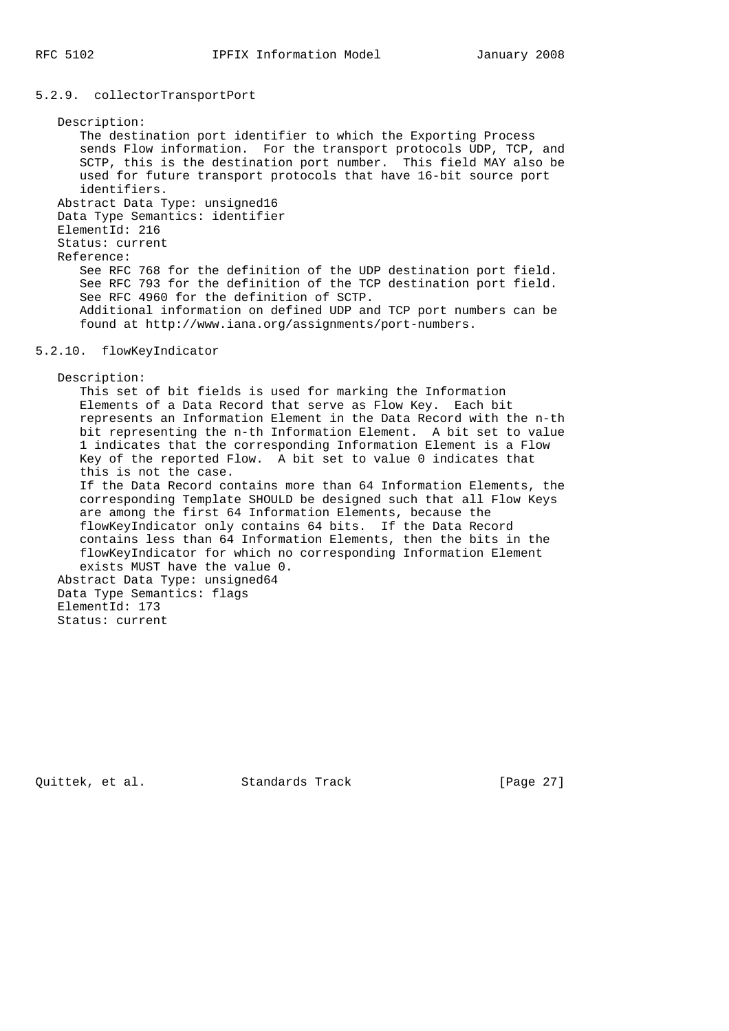#### 5.2.9. collectorTransportPort

 Description: The destination port identifier to which the Exporting Process sends Flow information. For the transport protocols UDP, TCP, and SCTP, this is the destination port number. This field MAY also be used for future transport protocols that have 16-bit source port identifiers. Abstract Data Type: unsigned16 Data Type Semantics: identifier ElementId: 216 Status: current Reference: See RFC 768 for the definition of the UDP destination port field. See RFC 793 for the definition of the TCP destination port field. See RFC 4960 for the definition of SCTP. Additional information on defined UDP and TCP port numbers can be found at http://www.iana.org/assignments/port-numbers.

# 5.2.10. flowKeyIndicator

 Description: This set of bit fields is used for marking the Information Elements of a Data Record that serve as Flow Key. Each bit represents an Information Element in the Data Record with the n-th bit representing the n-th Information Element. A bit set to value 1 indicates that the corresponding Information Element is a Flow Key of the reported Flow. A bit set to value 0 indicates that this is not the case. If the Data Record contains more than 64 Information Elements, the corresponding Template SHOULD be designed such that all Flow Keys are among the first 64 Information Elements, because the flowKeyIndicator only contains 64 bits. If the Data Record contains less than 64 Information Elements, then the bits in the flowKeyIndicator for which no corresponding Information Element exists MUST have the value 0. Abstract Data Type: unsigned64 Data Type Semantics: flags ElementId: 173 Status: current

Quittek, et al. Standards Track [Page 27]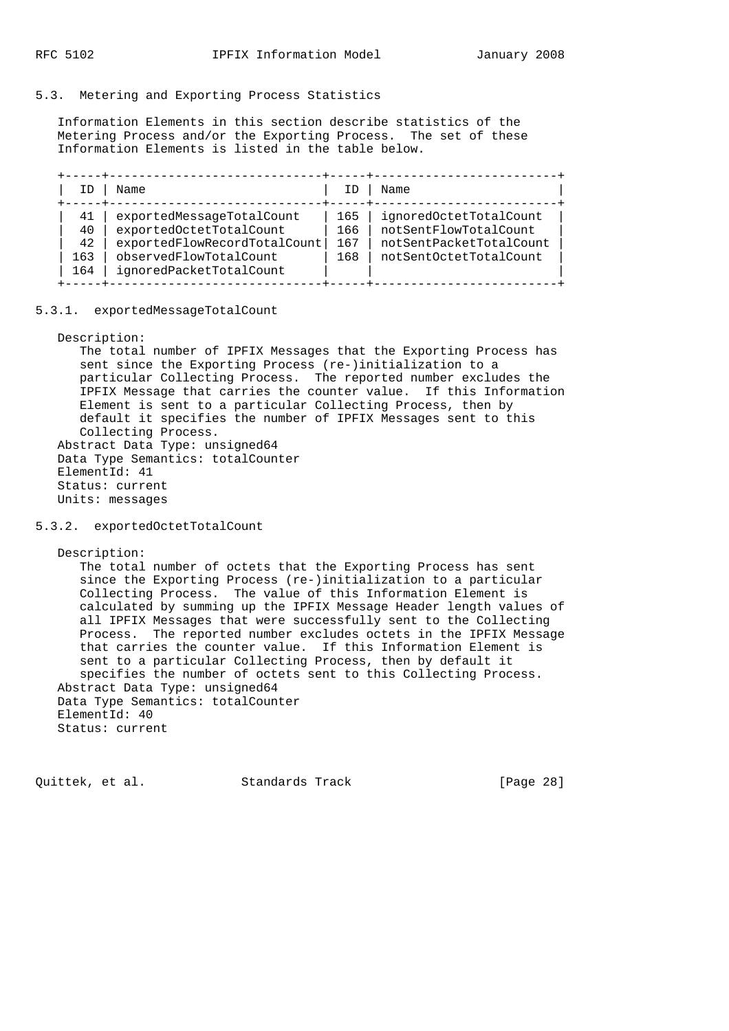# 5.3. Metering and Exporting Process Statistics

 Information Elements in this section describe statistics of the Metering Process and/or the Exporting Process. The set of these Information Elements is listed in the table below.

| Name<br>ΙD                                                                                                                                                                | Name                     |                                                                                                      |
|---------------------------------------------------------------------------------------------------------------------------------------------------------------------------|--------------------------|------------------------------------------------------------------------------------------------------|
| exportedMessageTotalCount<br>41<br>exportedOctetTotalCount<br>40<br>exportedFlowRecordTotalCount<br>42<br>observedFlowTotalCount<br>163<br>ignoredPacketTotalCount<br>164 | 165<br>166<br>167<br>168 | ignoredOctetTotalCount<br>notSentFlowTotalCount<br>notSentPacketTotalCount<br>notSentOctetTotalCount |

5.3.1. exportedMessageTotalCount

Description:

 The total number of IPFIX Messages that the Exporting Process has sent since the Exporting Process (re-)initialization to a particular Collecting Process. The reported number excludes the IPFIX Message that carries the counter value. If this Information Element is sent to a particular Collecting Process, then by default it specifies the number of IPFIX Messages sent to this Collecting Process. Abstract Data Type: unsigned64 Data Type Semantics: totalCounter ElementId: 41 Status: current Units: messages

5.3.2. exportedOctetTotalCount

Description:

 The total number of octets that the Exporting Process has sent since the Exporting Process (re-)initialization to a particular Collecting Process. The value of this Information Element is calculated by summing up the IPFIX Message Header length values of all IPFIX Messages that were successfully sent to the Collecting Process. The reported number excludes octets in the IPFIX Message that carries the counter value. If this Information Element is sent to a particular Collecting Process, then by default it specifies the number of octets sent to this Collecting Process. Abstract Data Type: unsigned64 Data Type Semantics: totalCounter ElementId: 40 Status: current

Quittek, et al. Standards Track [Page 28]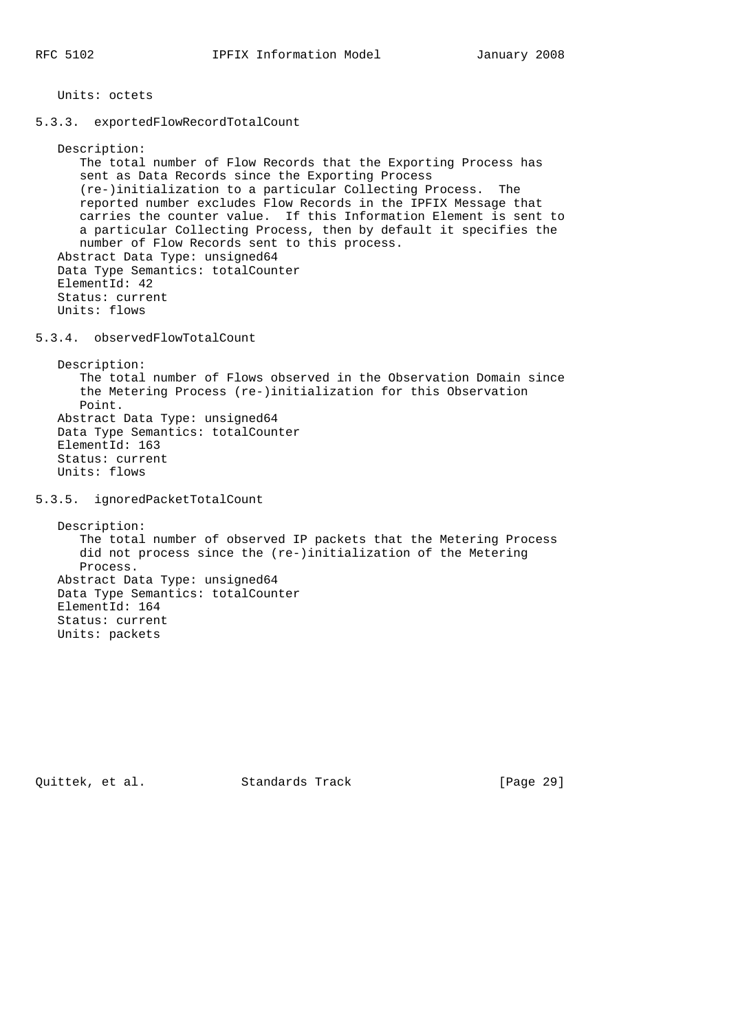Units: octets

5.3.3. exportedFlowRecordTotalCount

```
 Description:
      The total number of Flow Records that the Exporting Process has
       sent as Data Records since the Exporting Process
      (re-)initialization to a particular Collecting Process. The
      reported number excludes Flow Records in the IPFIX Message that
      carries the counter value. If this Information Element is sent to
       a particular Collecting Process, then by default it specifies the
      number of Flow Records sent to this process.
   Abstract Data Type: unsigned64
   Data Type Semantics: totalCounter
   ElementId: 42
   Status: current
   Units: flows
5.3.4. observedFlowTotalCount
   Description:
       The total number of Flows observed in the Observation Domain since
       the Metering Process (re-)initialization for this Observation
       Point.
   Abstract Data Type: unsigned64
   Data Type Semantics: totalCounter
   ElementId: 163
   Status: current
   Units: flows
5.3.5. ignoredPacketTotalCount
   Description:
       The total number of observed IP packets that the Metering Process
       did not process since the (re-)initialization of the Metering
      Process.
   Abstract Data Type: unsigned64
   Data Type Semantics: totalCounter
   ElementId: 164
   Status: current
   Units: packets
```
Quittek, et al. Standards Track [Page 29]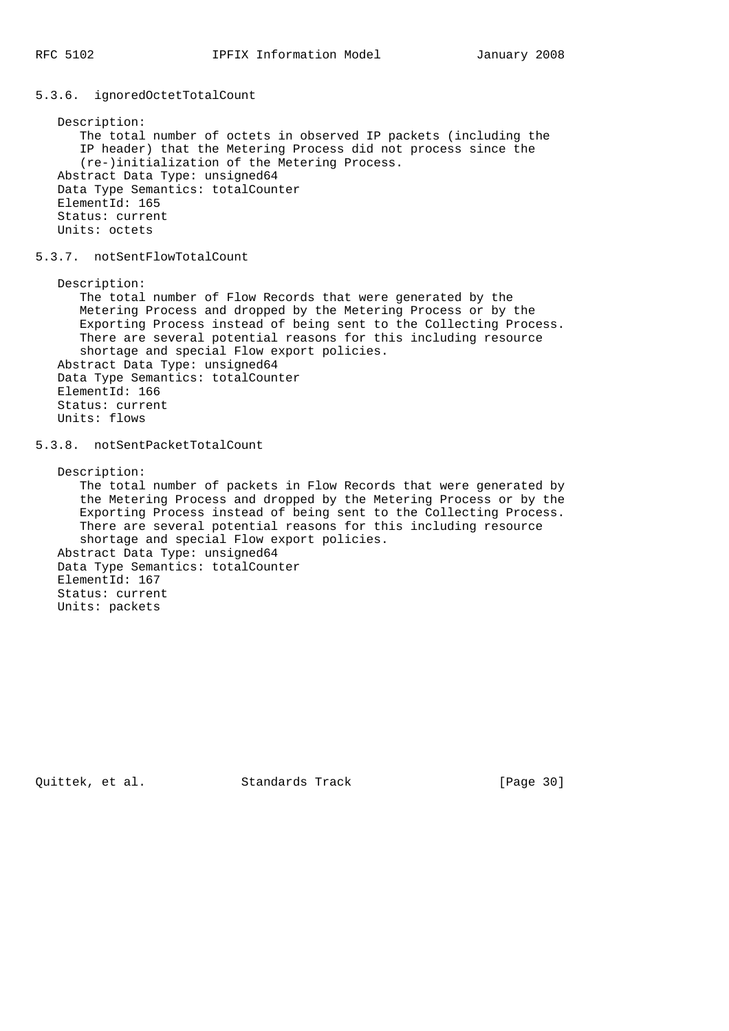5.3.6. ignoredOctetTotalCount

 Description: The total number of octets in observed IP packets (including the IP header) that the Metering Process did not process since the (re-)initialization of the Metering Process. Abstract Data Type: unsigned64 Data Type Semantics: totalCounter ElementId: 165 Status: current Units: octets

5.3.7. notSentFlowTotalCount

 Description: The total number of Flow Records that were generated by the Metering Process and dropped by the Metering Process or by the Exporting Process instead of being sent to the Collecting Process. There are several potential reasons for this including resource shortage and special Flow export policies. Abstract Data Type: unsigned64 Data Type Semantics: totalCounter ElementId: 166 Status: current Units: flows

5.3.8. notSentPacketTotalCount

 Description: The total number of packets in Flow Records that were generated by the Metering Process and dropped by the Metering Process or by the Exporting Process instead of being sent to the Collecting Process. There are several potential reasons for this including resource shortage and special Flow export policies. Abstract Data Type: unsigned64 Data Type Semantics: totalCounter ElementId: 167 Status: current Units: packets

Quittek, et al. Standards Track [Page 30]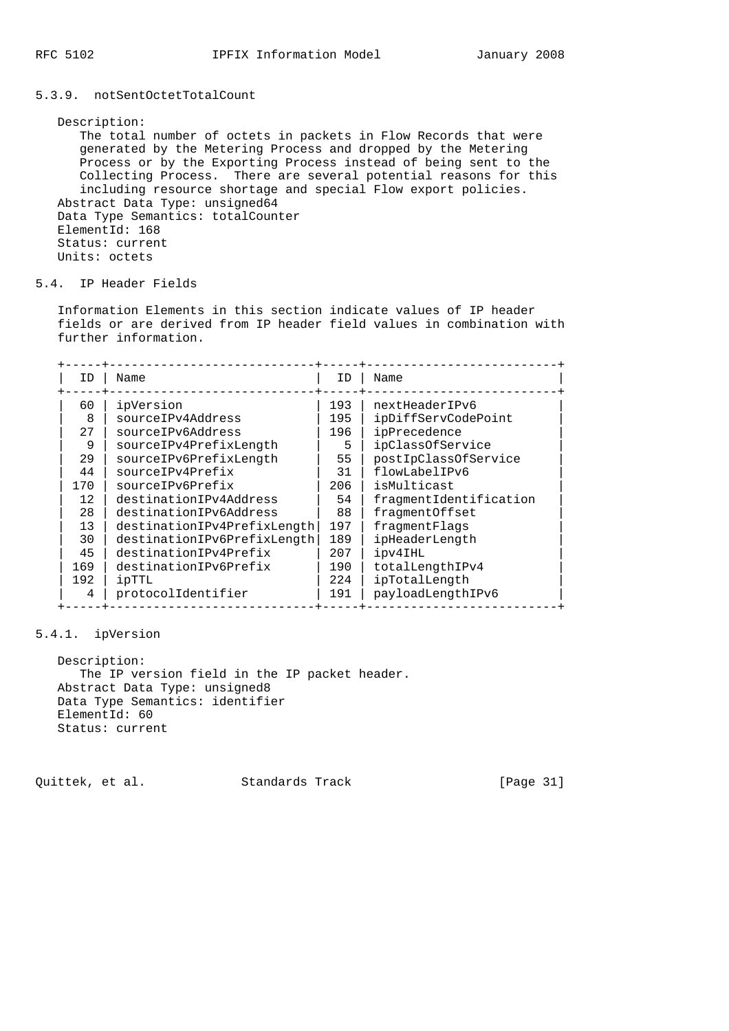# 5.3.9. notSentOctetTotalCount

 Description: The total number of octets in packets in Flow Records that were generated by the Metering Process and dropped by the Metering Process or by the Exporting Process instead of being sent to the Collecting Process. There are several potential reasons for this including resource shortage and special Flow export policies. Abstract Data Type: unsigned64 Data Type Semantics: totalCounter ElementId: 168 Status: current Units: octets

# 5.4. IP Header Fields

 Information Elements in this section indicate values of IP header fields or are derived from IP header field values in combination with further information.

| ID.             | Name                        | ID  | Name                   |
|-----------------|-----------------------------|-----|------------------------|
|                 |                             |     |                        |
| 60              | ipVersion                   | 193 | nextHeaderIPv6         |
| 8               | sourceIPv4Address           | 195 | ipDiffServCodePoint    |
| 27              | sourceIPv6Address           | 196 | ipPrecedence           |
| 9               | sourceIPv4PrefixLength      | 5   | ipClassOfService       |
| 29              | sourceIPv6PrefixLength      | 55  | postIpClassOfService   |
| 44              | sourceIPv4Prefix            | 31  | flowLabelIPv6          |
| 170             | sourceIPv6Prefix            | 206 | isMulticast            |
| $12^{\circ}$    | destinationIPv4Address      | 54  | fragmentIdentification |
| 28              | destinationIPv6Address      | 88  | fragmentOffset         |
| 13 <sup>°</sup> | destinationIPv4PrefixLength | 197 | fragmentFlags          |
| 30              | destinationIPv6PrefixLength | 189 | ipHeaderLength         |
| 45              | destinationIPv4Prefix       | 207 | ipv4IHL                |
| 169             | destinationIPv6Prefix       | 190 | totalLengthIPv4        |
| 192             | ipTTL                       | 224 | ipTotalLength          |
| 4               | protocolIdentifier          | 191 | payloadLengthIPv6      |

5.4.1. ipVersion

 Description: The IP version field in the IP packet header. Abstract Data Type: unsigned8 Data Type Semantics: identifier ElementId: 60 Status: current

Quittek, et al. Standards Track [Page 31]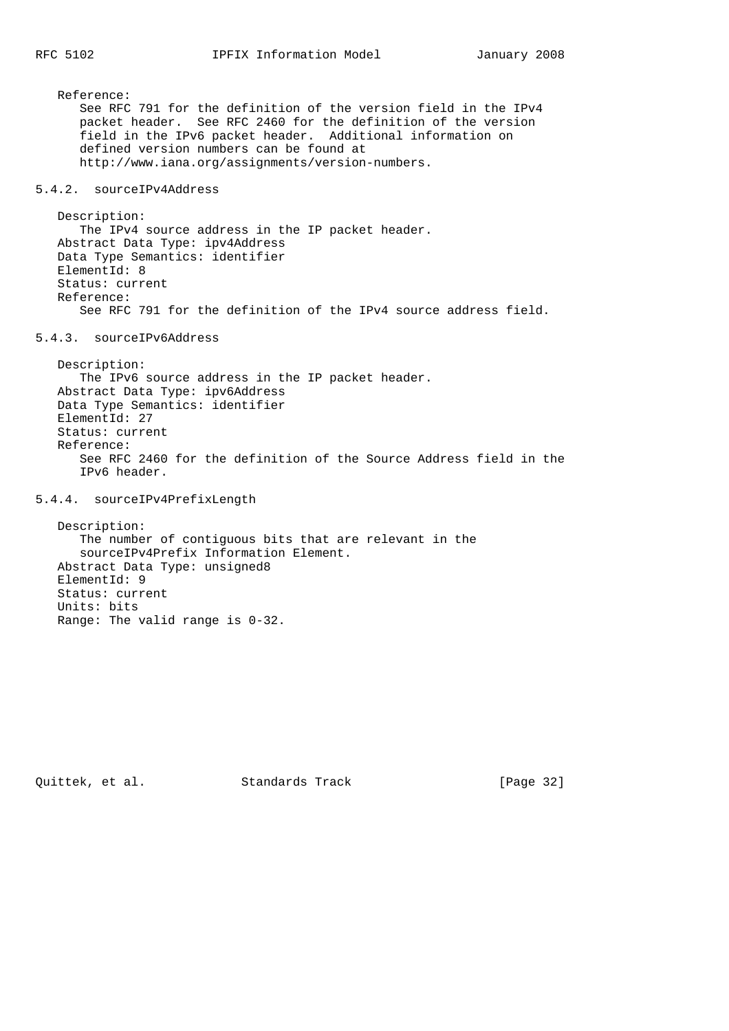Reference: See RFC 791 for the definition of the version field in the IPv4 packet header. See RFC 2460 for the definition of the version field in the IPv6 packet header. Additional information on defined version numbers can be found at http://www.iana.org/assignments/version-numbers. 5.4.2. sourceIPv4Address Description: The IPv4 source address in the IP packet header. Abstract Data Type: ipv4Address Data Type Semantics: identifier ElementId: 8 Status: current Reference: See RFC 791 for the definition of the IPv4 source address field. 5.4.3. sourceIPv6Address Description: The IPv6 source address in the IP packet header. Abstract Data Type: ipv6Address Data Type Semantics: identifier ElementId: 27 Status: current Reference: See RFC 2460 for the definition of the Source Address field in the IPv6 header. 5.4.4. sourceIPv4PrefixLength Description: The number of contiguous bits that are relevant in the sourceIPv4Prefix Information Element.

 ElementId: 9 Status: current Units: bits

Abstract Data Type: unsigned8

Range: The valid range is 0-32.

Quittek, et al. Standards Track [Page 32]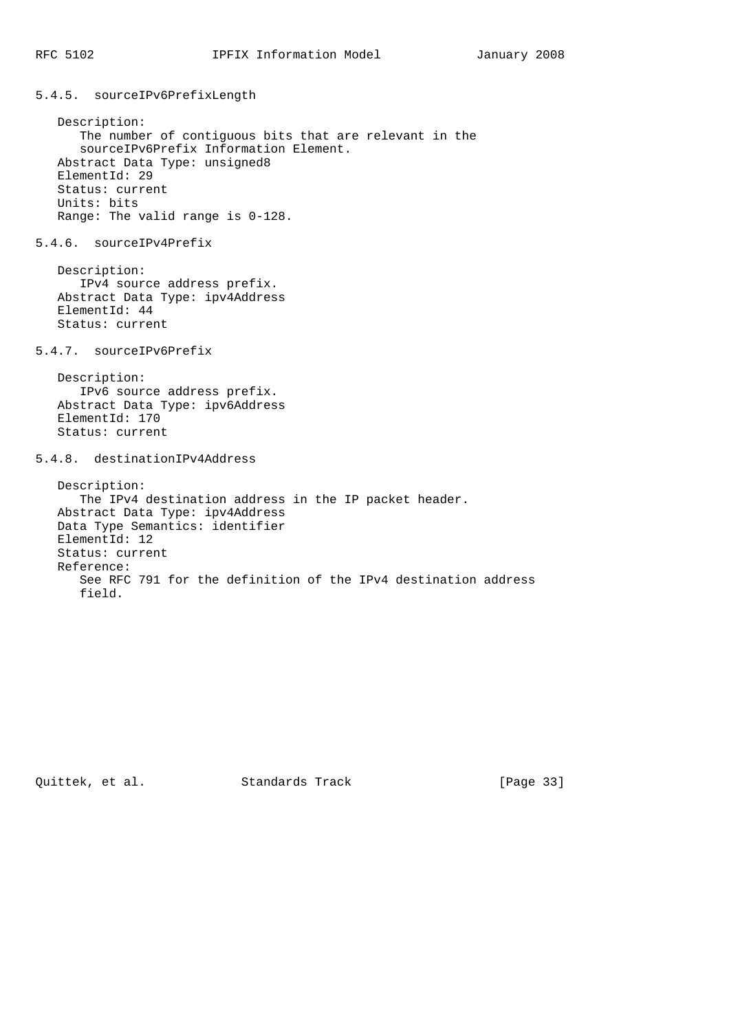5.4.5. sourceIPv6PrefixLength Description: The number of contiguous bits that are relevant in the sourceIPv6Prefix Information Element. Abstract Data Type: unsigned8 ElementId: 29 Status: current Units: bits Range: The valid range is 0-128. 5.4.6. sourceIPv4Prefix Description: IPv4 source address prefix. Abstract Data Type: ipv4Address ElementId: 44 Status: current 5.4.7. sourceIPv6Prefix Description: IPv6 source address prefix. Abstract Data Type: ipv6Address ElementId: 170 Status: current 5.4.8. destinationIPv4Address Description: The IPv4 destination address in the IP packet header. Abstract Data Type: ipv4Address Data Type Semantics: identifier ElementId: 12 Status: current Reference: See RFC 791 for the definition of the IPv4 destination address field.

Quittek, et al. Standards Track [Page 33]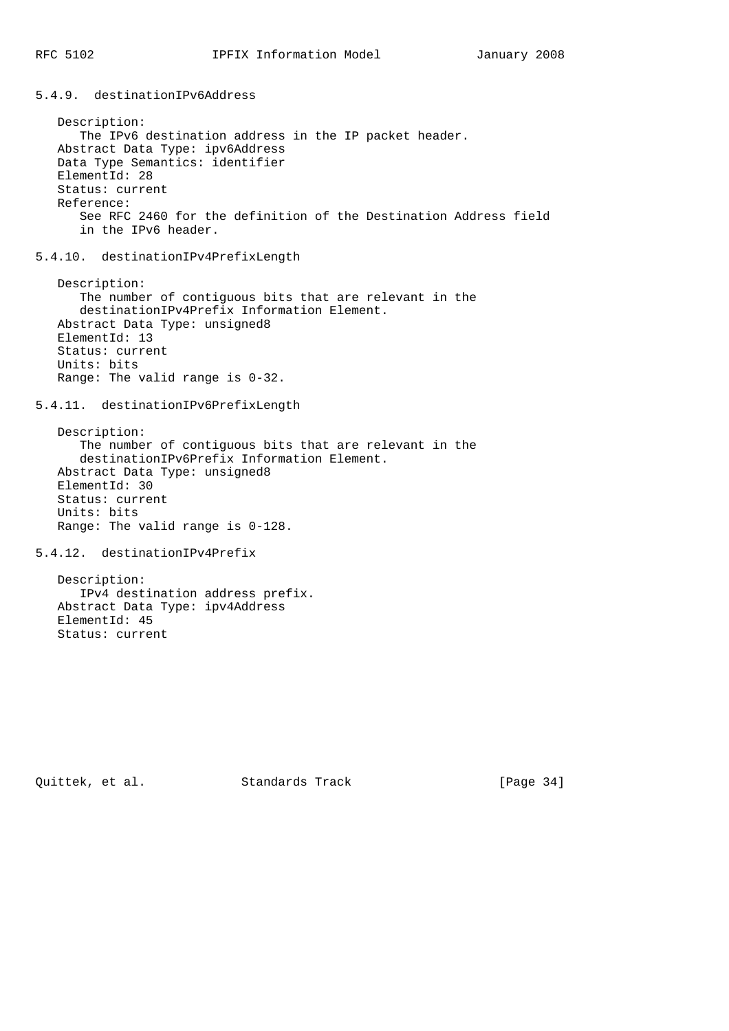5.4.9. destinationIPv6Address Description: The IPv6 destination address in the IP packet header. Abstract Data Type: ipv6Address Data Type Semantics: identifier ElementId: 28 Status: current Reference: See RFC 2460 for the definition of the Destination Address field in the IPv6 header. 5.4.10. destinationIPv4PrefixLength Description: The number of contiguous bits that are relevant in the destinationIPv4Prefix Information Element. Abstract Data Type: unsigned8 ElementId: 13 Status: current Units: bits Range: The valid range is 0-32. 5.4.11. destinationIPv6PrefixLength Description: The number of contiguous bits that are relevant in the destinationIPv6Prefix Information Element. Abstract Data Type: unsigned8 ElementId: 30 Status: current Units: bits Range: The valid range is 0-128. 5.4.12. destinationIPv4Prefix

 Description: IPv4 destination address prefix. Abstract Data Type: ipv4Address ElementId: 45 Status: current

Quittek, et al. Standards Track [Page 34]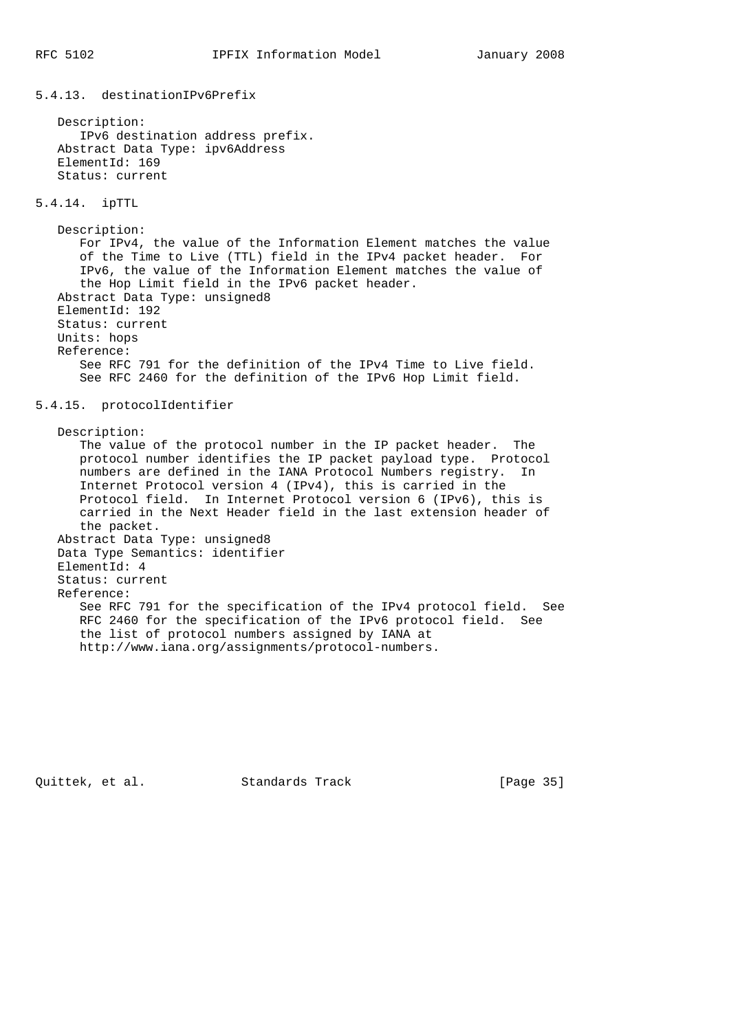5.4.13. destinationIPv6Prefix

 Description: IPv6 destination address prefix. Abstract Data Type: ipv6Address ElementId: 169 Status: current 5.4.14. ipTTL Description: For IPv4, the value of the Information Element matches the value of the Time to Live (TTL) field in the IPv4 packet header. For IPv6, the value of the Information Element matches the value of the Hop Limit field in the IPv6 packet header. Abstract Data Type: unsigned8 ElementId: 192 Status: current Units: hops Reference: See RFC 791 for the definition of the IPv4 Time to Live field. See RFC 2460 for the definition of the IPv6 Hop Limit field. 5.4.15. protocolIdentifier Description: The value of the protocol number in the IP packet header. The protocol number identifies the IP packet payload type. Protocol numbers are defined in the IANA Protocol Numbers registry. In Internet Protocol version 4 (IPv4), this is carried in the Protocol field. In Internet Protocol version 6 (IPv6), this is carried in the Next Header field in the last extension header of the packet. Abstract Data Type: unsigned8 Data Type Semantics: identifier ElementId: 4 Status: current Reference: See RFC 791 for the specification of the IPv4 protocol field. See RFC 2460 for the specification of the IPv6 protocol field. See the list of protocol numbers assigned by IANA at http://www.iana.org/assignments/protocol-numbers.

Quittek, et al. Standards Track [Page 35]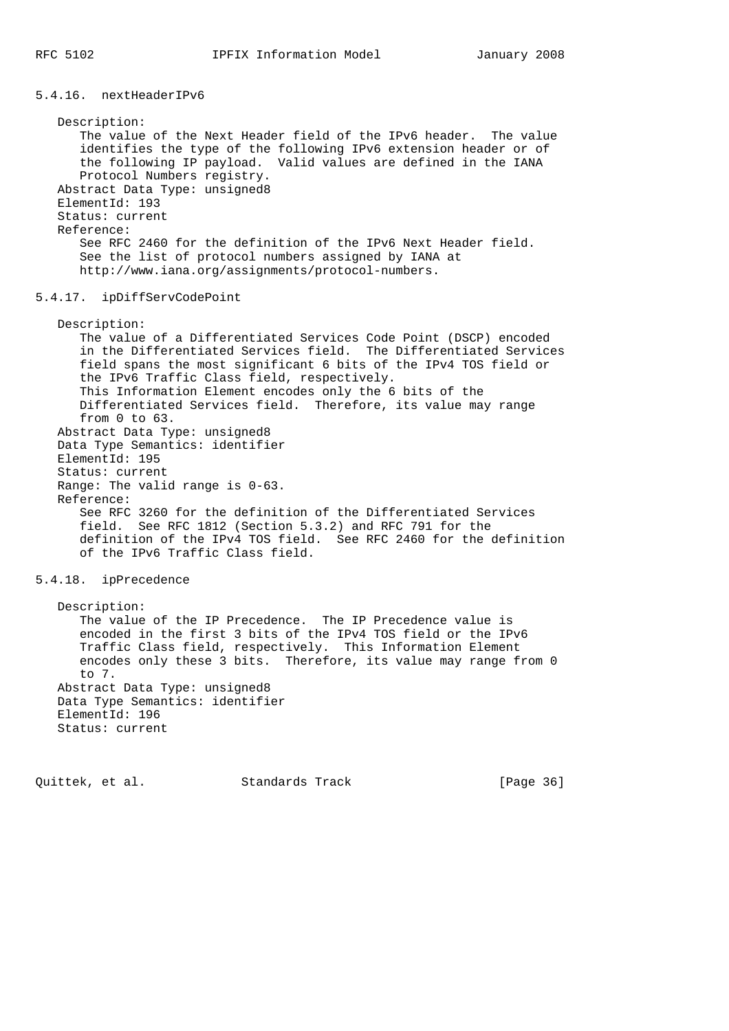5.4.16. nextHeaderIPv6

 Description: The value of the Next Header field of the IPv6 header. The value identifies the type of the following IPv6 extension header or of the following IP payload. Valid values are defined in the IANA Protocol Numbers registry. Abstract Data Type: unsigned8 ElementId: 193 Status: current Reference: See RFC 2460 for the definition of the IPv6 Next Header field. See the list of protocol numbers assigned by IANA at http://www.iana.org/assignments/protocol-numbers.

5.4.17. ipDiffServCodePoint

 Description: The value of a Differentiated Services Code Point (DSCP) encoded in the Differentiated Services field. The Differentiated Services field spans the most significant 6 bits of the IPv4 TOS field or the IPv6 Traffic Class field, respectively. This Information Element encodes only the 6 bits of the Differentiated Services field. Therefore, its value may range from 0 to 63. Abstract Data Type: unsigned8 Data Type Semantics: identifier ElementId: 195 Status: current Range: The valid range is 0-63. Reference: See RFC 3260 for the definition of the Differentiated Services field. See RFC 1812 (Section 5.3.2) and RFC 791 for the definition of the IPv4 TOS field. See RFC 2460 for the definition of the IPv6 Traffic Class field.

5.4.18. ipPrecedence

 Description: The value of the IP Precedence. The IP Precedence value is encoded in the first 3 bits of the IPv4 TOS field or the IPv6 Traffic Class field, respectively. This Information Element encodes only these 3 bits. Therefore, its value may range from 0 to 7. Abstract Data Type: unsigned8 Data Type Semantics: identifier ElementId: 196 Status: current

Quittek, et al. Standards Track [Page 36]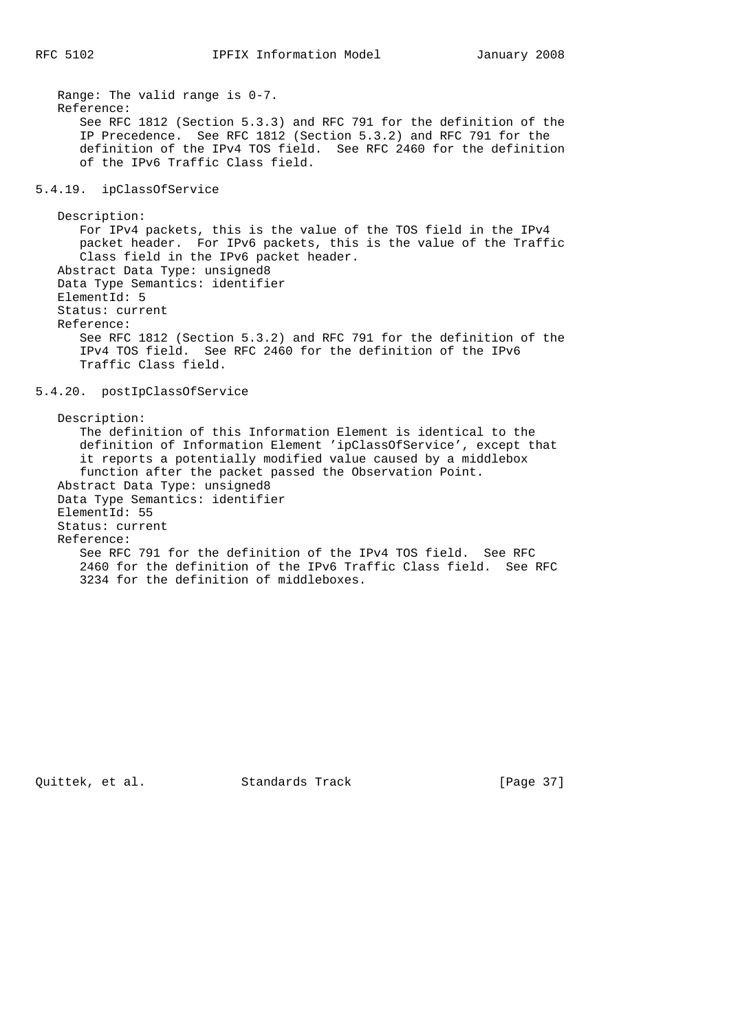Range: The valid range is 0-7. Reference: See RFC 1812 (Section 5.3.3) and RFC 791 for the definition of the IP Precedence. See RFC 1812 (Section 5.3.2) and RFC 791 for the definition of the IPv4 TOS field. See RFC 2460 for the definition of the IPv6 Traffic Class field. 5.4.19. ipClassOfService Description: For IPv4 packets, this is the value of the TOS field in the IPv4 packet header. For IPv6 packets, this is the value of the Traffic Class field in the IPv6 packet header. Abstract Data Type: unsigned8 Data Type Semantics: identifier ElementId: 5 Status: current Reference: See RFC 1812 (Section 5.3.2) and RFC 791 for the definition of the IPv4 TOS field. See RFC 2460 for the definition of the IPv6 Traffic Class field. 5.4.20. postIpClassOfService Description: The definition of this Information Element is identical to the definition of Information Element 'ipClassOfService', except that it reports a potentially modified value caused by a middlebox function after the packet passed the Observation Point. Abstract Data Type: unsigned8 Data Type Semantics: identifier ElementId: 55 Status: current Reference: See RFC 791 for the definition of the IPv4 TOS field. See RFC 2460 for the definition of the IPv6 Traffic Class field. See RFC 3234 for the definition of middleboxes.

Quittek, et al. Standards Track [Page 37]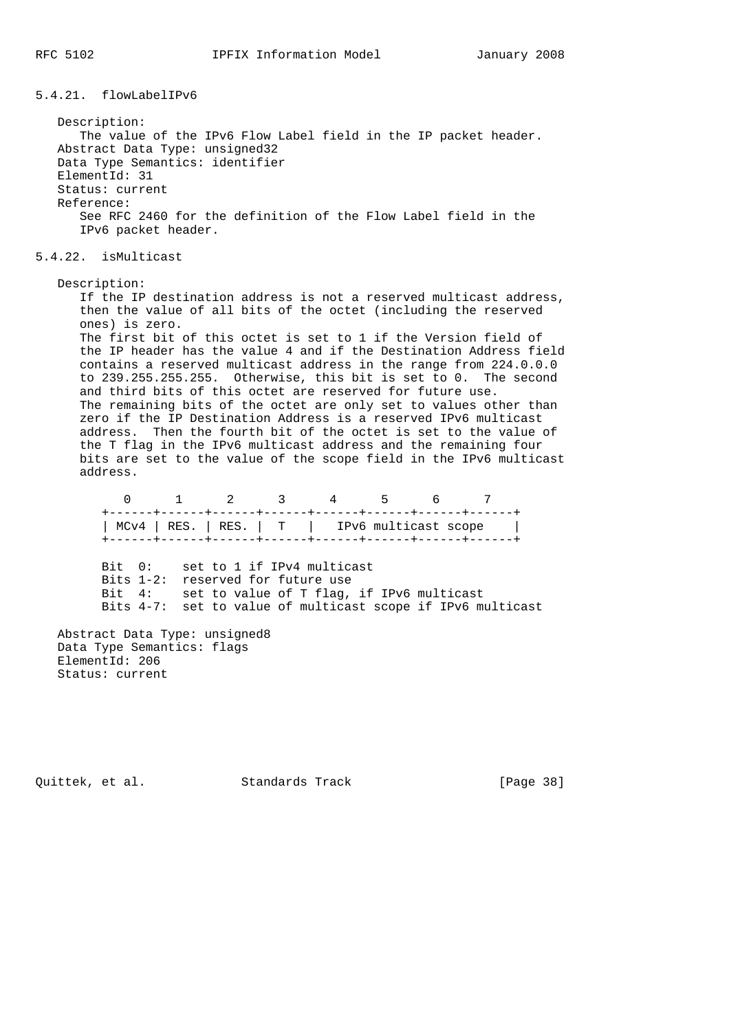5.4.21. flowLabelIPv6

 Description: The value of the IPv6 Flow Label field in the IP packet header. Abstract Data Type: unsigned32 Data Type Semantics: identifier ElementId: 31 Status: current Reference: See RFC 2460 for the definition of the Flow Label field in the IPv6 packet header.

5.4.22. isMulticast

#### Description:

 If the IP destination address is not a reserved multicast address, then the value of all bits of the octet (including the reserved ones) is zero. The first bit of this octet is set to 1 if the Version field of the IP header has the value 4 and if the Destination Address field contains a reserved multicast address in the range from 224.0.0.0 to 239.255.255.255. Otherwise, this bit is set to 0. The second and third bits of this octet are reserved for future use. The remaining bits of the octet are only set to values other than zero if the IP Destination Address is a reserved IPv6 multicast address. Then the fourth bit of the octet is set to the value of the T flag in the IPv6 multicast address and the remaining four bits are set to the value of the scope field in the IPv6 multicast address.

 0 1 2 3 4 5 6 7 +------+------+------+------+------+------+------+------+ | MCv4 | RES. | RES. | T | IPv6 multicast scope | +------+------+------+------+------+------+------+------+

 Bit 0: set to 1 if IPv4 multicast Bits 1-2: reserved for future use Bit 4: set to value of T flag, if IPv6 multicast Bits 4-7: set to value of multicast scope if IPv6 multicast

 Abstract Data Type: unsigned8 Data Type Semantics: flags ElementId: 206 Status: current

Quittek, et al. Standards Track [Page 38]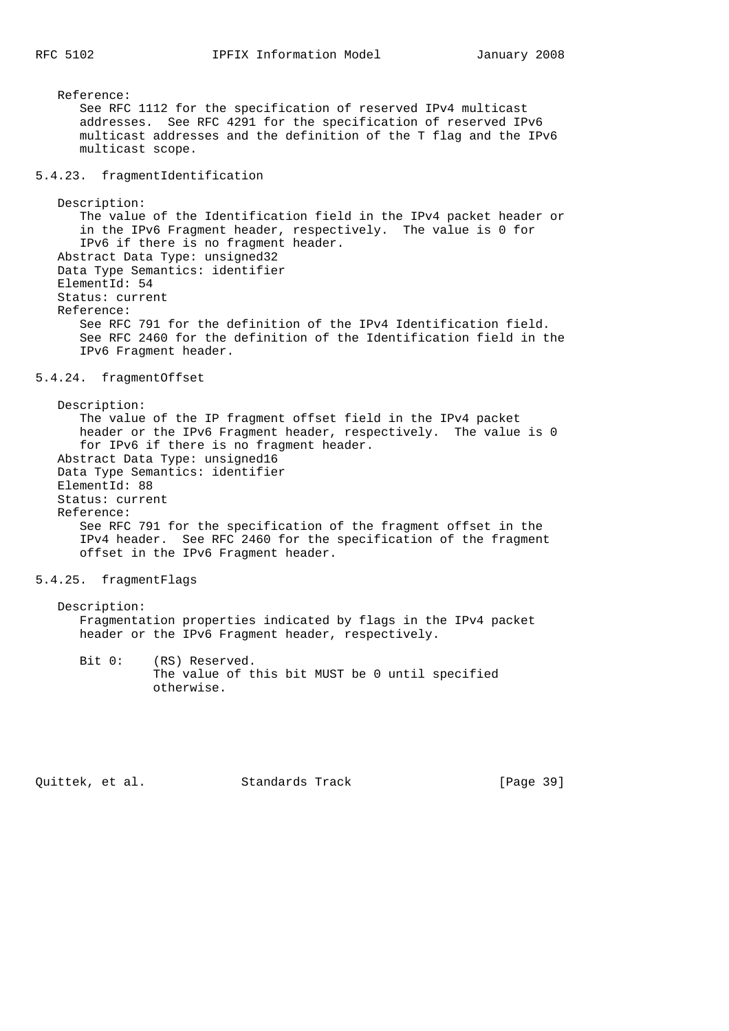Reference: See RFC 1112 for the specification of reserved IPv4 multicast addresses. See RFC 4291 for the specification of reserved IPv6 multicast addresses and the definition of the T flag and the IPv6 multicast scope. 5.4.23. fragmentIdentification Description: The value of the Identification field in the IPv4 packet header or in the IPv6 Fragment header, respectively. The value is 0 for IPv6 if there is no fragment header. Abstract Data Type: unsigned32 Data Type Semantics: identifier ElementId: 54 Status: current Reference: See RFC 791 for the definition of the IPv4 Identification field. See RFC 2460 for the definition of the Identification field in the IPv6 Fragment header. 5.4.24. fragmentOffset Description: The value of the IP fragment offset field in the IPv4 packet header or the IPv6 Fragment header, respectively. The value is 0 for IPv6 if there is no fragment header. Abstract Data Type: unsigned16 Data Type Semantics: identifier ElementId: 88 Status: current Reference: See RFC 791 for the specification of the fragment offset in the IPv4 header. See RFC 2460 for the specification of the fragment offset in the IPv6 Fragment header. 5.4.25. fragmentFlags Description: Fragmentation properties indicated by flags in the IPv4 packet header or the IPv6 Fragment header, respectively. Bit 0: (RS) Reserved. The value of this bit MUST be 0 until specified otherwise.

Quittek, et al. Standards Track [Page 39]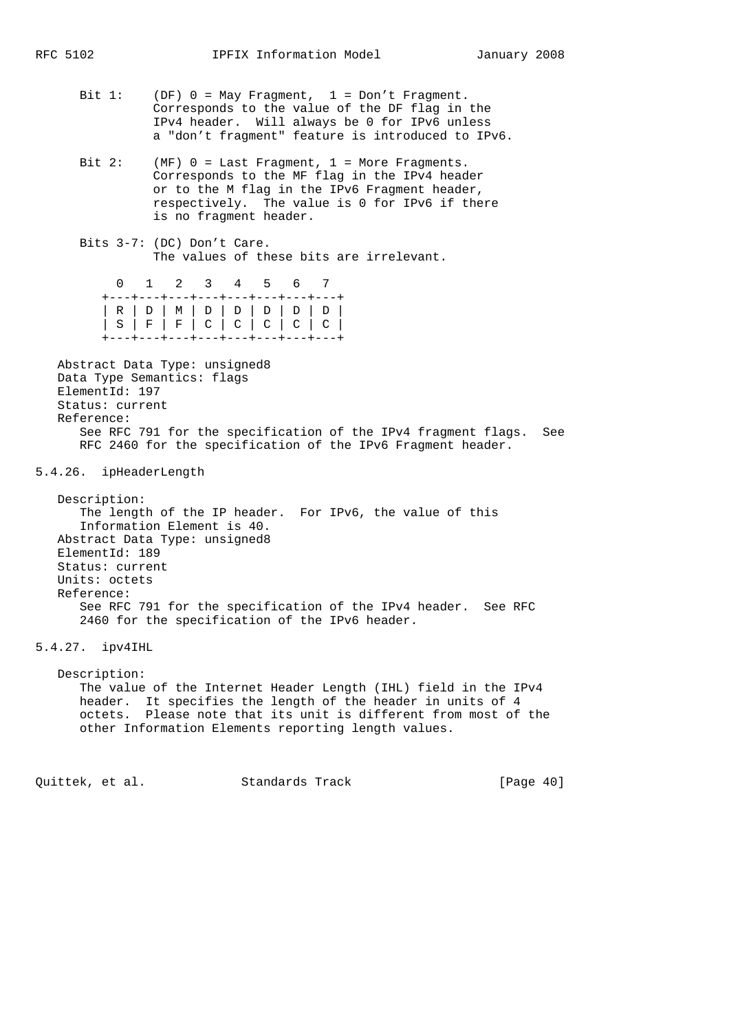- Bit  $1:$  (DF)  $0 = May$  Fragment,  $1 = Don't$  Fragment. Corresponds to the value of the DF flag in the IPv4 header. Will always be 0 for IPv6 unless a "don't fragment" feature is introduced to IPv6.
- Bit 2: (MF)  $0 =$  Last Fragment,  $1 =$  More Fragments. Corresponds to the MF flag in the IPv4 header or to the M flag in the IPv6 Fragment header, respectively. The value is 0 for IPv6 if there is no fragment header.
- Bits 3-7: (DC) Don't Care. The values of these bits are irrelevant.

| +---+---+---+---+---+---+---+---<br>+---+---+---+---+---+---+---+--- |  | 0 1 2 3 4 5 6 7 |  |  |  |  |
|----------------------------------------------------------------------|--|-----------------|--|--|--|--|
|                                                                      |  |                 |  |  |  |  |

 Abstract Data Type: unsigned8 Data Type Semantics: flags ElementId: 197 Status: current Reference: See RFC 791 for the specification of the IPv4 fragment flags. See RFC 2460 for the specification of the IPv6 Fragment header.

5.4.26. ipHeaderLength

 Description: The length of the IP header. For IPv6, the value of this Information Element is 40. Abstract Data Type: unsigned8 ElementId: 189 Status: current Units: octets Reference: See RFC 791 for the specification of the IPv4 header. See RFC 2460 for the specification of the IPv6 header.

5.4.27. ipv4IHL

 Description: The value of the Internet Header Length (IHL) field in the IPv4 header. It specifies the length of the header in units of 4 octets. Please note that its unit is different from most of the other Information Elements reporting length values.

Quittek, et al. Standards Track [Page 40]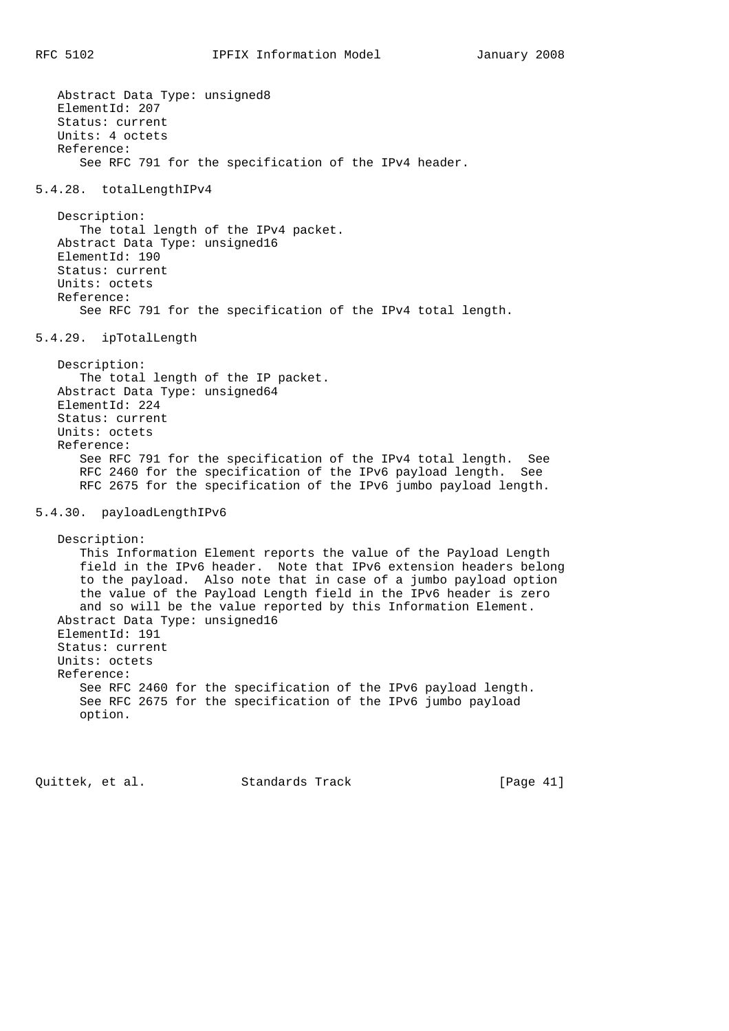Abstract Data Type: unsigned8 ElementId: 207 Status: current Units: 4 octets Reference: See RFC 791 for the specification of the IPv4 header. 5.4.28. totalLengthIPv4 Description: The total length of the IPv4 packet. Abstract Data Type: unsigned16 ElementId: 190 Status: current Units: octets Reference: See RFC 791 for the specification of the IPv4 total length. 5.4.29. ipTotalLength Description: The total length of the IP packet. Abstract Data Type: unsigned64 ElementId: 224 Status: current Units: octets Reference: See RFC 791 for the specification of the IPv4 total length. See RFC 2460 for the specification of the IPv6 payload length. See RFC 2675 for the specification of the IPv6 jumbo payload length. 5.4.30. payloadLengthIPv6 Description: This Information Element reports the value of the Payload Length field in the IPv6 header. Note that IPv6 extension headers belong to the payload. Also note that in case of a jumbo payload option the value of the Payload Length field in the IPv6 header is zero and so will be the value reported by this Information Element. Abstract Data Type: unsigned16 ElementId: 191 Status: current Units: octets Reference: See RFC 2460 for the specification of the IPv6 payload length. See RFC 2675 for the specification of the IPv6 jumbo payload option.

Quittek, et al. Standards Track [Page 41]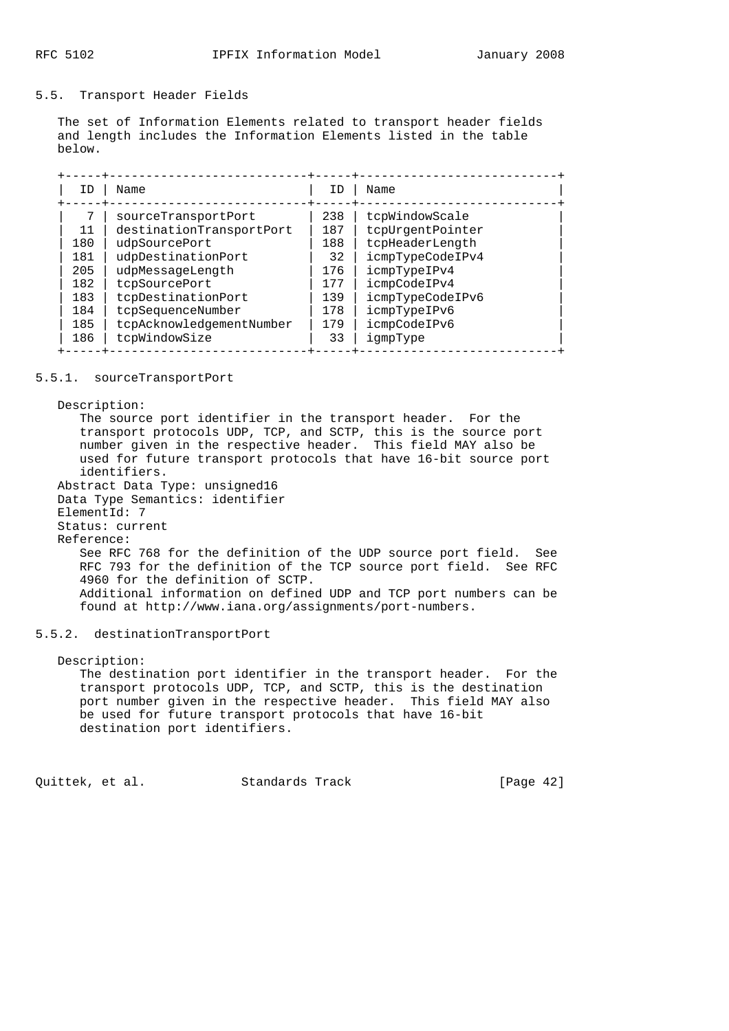## 5.5. Transport Header Fields

 The set of Information Elements related to transport header fields and length includes the Information Elements listed in the table below.

| ΙD  | Name                     | ΙD  | Name             |
|-----|--------------------------|-----|------------------|
|     | sourceTransportPort      | 238 | tcpWindowScale   |
| 11  | destinationTransportPort | 187 | tcpUrgentPointer |
| 180 | udpSourcePort            | 188 | tcpHeaderLength  |
| 181 | udpDestinationPort       | 32  | icmpTypeCodeIPv4 |
| 205 | udpMessageLength         | 176 | icmpTypeIPv4     |
| 182 | tcpSourcePort            | 177 | icmpCodeIPv4     |
| 183 | tcpDestinationPort       | 139 | icmpTypeCodeIPv6 |
| 184 | tcpSequenceNumber        | 178 | icmpTypeIPv6     |
| 185 | tcpAcknowledgementNumber | 179 | icmpCodeIPv6     |
| 186 | tcpWindowSize            | 33  | igmpType         |

## 5.5.1. sourceTransportPort

#### Description:

 The source port identifier in the transport header. For the transport protocols UDP, TCP, and SCTP, this is the source port number given in the respective header. This field MAY also be used for future transport protocols that have 16-bit source port identifiers.

Abstract Data Type: unsigned16

 Data Type Semantics: identifier ElementId: 7

Status: current

Reference:

 See RFC 768 for the definition of the UDP source port field. See RFC 793 for the definition of the TCP source port field. See RFC 4960 for the definition of SCTP. Additional information on defined UDP and TCP port numbers can be found at http://www.iana.org/assignments/port-numbers.

#### 5.5.2. destinationTransportPort

Description:

 The destination port identifier in the transport header. For the transport protocols UDP, TCP, and SCTP, this is the destination port number given in the respective header. This field MAY also be used for future transport protocols that have 16-bit destination port identifiers.

Quittek, et al. Standards Track [Page 42]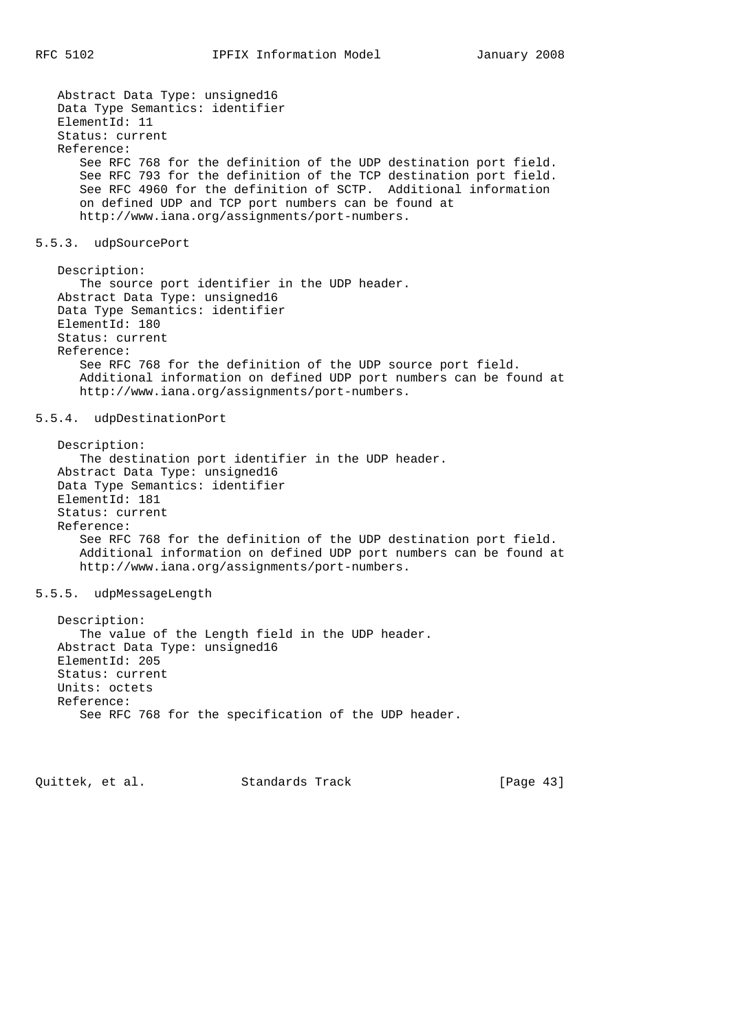Abstract Data Type: unsigned16 Data Type Semantics: identifier ElementId: 11 Status: current Reference: See RFC 768 for the definition of the UDP destination port field. See RFC 793 for the definition of the TCP destination port field. See RFC 4960 for the definition of SCTP. Additional information on defined UDP and TCP port numbers can be found at http://www.iana.org/assignments/port-numbers. 5.5.3. udpSourcePort Description: The source port identifier in the UDP header. Abstract Data Type: unsigned16 Data Type Semantics: identifier ElementId: 180 Status: current Reference: See RFC 768 for the definition of the UDP source port field. Additional information on defined UDP port numbers can be found at http://www.iana.org/assignments/port-numbers. 5.5.4. udpDestinationPort Description: The destination port identifier in the UDP header. Abstract Data Type: unsigned16 Data Type Semantics: identifier ElementId: 181 Status: current Reference: See RFC 768 for the definition of the UDP destination port field. Additional information on defined UDP port numbers can be found at http://www.iana.org/assignments/port-numbers. 5.5.5. udpMessageLength Description: The value of the Length field in the UDP header. Abstract Data Type: unsigned16 ElementId: 205 Status: current Units: octets Reference: See RFC 768 for the specification of the UDP header.

Quittek, et al. Standards Track [Page 43]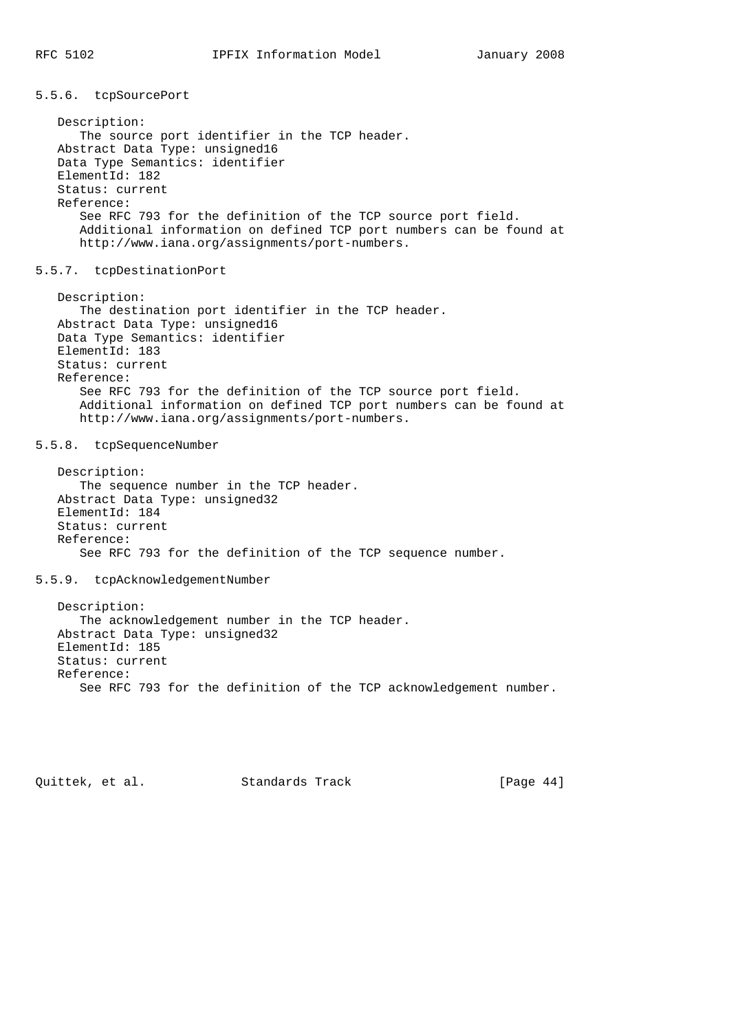5.5.6. tcpSourcePort

 Description: The source port identifier in the TCP header. Abstract Data Type: unsigned16 Data Type Semantics: identifier ElementId: 182 Status: current Reference: See RFC 793 for the definition of the TCP source port field. Additional information on defined TCP port numbers can be found at http://www.iana.org/assignments/port-numbers. 5.5.7. tcpDestinationPort Description: The destination port identifier in the TCP header. Abstract Data Type: unsigned16 Data Type Semantics: identifier ElementId: 183 Status: current Reference: See RFC 793 for the definition of the TCP source port field. Additional information on defined TCP port numbers can be found at http://www.iana.org/assignments/port-numbers. 5.5.8. tcpSequenceNumber Description: The sequence number in the TCP header. Abstract Data Type: unsigned32 ElementId: 184 Status: current Reference: See RFC 793 for the definition of the TCP sequence number. 5.5.9. tcpAcknowledgementNumber Description: The acknowledgement number in the TCP header. Abstract Data Type: unsigned32 ElementId: 185 Status: current

See RFC 793 for the definition of the TCP acknowledgement number.

Quittek, et al. Standards Track [Page 44]

Reference: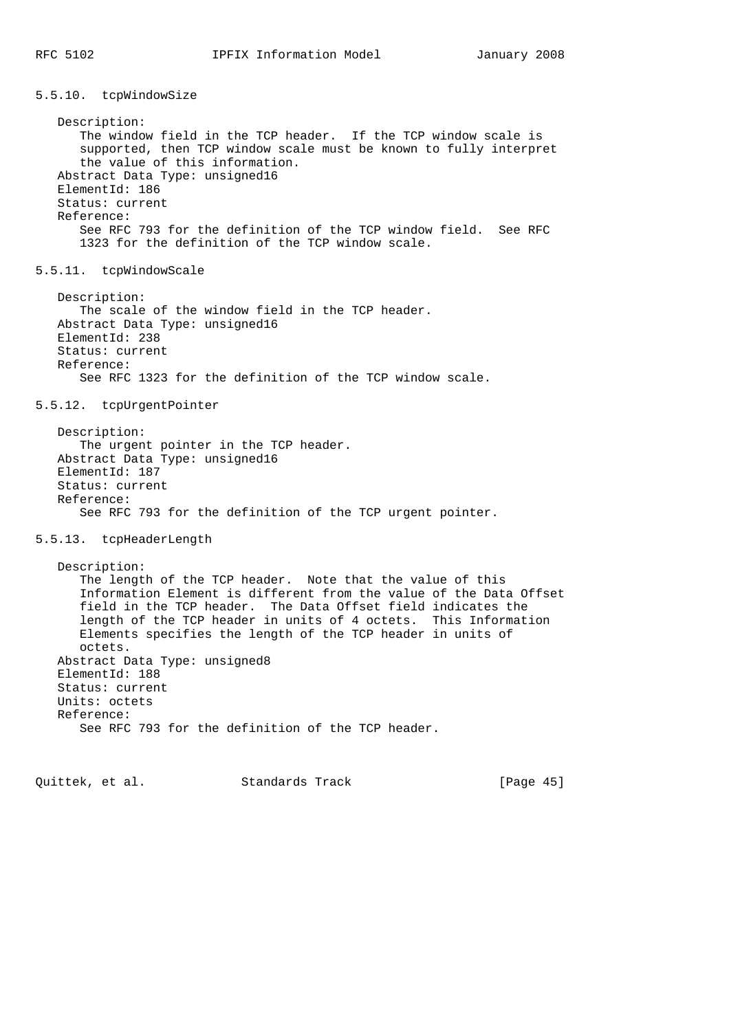5.5.10. tcpWindowSize Description: The window field in the TCP header. If the TCP window scale is supported, then TCP window scale must be known to fully interpret the value of this information. Abstract Data Type: unsigned16 ElementId: 186 Status: current Reference: See RFC 793 for the definition of the TCP window field. See RFC 1323 for the definition of the TCP window scale. 5.5.11. tcpWindowScale Description: The scale of the window field in the TCP header. Abstract Data Type: unsigned16 ElementId: 238 Status: current Reference: See RFC 1323 for the definition of the TCP window scale. 5.5.12. tcpUrgentPointer Description: The urgent pointer in the TCP header. Abstract Data Type: unsigned16 ElementId: 187 Status: current Reference: See RFC 793 for the definition of the TCP urgent pointer. 5.5.13. tcpHeaderLength Description: The length of the TCP header. Note that the value of this Information Element is different from the value of the Data Offset field in the TCP header. The Data Offset field indicates the length of the TCP header in units of 4 octets. This Information Elements specifies the length of the TCP header in units of octets. Abstract Data Type: unsigned8 ElementId: 188 Status: current Units: octets Reference: See RFC 793 for the definition of the TCP header.

Quittek, et al. Standards Track [Page 45]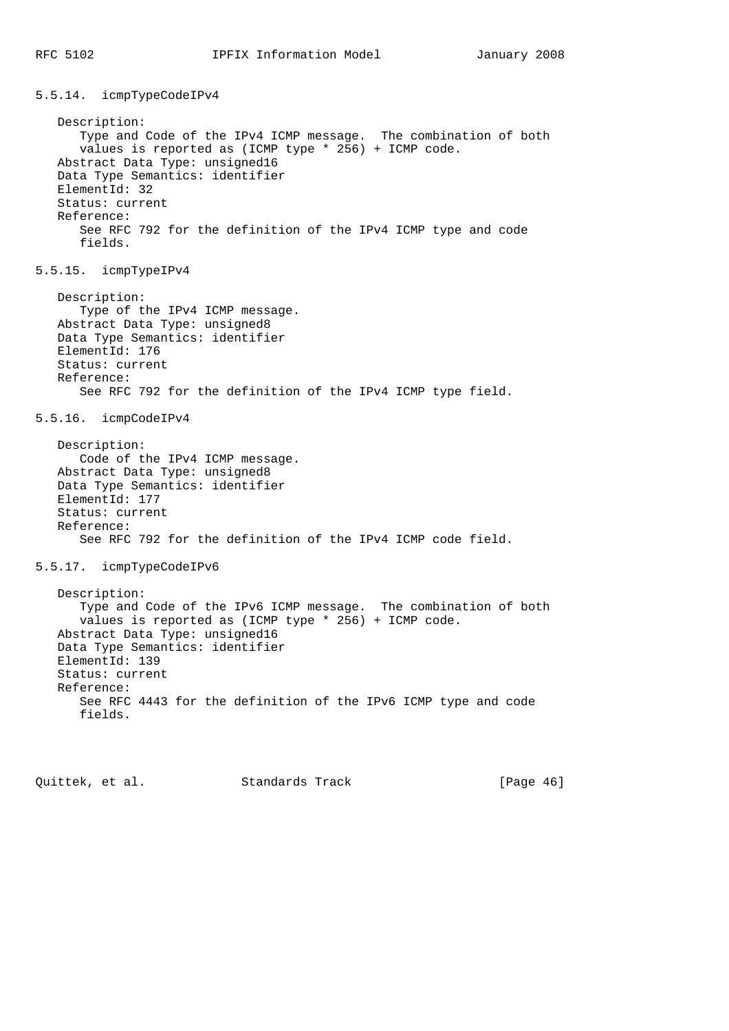5.5.14. icmpTypeCodeIPv4 Description: Type and Code of the IPv4 ICMP message. The combination of both values is reported as (ICMP type \* 256) + ICMP code. Abstract Data Type: unsigned16 Data Type Semantics: identifier ElementId: 32 Status: current Reference: See RFC 792 for the definition of the IPv4 ICMP type and code fields. 5.5.15. icmpTypeIPv4 Description: Type of the IPv4 ICMP message. Abstract Data Type: unsigned8 Data Type Semantics: identifier ElementId: 176 Status: current Reference: See RFC 792 for the definition of the IPv4 ICMP type field. 5.5.16. icmpCodeIPv4 Description: Code of the IPv4 ICMP message. Abstract Data Type: unsigned8 Data Type Semantics: identifier ElementId: 177 Status: current Reference: See RFC 792 for the definition of the IPv4 ICMP code field. 5.5.17. icmpTypeCodeIPv6 Description: Type and Code of the IPv6 ICMP message. The combination of both values is reported as (ICMP type \* 256) + ICMP code. Abstract Data Type: unsigned16 Data Type Semantics: identifier ElementId: 139 Status: current Reference: See RFC 4443 for the definition of the IPv6 ICMP type and code fields.

Quittek, et al. Standards Track [Page 46]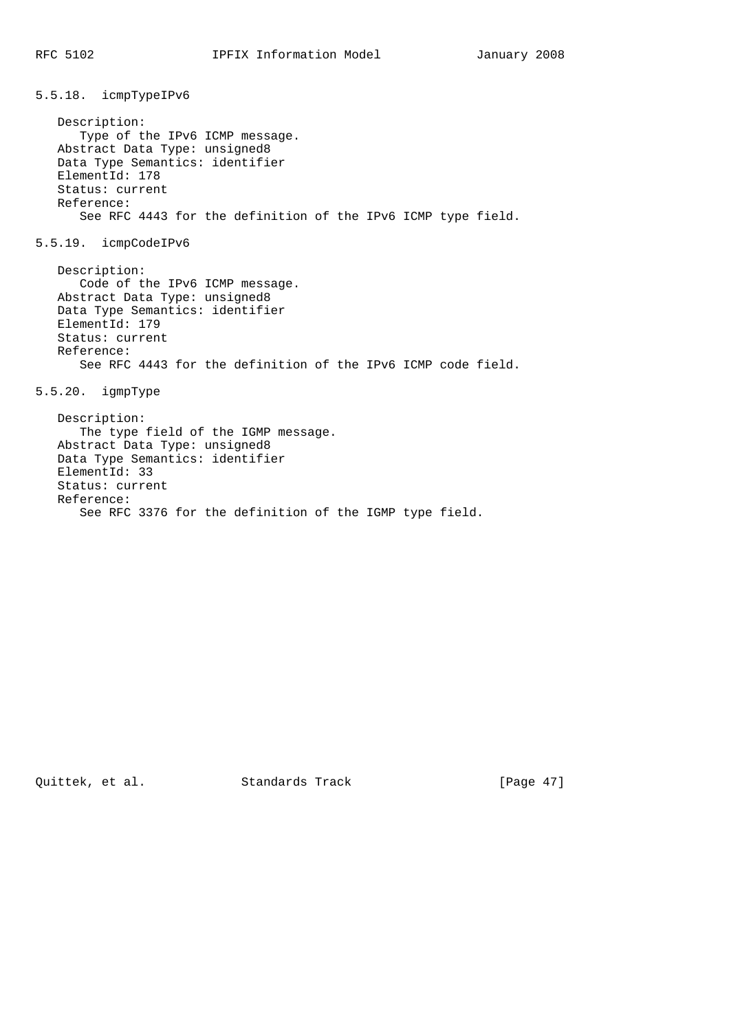5.5.18. icmpTypeIPv6

 Description: Type of the IPv6 ICMP message. Abstract Data Type: unsigned8 Data Type Semantics: identifier ElementId: 178 Status: current Reference: See RFC 4443 for the definition of the IPv6 ICMP type field.

5.5.19. icmpCodeIPv6

 Description: Code of the IPv6 ICMP message. Abstract Data Type: unsigned8 Data Type Semantics: identifier ElementId: 179 Status: current Reference: See RFC 4443 for the definition of the IPv6 ICMP code field.

5.5.20. igmpType

 Description: The type field of the IGMP message. Abstract Data Type: unsigned8 Data Type Semantics: identifier ElementId: 33 Status: current Reference: See RFC 3376 for the definition of the IGMP type field.

Quittek, et al. Standards Track [Page 47]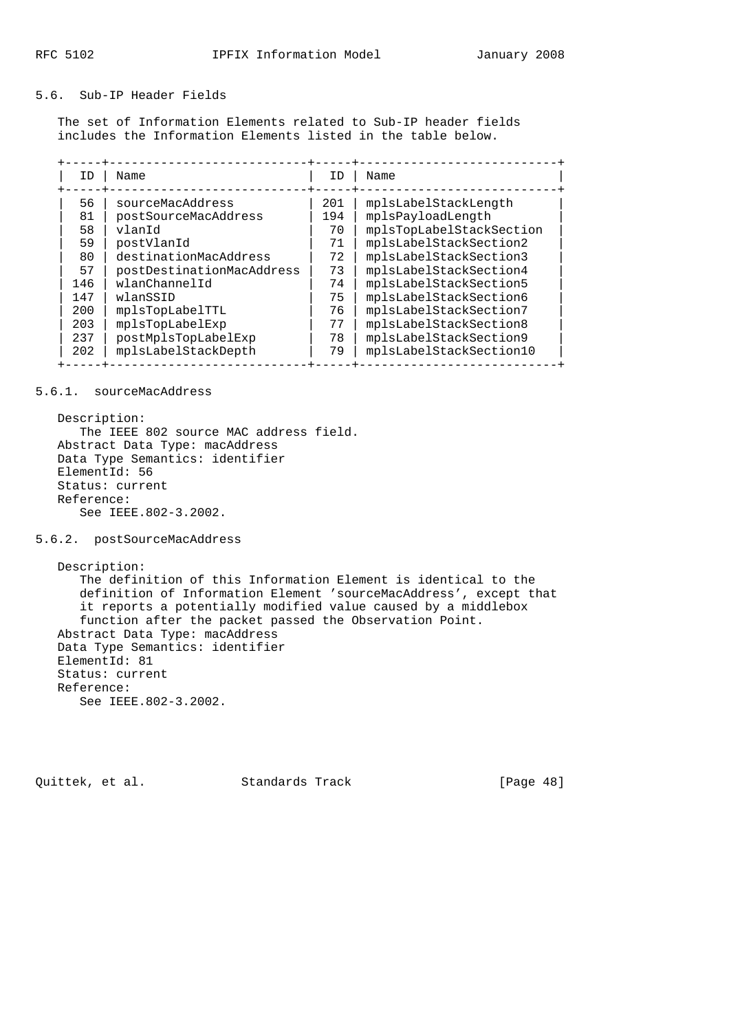## 5.6. Sub-IP Header Fields

 The set of Information Elements related to Sub-IP header fields includes the Information Elements listed in the table below.

| ΙD  | Name                      | ΙD  | Name                     |
|-----|---------------------------|-----|--------------------------|
| 56  | sourceMacAddress          | 201 | mplsLabelStackLength     |
| 81  | postSourceMacAddress      | 194 | mplsPayloadLength        |
| 58  | vlanId                    | 70  | mplsTopLabelStackSection |
| 59  | postVlanId                | 71  | mplsLabelStackSection2   |
| 80  | destinationMacAddress     | 72  | mplsLabelStackSection3   |
| 57  | postDestinationMacAddress | 73  | mplsLabelStackSection4   |
| 146 | wlanChannelId             | 74  | mplsLabelStackSection5   |
| 147 | wlanSSID                  | 75  | mplsLabelStackSection6   |
| 200 | mplsTopLabelTTL           | 76  | mplsLabelStackSection7   |
| 203 | mplsTopLabelExp           | 77  | mplsLabelStackSection8   |
| 237 | postMplsTopLabelExp       | 78  | mplsLabelStackSection9   |
| 202 | mplsLabelStackDepth       | 79  | mplsLabelStackSection10  |

5.6.1. sourceMacAddress

 Description: The IEEE 802 source MAC address field. Abstract Data Type: macAddress Data Type Semantics: identifier ElementId: 56 Status: current Reference: See IEEE.802-3.2002.

5.6.2. postSourceMacAddress

 Description: The definition of this Information Element is identical to the definition of Information Element 'sourceMacAddress', except that it reports a potentially modified value caused by a middlebox function after the packet passed the Observation Point. Abstract Data Type: macAddress Data Type Semantics: identifier ElementId: 81 Status: current Reference: See IEEE.802-3.2002.

Quittek, et al. Standards Track [Page 48]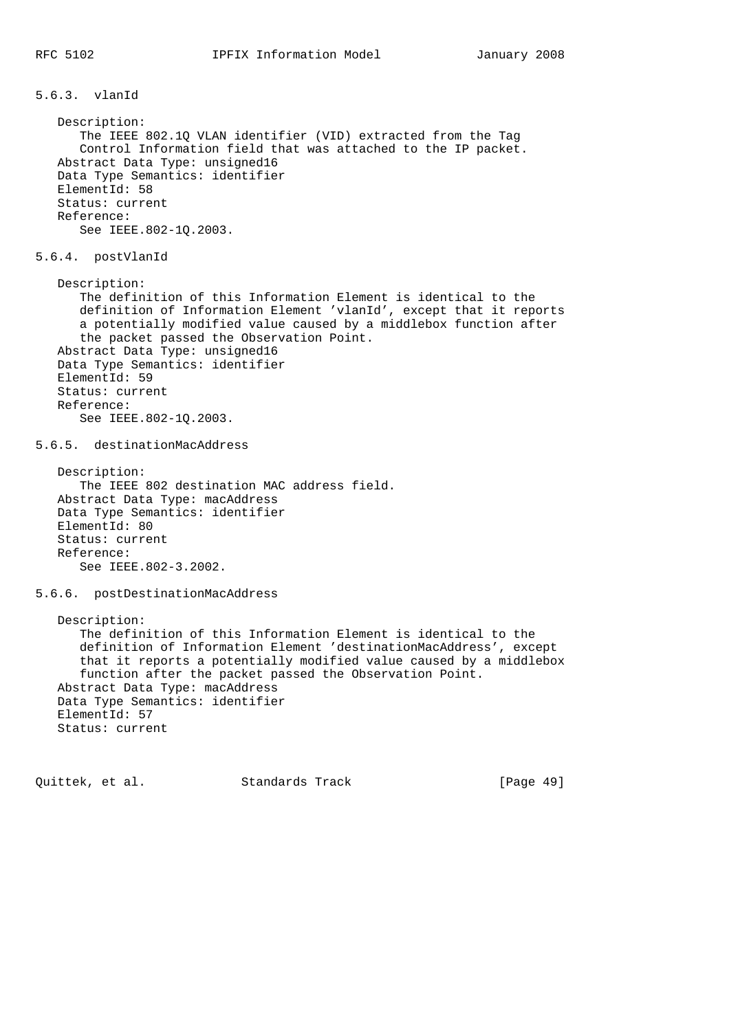5.6.3. vlanId Description: The IEEE 802.1Q VLAN identifier (VID) extracted from the Tag Control Information field that was attached to the IP packet. Abstract Data Type: unsigned16 Data Type Semantics: identifier ElementId: 58 Status: current Reference: See IEEE.802-1Q.2003. 5.6.4. postVlanId Description: The definition of this Information Element is identical to the definition of Information Element 'vlanId', except that it reports a potentially modified value caused by a middlebox function after the packet passed the Observation Point. Abstract Data Type: unsigned16 Data Type Semantics: identifier ElementId: 59 Status: current Reference: See IEEE.802-1Q.2003. 5.6.5. destinationMacAddress Description: The IEEE 802 destination MAC address field. Abstract Data Type: macAddress Data Type Semantics: identifier ElementId: 80 Status: current Reference: See IEEE.802-3.2002. 5.6.6. postDestinationMacAddress Description: The definition of this Information Element is identical to the definition of Information Element 'destinationMacAddress', except that it reports a potentially modified value caused by a middlebox function after the packet passed the Observation Point. Abstract Data Type: macAddress Data Type Semantics: identifier ElementId: 57 Status: current

Quittek, et al. Standards Track [Page 49]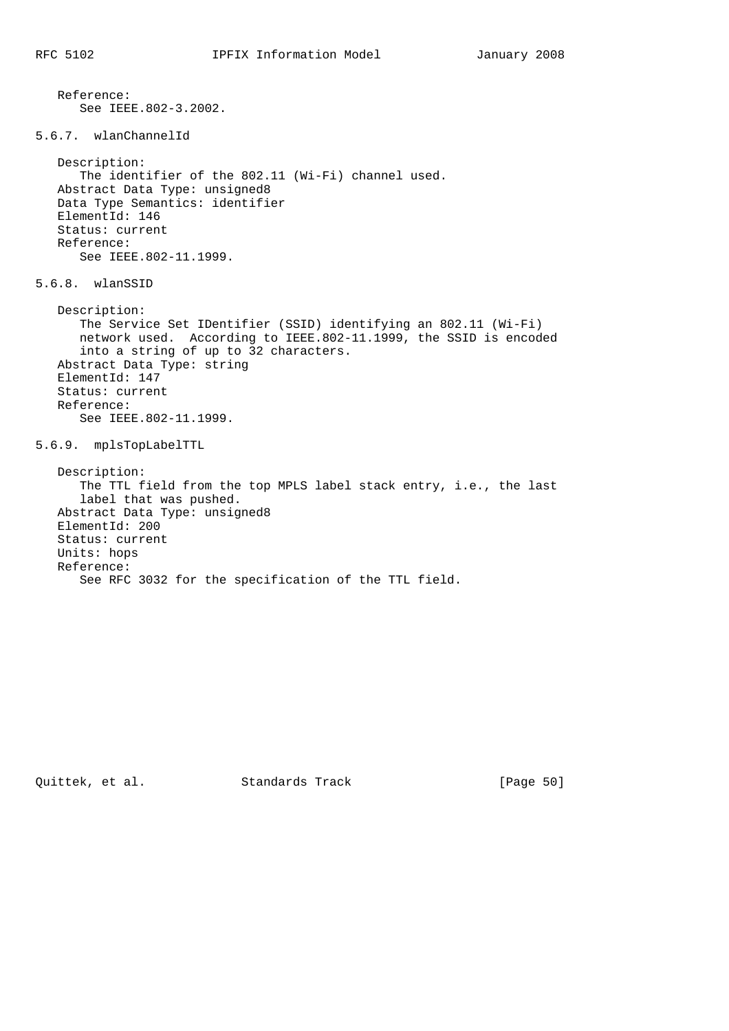Reference: See IEEE.802-3.2002. 5.6.7. wlanChannelId Description: The identifier of the 802.11 (Wi-Fi) channel used. Abstract Data Type: unsigned8 Data Type Semantics: identifier ElementId: 146 Status: current Reference: See IEEE.802-11.1999. 5.6.8. wlanSSID Description: The Service Set IDentifier (SSID) identifying an 802.11 (Wi-Fi) network used. According to IEEE.802-11.1999, the SSID is encoded into a string of up to 32 characters. Abstract Data Type: string ElementId: 147 Status: current Reference: See IEEE.802-11.1999. 5.6.9. mplsTopLabelTTL Description: The TTL field from the top MPLS label stack entry, i.e., the last label that was pushed. Abstract Data Type: unsigned8 ElementId: 200 Status: current Units: hops Reference: See RFC 3032 for the specification of the TTL field.

Quittek, et al. Standards Track [Page 50]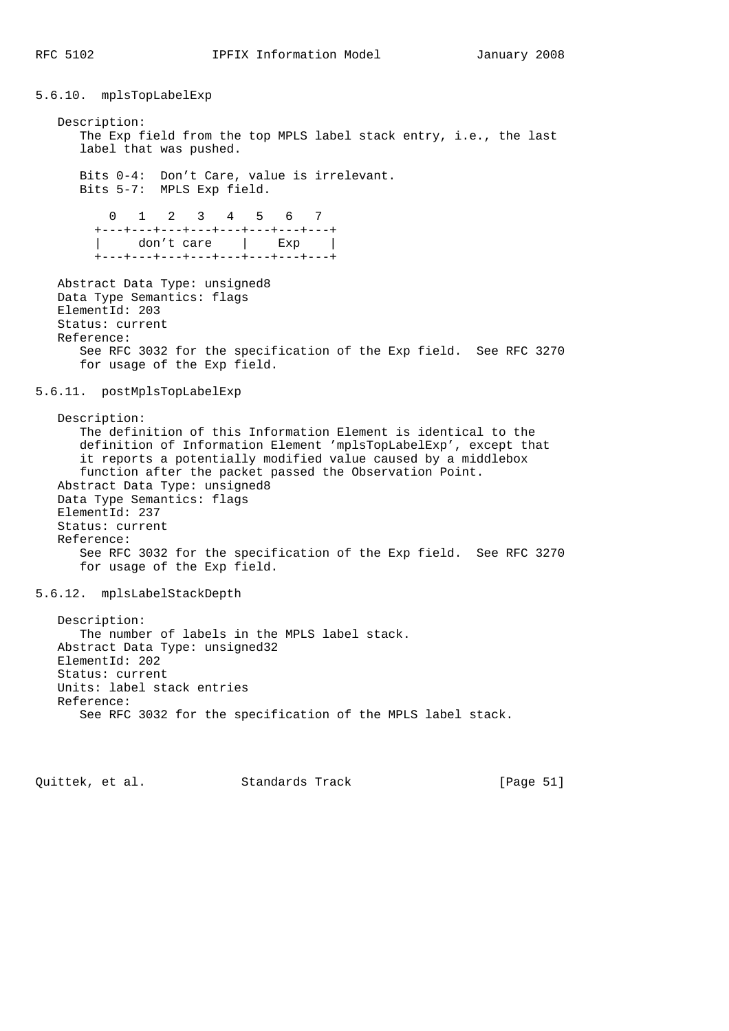5.6.10. mplsTopLabelExp Description: The Exp field from the top MPLS label stack entry, i.e., the last label that was pushed. Bits 0-4: Don't Care, value is irrelevant. Bits 5-7: MPLS Exp field. 0 1 2 3 4 5 6 7 +---+---+---+---+---+---+---+---+ | don't care | Exp | +---+---+---+---+---+---+---+---+ Abstract Data Type: unsigned8 Data Type Semantics: flags ElementId: 203 Status: current Reference: See RFC 3032 for the specification of the Exp field. See RFC 3270 for usage of the Exp field. 5.6.11. postMplsTopLabelExp Description: The definition of this Information Element is identical to the definition of Information Element 'mplsTopLabelExp', except that it reports a potentially modified value caused by a middlebox function after the packet passed the Observation Point. Abstract Data Type: unsigned8 Data Type Semantics: flags ElementId: 237 Status: current Reference: See RFC 3032 for the specification of the Exp field. See RFC 3270 for usage of the Exp field. 5.6.12. mplsLabelStackDepth Description: The number of labels in the MPLS label stack. Abstract Data Type: unsigned32 ElementId: 202 Status: current Units: label stack entries Reference: See RFC 3032 for the specification of the MPLS label stack.

Quittek, et al. Standards Track [Page 51]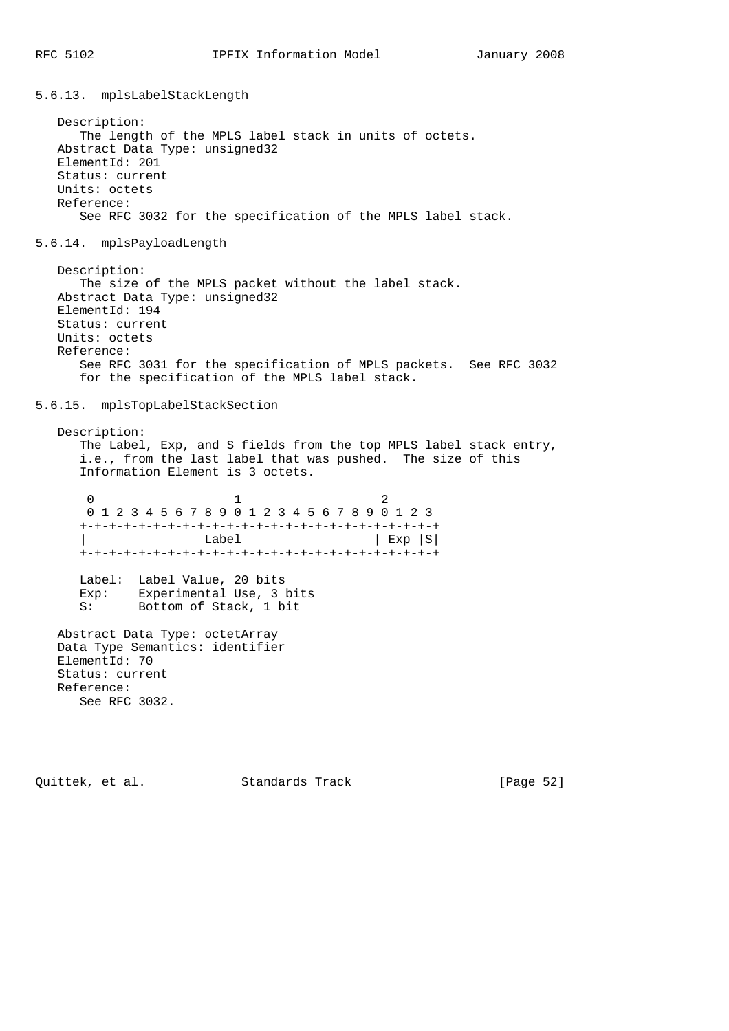5.6.13. mplsLabelStackLength Description: The length of the MPLS label stack in units of octets. Abstract Data Type: unsigned32 ElementId: 201 Status: current Units: octets Reference: See RFC 3032 for the specification of the MPLS label stack. 5.6.14. mplsPayloadLength Description: The size of the MPLS packet without the label stack. Abstract Data Type: unsigned32 ElementId: 194 Status: current Units: octets Reference: See RFC 3031 for the specification of MPLS packets. See RFC 3032 for the specification of the MPLS label stack. 5.6.15. mplsTopLabelStackSection Description: The Label, Exp, and S fields from the top MPLS label stack entry, i.e., from the last label that was pushed. The size of this Information Element is 3 octets.  $0$  1 2 0 1 2 3 4 5 6 7 8 9 0 1 2 3 4 5 6 7 8 9 0 1 2 3 +-+-+-+-+-+-+-+-+-+-+-+-+-+-+-+-+-+-+-+-+-+-+-+-+ Label | Exp |S| +-+-+-+-+-+-+-+-+-+-+-+-+-+-+-+-+-+-+-+-+-+-+-+-+ Label: Label Value, 20 bits Exp: Experimental Use, 3 bits S: Bottom of Stack, 1 bit Abstract Data Type: octetArray Data Type Semantics: identifier ElementId: 70 Status: current Reference: See RFC 3032.

Quittek, et al. Standards Track [Page 52]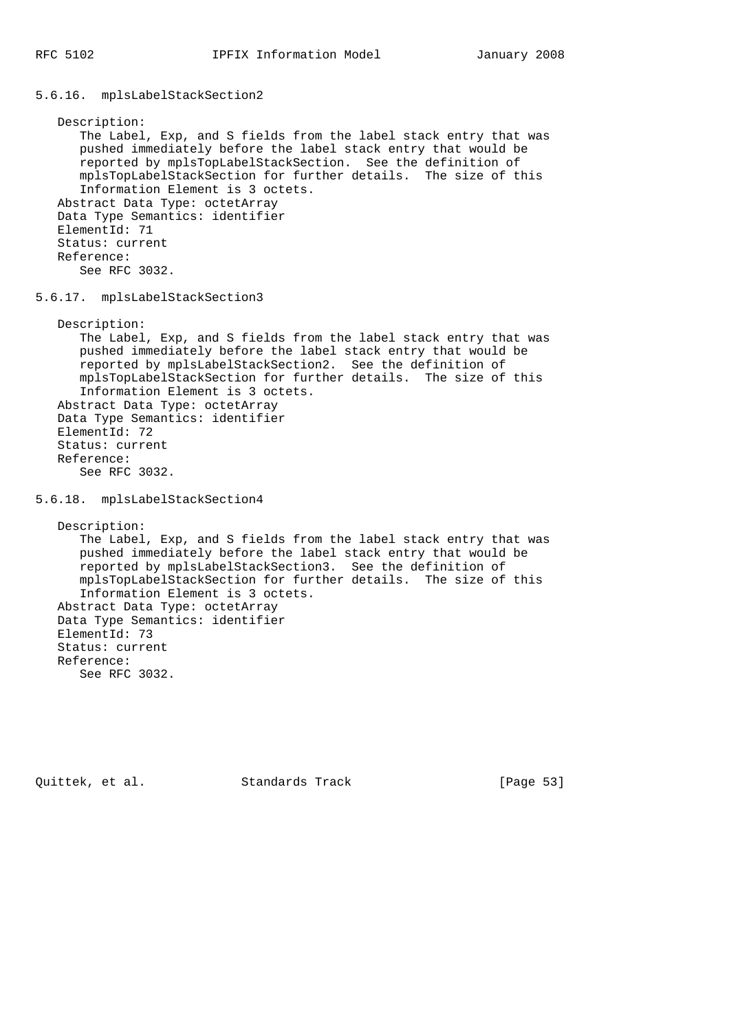5.6.16. mplsLabelStackSection2

 Description: The Label, Exp, and S fields from the label stack entry that was pushed immediately before the label stack entry that would be reported by mplsTopLabelStackSection. See the definition of mplsTopLabelStackSection for further details. The size of this Information Element is 3 octets. Abstract Data Type: octetArray Data Type Semantics: identifier ElementId: 71 Status: current Reference: See RFC 3032.

5.6.17. mplsLabelStackSection3

Description:

 The Label, Exp, and S fields from the label stack entry that was pushed immediately before the label stack entry that would be reported by mplsLabelStackSection2. See the definition of mplsTopLabelStackSection for further details. The size of this Information Element is 3 octets. Abstract Data Type: octetArray Data Type Semantics: identifier ElementId: 72 Status: current Reference: See RFC 3032.

5.6.18. mplsLabelStackSection4

 Description: The Label, Exp, and S fields from the label stack entry that was pushed immediately before the label stack entry that would be reported by mplsLabelStackSection3. See the definition of mplsTopLabelStackSection for further details. The size of this Information Element is 3 octets. Abstract Data Type: octetArray Data Type Semantics: identifier ElementId: 73 Status: current Reference: See RFC 3032.

Quittek, et al. Standards Track [Page 53]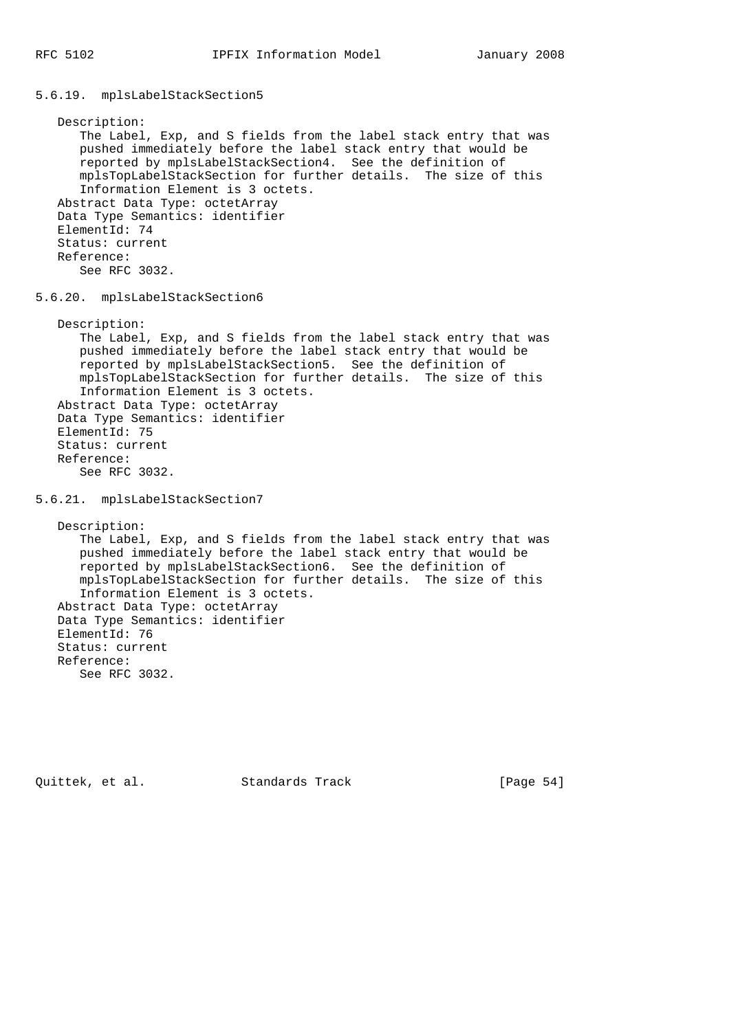5.6.19. mplsLabelStackSection5

 Description: The Label, Exp, and S fields from the label stack entry that was pushed immediately before the label stack entry that would be reported by mplsLabelStackSection4. See the definition of mplsTopLabelStackSection for further details. The size of this Information Element is 3 octets. Abstract Data Type: octetArray Data Type Semantics: identifier ElementId: 74 Status: current Reference: See RFC 3032.

5.6.20. mplsLabelStackSection6

Description:

 The Label, Exp, and S fields from the label stack entry that was pushed immediately before the label stack entry that would be reported by mplsLabelStackSection5. See the definition of mplsTopLabelStackSection for further details. The size of this Information Element is 3 octets. Abstract Data Type: octetArray Data Type Semantics: identifier ElementId: 75 Status: current Reference: See RFC 3032.

5.6.21. mplsLabelStackSection7

 Description: The Label, Exp, and S fields from the label stack entry that was pushed immediately before the label stack entry that would be reported by mplsLabelStackSection6. See the definition of mplsTopLabelStackSection for further details. The size of this Information Element is 3 octets. Abstract Data Type: octetArray Data Type Semantics: identifier ElementId: 76 Status: current Reference: See RFC 3032.

Quittek, et al. Standards Track [Page 54]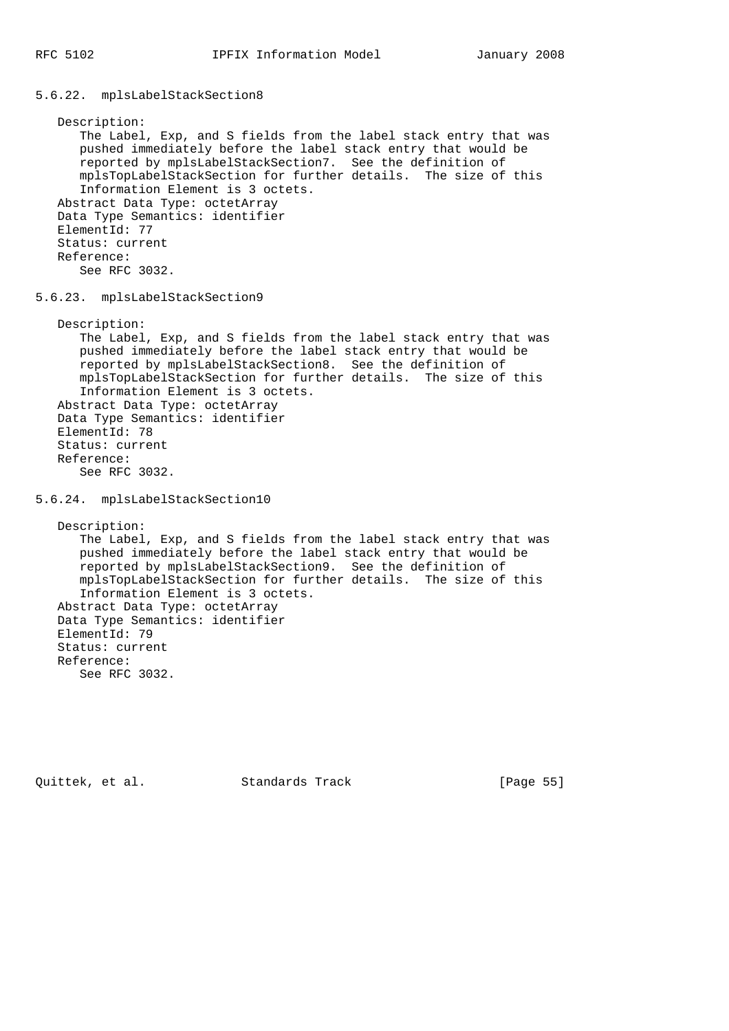5.6.22. mplsLabelStackSection8

 Description: The Label, Exp, and S fields from the label stack entry that was pushed immediately before the label stack entry that would be reported by mplsLabelStackSection7. See the definition of mplsTopLabelStackSection for further details. The size of this Information Element is 3 octets. Abstract Data Type: octetArray Data Type Semantics: identifier ElementId: 77 Status: current Reference: See RFC 3032.

5.6.23. mplsLabelStackSection9

Description:

 The Label, Exp, and S fields from the label stack entry that was pushed immediately before the label stack entry that would be reported by mplsLabelStackSection8. See the definition of mplsTopLabelStackSection for further details. The size of this Information Element is 3 octets. Abstract Data Type: octetArray Data Type Semantics: identifier ElementId: 78 Status: current Reference: See RFC 3032.

5.6.24. mplsLabelStackSection10

 Description: The Label, Exp, and S fields from the label stack entry that was pushed immediately before the label stack entry that would be reported by mplsLabelStackSection9. See the definition of mplsTopLabelStackSection for further details. The size of this Information Element is 3 octets. Abstract Data Type: octetArray Data Type Semantics: identifier ElementId: 79 Status: current Reference: See RFC 3032.

Quittek, et al. Standards Track [Page 55]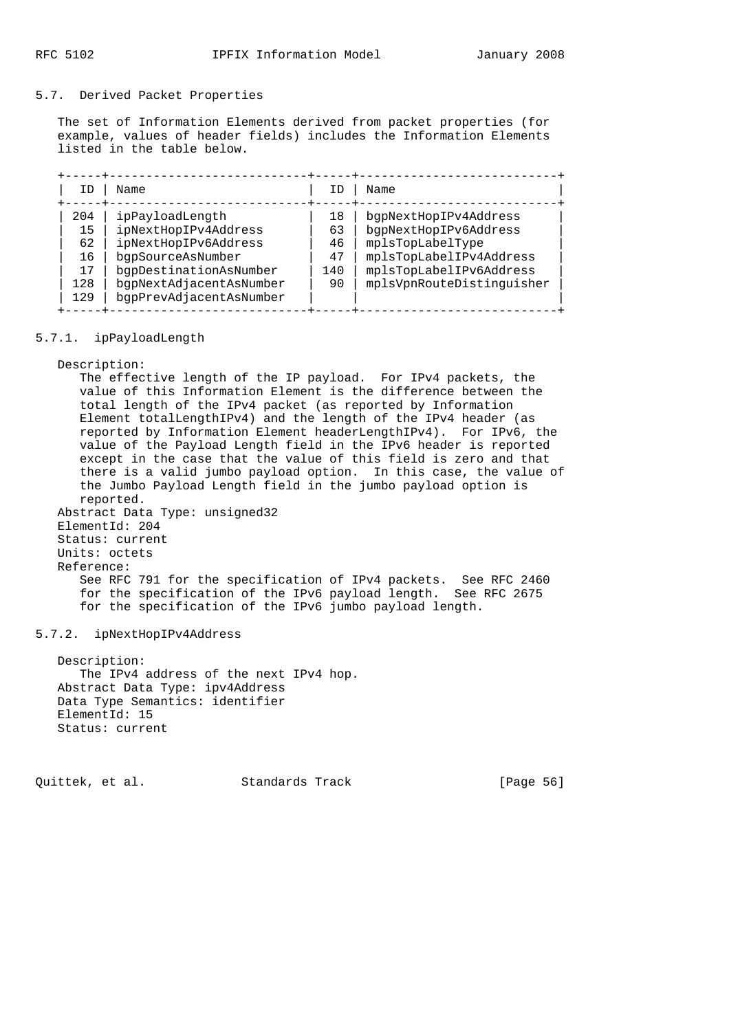## 5.7. Derived Packet Properties

 The set of Information Elements derived from packet properties (for example, values of header fields) includes the Information Elements listed in the table below.

| ΤD  | Name                    | ΙD  | Name                      |
|-----|-------------------------|-----|---------------------------|
| 204 | ipPayloadLength         | 18  | bqpNextHopIPv4Address     |
| 15  | ipNextHopIPv4Address    | 63  | bgpNextHopIPv6Address     |
| 62  | ipNextHopIPv6Address    | 46  | mplsTopLabelType          |
| 16  | bqpSourceAsNumber       | 47  | mplsTopLabelIPv4Address   |
| 17  | bqpDestinationAsNumber  | 140 | mplsTopLabelIPv6Address   |
| 128 | bgpNextAdjacentAsNumber | 90  | mplsVpnRouteDistinguisher |
| 129 | bgpPrevAdjacentAsNumber |     |                           |

### 5.7.1. ipPayloadLength

## Description:

 The effective length of the IP payload. For IPv4 packets, the value of this Information Element is the difference between the total length of the IPv4 packet (as reported by Information Element totalLengthIPv4) and the length of the IPv4 header (as reported by Information Element headerLengthIPv4). For IPv6, the value of the Payload Length field in the IPv6 header is reported except in the case that the value of this field is zero and that there is a valid jumbo payload option. In this case, the value of the Jumbo Payload Length field in the jumbo payload option is reported. Abstract Data Type: unsigned32 ElementId: 204 Status: current Units: octets Reference: See RFC 791 for the specification of IPv4 packets. See RFC 2460 for the specification of the IPv6 payload length. See RFC 2675 for the specification of the IPv6 jumbo payload length.

#### 5.7.2. ipNextHopIPv4Address

 Description: The IPv4 address of the next IPv4 hop. Abstract Data Type: ipv4Address Data Type Semantics: identifier ElementId: 15 Status: current

Quittek, et al. Standards Track [Page 56]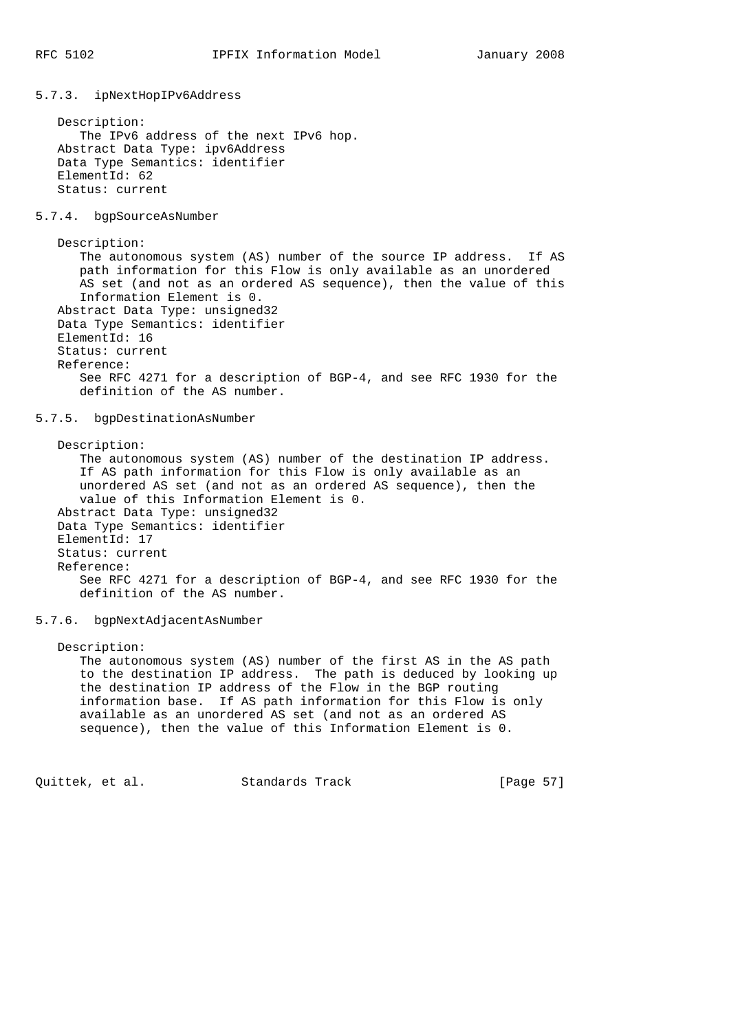5.7.3. ipNextHopIPv6Address

```
 Description:
  The IPv6 address of the next IPv6 hop.
Abstract Data Type: ipv6Address
Data Type Semantics: identifier
ElementId: 62
Status: current
```
5.7.4. bgpSourceAsNumber

 Description: The autonomous system (AS) number of the source IP address. If AS path information for this Flow is only available as an unordered AS set (and not as an ordered AS sequence), then the value of this Information Element is 0. Abstract Data Type: unsigned32 Data Type Semantics: identifier ElementId: 16 Status: current Reference: See RFC 4271 for a description of BGP-4, and see RFC 1930 for the definition of the AS number.

5.7.5. bgpDestinationAsNumber

 Description: The autonomous system (AS) number of the destination IP address. If AS path information for this Flow is only available as an unordered AS set (and not as an ordered AS sequence), then the value of this Information Element is 0. Abstract Data Type: unsigned32 Data Type Semantics: identifier ElementId: 17 Status: current Reference: See RFC 4271 for a description of BGP-4, and see RFC 1930 for the definition of the AS number.

5.7.6. bgpNextAdjacentAsNumber

 Description: The autonomous system (AS) number of the first AS in the AS path to the destination IP address. The path is deduced by looking up the destination IP address of the Flow in the BGP routing information base. If AS path information for this Flow is only available as an unordered AS set (and not as an ordered AS sequence), then the value of this Information Element is 0.

Quittek, et al. Standards Track [Page 57]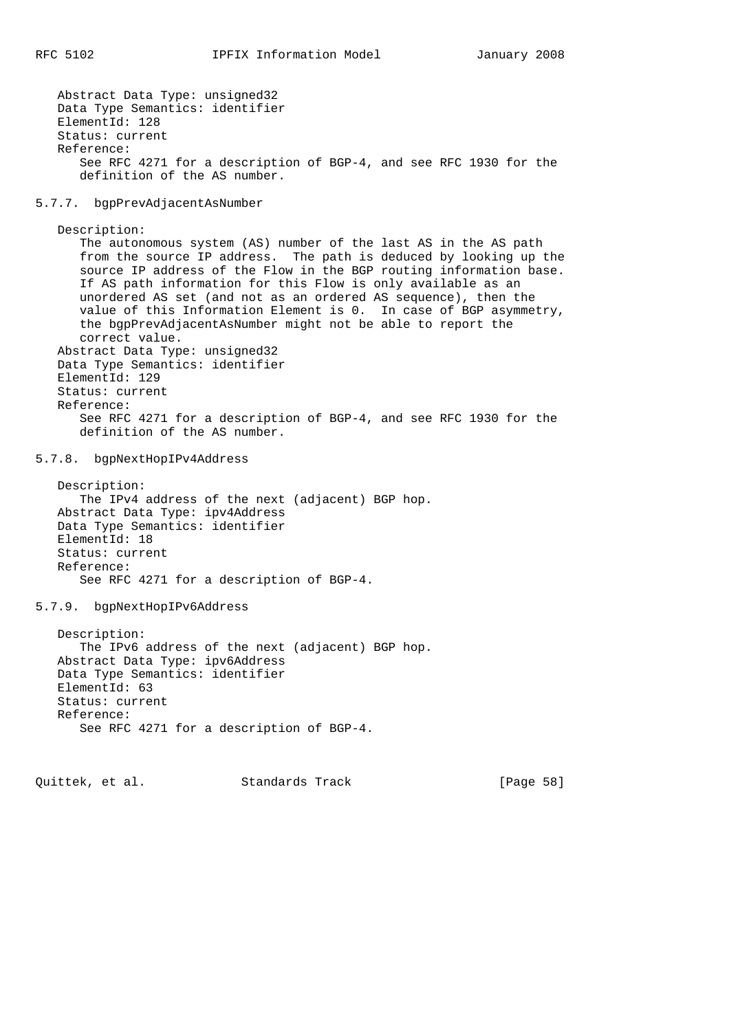Abstract Data Type: unsigned32 Data Type Semantics: identifier ElementId: 128 Status: current Reference: See RFC 4271 for a description of BGP-4, and see RFC 1930 for the definition of the AS number. 5.7.7. bgpPrevAdjacentAsNumber Description: The autonomous system (AS) number of the last AS in the AS path from the source IP address. The path is deduced by looking up the source IP address of the Flow in the BGP routing information base. If AS path information for this Flow is only available as an unordered AS set (and not as an ordered AS sequence), then the value of this Information Element is 0. In case of BGP asymmetry, the bgpPrevAdjacentAsNumber might not be able to report the correct value. Abstract Data Type: unsigned32 Data Type Semantics: identifier ElementId: 129 Status: current Reference: See RFC 4271 for a description of BGP-4, and see RFC 1930 for the definition of the AS number. 5.7.8. bgpNextHopIPv4Address Description: The IPv4 address of the next (adjacent) BGP hop. Abstract Data Type: ipv4Address Data Type Semantics: identifier ElementId: 18 Status: current Reference: See RFC 4271 for a description of BGP-4. 5.7.9. bgpNextHopIPv6Address Description: The IPv6 address of the next (adjacent) BGP hop. Abstract Data Type: ipv6Address Data Type Semantics: identifier ElementId: 63 Status: current Reference: See RFC 4271 for a description of BGP-4.

Quittek, et al. Standards Track [Page 58]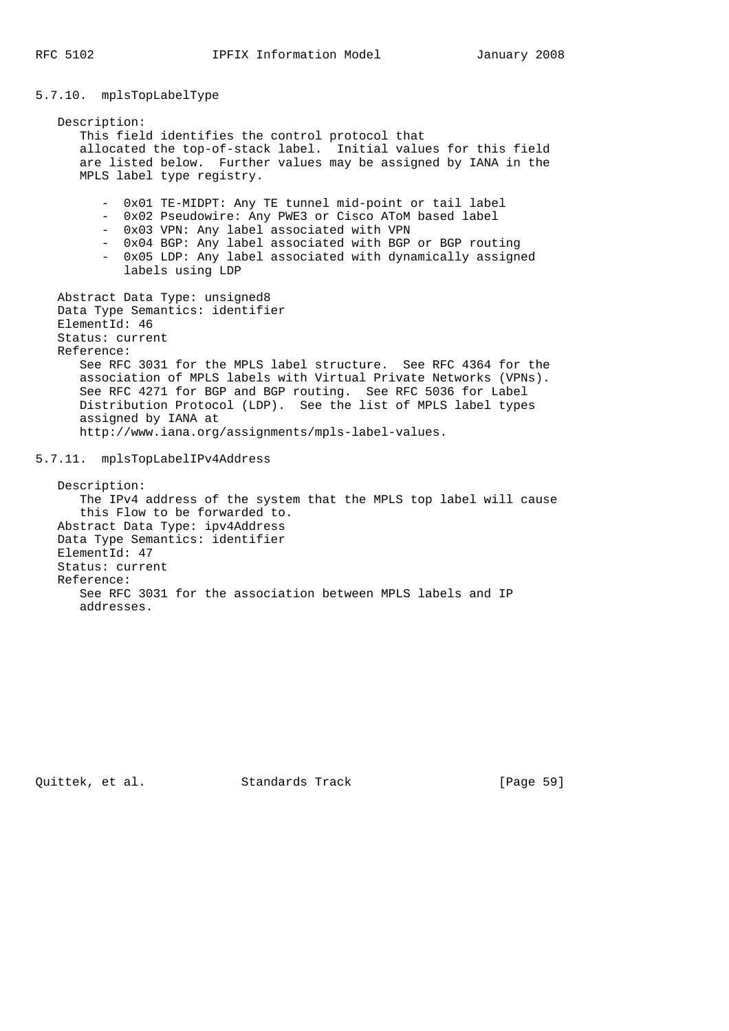5.7.10. mplsTopLabelType

 Description: This field identifies the control protocol that allocated the top-of-stack label. Initial values for this field are listed below. Further values may be assigned by IANA in the MPLS label type registry. - 0x01 TE-MIDPT: Any TE tunnel mid-point or tail label - 0x02 Pseudowire: Any PWE3 or Cisco AToM based label - 0x03 VPN: Any label associated with VPN - 0x04 BGP: Any label associated with BGP or BGP routing - 0x05 LDP: Any label associated with dynamically assigned labels using LDP Abstract Data Type: unsigned8 Data Type Semantics: identifier ElementId: 46 Status: current Reference: See RFC 3031 for the MPLS label structure. See RFC 4364 for the association of MPLS labels with Virtual Private Networks (VPNs). See RFC 4271 for BGP and BGP routing. See RFC 5036 for Label Distribution Protocol (LDP). See the list of MPLS label types assigned by IANA at http://www.iana.org/assignments/mpls-label-values. 5.7.11. mplsTopLabelIPv4Address Description: The IPv4 address of the system that the MPLS top label will cause this Flow to be forwarded to. Abstract Data Type: ipv4Address Data Type Semantics: identifier ElementId: 47 Status: current Reference: See RFC 3031 for the association between MPLS labels and IP addresses.

Quittek, et al. Standards Track [Page 59]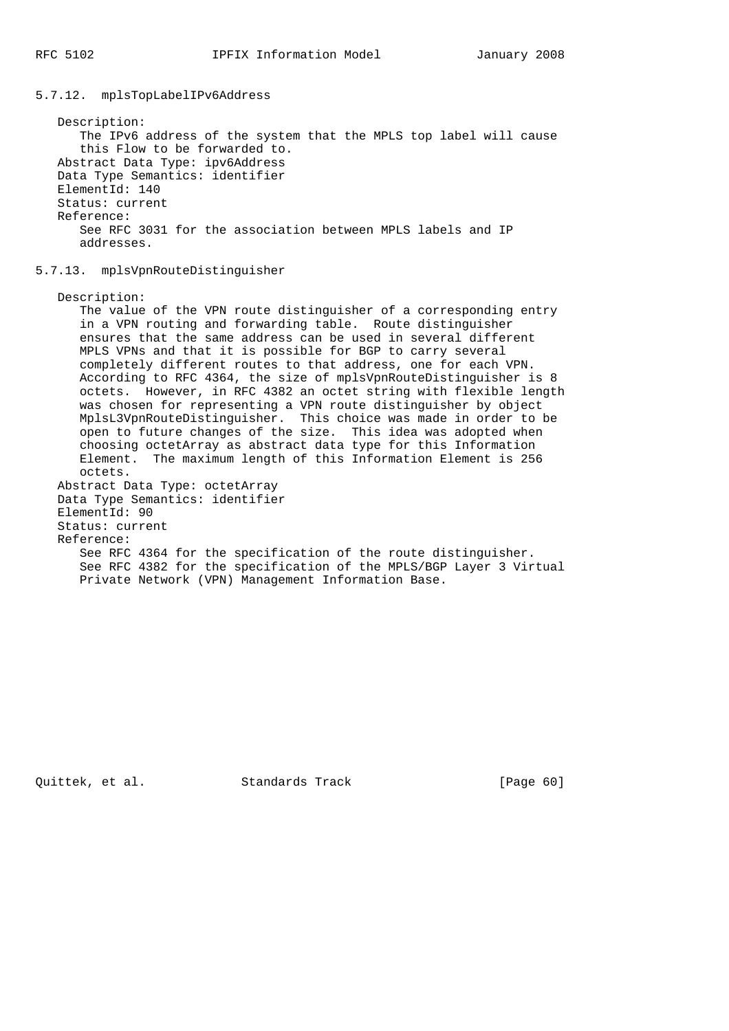5.7.12. mplsTopLabelIPv6Address

 Description: The IPv6 address of the system that the MPLS top label will cause this Flow to be forwarded to. Abstract Data Type: ipv6Address Data Type Semantics: identifier ElementId: 140 Status: current Reference: See RFC 3031 for the association between MPLS labels and IP addresses.

5.7.13. mplsVpnRouteDistinguisher

 Description: The value of the VPN route distinguisher of a corresponding entry in a VPN routing and forwarding table. Route distinguisher ensures that the same address can be used in several different MPLS VPNs and that it is possible for BGP to carry several completely different routes to that address, one for each VPN. According to RFC 4364, the size of mplsVpnRouteDistinguisher is 8 octets. However, in RFC 4382 an octet string with flexible length was chosen for representing a VPN route distinguisher by object MplsL3VpnRouteDistinguisher. This choice was made in order to be open to future changes of the size. This idea was adopted when choosing octetArray as abstract data type for this Information Element. The maximum length of this Information Element is 256 octets. Abstract Data Type: octetArray Data Type Semantics: identifier ElementId: 90 Status: current Reference: See RFC 4364 for the specification of the route distinguisher. See RFC 4382 for the specification of the MPLS/BGP Layer 3 Virtual Private Network (VPN) Management Information Base.

Quittek, et al. Standards Track [Page 60]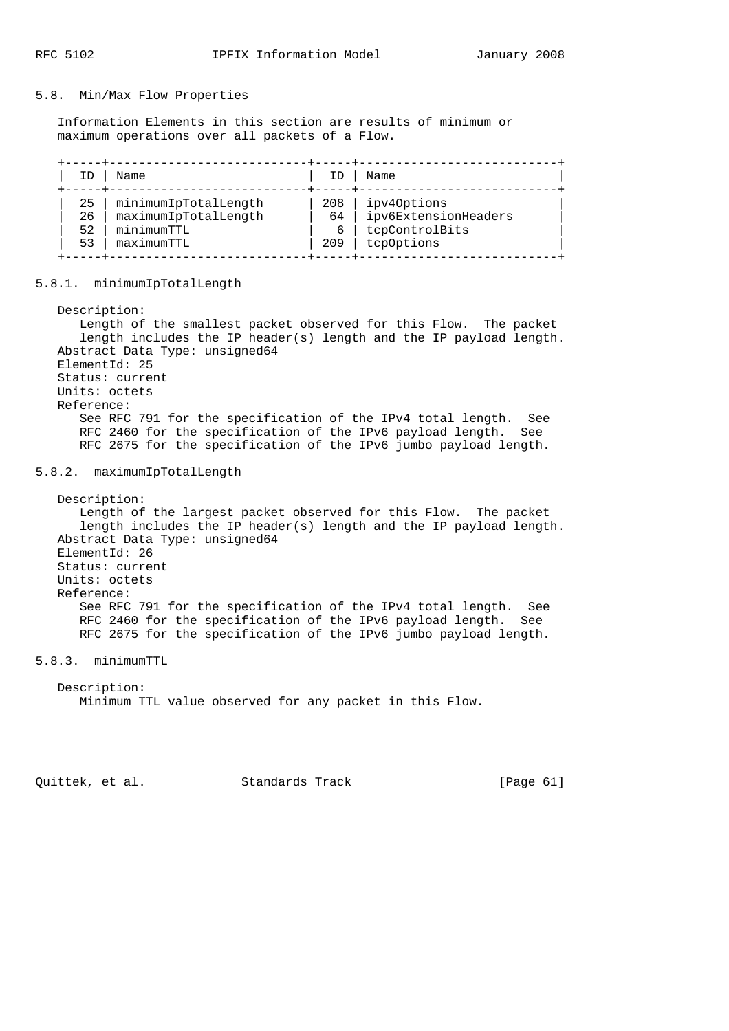## 5.8. Min/Max Flow Properties

 Information Elements in this section are results of minimum or maximum operations over all packets of a Flow.

| Name                                                                                             | ΙD                    | Name                                                                |
|--------------------------------------------------------------------------------------------------|-----------------------|---------------------------------------------------------------------|
| minimumIpTotalLength<br>25<br>maximumIpTotalLength<br>26<br>minimumTTL<br>52<br>maximumTTL<br>53 | 208<br>64<br>6<br>209 | ipv40ptions<br>ipv6ExtensionHeaders<br>tcpControlBits<br>tcpOptions |

5.8.1. minimumIpTotalLength

 Description: Length of the smallest packet observed for this Flow. The packet length includes the IP header(s) length and the IP payload length. Abstract Data Type: unsigned64 ElementId: 25 Status: current Units: octets Reference: See RFC 791 for the specification of the IPv4 total length. See RFC 2460 for the specification of the IPv6 payload length. See RFC 2675 for the specification of the IPv6 jumbo payload length.

5.8.2. maximumIpTotalLength

 Description: Length of the largest packet observed for this Flow. The packet length includes the IP header(s) length and the IP payload length. Abstract Data Type: unsigned64 ElementId: 26 Status: current Units: octets Reference: See RFC 791 for the specification of the IPv4 total length. See RFC 2460 for the specification of the IPv6 payload length. See RFC 2675 for the specification of the IPv6 jumbo payload length.

5.8.3. minimumTTL

 Description: Minimum TTL value observed for any packet in this Flow.

Quittek, et al. Standards Track [Page 61]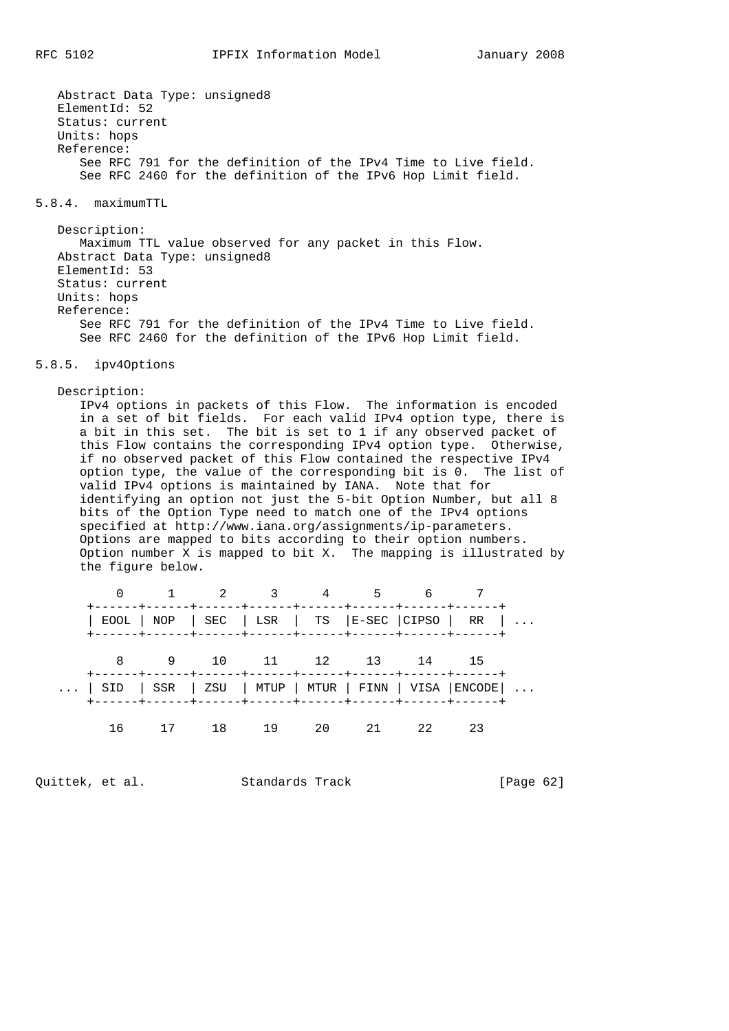Abstract Data Type: unsigned8 ElementId: 52 Status: current Units: hops Reference: See RFC 791 for the definition of the IPv4 Time to Live field. See RFC 2460 for the definition of the IPv6 Hop Limit field.

5.8.4. maximumTTL

 Description: Maximum TTL value observed for any packet in this Flow. Abstract Data Type: unsigned8 ElementId: 53 Status: current Units: hops Reference: See RFC 791 for the definition of the IPv4 Time to Live field. See RFC 2460 for the definition of the IPv6 Hop Limit field.

#### 5.8.5. ipv4Options

#### Description:

 IPv4 options in packets of this Flow. The information is encoded in a set of bit fields. For each valid IPv4 option type, there is a bit in this set. The bit is set to 1 if any observed packet of this Flow contains the corresponding IPv4 option type. Otherwise, if no observed packet of this Flow contained the respective IPv4 option type, the value of the corresponding bit is 0. The list of valid IPv4 options is maintained by IANA. Note that for identifying an option not just the 5-bit Option Number, but all 8 bits of the Option Type need to match one of the IPv4 options specified at http://www.iana.org/assignments/ip-parameters. Options are mapped to bits according to their option numbers. Option number X is mapped to bit X. The mapping is illustrated by the figure below.

|                                                                            | 0 1 2 3 4 5 6 7       |  |  |          |                                                  |  |
|----------------------------------------------------------------------------|-----------------------|--|--|----------|--------------------------------------------------|--|
|                                                                            |                       |  |  |          | EOOL   NOP   SEC   LSR   TS   E-SEC   CIPSO   RR |  |
|                                                                            | 8 9 10 11 12 13 14 15 |  |  |          |                                                  |  |
| $\ldots$   SID   SSR   ZSU   MTUP   MTUR   FINN   VISA   ENCODE   $\ldots$ |                       |  |  |          |                                                  |  |
|                                                                            | 16 17 18 19           |  |  | 20 21 22 |                                                  |  |

Quittek, et al. Standards Track [Page 62]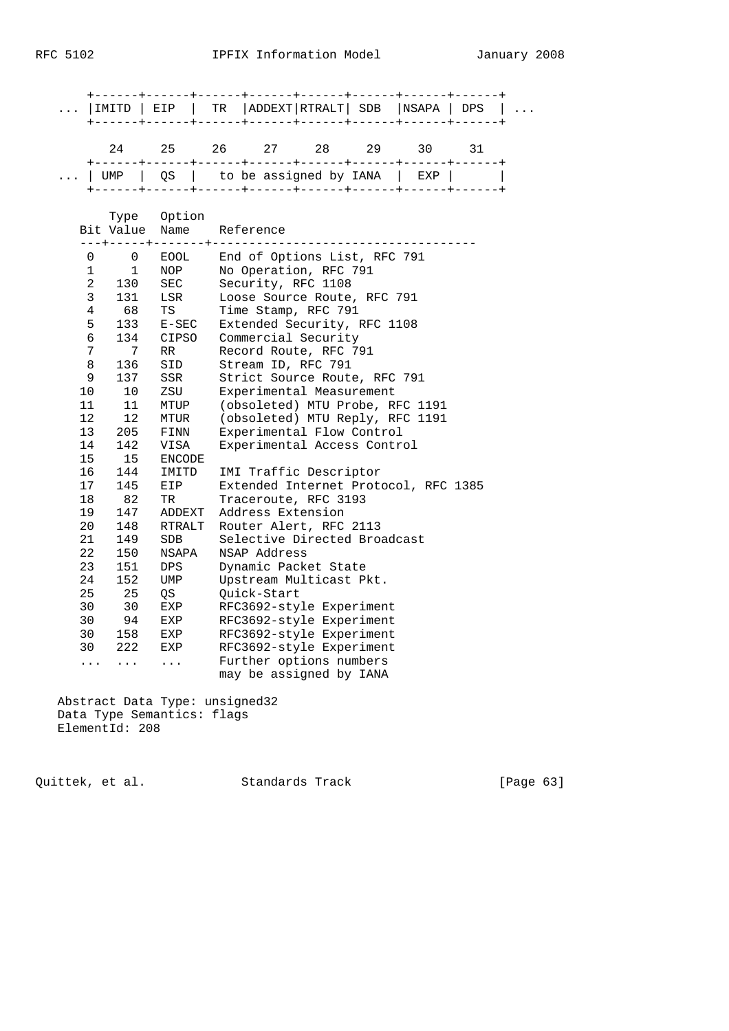|                | IMITD             | EIP                                              | TR                          |                       | ADDEXT RTRALT SDB<br>-----+------+------+-----+------+ |    | NSAPA   DPS |    |  |
|----------------|-------------------|--------------------------------------------------|-----------------------------|-----------------------|--------------------------------------------------------|----|-------------|----|--|
|                | 24                | 25                                               | 26                          | 27 —                  | 28                                                     | 29 | 30          | 31 |  |
|                |                   |                                                  |                             |                       | ------+------+------+-----+----                        |    |             |    |  |
|                | UMP               | QS                                               |                             |                       | to be assigned by IANA   EXP                           |    |             |    |  |
|                | Type<br>Bit Value | Option<br>Name<br>---+-----+-------+------------ |                             | Reference             |                                                        |    |             |    |  |
| 0              | 0                 | EOOL                                             |                             |                       | End of Options List, RFC 791                           |    |             |    |  |
| $\mathbf 1$    | $\mathbf 1$       | NOP                                              |                             |                       | No Operation, RFC 791                                  |    |             |    |  |
| $\overline{a}$ | 130               | SEC                                              | Security, RFC 1108          |                       |                                                        |    |             |    |  |
| 3              | 131               | LSR                                              | Loose Source Route, RFC 791 |                       |                                                        |    |             |    |  |
| $\overline{4}$ | 68                | TS                                               |                             | Time Stamp, RFC 791   |                                                        |    |             |    |  |
| 5              | 133               | $E-SEC$                                          |                             |                       | Extended Security, RFC 1108                            |    |             |    |  |
| 6              | 134               | CIPSO                                            |                             | Commercial Security   |                                                        |    |             |    |  |
| 7              | 7                 | RR                                               |                             | Record Route, RFC 791 |                                                        |    |             |    |  |
| 8              | 136               | SID                                              | Stream ID, RFC 791          |                       |                                                        |    |             |    |  |
| 9              | 137               | SSR                                              |                             |                       | Strict Source Route, RFC 791                           |    |             |    |  |
| 10             | 10                | ZSU                                              |                             |                       | Experimental Measurement                               |    |             |    |  |
| 11             | 11                | MTUP                                             |                             |                       | (obsoleted) MTU Probe, RFC 1191                        |    |             |    |  |
| 12             | 12                | MTUR                                             |                             |                       | (obsoleted) MTU Reply, RFC 1191                        |    |             |    |  |
| 13             | 205               | FINN                                             |                             |                       | Experimental Flow Control                              |    |             |    |  |
| 14             | 142               | VISA                                             |                             |                       | Experimental Access Control                            |    |             |    |  |
| 15             | 15                | <b>ENCODE</b>                                    |                             |                       |                                                        |    |             |    |  |
| 16             | 144               | IMITD                                            |                             |                       | IMI Traffic Descriptor                                 |    |             |    |  |
| 17             | 145               | EIP                                              |                             |                       | Extended Internet Protocol, RFC 1385                   |    |             |    |  |
| 18             | 82                | TR                                               |                             |                       | Traceroute, RFC 3193                                   |    |             |    |  |
| 19             | 147               | ADDEXT                                           |                             | Address Extension     |                                                        |    |             |    |  |
| 20             | 148               | RTRALT                                           |                             |                       | Router Alert, RFC 2113                                 |    |             |    |  |
| 21             | 149               | SDB                                              |                             |                       | Selective Directed Broadcast                           |    |             |    |  |
| 22             | 150               | NSAPA                                            |                             | NSAP Address          |                                                        |    |             |    |  |
| 23             | 151               | DPS                                              |                             |                       | Dynamic Packet State                                   |    |             |    |  |
| 24             | 152               | UMP                                              |                             |                       | Upstream Multicast Pkt.                                |    |             |    |  |
| 25             | 25                | QS                                               |                             | Quick-Start           |                                                        |    |             |    |  |
| 30             | 30                | EXP                                              |                             |                       | RFC3692-style Experiment                               |    |             |    |  |
| 30             | 94                | EXP                                              |                             |                       | RFC3692-style Experiment                               |    |             |    |  |
| 30             | 158               | EXP                                              |                             |                       | RFC3692-style Experiment                               |    |             |    |  |
| 30             | 222               | EXP                                              |                             |                       | RFC3692-style Experiment                               |    |             |    |  |
| $\cdots$       | $\cdots$          | $\cdots$                                         |                             |                       | Further options numbers<br>may be assigned by IANA     |    |             |    |  |

 Abstract Data Type: unsigned32 Data Type Semantics: flags ElementId: 208

Quittek, et al. Standards Track [Page 63]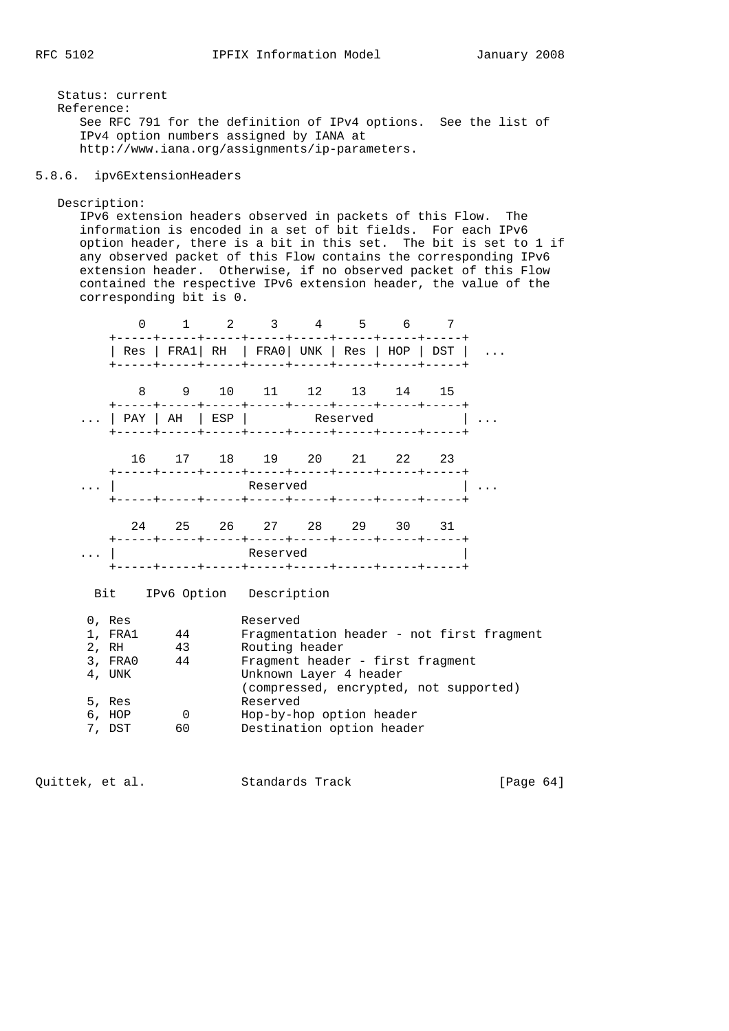Status: current Reference: See RFC 791 for the definition of IPv4 options. See the list of IPv4 option numbers assigned by IANA at http://www.iana.org/assignments/ip-parameters.

5.8.6. ipv6ExtensionHeaders

Description:

 IPv6 extension headers observed in packets of this Flow. The information is encoded in a set of bit fields. For each IPv6 option header, there is a bit in this set. The bit is set to 1 if any observed packet of this Flow contains the corresponding IPv6 extension header. Otherwise, if no observed packet of this Flow contained the respective IPv6 extension header, the value of the corresponding bit is 0.

|          |                                    |          | $\begin{array}{cccccccccccccc} 1 & 2 & 3 & 4 & 5 & 6 \end{array}$ |  |  |                                           |
|----------|------------------------------------|----------|-------------------------------------------------------------------|--|--|-------------------------------------------|
|          |                                    |          | Res   FRA1  RH   FRA0  UNK   Res   HOP   DST                      |  |  |                                           |
|          |                                    |          | 8 9 10 11 12 13 14 15                                             |  |  |                                           |
|          | $\ldots$ PAY   AH   ESP   Reserved |          |                                                                   |  |  |                                           |
|          |                                    |          | 16 17 18 19 20 21 22 23                                           |  |  |                                           |
|          |                                    |          | Reserved                                                          |  |  |                                           |
|          |                                    |          | 24 25 26 27 28 29 30 31                                           |  |  |                                           |
| $\cdots$ |                                    |          | Reserved                                                          |  |  |                                           |
|          | Bit IPv6 Option Description        |          |                                                                   |  |  |                                           |
|          | 0, Res<br>1, FRA1<br>2, RH         | 44<br>43 | Reserved<br>Routing header                                        |  |  | Fragmentation header - not first fragment |

|  | 2, RH   | 43 | Routing header                         |
|--|---------|----|----------------------------------------|
|  | 3, FRA0 | 44 | Fragment header - first fragment       |
|  | 4. UNK  |    | Unknown Layer 4 header                 |
|  |         |    | (compressed, encrypted, not supported) |
|  | 5, Res  |    | Reserved                               |
|  | 6, HOP  |    | Hop-by-hop option header               |
|  | 7, DST  | 60 | Destination option header              |
|  |         |    |                                        |

| Quittek, et al. | Standards Track | [Page $64$ ] |
|-----------------|-----------------|--------------|
|-----------------|-----------------|--------------|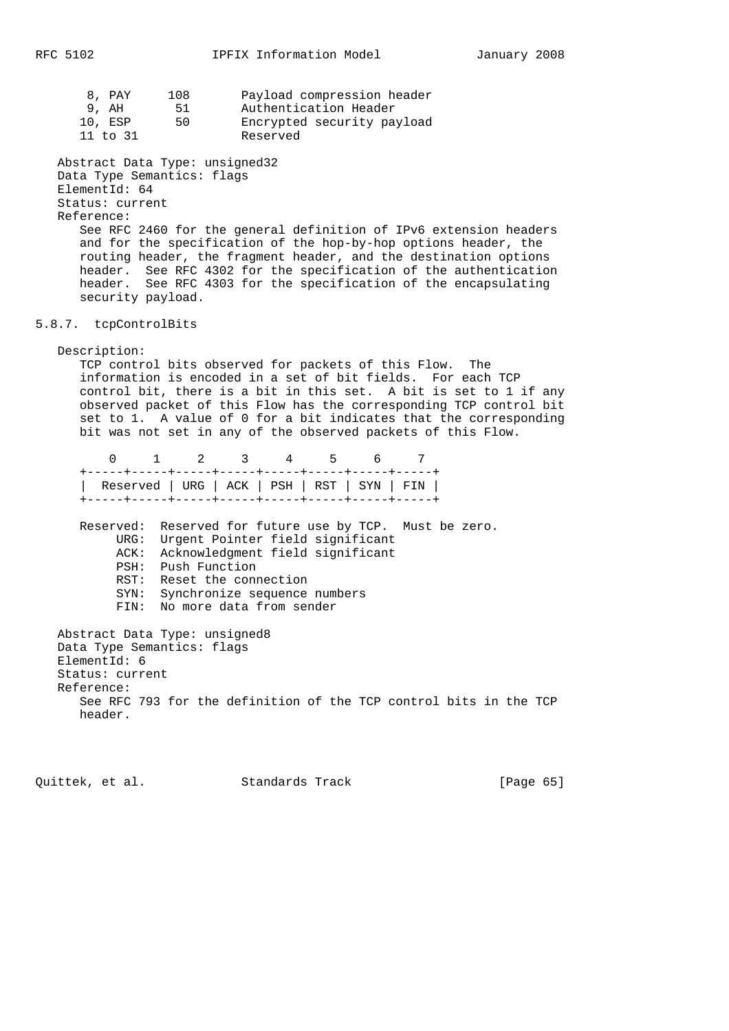| 8, PAY                | 108 | Payload compression header             |
|-----------------------|-----|----------------------------------------|
| 9. AH                 | 51  | Authentication Header                  |
| $10.$ ESP<br>11 to 31 | 50  | Encrypted security payload<br>Reserved |

 Abstract Data Type: unsigned32 Data Type Semantics: flags ElementId: 64 Status: current Reference: See RFC 2460 for the general definition of IPv6 extension headers and for the specification of the hop-by-hop options header, the routing header, the fragment header, and the destination options header. See RFC 4302 for the specification of the authentication header. See RFC 4303 for the specification of the encapsulating security payload.

5.8.7. tcpControlBits

Description:

 TCP control bits observed for packets of this Flow. The information is encoded in a set of bit fields. For each TCP control bit, there is a bit in this set. A bit is set to 1 if any observed packet of this Flow has the corresponding TCP control bit set to 1. A value of 0 for a bit indicates that the corresponding bit was not set in any of the observed packets of this Flow.

 0 1 2 3 4 5 6 7 +-----+-----+-----+-----+-----+-----+-----+-----+ | Reserved | URG | ACK | PSH | RST | SYN | FIN | +-----+-----+-----+-----+-----+-----+-----+-----+

 Reserved: Reserved for future use by TCP. Must be zero. URG: Urgent Pointer field significant ACK: Acknowledgment field significant PSH: Push Function RST: Reset the connection SYN: Synchronize sequence numbers FIN: No more data from sender

 Abstract Data Type: unsigned8 Data Type Semantics: flags ElementId: 6 Status: current Reference: See RFC 793 for the definition of the TCP control bits in the TCP header.

Quittek, et al. Standards Track [Page 65]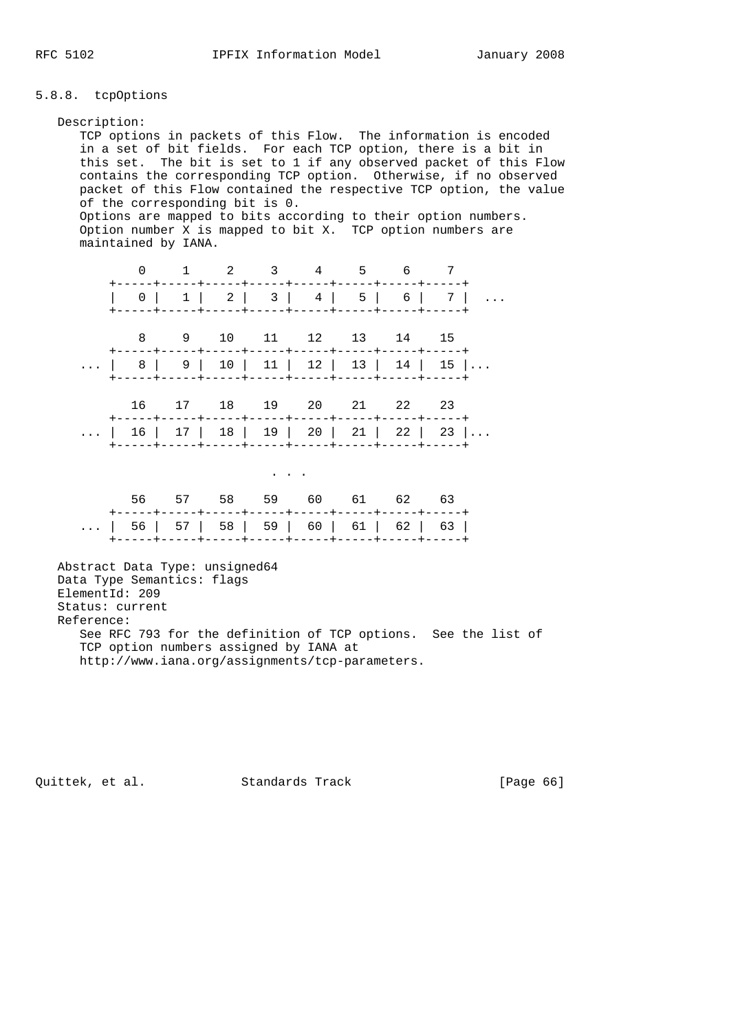## 5.8.8. tcpOptions

# Description: TCP options in packets of this Flow. The information is encoded in a set of bit fields. For each TCP option, there is a bit in this set. The bit is set to 1 if any observed packet of this Flow contains the corresponding TCP option. Otherwise, if no observed packet of this Flow contained the respective TCP option, the value of the corresponding bit is 0. Options are mapped to bits according to their option numbers. Option number X is mapped to bit X. TCP option numbers are maintained by IANA. 0 1 2 3 4 5 6 7 +-----+-----+-----+-----+-----+-----+-----+-----+ | 0 | 1 | 2 | 3 | 4 | 5 | 6 | 7 | ... +-----+-----+-----+-----+-----+-----+-----+-----+ 8 9 10 11 12 13 14 15 +-----+-----+-----+-----+-----+-----+-----+-----+ ... | 8 | 9 | 10 | 11 | 12 | 13 | 14 | 15 |... +-----+-----+-----+-----+-----+-----+-----+-----+ 16 17 18 19 20 21 22 23 +-----+-----+-----+-----+-----+-----+-----+-----+  $\ldots$  | 16 | 17 | 18 | 19 | 20 | 21 | 22 | 23 | $\ldots$  +-----+-----+-----+-----+-----+-----+-----+-----+ . . . 56 57 58 59 60 61 62 63 +-----+-----+-----+-----+-----+-----+-----+-----+ ... | 56 | 57 | 58 | 59 | 60 | 61 | 62 | 63 | +-----+-----+-----+-----+-----+-----+-----+-----+ Abstract Data Type: unsigned64 Data Type Semantics: flags ElementId: 209 Status: current Reference: See RFC 793 for the definition of TCP options. See the list of TCP option numbers assigned by IANA at http://www.iana.org/assignments/tcp-parameters.

Quittek, et al. Standards Track [Page 66]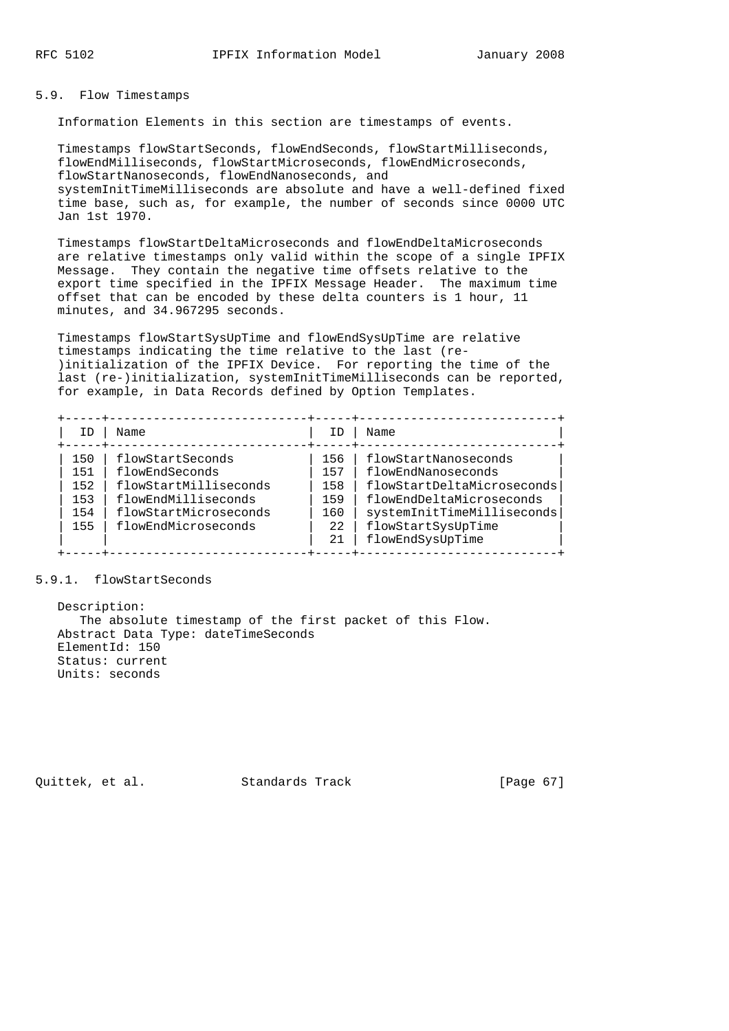#### 5.9. Flow Timestamps

Information Elements in this section are timestamps of events.

 Timestamps flowStartSeconds, flowEndSeconds, flowStartMilliseconds, flowEndMilliseconds, flowStartMicroseconds, flowEndMicroseconds, flowStartNanoseconds, flowEndNanoseconds, and systemInitTimeMilliseconds are absolute and have a well-defined fixed time base, such as, for example, the number of seconds since 0000 UTC Jan 1st 1970.

 Timestamps flowStartDeltaMicroseconds and flowEndDeltaMicroseconds are relative timestamps only valid within the scope of a single IPFIX Message. They contain the negative time offsets relative to the export time specified in the IPFIX Message Header. The maximum time offset that can be encoded by these delta counters is 1 hour, 11 minutes, and 34.967295 seconds.

 Timestamps flowStartSysUpTime and flowEndSysUpTime are relative timestamps indicating the time relative to the last (re- )initialization of the IPFIX Device. For reporting the time of the last (re-)initialization, systemInitTimeMilliseconds can be reported, for example, in Data Records defined by Option Templates.

| TD  | Name                  | ΙD  | Name                       |
|-----|-----------------------|-----|----------------------------|
| 150 | flowStartSeconds      | 156 | flowStartNanoseconds       |
| 151 | flowEndSeconds        | 157 | flowEndNanoseconds         |
| 152 | flowStartMilliseconds | 158 | flowStartDeltaMicroseconds |
| 153 | flowEndMilliseconds   | 159 | flowEndDeltaMicroseconds   |
| 154 | flowStartMicroseconds | 160 | systemInitTimeMilliseconds |
| 155 | flowEndMicroseconds   | 22  | flowStartSysUpTime         |
|     |                       | 21  | flowEndSysUpTime           |

5.9.1. flowStartSeconds

 Description: The absolute timestamp of the first packet of this Flow. Abstract Data Type: dateTimeSeconds ElementId: 150 Status: current Units: seconds

Quittek, et al. Standards Track [Page 67]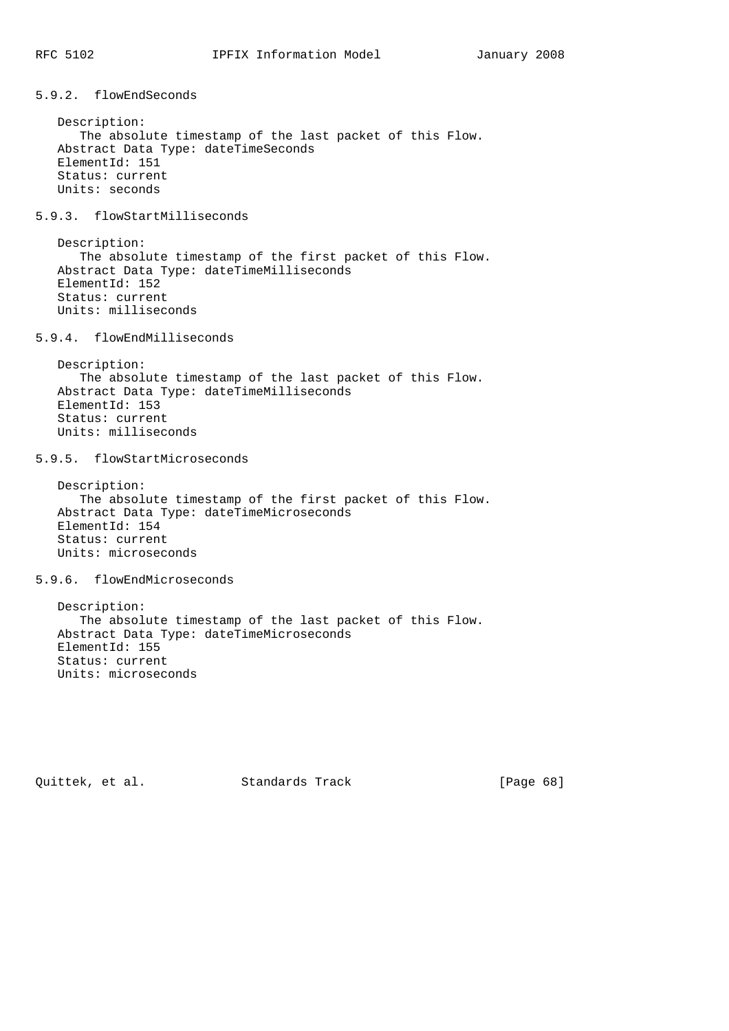5.9.2. flowEndSeconds

```
 Description:
  The absolute timestamp of the last packet of this Flow.
Abstract Data Type: dateTimeSeconds
ElementId: 151
Status: current
Units: seconds
```
#### 5.9.3. flowStartMilliseconds

 Description: The absolute timestamp of the first packet of this Flow. Abstract Data Type: dateTimeMilliseconds ElementId: 152 Status: current Units: milliseconds

5.9.4. flowEndMilliseconds

```
 Description:
   The absolute timestamp of the last packet of this Flow.
Abstract Data Type: dateTimeMilliseconds
ElementId: 153
Status: current
Units: milliseconds
```
5.9.5. flowStartMicroseconds

```
 Description:
  The absolute timestamp of the first packet of this Flow.
Abstract Data Type: dateTimeMicroseconds
ElementId: 154
Status: current
Units: microseconds
```
5.9.6. flowEndMicroseconds

 Description: The absolute timestamp of the last packet of this Flow. Abstract Data Type: dateTimeMicroseconds ElementId: 155 Status: current Units: microseconds

Quittek, et al. Standards Track [Page 68]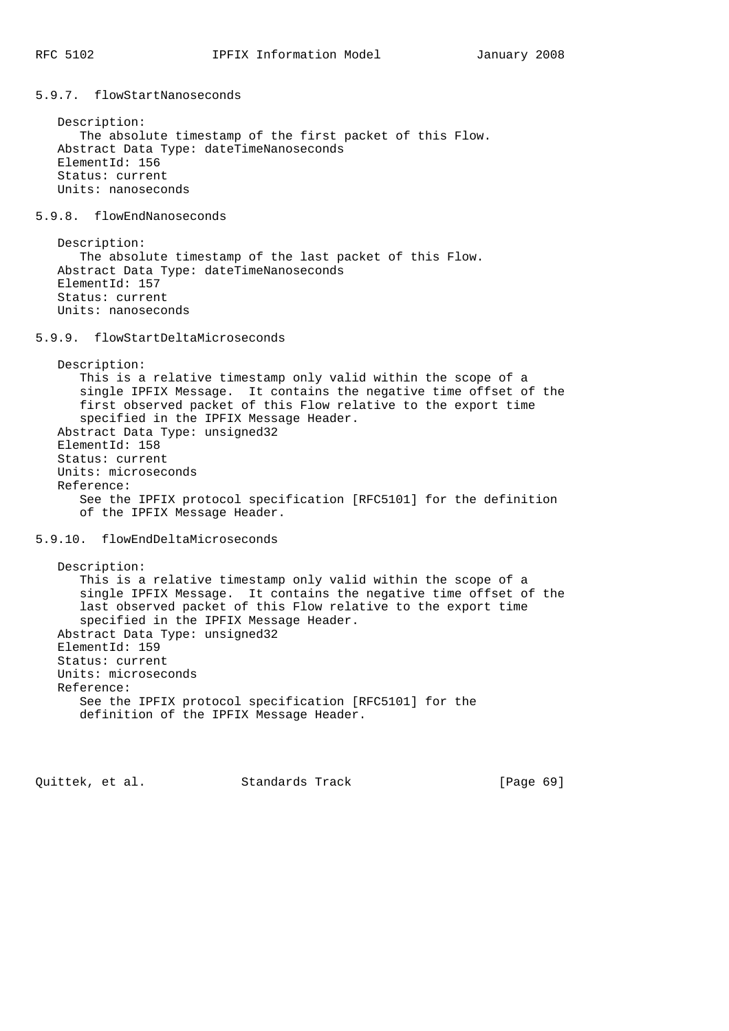5.9.7. flowStartNanoseconds Description: The absolute timestamp of the first packet of this Flow. Abstract Data Type: dateTimeNanoseconds ElementId: 156 Status: current Units: nanoseconds 5.9.8. flowEndNanoseconds Description: The absolute timestamp of the last packet of this Flow. Abstract Data Type: dateTimeNanoseconds ElementId: 157 Status: current Units: nanoseconds 5.9.9. flowStartDeltaMicroseconds Description: This is a relative timestamp only valid within the scope of a single IPFIX Message. It contains the negative time offset of the first observed packet of this Flow relative to the export time specified in the IPFIX Message Header. Abstract Data Type: unsigned32 ElementId: 158 Status: current Units: microseconds Reference: See the IPFIX protocol specification [RFC5101] for the definition of the IPFIX Message Header. 5.9.10. flowEndDeltaMicroseconds Description: This is a relative timestamp only valid within the scope of a single IPFIX Message. It contains the negative time offset of the last observed packet of this Flow relative to the export time specified in the IPFIX Message Header. Abstract Data Type: unsigned32 ElementId: 159 Status: current Units: microseconds Reference: See the IPFIX protocol specification [RFC5101] for the definition of the IPFIX Message Header.

Quittek, et al. Standards Track [Page 69]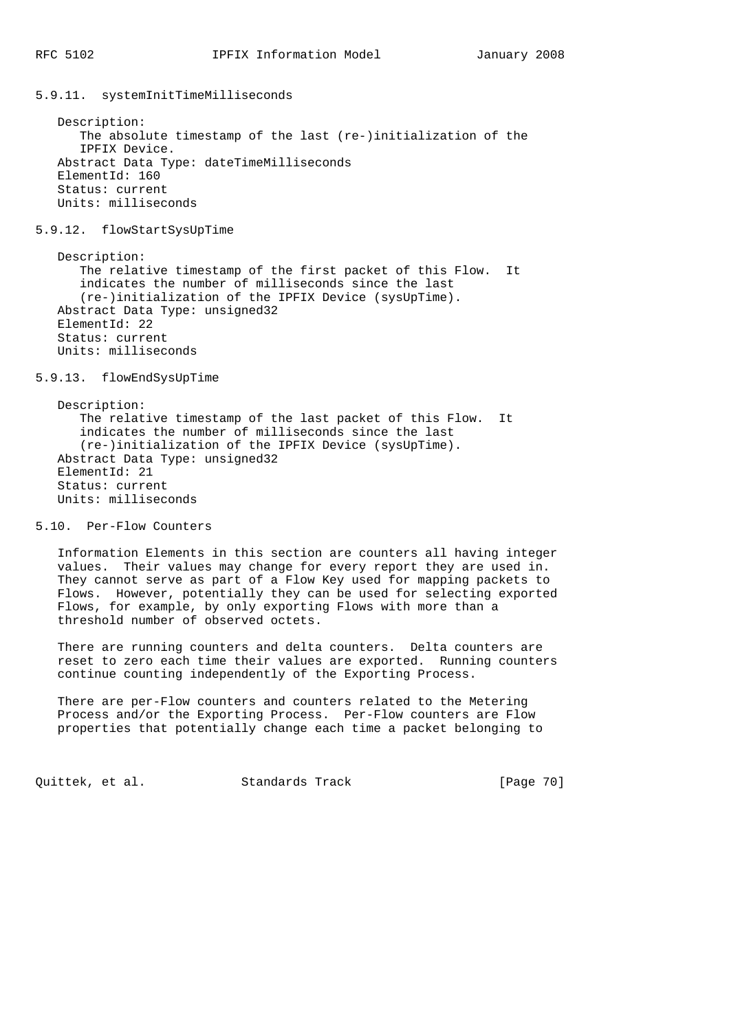5.9.11. systemInitTimeMilliseconds

 Description: The absolute timestamp of the last (re-)initialization of the IPFIX Device. Abstract Data Type: dateTimeMilliseconds ElementId: 160 Status: current Units: milliseconds

5.9.12. flowStartSysUpTime

 Description: The relative timestamp of the first packet of this Flow. It indicates the number of milliseconds since the last (re-)initialization of the IPFIX Device (sysUpTime). Abstract Data Type: unsigned32 ElementId: 22 Status: current Units: milliseconds

5.9.13. flowEndSysUpTime

 Description: The relative timestamp of the last packet of this Flow. It indicates the number of milliseconds since the last (re-)initialization of the IPFIX Device (sysUpTime). Abstract Data Type: unsigned32 ElementId: 21 Status: current Units: milliseconds

5.10. Per-Flow Counters

 Information Elements in this section are counters all having integer values. Their values may change for every report they are used in. They cannot serve as part of a Flow Key used for mapping packets to Flows. However, potentially they can be used for selecting exported Flows, for example, by only exporting Flows with more than a threshold number of observed octets.

 There are running counters and delta counters. Delta counters are reset to zero each time their values are exported. Running counters continue counting independently of the Exporting Process.

 There are per-Flow counters and counters related to the Metering Process and/or the Exporting Process. Per-Flow counters are Flow properties that potentially change each time a packet belonging to

Quittek, et al. Standards Track [Page 70]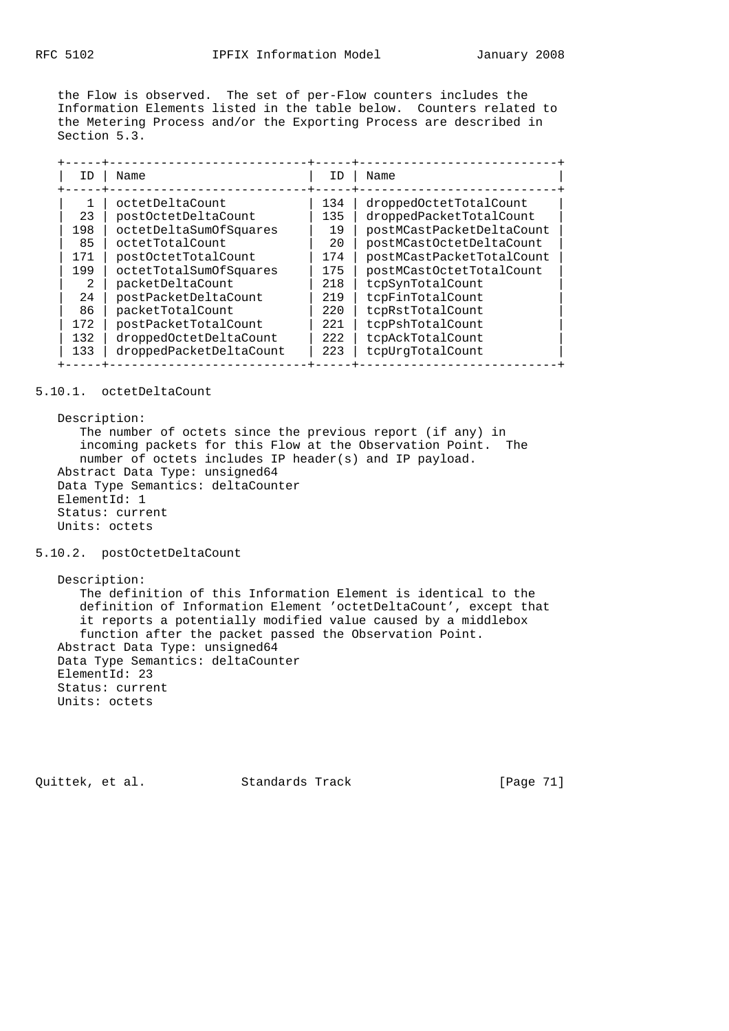the Flow is observed. The set of per-Flow counters includes the Information Elements listed in the table below. Counters related to the Metering Process and/or the Exporting Process are described in Section 5.3.

| ΙD             | Name                    | ΙD  | Name                      |
|----------------|-------------------------|-----|---------------------------|
|                | octetDeltaCount         | 134 | droppedOctetTotalCount    |
| 23             | postOctetDeltaCount     | 135 | droppedPacketTotalCount   |
| 198            | octetDeltaSumOfSquares  | 19  | postMCastPacketDeltaCount |
| 85             | octetTotalCount         | 20  | postMCastOctetDeltaCount  |
| 171            | postOctetTotalCount     | 174 | postMCastPacketTotalCount |
| 199            | octetTotalSumOfSquares  | 175 | postMCastOctetTotalCount  |
| $\mathfrak{D}$ | packetDeltaCount        | 218 | tcpSynTotalCount          |
| 24             | postPacketDeltaCount    | 219 | tcpFinTotalCount          |
| 86             | packetTotalCount        | 220 | tcpRstTotalCount          |
| 172.           | postPacketTotalCount    | 221 | tcpPshTotalCount          |
| 132            | droppedOctetDeltaCount  | 222 | tcpAckTotalCount          |
| 133            | droppedPacketDeltaCount | 223 | tcpUrqTotalCount          |

5.10.1. octetDeltaCount

 Description: The number of octets since the previous report (if any) in incoming packets for this Flow at the Observation Point. The number of octets includes IP header(s) and IP payload. Abstract Data Type: unsigned64 Data Type Semantics: deltaCounter ElementId: 1 Status: current Units: octets

5.10.2. postOctetDeltaCount

 Description: The definition of this Information Element is identical to the definition of Information Element 'octetDeltaCount', except that it reports a potentially modified value caused by a middlebox function after the packet passed the Observation Point. Abstract Data Type: unsigned64 Data Type Semantics: deltaCounter ElementId: 23 Status: current Units: octets

Quittek, et al. Standards Track [Page 71]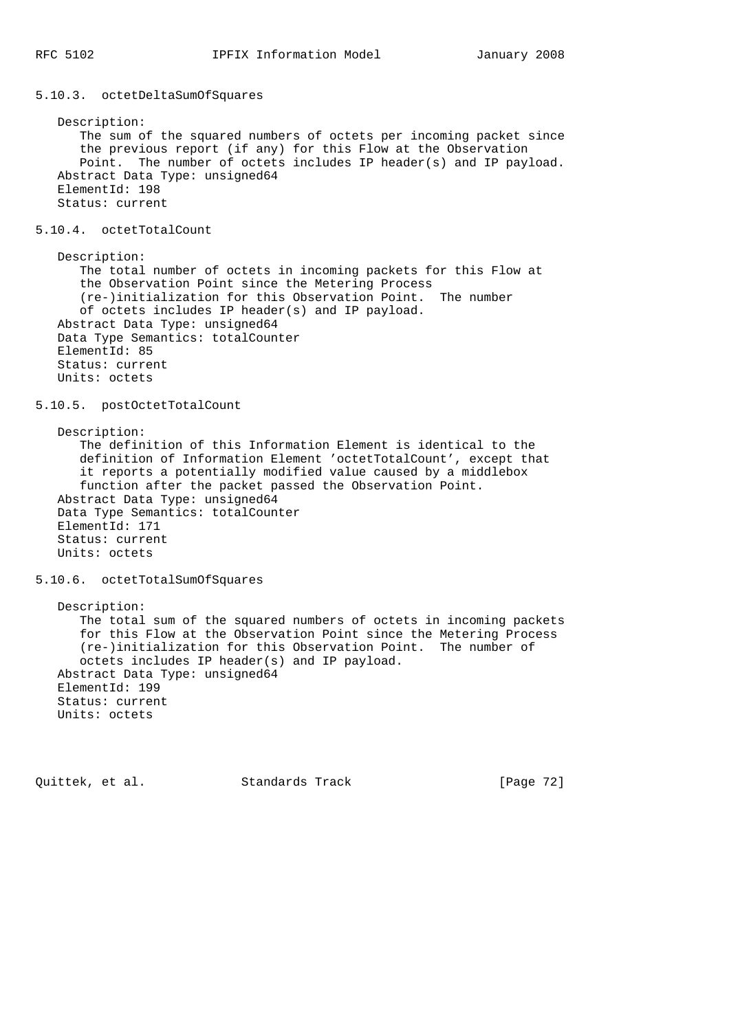5.10.3. octetDeltaSumOfSquares

 Description: The sum of the squared numbers of octets per incoming packet since the previous report (if any) for this Flow at the Observation Point. The number of octets includes IP header(s) and IP payload. Abstract Data Type: unsigned64 ElementId: 198 Status: current 5.10.4. octetTotalCount Description: The total number of octets in incoming packets for this Flow at the Observation Point since the Metering Process (re-)initialization for this Observation Point. The number of octets includes IP header(s) and IP payload. Abstract Data Type: unsigned64 Data Type Semantics: totalCounter ElementId: 85 Status: current Units: octets 5.10.5. postOctetTotalCount Description: The definition of this Information Element is identical to the definition of Information Element 'octetTotalCount', except that it reports a potentially modified value caused by a middlebox function after the packet passed the Observation Point. Abstract Data Type: unsigned64 Data Type Semantics: totalCounter ElementId: 171 Status: current Units: octets 5.10.6. octetTotalSumOfSquares Description: The total sum of the squared numbers of octets in incoming packets for this Flow at the Observation Point since the Metering Process (re-)initialization for this Observation Point. The number of octets includes IP header(s) and IP payload. Abstract Data Type: unsigned64 ElementId: 199 Status: current Units: octets Quittek, et al. Standards Track [Page 72]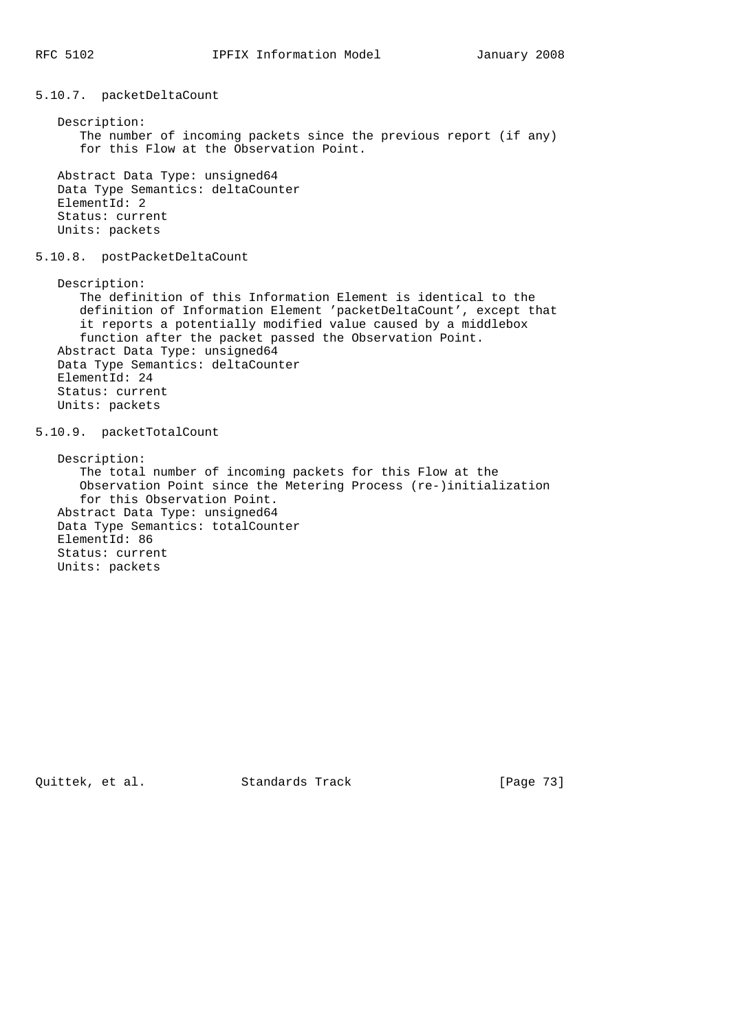5.10.7. packetDeltaCount

 Description: The number of incoming packets since the previous report (if any) for this Flow at the Observation Point.

```
 Abstract Data Type: unsigned64
Data Type Semantics: deltaCounter
ElementId: 2
Status: current
Units: packets
```
5.10.8. postPacketDeltaCount

 Description: The definition of this Information Element is identical to the definition of Information Element 'packetDeltaCount', except that it reports a potentially modified value caused by a middlebox function after the packet passed the Observation Point. Abstract Data Type: unsigned64 Data Type Semantics: deltaCounter ElementId: 24 Status: current Units: packets

5.10.9. packetTotalCount

 Description: The total number of incoming packets for this Flow at the Observation Point since the Metering Process (re-)initialization for this Observation Point. Abstract Data Type: unsigned64 Data Type Semantics: totalCounter ElementId: 86 Status: current Units: packets

Quittek, et al. Standards Track [Page 73]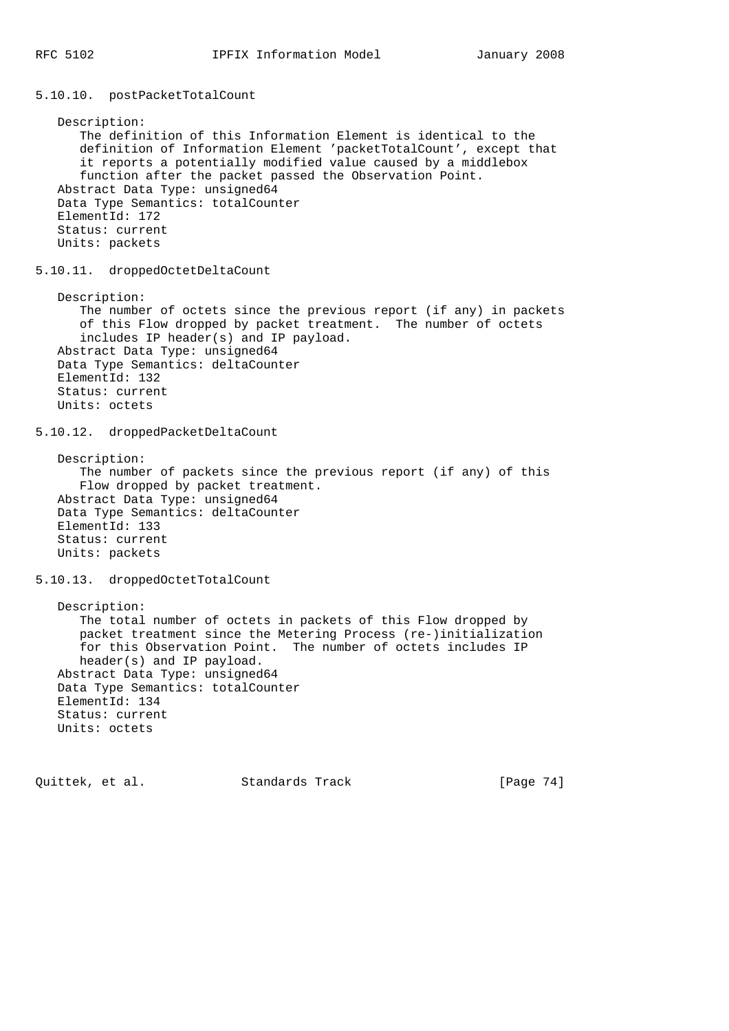5.10.10. postPacketTotalCount Description: The definition of this Information Element is identical to the definition of Information Element 'packetTotalCount', except that it reports a potentially modified value caused by a middlebox function after the packet passed the Observation Point. Abstract Data Type: unsigned64 Data Type Semantics: totalCounter ElementId: 172 Status: current Units: packets 5.10.11. droppedOctetDeltaCount Description: The number of octets since the previous report (if any) in packets of this Flow dropped by packet treatment. The number of octets includes IP header(s) and IP payload. Abstract Data Type: unsigned64 Data Type Semantics: deltaCounter ElementId: 132 Status: current Units: octets 5.10.12. droppedPacketDeltaCount Description: The number of packets since the previous report (if any) of this Flow dropped by packet treatment. Abstract Data Type: unsigned64 Data Type Semantics: deltaCounter ElementId: 133 Status: current Units: packets 5.10.13. droppedOctetTotalCount Description: The total number of octets in packets of this Flow dropped by packet treatment since the Metering Process (re-)initialization for this Observation Point. The number of octets includes IP header(s) and IP payload. Abstract Data Type: unsigned64 Data Type Semantics: totalCounter ElementId: 134 Status: current Units: octets

Quittek, et al. Standards Track [Page 74]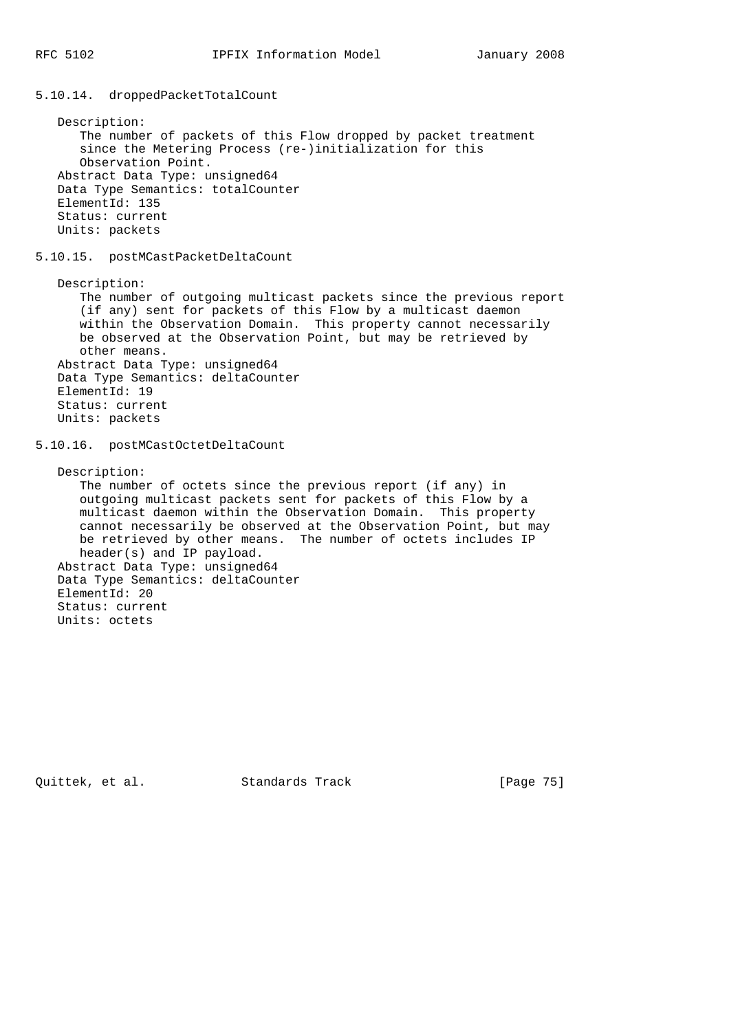5.10.14. droppedPacketTotalCount

 Description: The number of packets of this Flow dropped by packet treatment since the Metering Process (re-)initialization for this Observation Point. Abstract Data Type: unsigned64 Data Type Semantics: totalCounter ElementId: 135 Status: current Units: packets

5.10.15. postMCastPacketDeltaCount

Description:

 The number of outgoing multicast packets since the previous report (if any) sent for packets of this Flow by a multicast daemon within the Observation Domain. This property cannot necessarily be observed at the Observation Point, but may be retrieved by other means. Abstract Data Type: unsigned64 Data Type Semantics: deltaCounter ElementId: 19 Status: current Units: packets

5.10.16. postMCastOctetDeltaCount

 Description: The number of octets since the previous report (if any) in outgoing multicast packets sent for packets of this Flow by a multicast daemon within the Observation Domain. This property cannot necessarily be observed at the Observation Point, but may be retrieved by other means. The number of octets includes IP header(s) and IP payload. Abstract Data Type: unsigned64 Data Type Semantics: deltaCounter ElementId: 20 Status: current Units: octets

Quittek, et al. Standards Track [Page 75]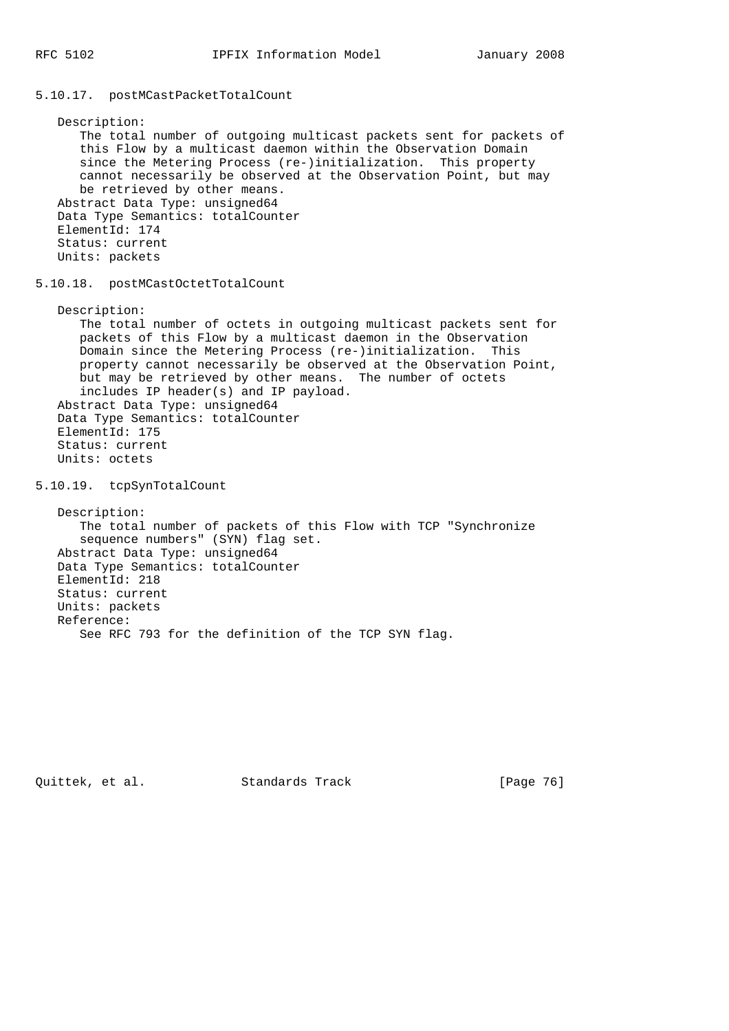### 5.10.17. postMCastPacketTotalCount

 Description: The total number of outgoing multicast packets sent for packets of this Flow by a multicast daemon within the Observation Domain since the Metering Process (re-)initialization. This property cannot necessarily be observed at the Observation Point, but may be retrieved by other means. Abstract Data Type: unsigned64 Data Type Semantics: totalCounter ElementId: 174 Status: current Units: packets

5.10.18. postMCastOctetTotalCount

Description:

 The total number of octets in outgoing multicast packets sent for packets of this Flow by a multicast daemon in the Observation Domain since the Metering Process (re-)initialization. This property cannot necessarily be observed at the Observation Point, but may be retrieved by other means. The number of octets includes IP header(s) and IP payload. Abstract Data Type: unsigned64 Data Type Semantics: totalCounter ElementId: 175 Status: current Units: octets

5.10.19. tcpSynTotalCount

 Description: The total number of packets of this Flow with TCP "Synchronize sequence numbers" (SYN) flag set. Abstract Data Type: unsigned64 Data Type Semantics: totalCounter ElementId: 218 Status: current Units: packets Reference: See RFC 793 for the definition of the TCP SYN flag.

Quittek, et al. Standards Track [Page 76]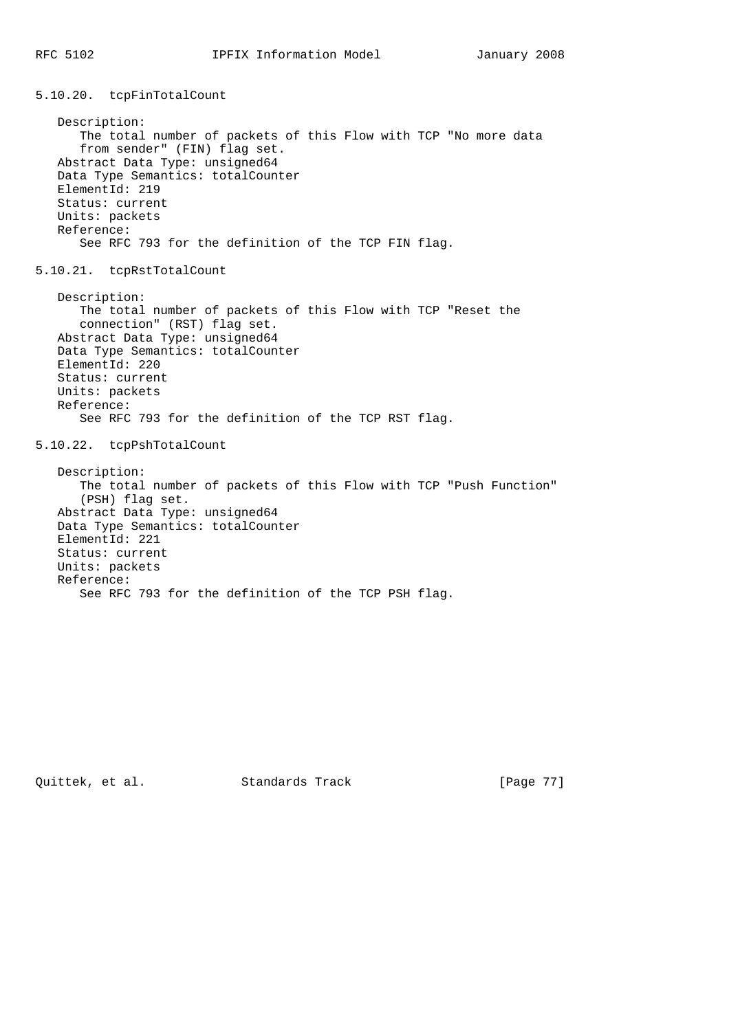5.10.20. tcpFinTotalCount Description: The total number of packets of this Flow with TCP "No more data from sender" (FIN) flag set. Abstract Data Type: unsigned64 Data Type Semantics: totalCounter ElementId: 219 Status: current Units: packets Reference: See RFC 793 for the definition of the TCP FIN flag. 5.10.21. tcpRstTotalCount Description: The total number of packets of this Flow with TCP "Reset the connection" (RST) flag set. Abstract Data Type: unsigned64 Data Type Semantics: totalCounter ElementId: 220 Status: current Units: packets Reference: See RFC 793 for the definition of the TCP RST flag. 5.10.22. tcpPshTotalCount Description: The total number of packets of this Flow with TCP "Push Function" (PSH) flag set. Abstract Data Type: unsigned64 Data Type Semantics: totalCounter ElementId: 221 Status: current Units: packets Reference: See RFC 793 for the definition of the TCP PSH flag.

Quittek, et al. Standards Track [Page 77]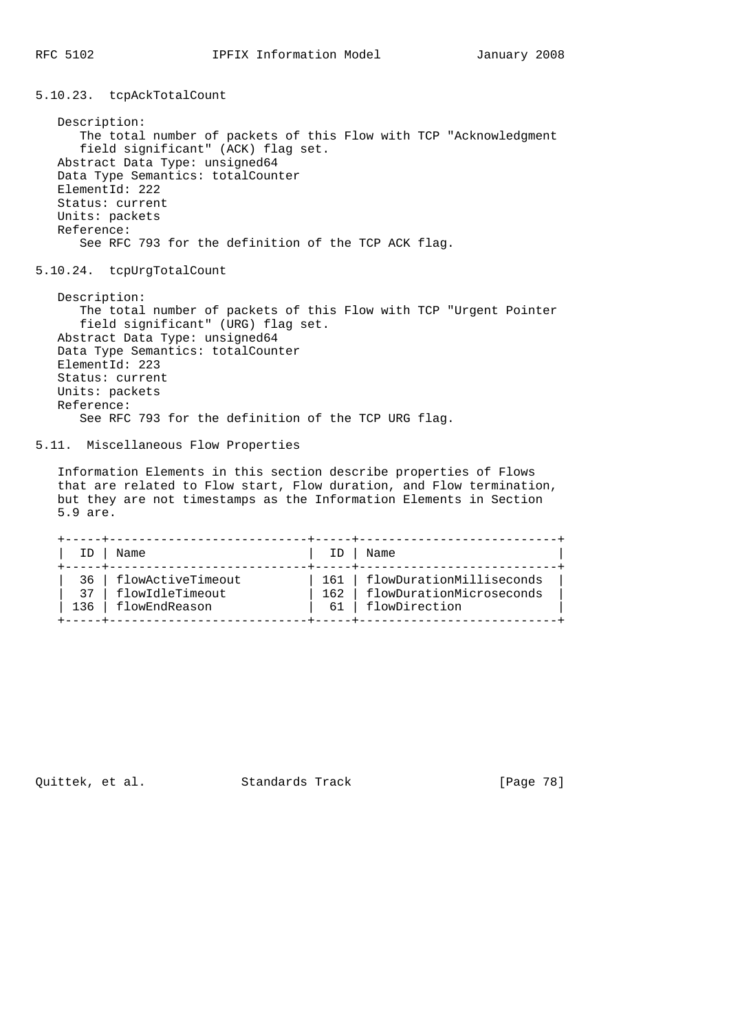5.10.23. tcpAckTotalCount

 Description: The total number of packets of this Flow with TCP "Acknowledgment field significant" (ACK) flag set. Abstract Data Type: unsigned64 Data Type Semantics: totalCounter ElementId: 222 Status: current Units: packets Reference: See RFC 793 for the definition of the TCP ACK flag.

5.10.24. tcpUrgTotalCount

 Description: The total number of packets of this Flow with TCP "Urgent Pointer field significant" (URG) flag set. Abstract Data Type: unsigned64 Data Type Semantics: totalCounter ElementId: 223 Status: current Units: packets Reference: See RFC 793 for the definition of the TCP URG flag.

5.11. Miscellaneous Flow Properties

 Information Elements in this section describe properties of Flows that are related to Flow start, Flow duration, and Flow termination, but they are not timestamps as the Information Elements in Section 5.9 are.

| ID. | Name                   |     | Name                           |
|-----|------------------------|-----|--------------------------------|
|     | 36   flowActiveTimeout |     | 161   flowDurationMilliseconds |
| 37  | flowIdleTimeout        | 162 | flowDurationMicroseconds       |
|     | 136   flowEndReason    |     | 61   flowDirection             |

Quittek, et al. Standards Track [Page 78]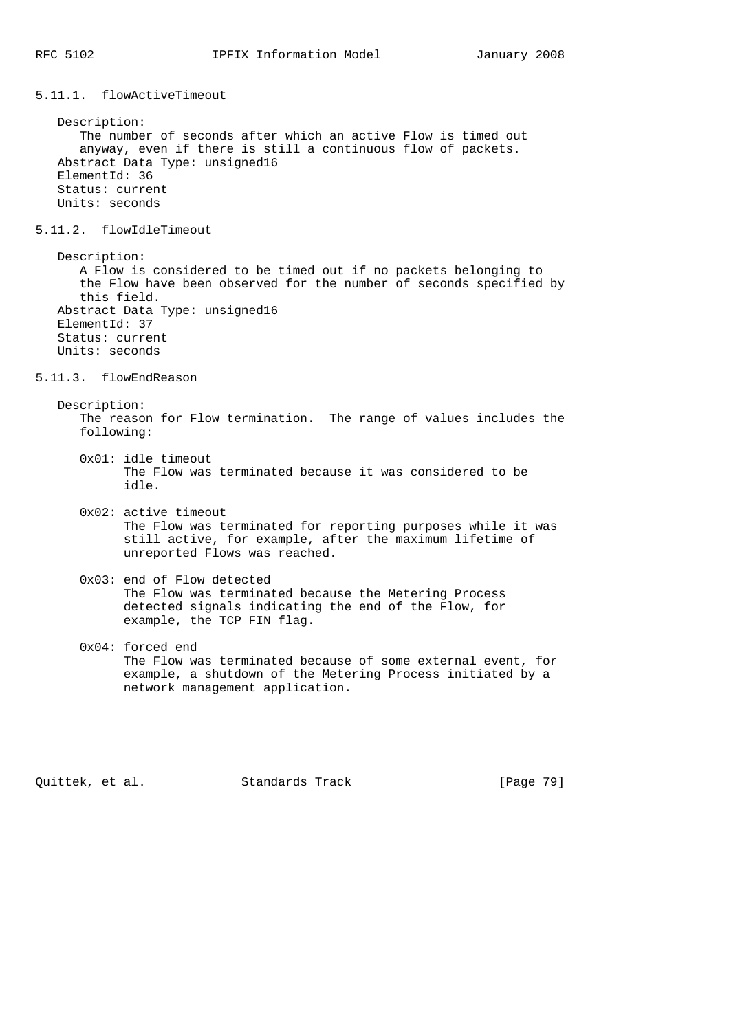5.11.1. flowActiveTimeout

 Description: The number of seconds after which an active Flow is timed out anyway, even if there is still a continuous flow of packets. Abstract Data Type: unsigned16 ElementId: 36 Status: current Units: seconds

5.11.2. flowIdleTimeout

 Description: A Flow is considered to be timed out if no packets belonging to the Flow have been observed for the number of seconds specified by this field. Abstract Data Type: unsigned16 ElementId: 37 Status: current Units: seconds

5.11.3. flowEndReason

 Description: The reason for Flow termination. The range of values includes the following:

- 0x01: idle timeout The Flow was terminated because it was considered to be idle.
- 0x02: active timeout The Flow was terminated for reporting purposes while it was still active, for example, after the maximum lifetime of unreported Flows was reached.
- 0x03: end of Flow detected The Flow was terminated because the Metering Process detected signals indicating the end of the Flow, for example, the TCP FIN flag.
- 0x04: forced end The Flow was terminated because of some external event, for example, a shutdown of the Metering Process initiated by a network management application.

Quittek, et al. Standards Track [Page 79]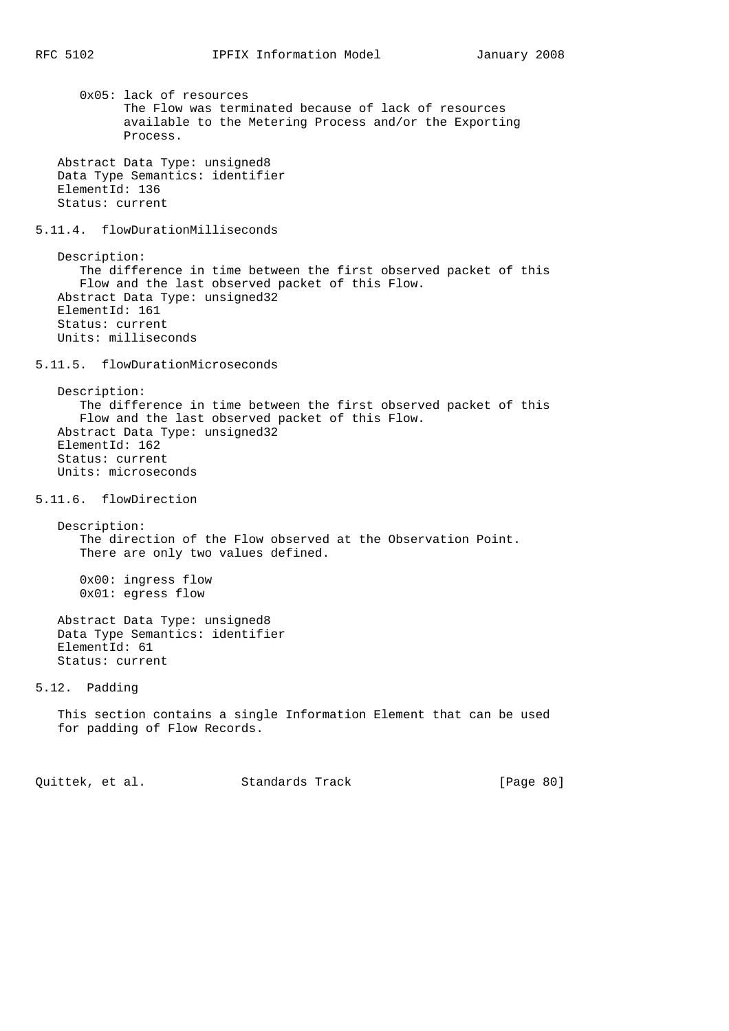0x05: lack of resources The Flow was terminated because of lack of resources available to the Metering Process and/or the Exporting Process. Abstract Data Type: unsigned8 Data Type Semantics: identifier ElementId: 136 Status: current 5.11.4. flowDurationMilliseconds Description: The difference in time between the first observed packet of this Flow and the last observed packet of this Flow. Abstract Data Type: unsigned32 ElementId: 161 Status: current Units: milliseconds 5.11.5. flowDurationMicroseconds Description: The difference in time between the first observed packet of this Flow and the last observed packet of this Flow. Abstract Data Type: unsigned32 ElementId: 162 Status: current Units: microseconds 5.11.6. flowDirection Description: The direction of the Flow observed at the Observation Point. There are only two values defined. 0x00: ingress flow 0x01: egress flow Abstract Data Type: unsigned8 Data Type Semantics: identifier ElementId: 61 Status: current 5.12. Padding This section contains a single Information Element that can be used for padding of Flow Records.

Quittek, et al. Standards Track [Page 80]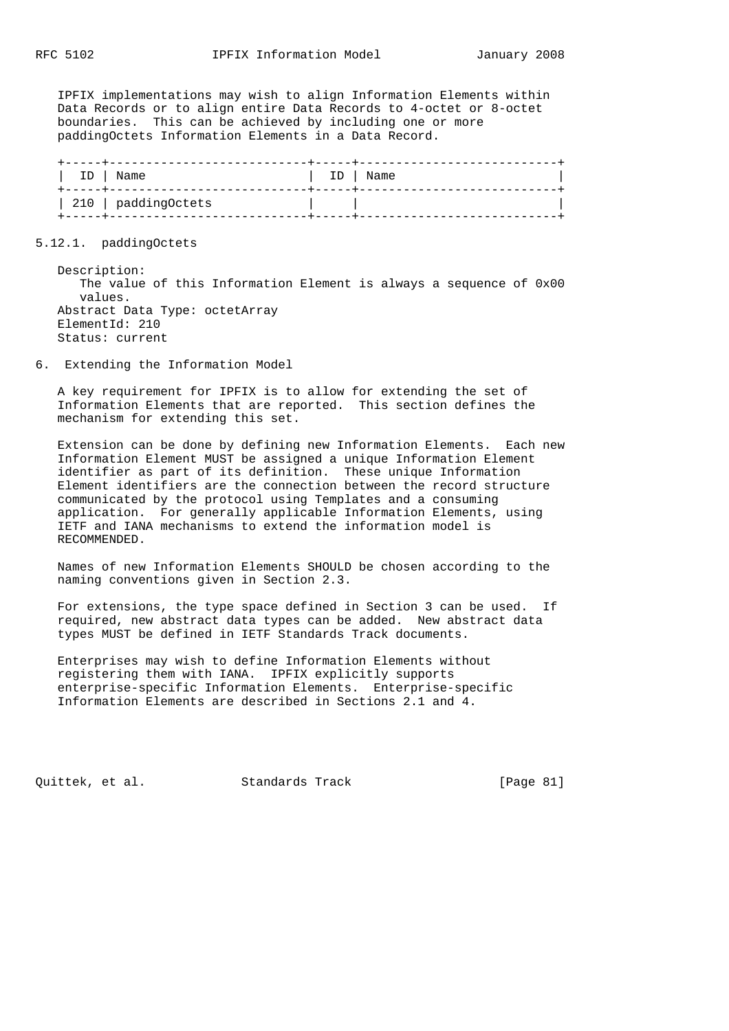IPFIX implementations may wish to align Information Elements within Data Records or to align entire Data Records to 4-octet or 8-octet boundaries. This can be achieved by including one or more paddingOctets Information Elements in a Data Record.

| ID   Name           | $ID \mid Name$ |
|---------------------|----------------|
| 210   paddingOctets |                |

5.12.1. paddingOctets

 Description: The value of this Information Element is always a sequence of 0x00 values. Abstract Data Type: octetArray ElementId: 210 Status: current

6. Extending the Information Model

 A key requirement for IPFIX is to allow for extending the set of Information Elements that are reported. This section defines the mechanism for extending this set.

 Extension can be done by defining new Information Elements. Each new Information Element MUST be assigned a unique Information Element identifier as part of its definition. These unique Information Element identifiers are the connection between the record structure communicated by the protocol using Templates and a consuming application. For generally applicable Information Elements, using IETF and IANA mechanisms to extend the information model is RECOMMENDED.

 Names of new Information Elements SHOULD be chosen according to the naming conventions given in Section 2.3.

 For extensions, the type space defined in Section 3 can be used. If required, new abstract data types can be added. New abstract data types MUST be defined in IETF Standards Track documents.

 Enterprises may wish to define Information Elements without registering them with IANA. IPFIX explicitly supports enterprise-specific Information Elements. Enterprise-specific Information Elements are described in Sections 2.1 and 4.

Quittek, et al. Standards Track [Page 81]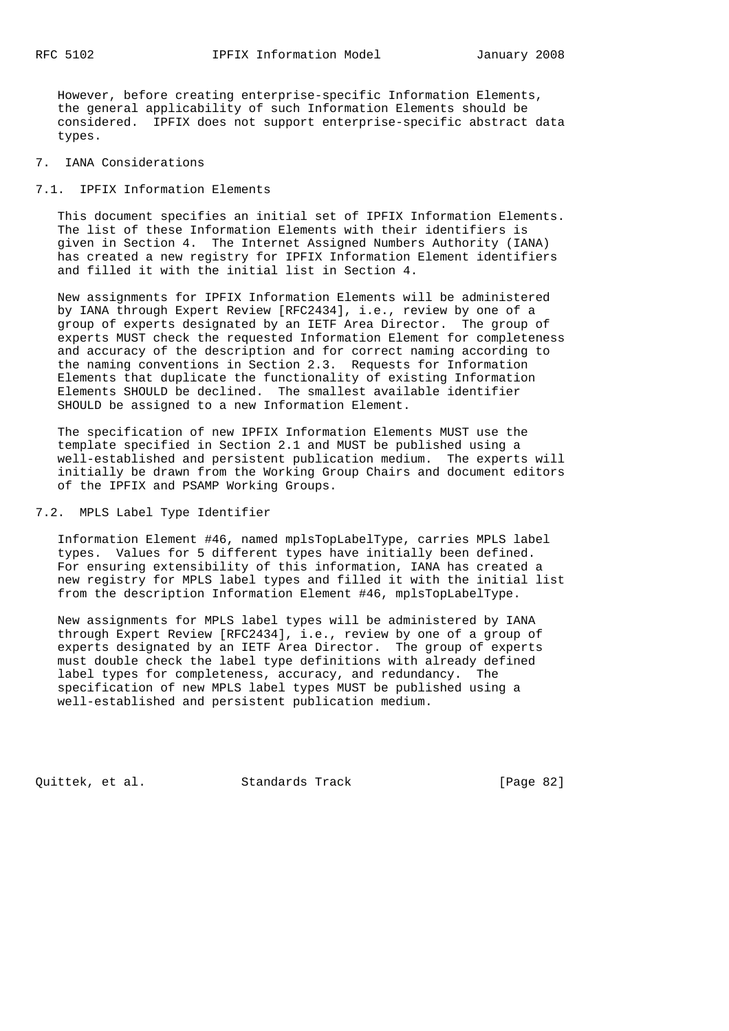However, before creating enterprise-specific Information Elements, the general applicability of such Information Elements should be considered. IPFIX does not support enterprise-specific abstract data types.

### 7. IANA Considerations

## 7.1. IPFIX Information Elements

 This document specifies an initial set of IPFIX Information Elements. The list of these Information Elements with their identifiers is given in Section 4. The Internet Assigned Numbers Authority (IANA) has created a new registry for IPFIX Information Element identifiers and filled it with the initial list in Section 4.

 New assignments for IPFIX Information Elements will be administered by IANA through Expert Review [RFC2434], i.e., review by one of a group of experts designated by an IETF Area Director. The group of experts MUST check the requested Information Element for completeness and accuracy of the description and for correct naming according to the naming conventions in Section 2.3. Requests for Information Elements that duplicate the functionality of existing Information Elements SHOULD be declined. The smallest available identifier SHOULD be assigned to a new Information Element.

 The specification of new IPFIX Information Elements MUST use the template specified in Section 2.1 and MUST be published using a well-established and persistent publication medium. The experts will initially be drawn from the Working Group Chairs and document editors of the IPFIX and PSAMP Working Groups.

# 7.2. MPLS Label Type Identifier

 Information Element #46, named mplsTopLabelType, carries MPLS label types. Values for 5 different types have initially been defined. For ensuring extensibility of this information, IANA has created a new registry for MPLS label types and filled it with the initial list from the description Information Element #46, mplsTopLabelType.

 New assignments for MPLS label types will be administered by IANA through Expert Review [RFC2434], i.e., review by one of a group of experts designated by an IETF Area Director. The group of experts must double check the label type definitions with already defined label types for completeness, accuracy, and redundancy. The specification of new MPLS label types MUST be published using a well-established and persistent publication medium.

Quittek, et al. Standards Track [Page 82]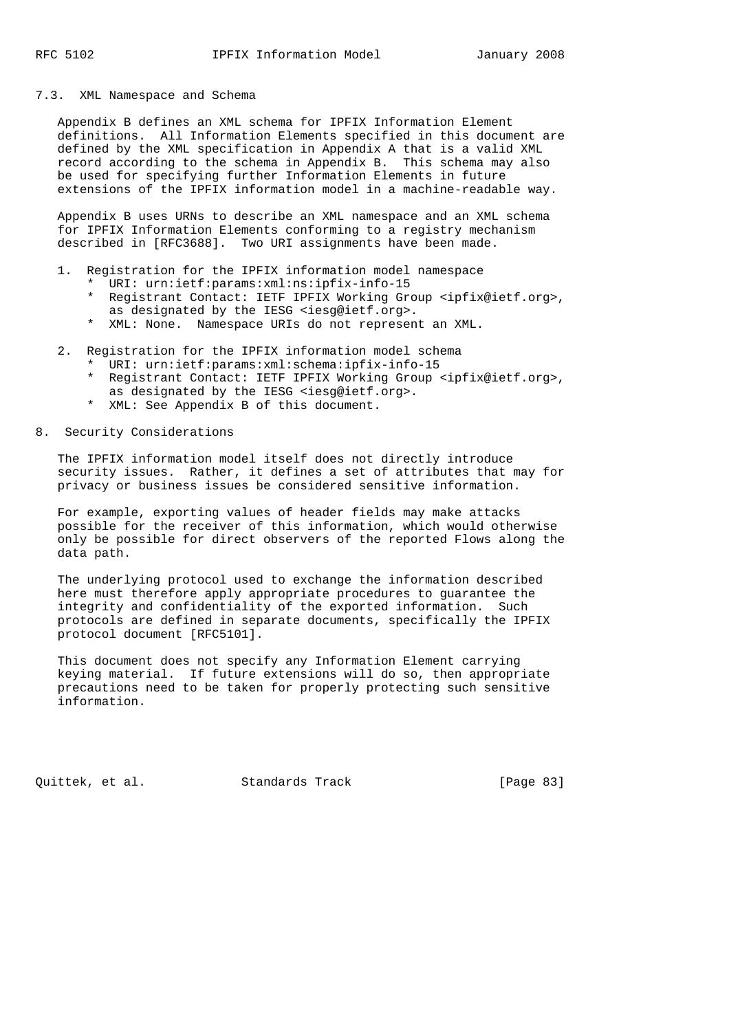# 7.3. XML Namespace and Schema

 Appendix B defines an XML schema for IPFIX Information Element definitions. All Information Elements specified in this document are defined by the XML specification in Appendix A that is a valid XML record according to the schema in Appendix B. This schema may also be used for specifying further Information Elements in future extensions of the IPFIX information model in a machine-readable way.

 Appendix B uses URNs to describe an XML namespace and an XML schema for IPFIX Information Elements conforming to a registry mechanism described in [RFC3688]. Two URI assignments have been made.

- 1. Registration for the IPFIX information model namespace
	- \* URI: urn:ietf:params:xml:ns:ipfix-info-15
	- \* Registrant Contact: IETF IPFIX Working Group <ipfix@ietf.org>, as designated by the IESG <iesg@ietf.org>.
	- \* XML: None. Namespace URIs do not represent an XML.
- 2. Registration for the IPFIX information model schema
	- URI: urn:ietf:params:xml:schema:ipfix-info-15
	- Registrant Contact: IETF IPFIX Working Group <ipfix@ietf.org>, as designated by the IESG <iesg@ietf.org>.
	- \* XML: See Appendix B of this document.

### 8. Security Considerations

 The IPFIX information model itself does not directly introduce security issues. Rather, it defines a set of attributes that may for privacy or business issues be considered sensitive information.

 For example, exporting values of header fields may make attacks possible for the receiver of this information, which would otherwise only be possible for direct observers of the reported Flows along the data path.

 The underlying protocol used to exchange the information described here must therefore apply appropriate procedures to guarantee the integrity and confidentiality of the exported information. Such protocols are defined in separate documents, specifically the IPFIX protocol document [RFC5101].

 This document does not specify any Information Element carrying keying material. If future extensions will do so, then appropriate precautions need to be taken for properly protecting such sensitive information.

Quittek, et al. Standards Track [Page 83]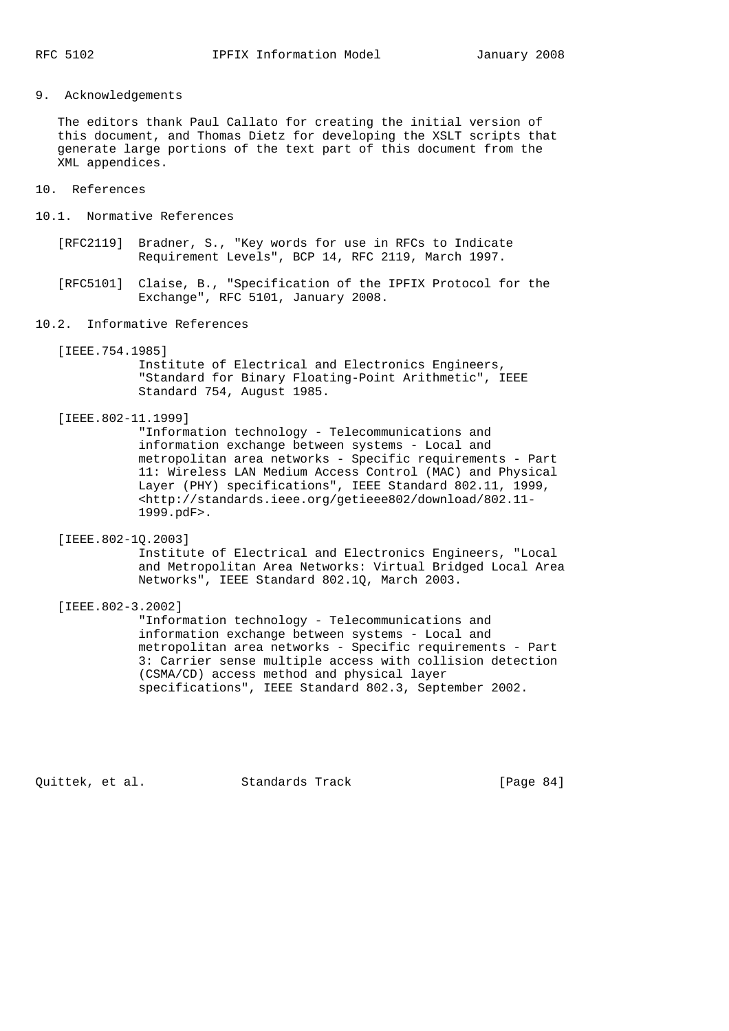# 9. Acknowledgements

 The editors thank Paul Callato for creating the initial version of this document, and Thomas Dietz for developing the XSLT scripts that generate large portions of the text part of this document from the XML appendices.

### 10. References

- 10.1. Normative References
	- [RFC2119] Bradner, S., "Key words for use in RFCs to Indicate Requirement Levels", BCP 14, RFC 2119, March 1997.
	- [RFC5101] Claise, B., "Specification of the IPFIX Protocol for the Exchange", RFC 5101, January 2008.
- 10.2. Informative References
	- [IEEE.754.1985]

 Institute of Electrical and Electronics Engineers, "Standard for Binary Floating-Point Arithmetic", IEEE Standard 754, August 1985.

### [IEEE.802-11.1999]

 "Information technology - Telecommunications and information exchange between systems - Local and metropolitan area networks - Specific requirements - Part 11: Wireless LAN Medium Access Control (MAC) and Physical Layer (PHY) specifications", IEEE Standard 802.11, 1999, <http://standards.ieee.org/getieee802/download/802.11- 1999.pdF>.

## [IEEE.802-1Q.2003]

 Institute of Electrical and Electronics Engineers, "Local and Metropolitan Area Networks: Virtual Bridged Local Area Networks", IEEE Standard 802.1Q, March 2003.

### [IEEE.802-3.2002]

 "Information technology - Telecommunications and information exchange between systems - Local and metropolitan area networks - Specific requirements - Part 3: Carrier sense multiple access with collision detection (CSMA/CD) access method and physical layer specifications", IEEE Standard 802.3, September 2002.

Quittek, et al. Standards Track [Page 84]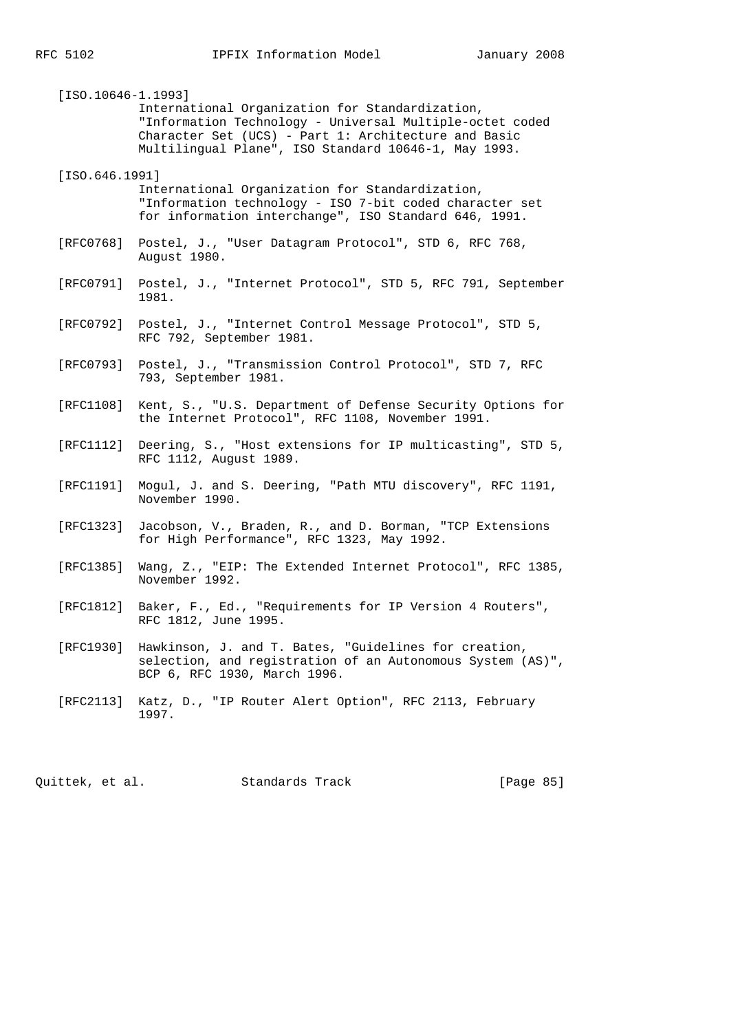| $[ISO.10646-1.1993]$ | International Organization for Standardization,<br>"Information Technology - Universal Multiple-octet coded<br>Character Set (UCS) - Part 1: Architecture and Basic<br>Multilingual Plane", ISO Standard 10646-1, May 1993. |
|----------------------|-----------------------------------------------------------------------------------------------------------------------------------------------------------------------------------------------------------------------------|
| [ISO.646.1991]       | International Organization for Standardization,<br>"Information technology - ISO 7-bit coded character set<br>for information interchange", ISO Standard 646, 1991.                                                         |
| [RFC0768]            | Postel, J., "User Datagram Protocol", STD 6, RFC 768,<br>August 1980.                                                                                                                                                       |
| [RFC0791]            | Postel, J., "Internet Protocol", STD 5, RFC 791, September<br>1981.                                                                                                                                                         |
| [RFC0792]            | Postel, J., "Internet Control Message Protocol", STD 5,<br>RFC 792, September 1981.                                                                                                                                         |
| [RFC0793]            | Postel, J., "Transmission Control Protocol", STD 7, RFC<br>793, September 1981.                                                                                                                                             |
| [RFC1108]            | Kent, S., "U.S. Department of Defense Security Options for<br>the Internet Protocol", RFC 1108, November 1991.                                                                                                              |
| [RFC1112]            | Deering, S., "Host extensions for IP multicasting", STD 5,<br>RFC 1112, August 1989.                                                                                                                                        |
| [RFC1191]            | Mogul, J. and S. Deering, "Path MTU discovery", RFC 1191,<br>November 1990.                                                                                                                                                 |
| [RFC1323]            | Jacobson, V., Braden, R., and D. Borman, "TCP Extensions<br>for High Performance", RFC 1323, May 1992.                                                                                                                      |
| [RFC1385]            | Wang, Z., "EIP: The Extended Internet Protocol", RFC 1385,<br>November 1992.                                                                                                                                                |
| [RFC1812]            | Baker, F., Ed., "Requirements for IP Version 4 Routers",<br>RFC 1812, June 1995.                                                                                                                                            |
| [RFC1930]            | Hawkinson, J. and T. Bates, "Guidelines for creation,<br>selection, and registration of an Autonomous System (AS)",<br>BCP 6, RFC 1930, March 1996.                                                                         |
| [RFC2113]            | Katz, D., "IP Router Alert Option", RFC 2113, February<br>1997.                                                                                                                                                             |

Quittek, et al. Standards Track [Page 85]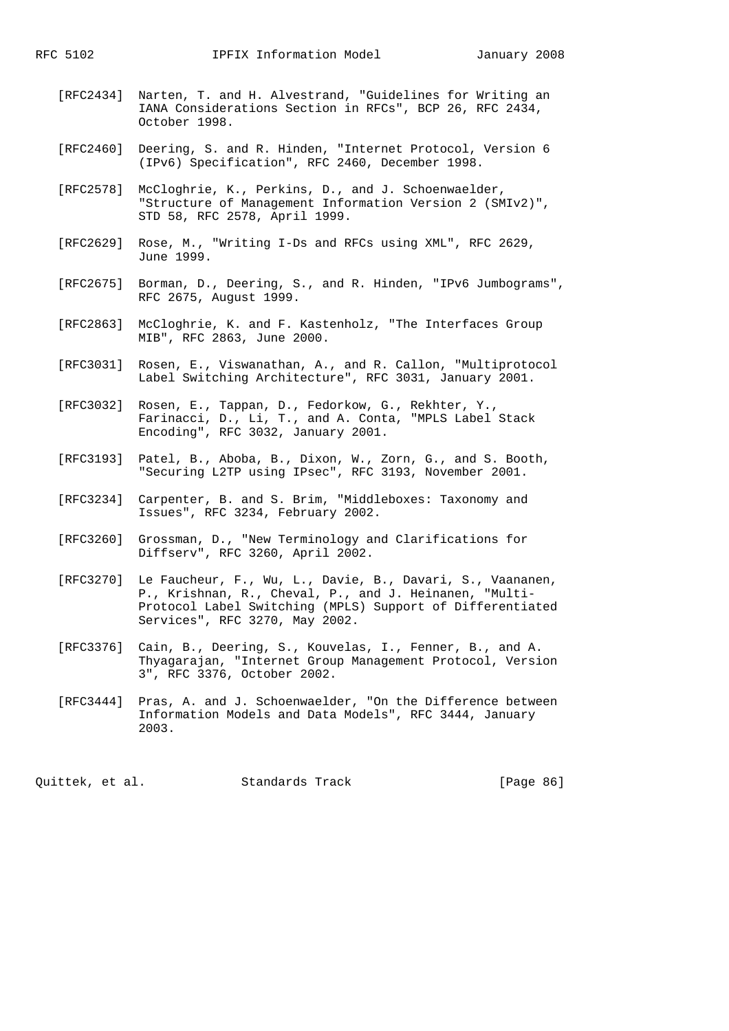- [RFC2434] Narten, T. and H. Alvestrand, "Guidelines for Writing an IANA Considerations Section in RFCs", BCP 26, RFC 2434, October 1998.
- [RFC2460] Deering, S. and R. Hinden, "Internet Protocol, Version 6 (IPv6) Specification", RFC 2460, December 1998.
- [RFC2578] McCloghrie, K., Perkins, D., and J. Schoenwaelder, "Structure of Management Information Version 2 (SMIv2)", STD 58, RFC 2578, April 1999.
- [RFC2629] Rose, M., "Writing I-Ds and RFCs using XML", RFC 2629, June 1999.
- [RFC2675] Borman, D., Deering, S., and R. Hinden, "IPv6 Jumbograms", RFC 2675, August 1999.
- [RFC2863] McCloghrie, K. and F. Kastenholz, "The Interfaces Group MIB", RFC 2863, June 2000.
- [RFC3031] Rosen, E., Viswanathan, A., and R. Callon, "Multiprotocol Label Switching Architecture", RFC 3031, January 2001.
- [RFC3032] Rosen, E., Tappan, D., Fedorkow, G., Rekhter, Y., Farinacci, D., Li, T., and A. Conta, "MPLS Label Stack Encoding", RFC 3032, January 2001.
- [RFC3193] Patel, B., Aboba, B., Dixon, W., Zorn, G., and S. Booth, "Securing L2TP using IPsec", RFC 3193, November 2001.
- [RFC3234] Carpenter, B. and S. Brim, "Middleboxes: Taxonomy and Issues", RFC 3234, February 2002.
- [RFC3260] Grossman, D., "New Terminology and Clarifications for Diffserv", RFC 3260, April 2002.
- [RFC3270] Le Faucheur, F., Wu, L., Davie, B., Davari, S., Vaananen, P., Krishnan, R., Cheval, P., and J. Heinanen, "Multi- Protocol Label Switching (MPLS) Support of Differentiated Services", RFC 3270, May 2002.
- [RFC3376] Cain, B., Deering, S., Kouvelas, I., Fenner, B., and A. Thyagarajan, "Internet Group Management Protocol, Version 3", RFC 3376, October 2002.
- [RFC3444] Pras, A. and J. Schoenwaelder, "On the Difference between Information Models and Data Models", RFC 3444, January 2003.

Quittek, et al. Standards Track [Page 86]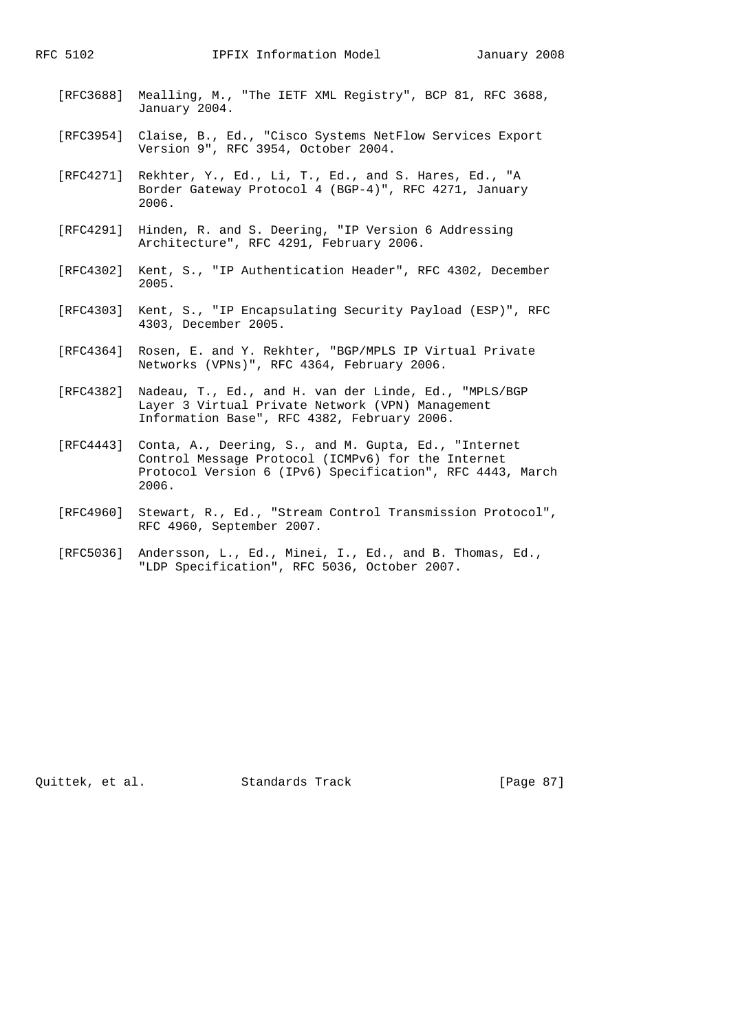- [RFC3688] Mealling, M., "The IETF XML Registry", BCP 81, RFC 3688, January 2004.
- [RFC3954] Claise, B., Ed., "Cisco Systems NetFlow Services Export Version 9", RFC 3954, October 2004.
- [RFC4271] Rekhter, Y., Ed., Li, T., Ed., and S. Hares, Ed., "A Border Gateway Protocol 4 (BGP-4)", RFC 4271, January 2006.
- [RFC4291] Hinden, R. and S. Deering, "IP Version 6 Addressing Architecture", RFC 4291, February 2006.
- [RFC4302] Kent, S., "IP Authentication Header", RFC 4302, December 2005.
- [RFC4303] Kent, S., "IP Encapsulating Security Payload (ESP)", RFC 4303, December 2005.
- [RFC4364] Rosen, E. and Y. Rekhter, "BGP/MPLS IP Virtual Private Networks (VPNs)", RFC 4364, February 2006.
- [RFC4382] Nadeau, T., Ed., and H. van der Linde, Ed., "MPLS/BGP Layer 3 Virtual Private Network (VPN) Management Information Base", RFC 4382, February 2006.
- [RFC4443] Conta, A., Deering, S., and M. Gupta, Ed., "Internet Control Message Protocol (ICMPv6) for the Internet Protocol Version 6 (IPv6) Specification", RFC 4443, March 2006.
- [RFC4960] Stewart, R., Ed., "Stream Control Transmission Protocol", RFC 4960, September 2007.
- [RFC5036] Andersson, L., Ed., Minei, I., Ed., and B. Thomas, Ed., "LDP Specification", RFC 5036, October 2007.

Quittek, et al. Standards Track [Page 87]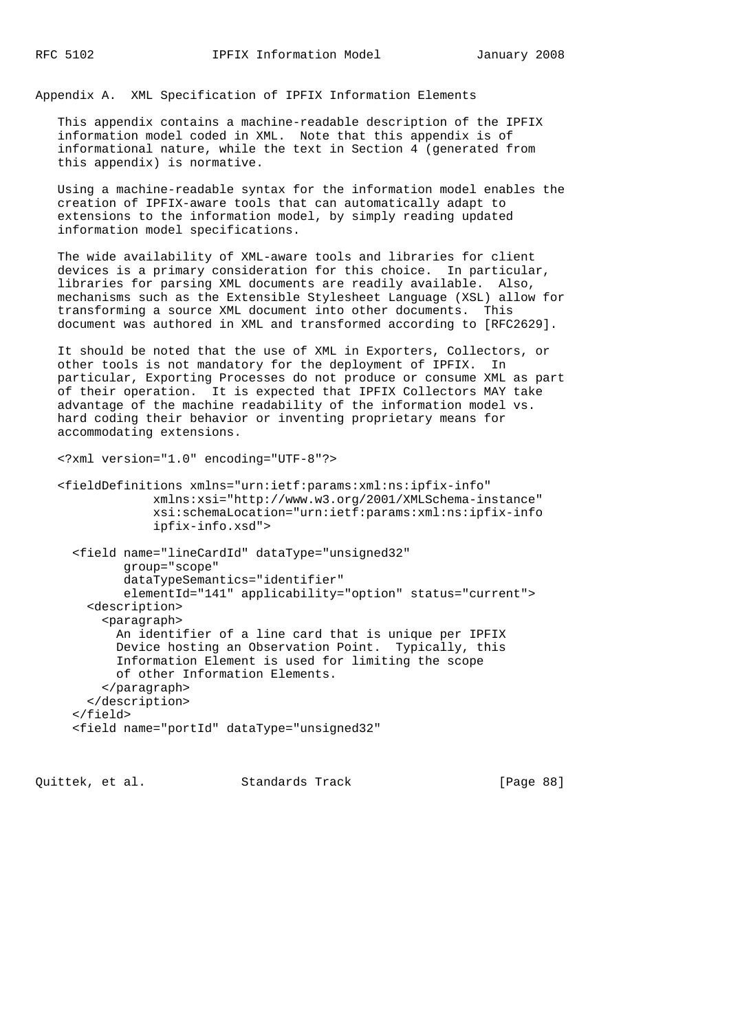Appendix A. XML Specification of IPFIX Information Elements

 This appendix contains a machine-readable description of the IPFIX information model coded in XML. Note that this appendix is of informational nature, while the text in Section 4 (generated from this appendix) is normative.

 Using a machine-readable syntax for the information model enables the creation of IPFIX-aware tools that can automatically adapt to extensions to the information model, by simply reading updated information model specifications.

 The wide availability of XML-aware tools and libraries for client devices is a primary consideration for this choice. In particular, libraries for parsing XML documents are readily available. Also, mechanisms such as the Extensible Stylesheet Language (XSL) allow for transforming a source XML document into other documents. This document was authored in XML and transformed according to [RFC2629].

 It should be noted that the use of XML in Exporters, Collectors, or other tools is not mandatory for the deployment of IPFIX. In particular, Exporting Processes do not produce or consume XML as part of their operation. It is expected that IPFIX Collectors MAY take advantage of the machine readability of the information model vs. hard coding their behavior or inventing proprietary means for accommodating extensions.

<?xml version="1.0" encoding="UTF-8"?>

```
 <fieldDefinitions xmlns="urn:ietf:params:xml:ns:ipfix-info"
             xmlns:xsi="http://www.w3.org/2001/XMLSchema-instance"
             xsi:schemaLocation="urn:ietf:params:xml:ns:ipfix-info
             ipfix-info.xsd">
```
 <field name="lineCardId" dataType="unsigned32" group="scope" dataTypeSemantics="identifier" elementId="141" applicability="option" status="current"> <description> <paragraph> An identifier of a line card that is unique per IPFIX Device hosting an Observation Point. Typically, this Information Element is used for limiting the scope of other Information Elements. </paragraph> </description> </field> <field name="portId" dataType="unsigned32"

Quittek, et al. Standards Track [Page 88]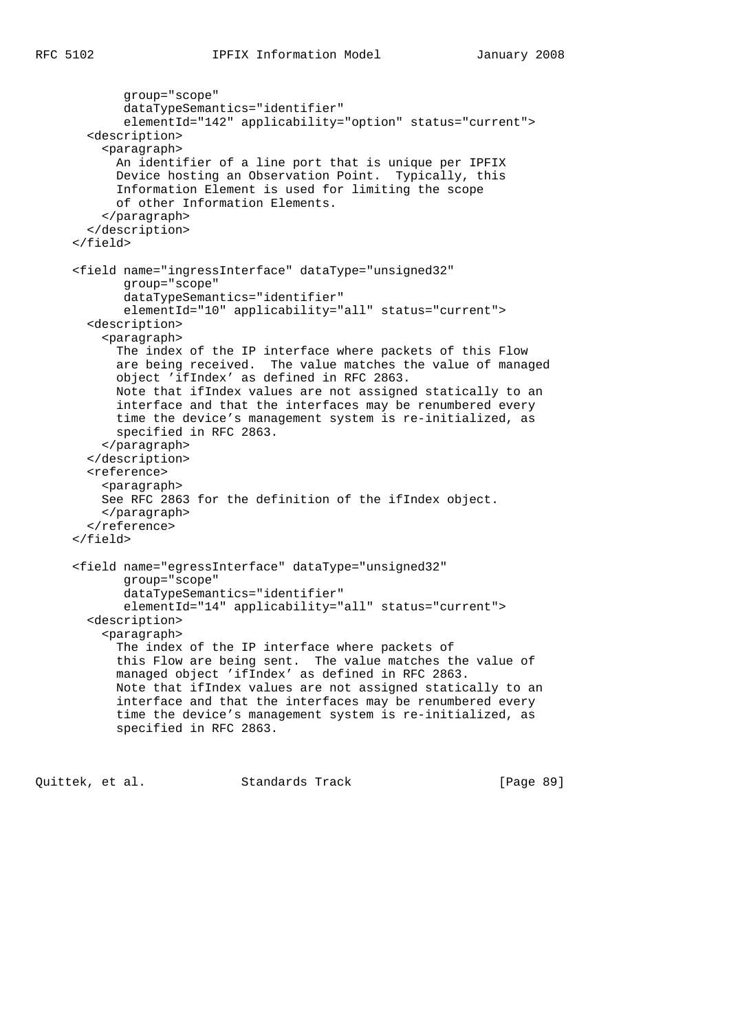```
 group="scope"
       dataTypeSemantics="identifier"
       elementId="142" applicability="option" status="current">
 <description>
    <paragraph>
     An identifier of a line port that is unique per IPFIX
     Device hosting an Observation Point. Typically, this
      Information Element is used for limiting the scope
     of other Information Elements.
    </paragraph>
  </description>
</field>
<field name="ingressInterface" dataType="unsigned32"
       group="scope"
       dataTypeSemantics="identifier"
       elementId="10" applicability="all" status="current">
  <description>
    <paragraph>
      The index of the IP interface where packets of this Flow
      are being received. The value matches the value of managed
      object 'ifIndex' as defined in RFC 2863.
     Note that ifIndex values are not assigned statically to an
      interface and that the interfaces may be renumbered every
      time the device's management system is re-initialized, as
     specified in RFC 2863.
    </paragraph>
 </description>
 <reference>
    <paragraph>
   See RFC 2863 for the definition of the ifIndex object.
   </paragraph>
 </reference>
</field>
<field name="egressInterface" dataType="unsigned32"
       group="scope"
       dataTypeSemantics="identifier"
       elementId="14" applicability="all" status="current">
 <description>
    <paragraph>
      The index of the IP interface where packets of
      this Flow are being sent. The value matches the value of
     managed object 'ifIndex' as defined in RFC 2863.
     Note that ifIndex values are not assigned statically to an
      interface and that the interfaces may be renumbered every
      time the device's management system is re-initialized, as
      specified in RFC 2863.
```
Quittek, et al. Standards Track [Page 89]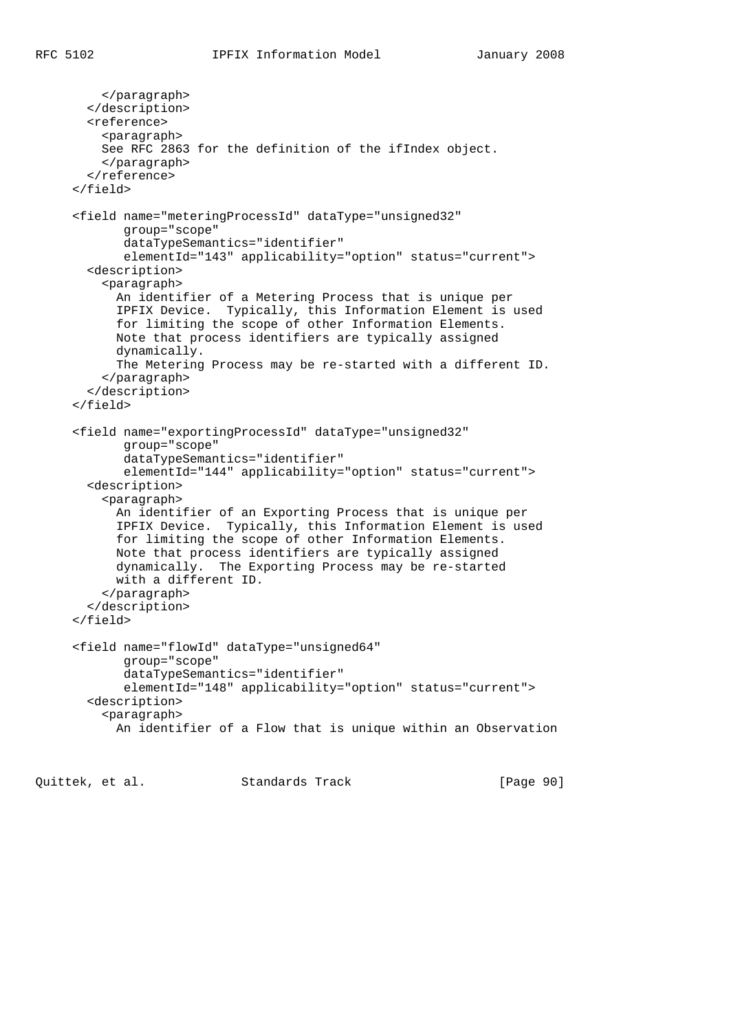</paragraph> </description> <reference> <paragraph> See RFC 2863 for the definition of the ifIndex object. </paragraph> </reference> </field> <field name="meteringProcessId" dataType="unsigned32" group="scope" dataTypeSemantics="identifier" elementId="143" applicability="option" status="current"> <description> <paragraph> An identifier of a Metering Process that is unique per IPFIX Device. Typically, this Information Element is used for limiting the scope of other Information Elements. Note that process identifiers are typically assigned dynamically. The Metering Process may be re-started with a different ID. </paragraph> </description> </field> <field name="exportingProcessId" dataType="unsigned32" group="scope" dataTypeSemantics="identifier" elementId="144" applicability="option" status="current"> <description> <paragraph> An identifier of an Exporting Process that is unique per IPFIX Device. Typically, this Information Element is used for limiting the scope of other Information Elements. Note that process identifiers are typically assigned dynamically. The Exporting Process may be re-started with a different ID. </paragraph> </description> </field> <field name="flowId" dataType="unsigned64" group="scope" dataTypeSemantics="identifier" elementId="148" applicability="option" status="current"> <description> <paragraph> An identifier of a Flow that is unique within an Observation

Quittek, et al. Standards Track [Page 90]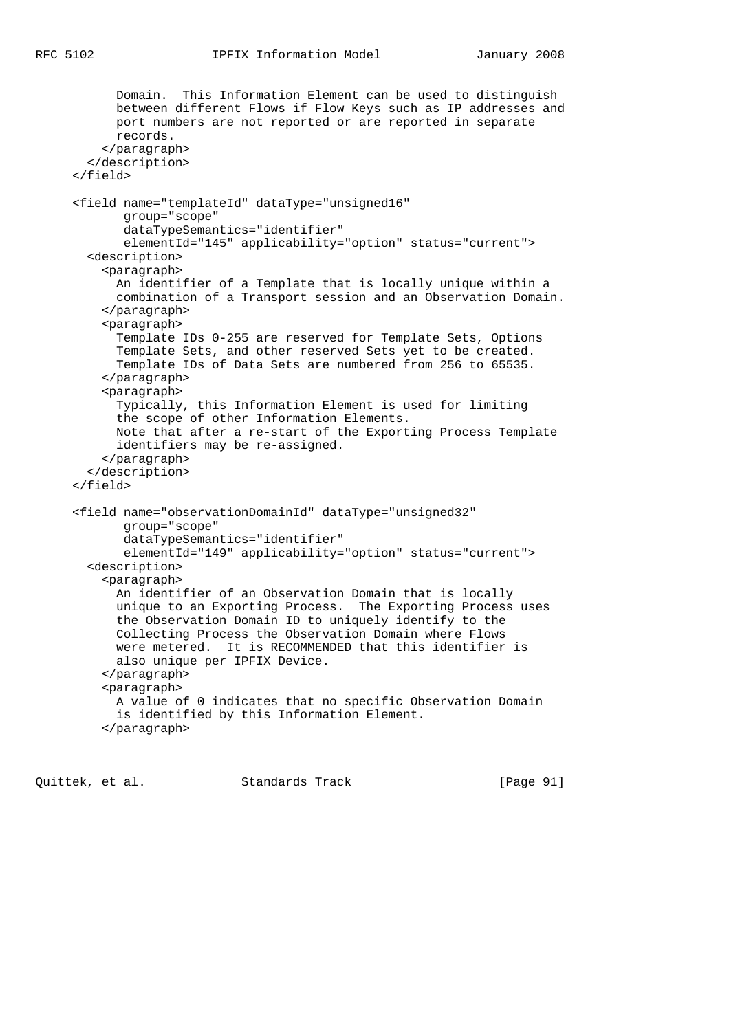```
 Domain. This Information Element can be used to distinguish
      between different Flows if Flow Keys such as IP addresses and
     port numbers are not reported or are reported in separate
     records.
    </paragraph>
  </description>
</field>
<field name="templateId" dataType="unsigned16"
       group="scope"
       dataTypeSemantics="identifier"
       elementId="145" applicability="option" status="current">
  <description>
    <paragraph>
      An identifier of a Template that is locally unique within a
      combination of a Transport session and an Observation Domain.
    </paragraph>
    <paragraph>
      Template IDs 0-255 are reserved for Template Sets, Options
      Template Sets, and other reserved Sets yet to be created.
      Template IDs of Data Sets are numbered from 256 to 65535.
    </paragraph>
    <paragraph>
      Typically, this Information Element is used for limiting
      the scope of other Information Elements.
     Note that after a re-start of the Exporting Process Template
     identifiers may be re-assigned.
    </paragraph>
  </description>
</field>
<field name="observationDomainId" dataType="unsigned32"
       group="scope"
      dataTypeSemantics="identifier"
       elementId="149" applicability="option" status="current">
  <description>
    <paragraph>
      An identifier of an Observation Domain that is locally
      unique to an Exporting Process. The Exporting Process uses
      the Observation Domain ID to uniquely identify to the
     Collecting Process the Observation Domain where Flows
     were metered. It is RECOMMENDED that this identifier is
     also unique per IPFIX Device.
    </paragraph>
    <paragraph>
      A value of 0 indicates that no specific Observation Domain
      is identified by this Information Element.
    </paragraph>
```
Quittek, et al. Standards Track [Page 91]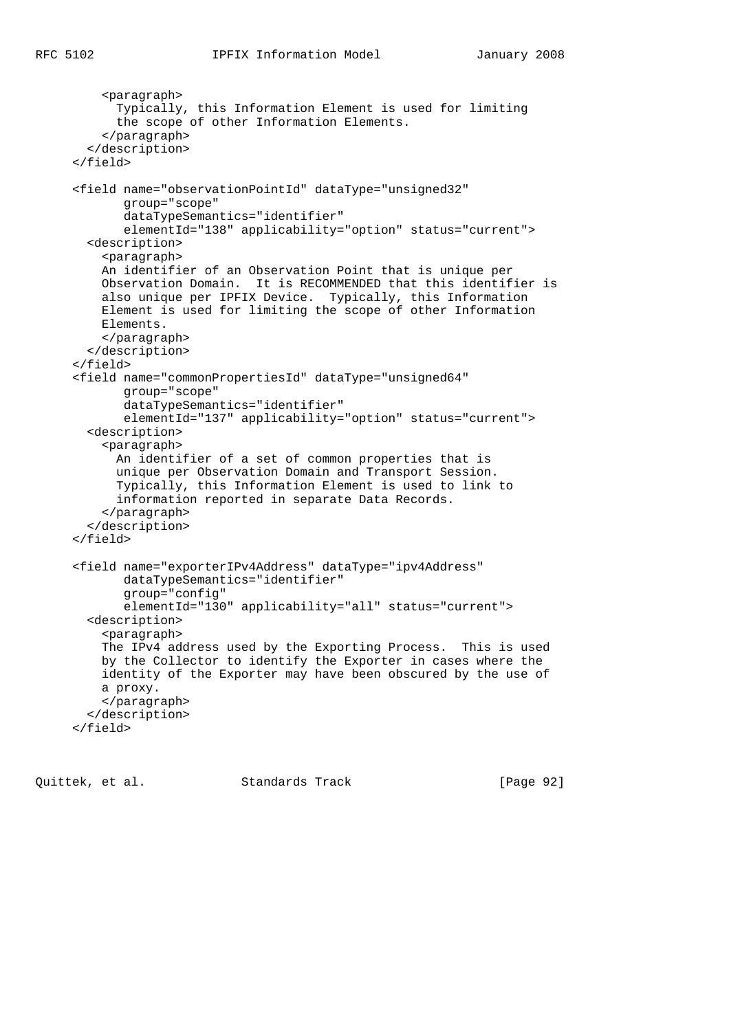```
 <paragraph>
      Typically, this Information Element is used for limiting
      the scope of other Information Elements.
    </paragraph>
  </description>
</field>
<field name="observationPointId" dataType="unsigned32"
       group="scope"
       dataTypeSemantics="identifier"
       elementId="138" applicability="option" status="current">
  <description>
    <paragraph>
    An identifier of an Observation Point that is unique per
   Observation Domain. It is RECOMMENDED that this identifier is
   also unique per IPFIX Device. Typically, this Information
   Element is used for limiting the scope of other Information
   Elements.
   </paragraph>
  </description>
</field>
<field name="commonPropertiesId" dataType="unsigned64"
       group="scope"
       dataTypeSemantics="identifier"
       elementId="137" applicability="option" status="current">
  <description>
    <paragraph>
      An identifier of a set of common properties that is
      unique per Observation Domain and Transport Session.
      Typically, this Information Element is used to link to
      information reported in separate Data Records.
    </paragraph>
  </description>
</field>
<field name="exporterIPv4Address" dataType="ipv4Address"
       dataTypeSemantics="identifier"
       group="config"
       elementId="130" applicability="all" status="current">
  <description>
    <paragraph>
    The IPv4 address used by the Exporting Process. This is used
   by the Collector to identify the Exporter in cases where the
    identity of the Exporter may have been obscured by the use of
    a proxy.
    </paragraph>
  </description>
</field>
```
Quittek, et al. Standards Track [Page 92]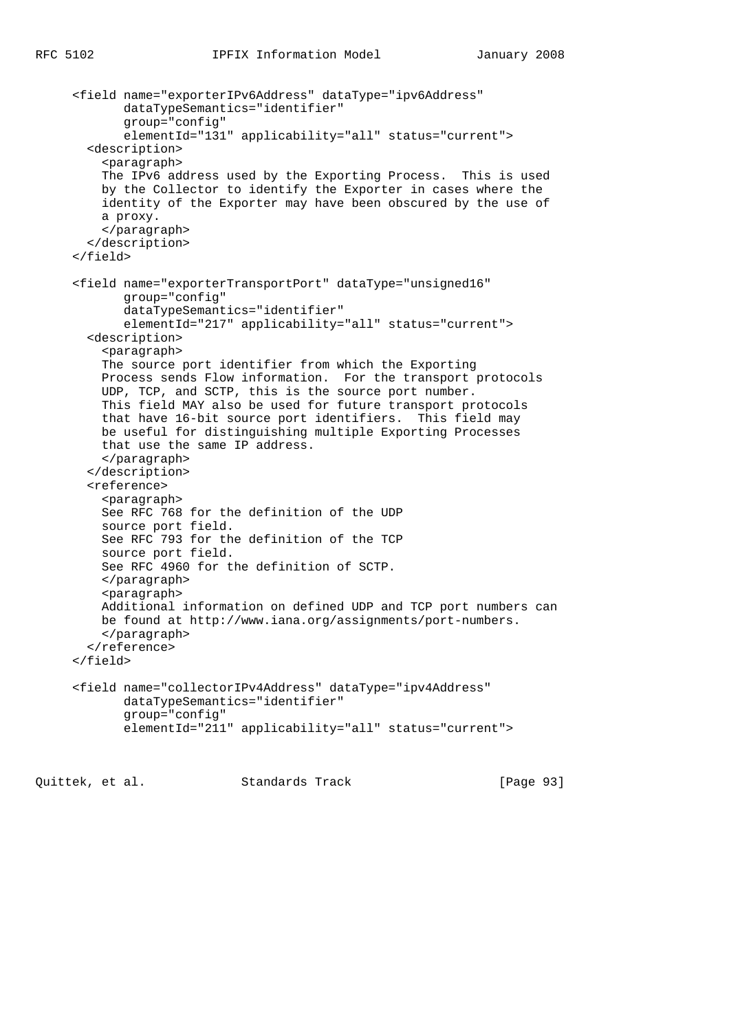```
 <field name="exporterIPv6Address" dataType="ipv6Address"
       dataTypeSemantics="identifier"
       group="config"
       elementId="131" applicability="all" status="current">
  <description>
    <paragraph>
    The IPv6 address used by the Exporting Process. This is used
   by the Collector to identify the Exporter in cases where the
   identity of the Exporter may have been obscured by the use of
   a proxy.
    </paragraph>
  </description>
</field>
<field name="exporterTransportPort" dataType="unsigned16"
       group="config"
       dataTypeSemantics="identifier"
       elementId="217" applicability="all" status="current">
  <description>
    <paragraph>
    The source port identifier from which the Exporting
    Process sends Flow information. For the transport protocols
    UDP, TCP, and SCTP, this is the source port number.
   This field MAY also be used for future transport protocols
    that have 16-bit source port identifiers. This field may
   be useful for distinguishing multiple Exporting Processes
   that use the same IP address.
    </paragraph>
  </description>
  <reference>
    <paragraph>
   See RFC 768 for the definition of the UDP
   source port field.
   See RFC 793 for the definition of the TCP
   source port field.
   See RFC 4960 for the definition of SCTP.
    </paragraph>
    <paragraph>
   Additional information on defined UDP and TCP port numbers can
   be found at http://www.iana.org/assignments/port-numbers.
   </paragraph>
  </reference>
</field>
<field name="collectorIPv4Address" dataType="ipv4Address"
       dataTypeSemantics="identifier"
       group="config"
       elementId="211" applicability="all" status="current">
```
Quittek, et al. Standards Track [Page 93]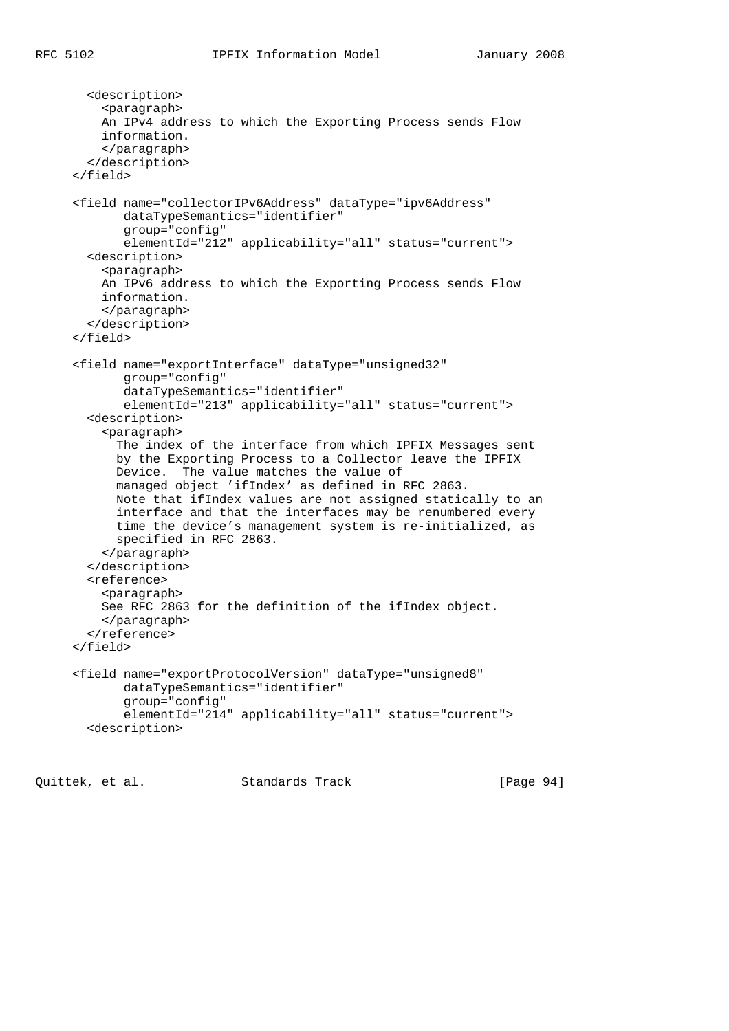```
 <description>
    <paragraph>
    An IPv4 address to which the Exporting Process sends Flow
   information.
    </paragraph>
  </description>
</field>
<field name="collectorIPv6Address" dataType="ipv6Address"
       dataTypeSemantics="identifier"
       group="config"
       elementId="212" applicability="all" status="current">
  <description>
    <paragraph>
   An IPv6 address to which the Exporting Process sends Flow
   information.
    </paragraph>
  </description>
</field>
<field name="exportInterface" dataType="unsigned32"
       group="config"
       dataTypeSemantics="identifier"
       elementId="213" applicability="all" status="current">
  <description>
    <paragraph>
      The index of the interface from which IPFIX Messages sent
      by the Exporting Process to a Collector leave the IPFIX
      Device. The value matches the value of
      managed object 'ifIndex' as defined in RFC 2863.
      Note that ifIndex values are not assigned statically to an
      interface and that the interfaces may be renumbered every
      time the device's management system is re-initialized, as
      specified in RFC 2863.
    </paragraph>
  </description>
  <reference>
    <paragraph>
   See RFC 2863 for the definition of the ifIndex object.
    </paragraph>
  </reference>
</field>
<field name="exportProtocolVersion" dataType="unsigned8"
       dataTypeSemantics="identifier"
       group="config"
       elementId="214" applicability="all" status="current">
  <description>
```
Quittek, et al. Standards Track [Page 94]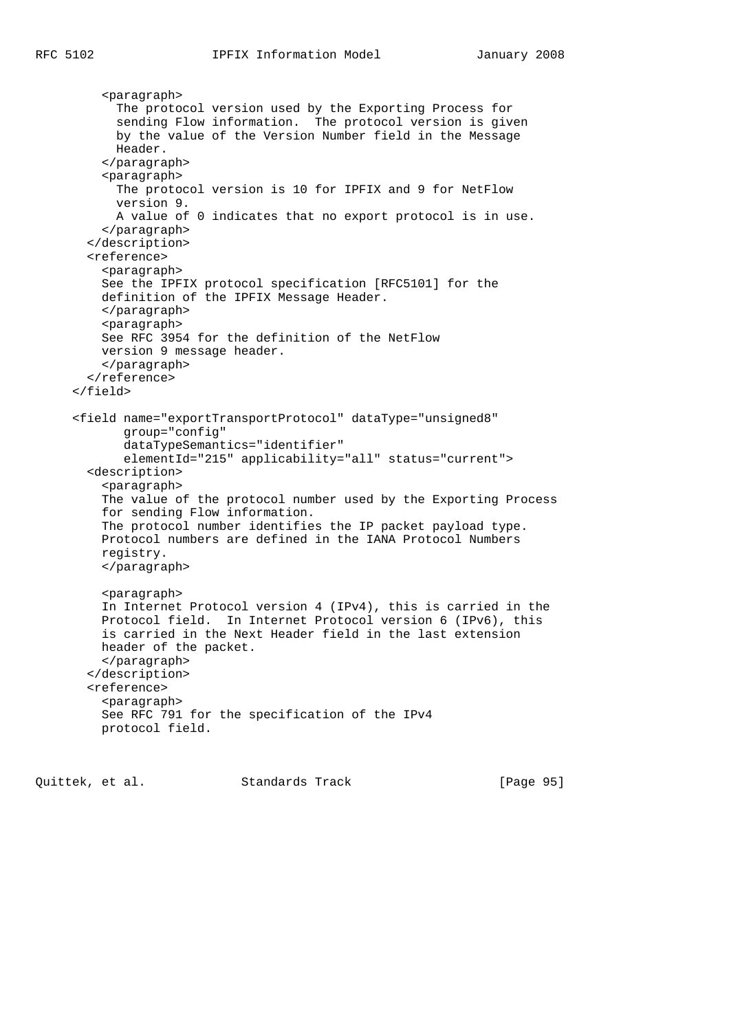```
 <paragraph>
      The protocol version used by the Exporting Process for
      sending Flow information. The protocol version is given
     by the value of the Version Number field in the Message
     Header.
    </paragraph>
    <paragraph>
     The protocol version is 10 for IPFIX and 9 for NetFlow
     version 9.
     A value of 0 indicates that no export protocol is in use.
    </paragraph>
 </description>
  <reference>
    <paragraph>
   See the IPFIX protocol specification [RFC5101] for the
   definition of the IPFIX Message Header.
   </paragraph>
   <paragraph>
   See RFC 3954 for the definition of the NetFlow
   version 9 message header.
    </paragraph>
  </reference>
</field>
<field name="exportTransportProtocol" dataType="unsigned8"
       group="config"
      dataTypeSemantics="identifier"
      elementId="215" applicability="all" status="current">
 <description>
    <paragraph>
   The value of the protocol number used by the Exporting Process
   for sending Flow information.
   The protocol number identifies the IP packet payload type.
   Protocol numbers are defined in the IANA Protocol Numbers
   registry.
   </paragraph>
   <paragraph>
   In Internet Protocol version 4 (IPv4), this is carried in the
   Protocol field. In Internet Protocol version 6 (IPv6), this
   is carried in the Next Header field in the last extension
   header of the packet.
   </paragraph>
 </description>
  <reference>
    <paragraph>
   See RFC 791 for the specification of the IPv4
   protocol field.
```
Quittek, et al. Standards Track [Page 95]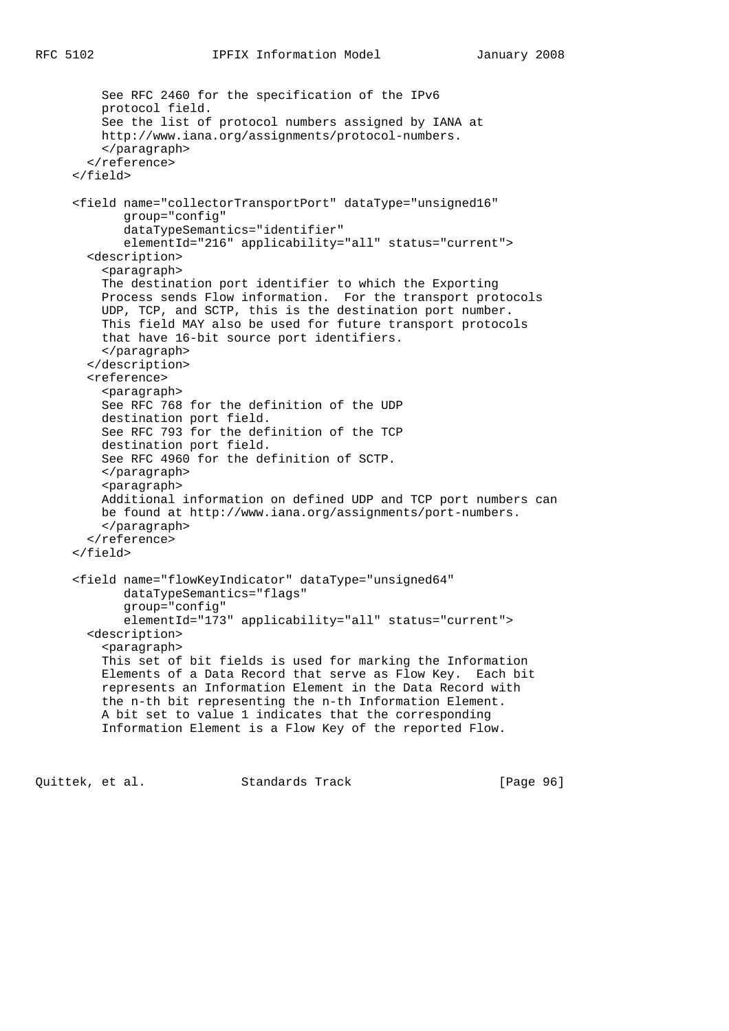```
 See RFC 2460 for the specification of the IPv6
   protocol field.
   See the list of protocol numbers assigned by IANA at
   http://www.iana.org/assignments/protocol-numbers.
    </paragraph>
  </reference>
</field>
<field name="collectorTransportPort" dataType="unsigned16"
       group="config"
       dataTypeSemantics="identifier"
       elementId="216" applicability="all" status="current">
  <description>
    <paragraph>
   The destination port identifier to which the Exporting
   Process sends Flow information. For the transport protocols
   UDP, TCP, and SCTP, this is the destination port number.
   This field MAY also be used for future transport protocols
   that have 16-bit source port identifiers.
    </paragraph>
 </description>
  <reference>
    <paragraph>
   See RFC 768 for the definition of the UDP
   destination port field.
   See RFC 793 for the definition of the TCP
   destination port field.
   See RFC 4960 for the definition of SCTP.
   </paragraph>
    <paragraph>
   Additional information on defined UDP and TCP port numbers can
   be found at http://www.iana.org/assignments/port-numbers.
    </paragraph>
  </reference>
</field>
<field name="flowKeyIndicator" dataType="unsigned64"
       dataTypeSemantics="flags"
       group="config"
       elementId="173" applicability="all" status="current">
 <description>
    <paragraph>
   This set of bit fields is used for marking the Information
   Elements of a Data Record that serve as Flow Key. Each bit
   represents an Information Element in the Data Record with
   the n-th bit representing the n-th Information Element.
   A bit set to value 1 indicates that the corresponding
    Information Element is a Flow Key of the reported Flow.
```
Quittek, et al. Standards Track [Page 96]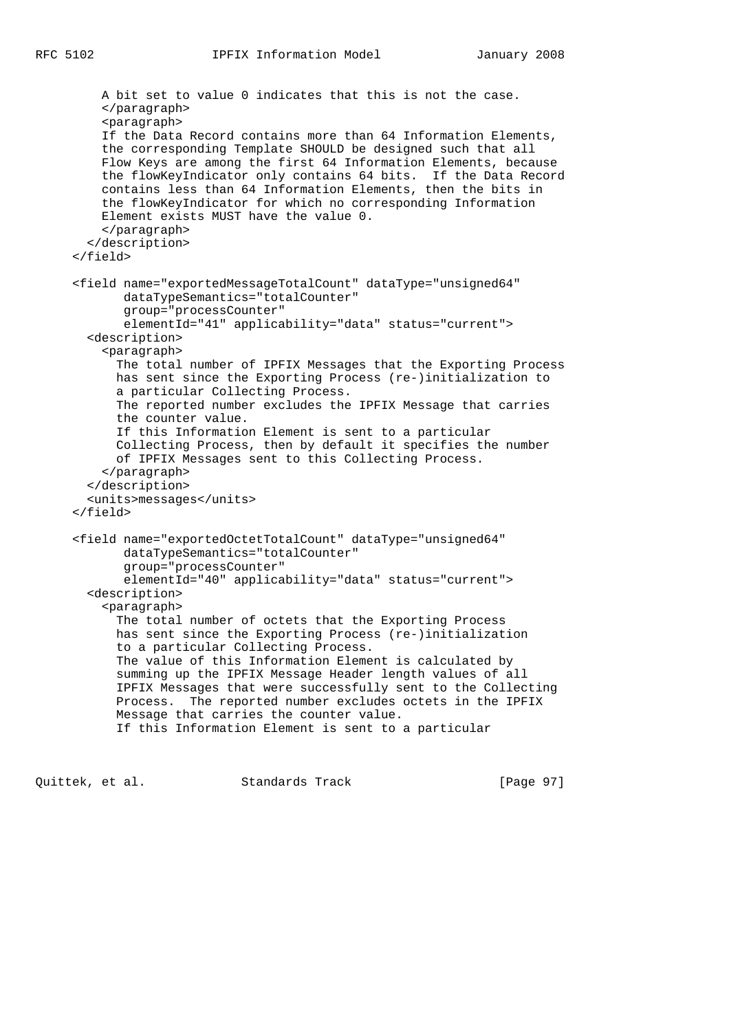```
 A bit set to value 0 indicates that this is not the case.
    </paragraph>
    <paragraph>
    If the Data Record contains more than 64 Information Elements,
    the corresponding Template SHOULD be designed such that all
   Flow Keys are among the first 64 Information Elements, because
   the flowKeyIndicator only contains 64 bits. If the Data Record
   contains less than 64 Information Elements, then the bits in
    the flowKeyIndicator for which no corresponding Information
   Element exists MUST have the value 0.
    </paragraph>
  </description>
</field>
<field name="exportedMessageTotalCount" dataType="unsigned64"
       dataTypeSemantics="totalCounter"
       group="processCounter"
       elementId="41" applicability="data" status="current">
  <description>
    <paragraph>
      The total number of IPFIX Messages that the Exporting Process
      has sent since the Exporting Process (re-)initialization to
      a particular Collecting Process.
      The reported number excludes the IPFIX Message that carries
      the counter value.
      If this Information Element is sent to a particular
      Collecting Process, then by default it specifies the number
     of IPFIX Messages sent to this Collecting Process.
    </paragraph>
  </description>
  <units>messages</units>
</field>
<field name="exportedOctetTotalCount" dataType="unsigned64"
       dataTypeSemantics="totalCounter"
       group="processCounter"
       elementId="40" applicability="data" status="current">
  <description>
    <paragraph>
      The total number of octets that the Exporting Process
     has sent since the Exporting Process (re-)initialization
      to a particular Collecting Process.
      The value of this Information Element is calculated by
      summing up the IPFIX Message Header length values of all
      IPFIX Messages that were successfully sent to the Collecting
      Process. The reported number excludes octets in the IPFIX
     Message that carries the counter value.
      If this Information Element is sent to a particular
```
Quittek, et al. Standards Track [Page 97]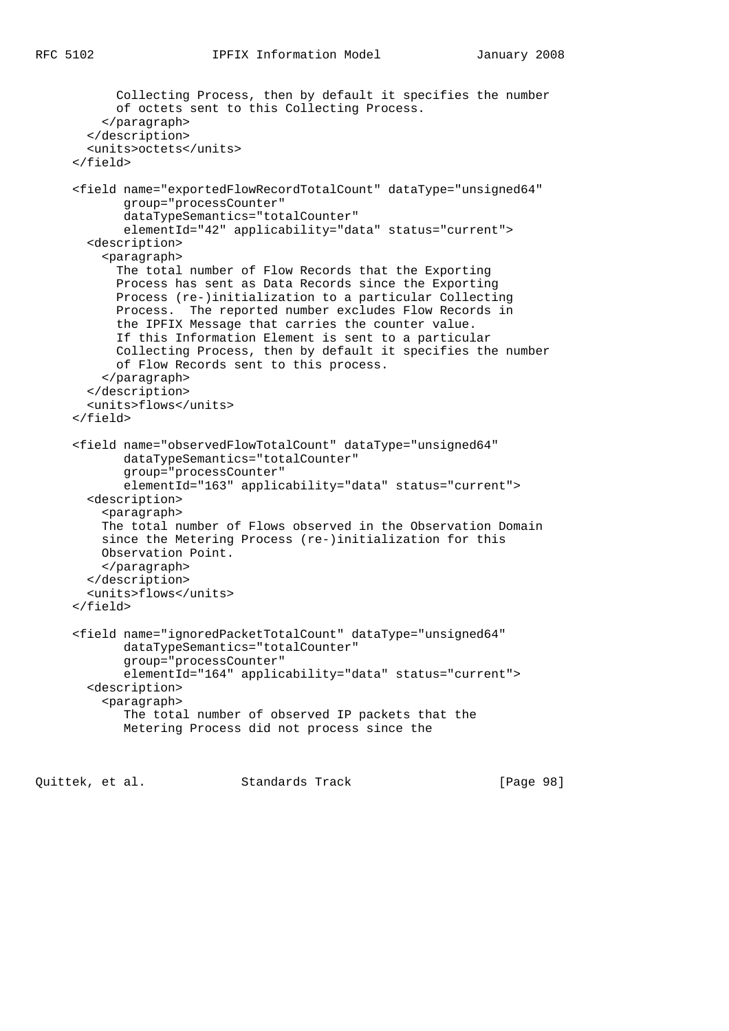```
 Collecting Process, then by default it specifies the number
      of octets sent to this Collecting Process.
    </paragraph>
  </description>
  <units>octets</units>
</field>
<field name="exportedFlowRecordTotalCount" dataType="unsigned64"
       group="processCounter"
       dataTypeSemantics="totalCounter"
       elementId="42" applicability="data" status="current">
  <description>
    <paragraph>
      The total number of Flow Records that the Exporting
      Process has sent as Data Records since the Exporting
      Process (re-)initialization to a particular Collecting
      Process. The reported number excludes Flow Records in
      the IPFIX Message that carries the counter value.
      If this Information Element is sent to a particular
      Collecting Process, then by default it specifies the number
      of Flow Records sent to this process.
    </paragraph>
  </description>
  <units>flows</units>
</field>
<field name="observedFlowTotalCount" dataType="unsigned64"
       dataTypeSemantics="totalCounter"
       group="processCounter"
       elementId="163" applicability="data" status="current">
  <description>
    <paragraph>
    The total number of Flows observed in the Observation Domain
   since the Metering Process (re-)initialization for this
   Observation Point.
    </paragraph>
  </description>
  <units>flows</units>
</field>
<field name="ignoredPacketTotalCount" dataType="unsigned64"
       dataTypeSemantics="totalCounter"
       group="processCounter"
       elementId="164" applicability="data" status="current">
  <description>
    <paragraph>
       The total number of observed IP packets that the
       Metering Process did not process since the
```
Quittek, et al. Standards Track [Page 98]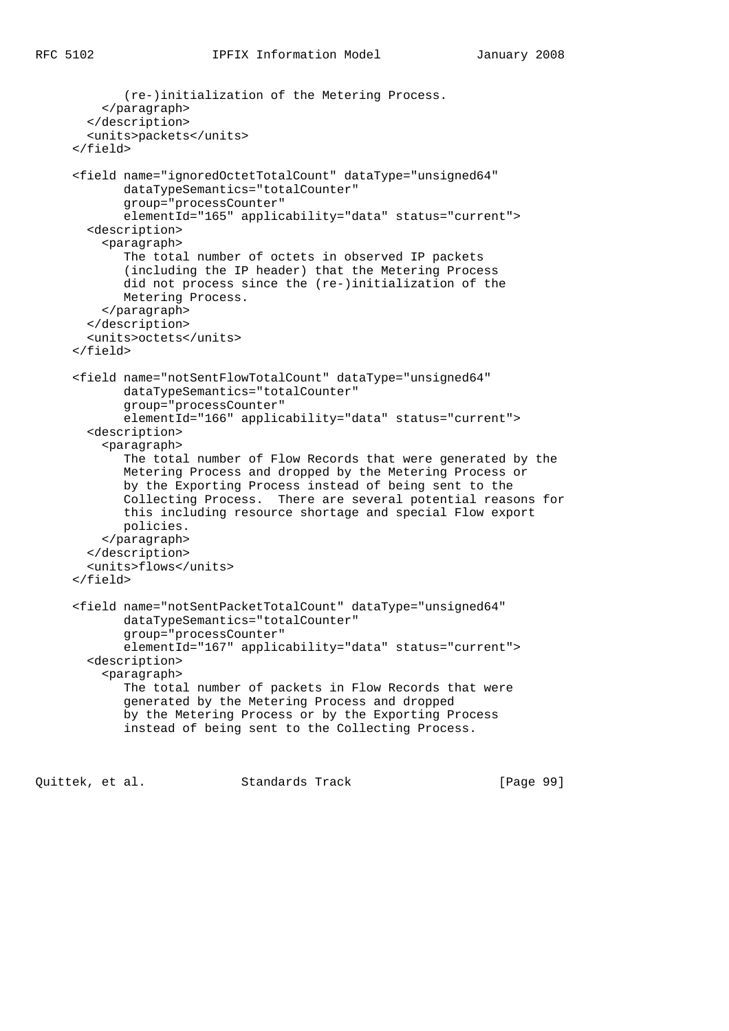```
 (re-)initialization of the Metering Process.
    </paragraph>
  </description>
  <units>packets</units>
</field>
<field name="ignoredOctetTotalCount" dataType="unsigned64"
       dataTypeSemantics="totalCounter"
       group="processCounter"
       elementId="165" applicability="data" status="current">
  <description>
    <paragraph>
       The total number of octets in observed IP packets
       (including the IP header) that the Metering Process
       did not process since the (re-)initialization of the
       Metering Process.
    </paragraph>
  </description>
  <units>octets</units>
</field>
<field name="notSentFlowTotalCount" dataType="unsigned64"
       dataTypeSemantics="totalCounter"
       group="processCounter"
       elementId="166" applicability="data" status="current">
  <description>
    <paragraph>
       The total number of Flow Records that were generated by the
       Metering Process and dropped by the Metering Process or
       by the Exporting Process instead of being sent to the
       Collecting Process. There are several potential reasons for
       this including resource shortage and special Flow export
       policies.
    </paragraph>
  </description>
  <units>flows</units>
</field>
<field name="notSentPacketTotalCount" dataType="unsigned64"
       dataTypeSemantics="totalCounter"
       group="processCounter"
       elementId="167" applicability="data" status="current">
  <description>
    <paragraph>
       The total number of packets in Flow Records that were
       generated by the Metering Process and dropped
       by the Metering Process or by the Exporting Process
       instead of being sent to the Collecting Process.
```
Quittek, et al. Standards Track [Page 99]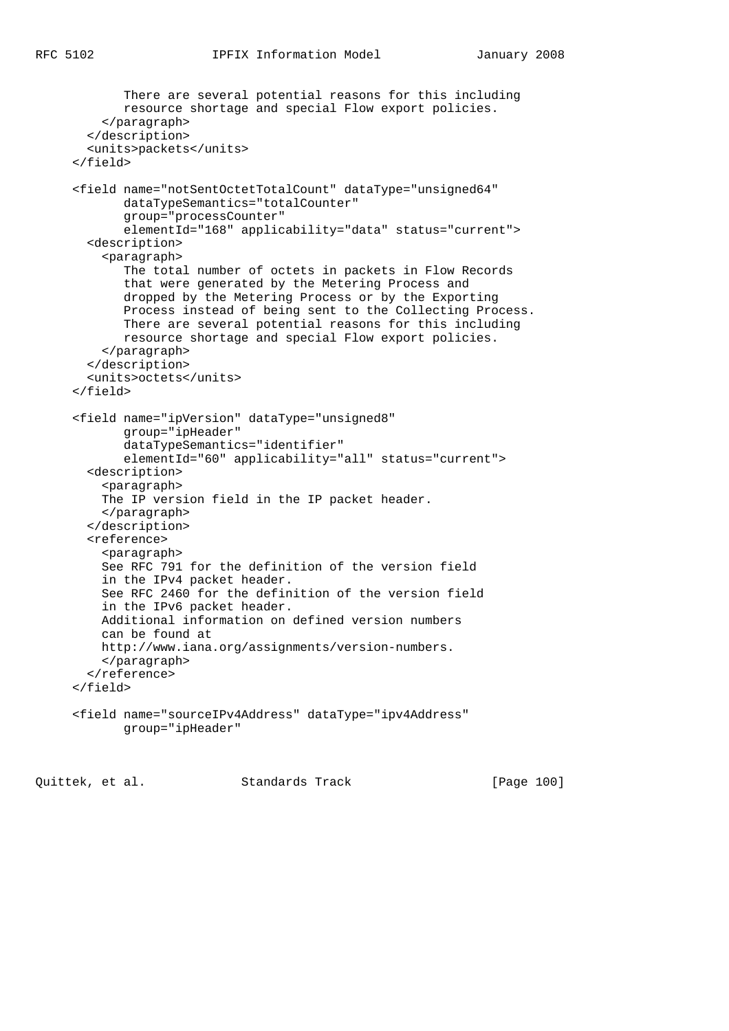```
 There are several potential reasons for this including
       resource shortage and special Flow export policies.
    </paragraph>
 </description>
  <units>packets</units>
</field>
<field name="notSentOctetTotalCount" dataType="unsigned64"
       dataTypeSemantics="totalCounter"
       group="processCounter"
       elementId="168" applicability="data" status="current">
  <description>
    <paragraph>
       The total number of octets in packets in Flow Records
       that were generated by the Metering Process and
       dropped by the Metering Process or by the Exporting
       Process instead of being sent to the Collecting Process.
      There are several potential reasons for this including
      resource shortage and special Flow export policies.
    </paragraph>
 </description>
  <units>octets</units>
</field>
<field name="ipVersion" dataType="unsigned8"
       group="ipHeader"
      dataTypeSemantics="identifier"
      elementId="60" applicability="all" status="current">
 <description>
    <paragraph>
   The IP version field in the IP packet header.
    </paragraph>
 </description>
  <reference>
    <paragraph>
   See RFC 791 for the definition of the version field
   in the IPv4 packet header.
   See RFC 2460 for the definition of the version field
   in the IPv6 packet header.
   Additional information on defined version numbers
   can be found at
   http://www.iana.org/assignments/version-numbers.
   </paragraph>
 </reference>
</field>
<field name="sourceIPv4Address" dataType="ipv4Address"
       group="ipHeader"
```
Quittek, et al. Standards Track [Page 100]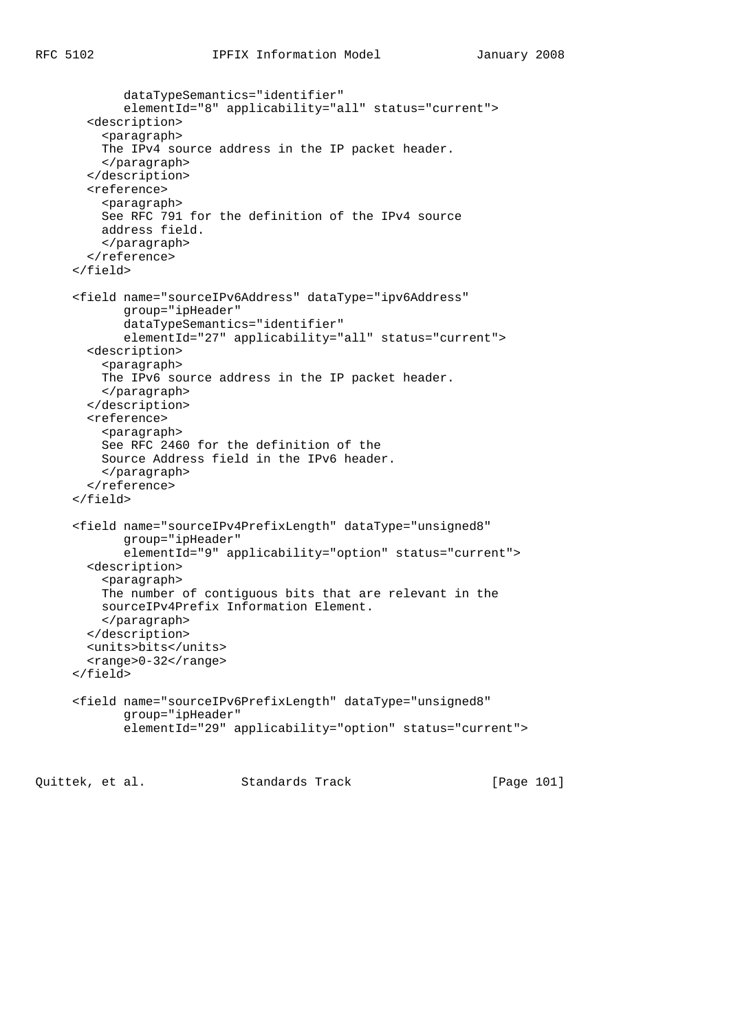```
 dataTypeSemantics="identifier"
       elementId="8" applicability="all" status="current">
  <description>
    <paragraph>
    The IPv4 source address in the IP packet header.
    </paragraph>
  </description>
  <reference>
    <paragraph>
    See RFC 791 for the definition of the IPv4 source
   address field.
    </paragraph>
  </reference>
</field>
<field name="sourceIPv6Address" dataType="ipv6Address"
       group="ipHeader"
       dataTypeSemantics="identifier"
       elementId="27" applicability="all" status="current">
  <description>
   <paragraph>
   The IPv6 source address in the IP packet header.
    </paragraph>
  </description>
  <reference>
    <paragraph>
   See RFC 2460 for the definition of the
   Source Address field in the IPv6 header.
    </paragraph>
  </reference>
</field>
<field name="sourceIPv4PrefixLength" dataType="unsigned8"
       group="ipHeader"
       elementId="9" applicability="option" status="current">
  <description>
    <paragraph>
   The number of contiguous bits that are relevant in the
   sourceIPv4Prefix Information Element.
    </paragraph>
  </description>
  <units>bits</units>
  <range>0-32</range>
</field>
<field name="sourceIPv6PrefixLength" dataType="unsigned8"
       group="ipHeader"
       elementId="29" applicability="option" status="current">
```
Quittek, et al. Standards Track [Page 101]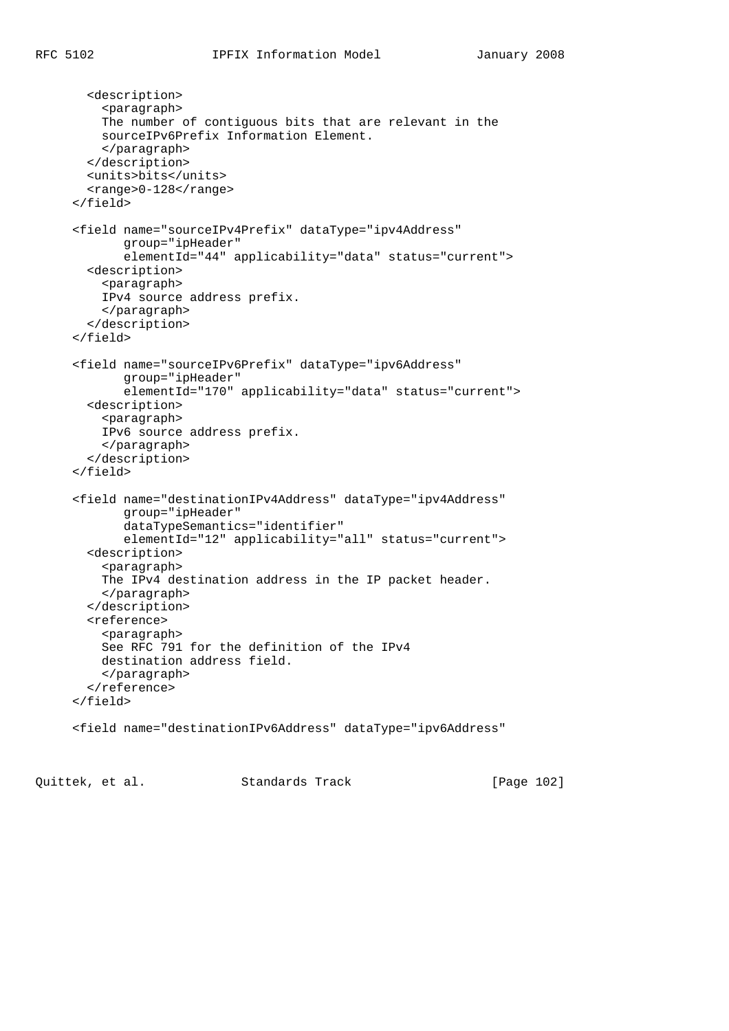```
 <description>
    <paragraph>
    The number of contiguous bits that are relevant in the
    sourceIPv6Prefix Information Element.
    </paragraph>
  </description>
  <units>bits</units>
  <range>0-128</range>
</field>
<field name="sourceIPv4Prefix" dataType="ipv4Address"
       group="ipHeader"
       elementId="44" applicability="data" status="current">
  <description>
    <paragraph>
    IPv4 source address prefix.
    </paragraph>
  </description>
</field>
<field name="sourceIPv6Prefix" dataType="ipv6Address"
       group="ipHeader"
       elementId="170" applicability="data" status="current">
  <description>
    <paragraph>
    IPv6 source address prefix.
    </paragraph>
  </description>
</field>
<field name="destinationIPv4Address" dataType="ipv4Address"
       group="ipHeader"
       dataTypeSemantics="identifier"
       elementId="12" applicability="all" status="current">
  <description>
    <paragraph>
    The IPv4 destination address in the IP packet header.
    </paragraph>
  </description>
  <reference>
    <paragraph>
    See RFC 791 for the definition of the IPv4
    destination address field.
    </paragraph>
  </reference>
</field>
<field name="destinationIPv6Address" dataType="ipv6Address"
```
Quittek, et al. Standards Track [Page 102]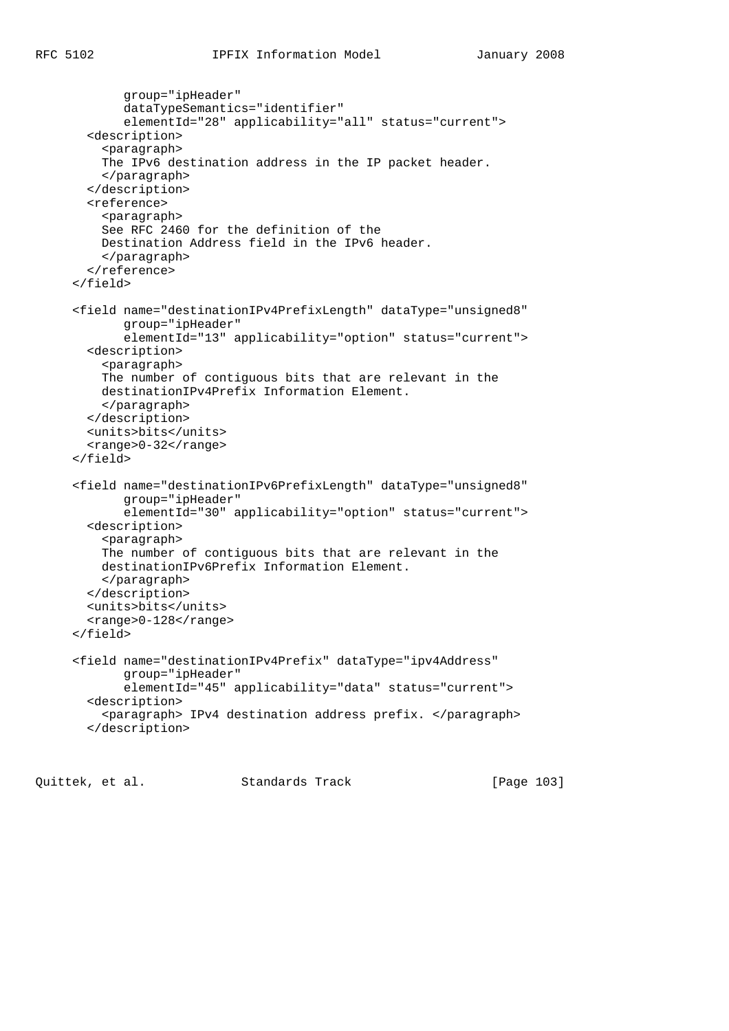```
 group="ipHeader"
       dataTypeSemantics="identifier"
       elementId="28" applicability="all" status="current">
  <description>
    <paragraph>
    The IPv6 destination address in the IP packet header.
    </paragraph>
  </description>
  <reference>
    <paragraph>
    See RFC 2460 for the definition of the
   Destination Address field in the IPv6 header.
    </paragraph>
  </reference>
</field>
<field name="destinationIPv4PrefixLength" dataType="unsigned8"
       group="ipHeader"
       elementId="13" applicability="option" status="current">
  <description>
   <paragraph>
    The number of contiguous bits that are relevant in the
    destinationIPv4Prefix Information Element.
    </paragraph>
  </description>
  <units>bits</units>
  <range>0-32</range>
</field>
<field name="destinationIPv6PrefixLength" dataType="unsigned8"
       group="ipHeader"
       elementId="30" applicability="option" status="current">
  <description>
    <paragraph>
   The number of contiguous bits that are relevant in the
   destinationIPv6Prefix Information Element.
    </paragraph>
  </description>
  <units>bits</units>
  <range>0-128</range>
</field>
<field name="destinationIPv4Prefix" dataType="ipv4Address"
       group="ipHeader"
       elementId="45" applicability="data" status="current">
  <description>
    <paragraph> IPv4 destination address prefix. </paragraph>
  </description>
```
Quittek, et al. Standards Track [Page 103]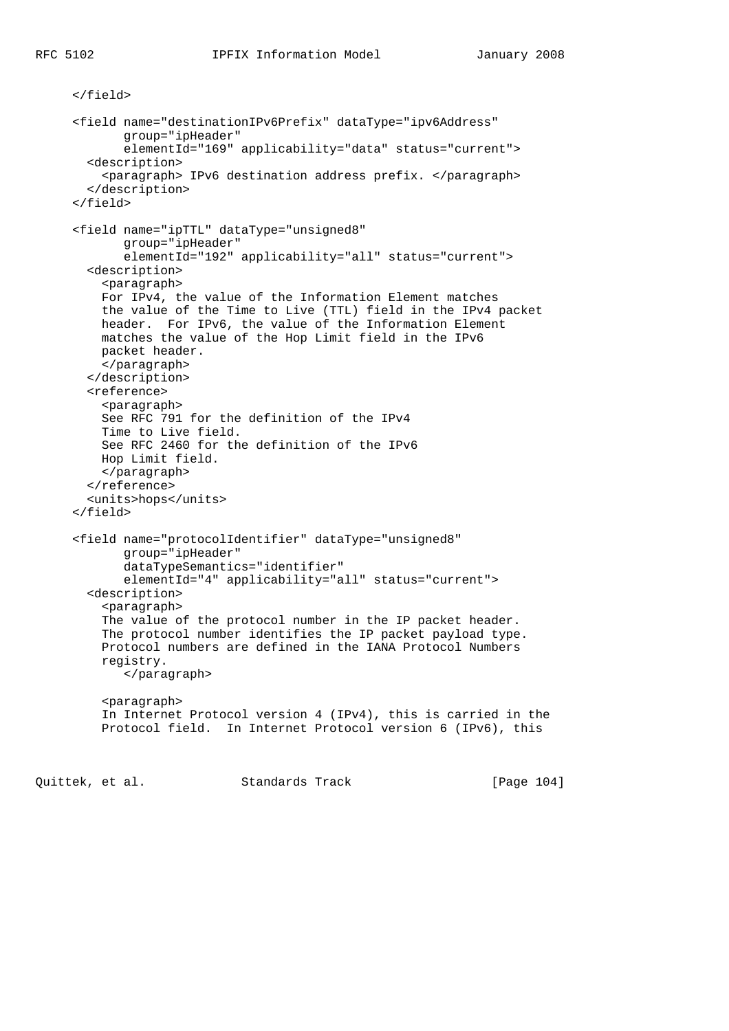</field> <field name="destinationIPv6Prefix" dataType="ipv6Address" group="ipHeader" elementId="169" applicability="data" status="current"> <description> <paragraph> IPv6 destination address prefix. </paragraph> </description> </field> <field name="ipTTL" dataType="unsigned8" group="ipHeader" elementId="192" applicability="all" status="current"> <description> <paragraph> For IPv4, the value of the Information Element matches the value of the Time to Live (TTL) field in the IPv4 packet header. For IPv6, the value of the Information Element matches the value of the Hop Limit field in the IPv6 packet header. </paragraph> </description> <reference> <paragraph> See RFC 791 for the definition of the IPv4 Time to Live field. See RFC 2460 for the definition of the IPv6 Hop Limit field. </paragraph> </reference> <units>hops</units> </field> <field name="protocolIdentifier" dataType="unsigned8" group="ipHeader" dataTypeSemantics="identifier" elementId="4" applicability="all" status="current"> <description> <paragraph> The value of the protocol number in the IP packet header. The protocol number identifies the IP packet payload type. Protocol numbers are defined in the IANA Protocol Numbers registry. </paragraph> <paragraph> In Internet Protocol version 4 (IPv4), this is carried in the Protocol field. In Internet Protocol version 6 (IPv6), this

Quittek, et al. Standards Track [Page 104]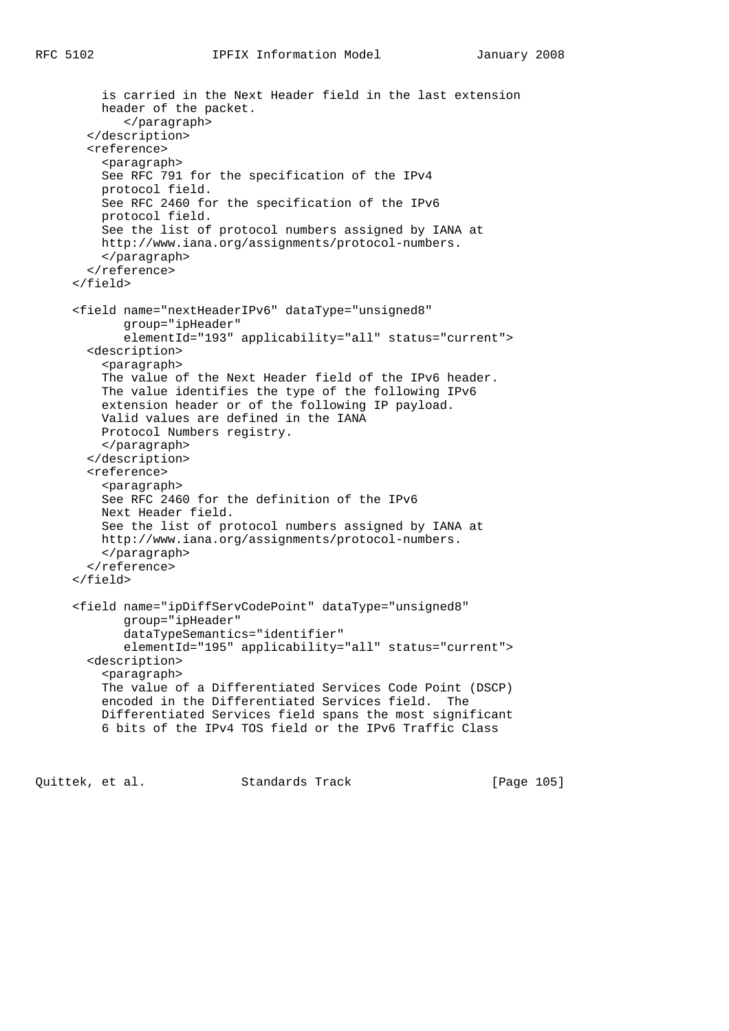```
 is carried in the Next Header field in the last extension
   header of the packet.
      </paragraph>
  </description>
  <reference>
    <paragraph>
    See RFC 791 for the specification of the IPv4
   protocol field.
   See RFC 2460 for the specification of the IPv6
   protocol field.
   See the list of protocol numbers assigned by IANA at
   http://www.iana.org/assignments/protocol-numbers.
    </paragraph>
  </reference>
</field>
<field name="nextHeaderIPv6" dataType="unsigned8"
       group="ipHeader"
       elementId="193" applicability="all" status="current">
  <description>
    <paragraph>
    The value of the Next Header field of the IPv6 header.
    The value identifies the type of the following IPv6
    extension header or of the following IP payload.
   Valid values are defined in the IANA
   Protocol Numbers registry.
    </paragraph>
  </description>
  <reference>
    <paragraph>
   See RFC 2460 for the definition of the IPv6
   Next Header field.
   See the list of protocol numbers assigned by IANA at
   http://www.iana.org/assignments/protocol-numbers.
    </paragraph>
  </reference>
</field>
<field name="ipDiffServCodePoint" dataType="unsigned8"
       group="ipHeader"
       dataTypeSemantics="identifier"
       elementId="195" applicability="all" status="current">
  <description>
    <paragraph>
    The value of a Differentiated Services Code Point (DSCP)
    encoded in the Differentiated Services field. The
    Differentiated Services field spans the most significant
    6 bits of the IPv4 TOS field or the IPv6 Traffic Class
```
Quittek, et al. Standards Track [Page 105]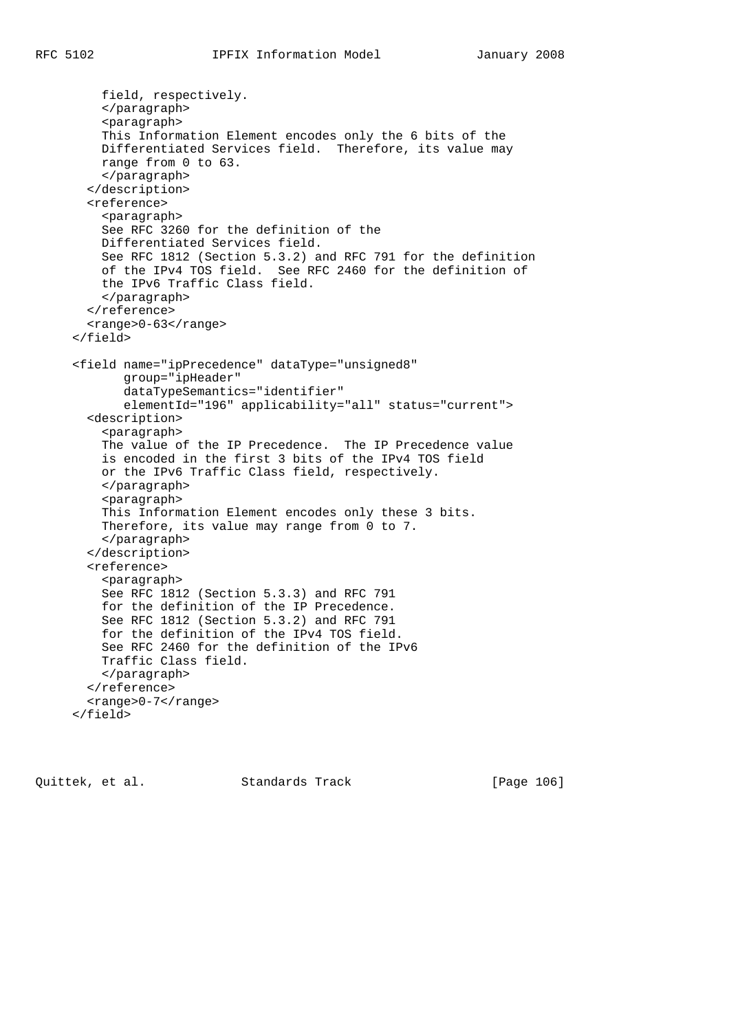field, respectively. </paragraph> <paragraph> This Information Element encodes only the 6 bits of the Differentiated Services field. Therefore, its value may range from 0 to 63. </paragraph> </description> <reference> <paragraph> See RFC 3260 for the definition of the Differentiated Services field. See RFC 1812 (Section 5.3.2) and RFC 791 for the definition of the IPv4 TOS field. See RFC 2460 for the definition of the IPv6 Traffic Class field. </paragraph> </reference> <range>0-63</range> </field> <field name="ipPrecedence" dataType="unsigned8" group="ipHeader" dataTypeSemantics="identifier" elementId="196" applicability="all" status="current"> <description> <paragraph> The value of the IP Precedence. The IP Precedence value is encoded in the first 3 bits of the IPv4 TOS field or the IPv6 Traffic Class field, respectively. </paragraph> <paragraph> This Information Element encodes only these 3 bits. Therefore, its value may range from 0 to 7. </paragraph> </description> <reference> <paragraph> See RFC 1812 (Section 5.3.3) and RFC 791 for the definition of the IP Precedence. See RFC 1812 (Section 5.3.2) and RFC 791 for the definition of the IPv4 TOS field. See RFC 2460 for the definition of the IPv6 Traffic Class field. </paragraph> </reference> <range>0-7</range> </field>

Quittek, et al. Standards Track [Page 106]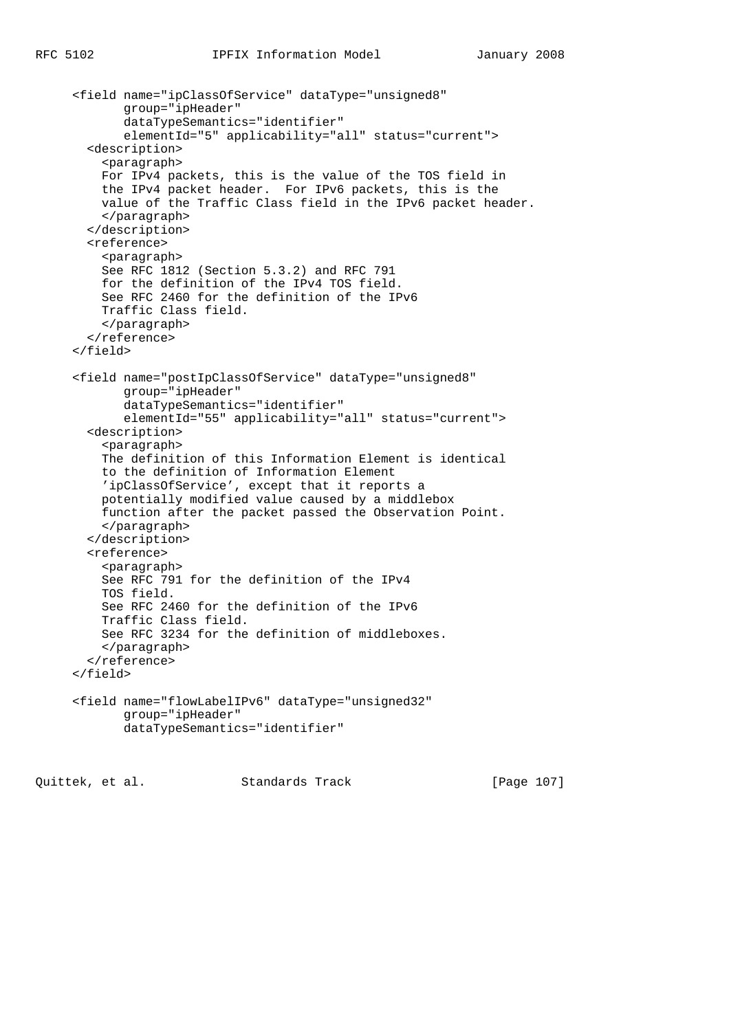```
 <field name="ipClassOfService" dataType="unsigned8"
       group="ipHeader"
       dataTypeSemantics="identifier"
       elementId="5" applicability="all" status="current">
 <description>
    <paragraph>
   For IPv4 packets, this is the value of the TOS field in
   the IPv4 packet header. For IPv6 packets, this is the
   value of the Traffic Class field in the IPv6 packet header.
    </paragraph>
 </description>
  <reference>
    <paragraph>
   See RFC 1812 (Section 5.3.2) and RFC 791
   for the definition of the IPv4 TOS field.
   See RFC 2460 for the definition of the IPv6
   Traffic Class field.
    </paragraph>
 </reference>
</field>
<field name="postIpClassOfService" dataType="unsigned8"
       group="ipHeader"
       dataTypeSemantics="identifier"
      elementId="55" applicability="all" status="current">
  <description>
    <paragraph>
   The definition of this Information Element is identical
   to the definition of Information Element
    'ipClassOfService', except that it reports a
   potentially modified value caused by a middlebox
   function after the packet passed the Observation Point.
   </paragraph>
 </description>
 <reference>
    <paragraph>
   See RFC 791 for the definition of the IPv4
   TOS field.
   See RFC 2460 for the definition of the IPv6
   Traffic Class field.
   See RFC 3234 for the definition of middleboxes.
    </paragraph>
 </reference>
</field>
<field name="flowLabelIPv6" dataType="unsigned32"
       group="ipHeader"
       dataTypeSemantics="identifier"
```
Quittek, et al. Standards Track [Page 107]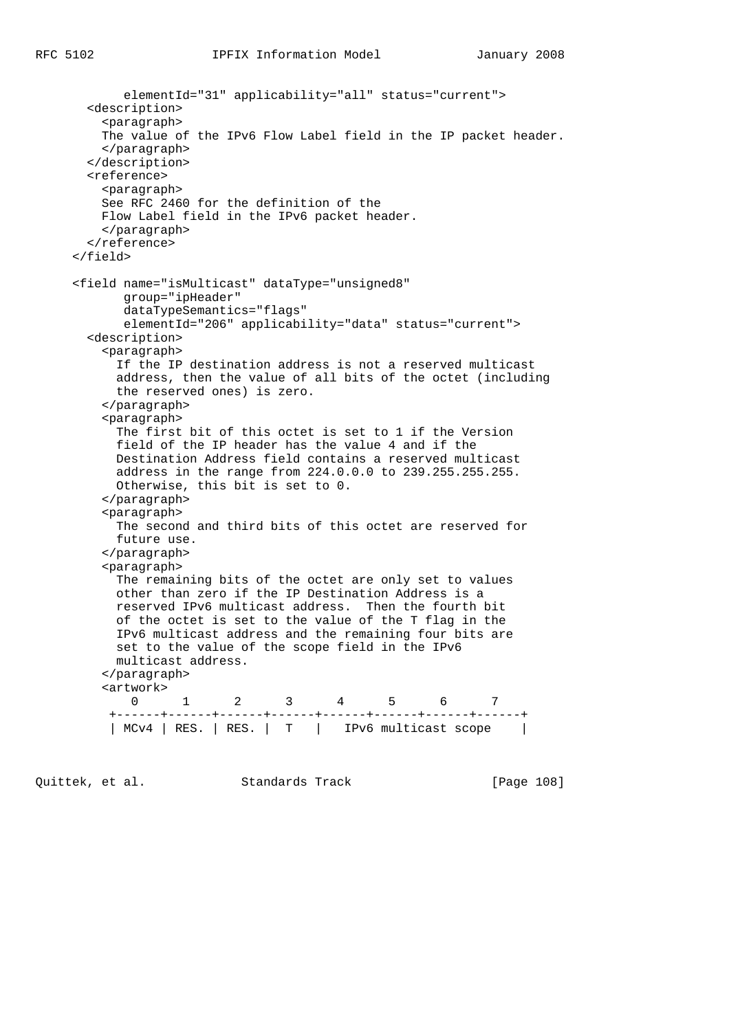```
 elementId="31" applicability="all" status="current">
  <description>
    <paragraph>
    The value of the IPv6 Flow Label field in the IP packet header.
    </paragraph>
  </description>
  <reference>
    <paragraph>
   See RFC 2460 for the definition of the
   Flow Label field in the IPv6 packet header.
   </paragraph>
  </reference>
</field>
<field name="isMulticast" dataType="unsigned8"
      group="ipHeader"
       dataTypeSemantics="flags"
      elementId="206" applicability="data" status="current">
  <description>
    <paragraph>
      If the IP destination address is not a reserved multicast
      address, then the value of all bits of the octet (including
      the reserved ones) is zero.
    </paragraph>
    <paragraph>
      The first bit of this octet is set to 1 if the Version
      field of the IP header has the value 4 and if the
     Destination Address field contains a reserved multicast
     address in the range from 224.0.0.0 to 239.255.255.255.
     Otherwise, this bit is set to 0.
    </paragraph>
    <paragraph>
     The second and third bits of this octet are reserved for
     future use.
    </paragraph>
    <paragraph>
     The remaining bits of the octet are only set to values
      other than zero if the IP Destination Address is a
     reserved IPv6 multicast address. Then the fourth bit
     of the octet is set to the value of the T flag in the
     IPv6 multicast address and the remaining four bits are
     set to the value of the scope field in the IPv6
     multicast address.
    </paragraph>
    <artwork>
      0 1 2 3 4 5 6 7
     +------+------+------+------+------+------+------+------+
    | MCv4 | RES. | RES. | T | IPv6 multicast scope |
```
Quittek, et al. Standards Track [Page 108]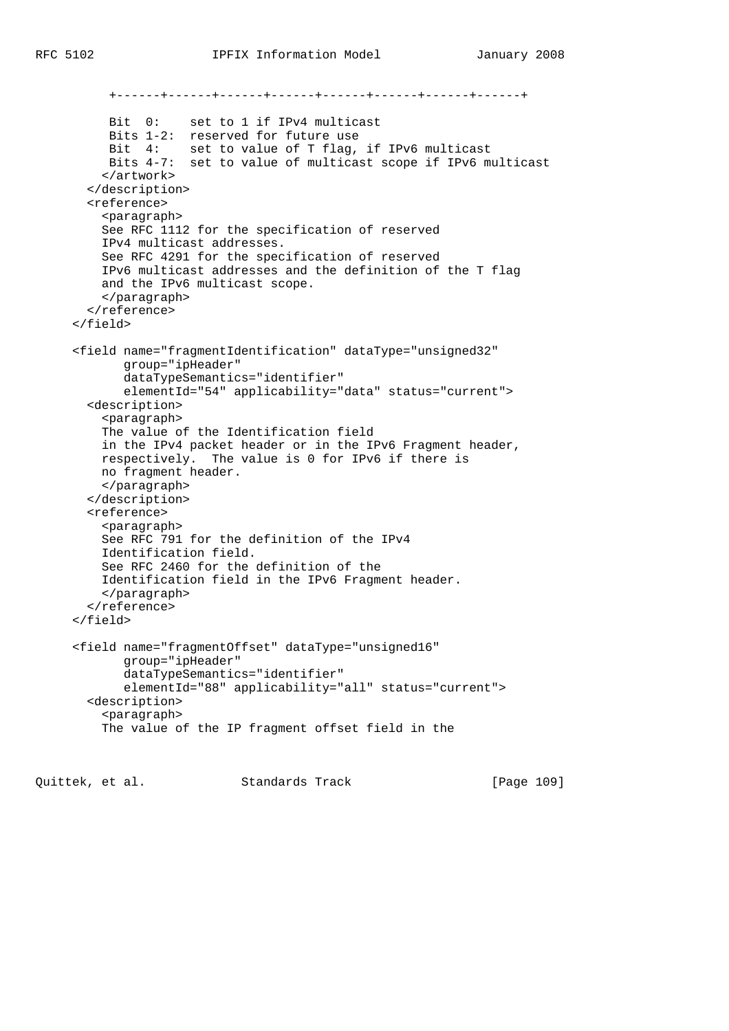```
 +------+------+------+------+------+------+------+------+
    Bit 0: set to 1 if IPv4 multicast
    Bits 1-2: reserved for future use
    Bit 4: set to value of T flag, if IPv6 multicast
    Bits 4-7: set to value of multicast scope if IPv6 multicast
    </artwork>
 </description>
  <reference>
    <paragraph>
   See RFC 1112 for the specification of reserved
   IPv4 multicast addresses.
   See RFC 4291 for the specification of reserved
   IPv6 multicast addresses and the definition of the T flag
   and the IPv6 multicast scope.
   </paragraph>
 </reference>
</field>
<field name="fragmentIdentification" dataType="unsigned32"
       group="ipHeader"
       dataTypeSemantics="identifier"
      elementId="54" applicability="data" status="current">
  <description>
    <paragraph>
   The value of the Identification field
   in the IPv4 packet header or in the IPv6 Fragment header,
   respectively. The value is 0 for IPv6 if there is
   no fragment header.
    </paragraph>
 </description>
 <reference>
    <paragraph>
   See RFC 791 for the definition of the IPv4
   Identification field.
   See RFC 2460 for the definition of the
   Identification field in the IPv6 Fragment header.
    </paragraph>
  </reference>
</field>
<field name="fragmentOffset" dataType="unsigned16"
      group="ipHeader"
       dataTypeSemantics="identifier"
      elementId="88" applicability="all" status="current">
 <description>
    <paragraph>
    The value of the IP fragment offset field in the
```
Quittek, et al. Standards Track [Page 109]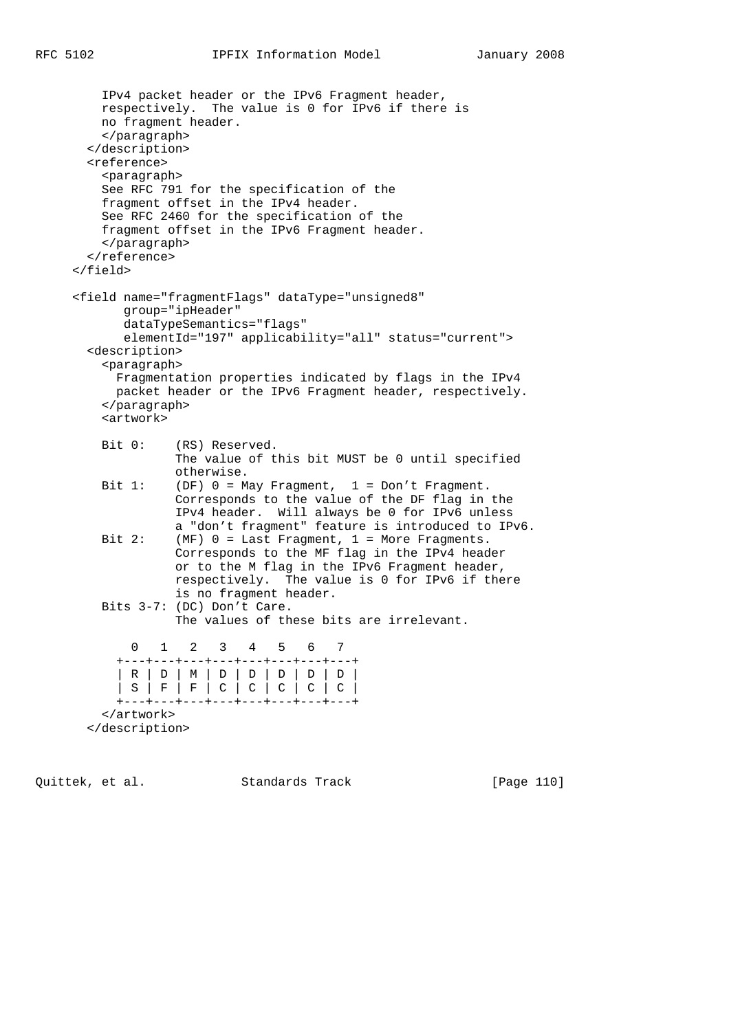```
 IPv4 packet header or the IPv6 Fragment header,
   respectively. The value is 0 for IPv6 if there is
   no fragment header.
    </paragraph>
  </description>
  <reference>
    <paragraph>
   See RFC 791 for the specification of the
   fragment offset in the IPv4 header.
   See RFC 2460 for the specification of the
   fragment offset in the IPv6 Fragment header.
    </paragraph>
  </reference>
</field>
<field name="fragmentFlags" dataType="unsigned8"
      group="ipHeader"
       dataTypeSemantics="flags"
      elementId="197" applicability="all" status="current">
  <description>
    <paragraph>
     Fragmentation properties indicated by flags in the IPv4
     packet header or the IPv6 Fragment header, respectively.
    </paragraph>
    <artwork>
   Bit 0: (RS) Reserved.
              The value of this bit MUST be 0 until specified
              otherwise.
  Bit 1: (DF) 0 = May Fragment, 1 = Don't Fragment.
              Corresponds to the value of the DF flag in the
              IPv4 header. Will always be 0 for IPv6 unless
             a "don't fragment" feature is introduced to IPv6.
   Bit 2: (MF) 0 = Last Fragment, 1 = More Fragments.
              Corresponds to the MF flag in the IPv4 header
              or to the M flag in the IPv6 Fragment header,
              respectively. The value is 0 for IPv6 if there
              is no fragment header.
   Bits 3-7: (DC) Don't Care.
              The values of these bits are irrelevant.
       0 1 2 3 4 5 6 7
      +---+---+---+---+---+---+---+---+
      | R | D | M | D | D | D | D | D |
      | S | F | F | C | C | C | C | C |
     +---+---+---+---+---+---+---+---+
    </artwork>
  </description>
```
Quittek, et al. Standards Track [Page 110]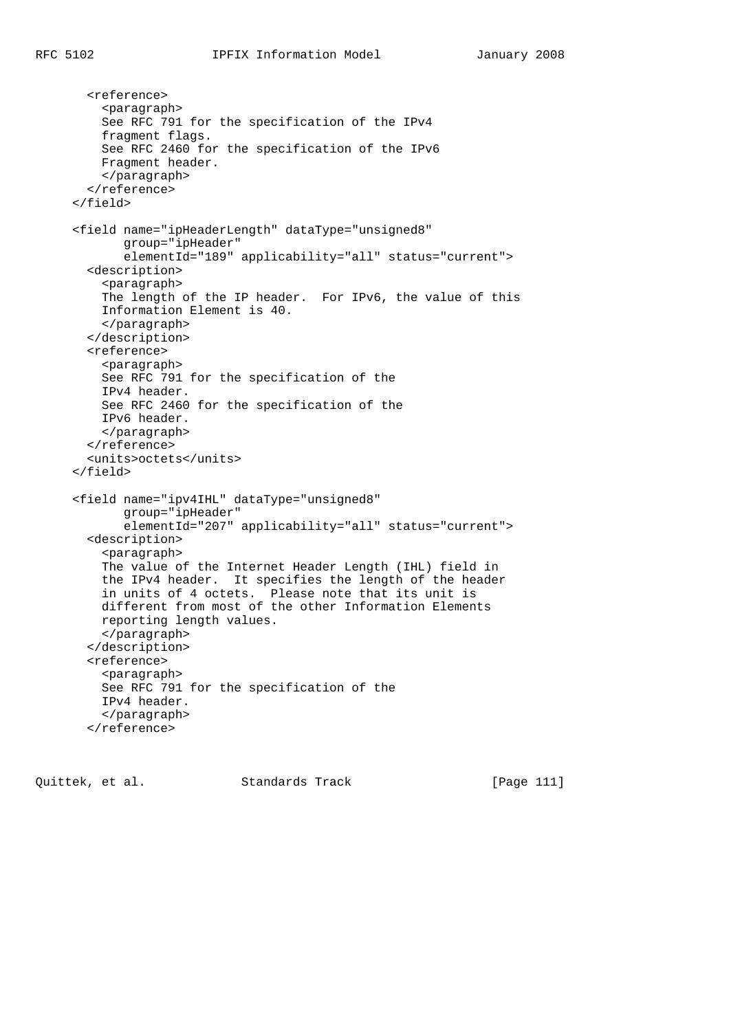<reference> <paragraph> See RFC 791 for the specification of the IPv4 fragment flags. See RFC 2460 for the specification of the IPv6 Fragment header. </paragraph> </reference> </field> <field name="ipHeaderLength" dataType="unsigned8" group="ipHeader" elementId="189" applicability="all" status="current"> <description> <paragraph> The length of the IP header. For IPv6, the value of this Information Element is 40. </paragraph> </description> <reference> <paragraph> See RFC 791 for the specification of the IPv4 header. See RFC 2460 for the specification of the IPv6 header. </paragraph> </reference> <units>octets</units> </field> <field name="ipv4IHL" dataType="unsigned8" group="ipHeader" elementId="207" applicability="all" status="current"> <description> <paragraph> The value of the Internet Header Length (IHL) field in the IPv4 header. It specifies the length of the header in units of 4 octets. Please note that its unit is different from most of the other Information Elements reporting length values. </paragraph> </description> <reference> <paragraph> See RFC 791 for the specification of the IPv4 header. </paragraph> </reference>

Quittek, et al. Standards Track [Page 111]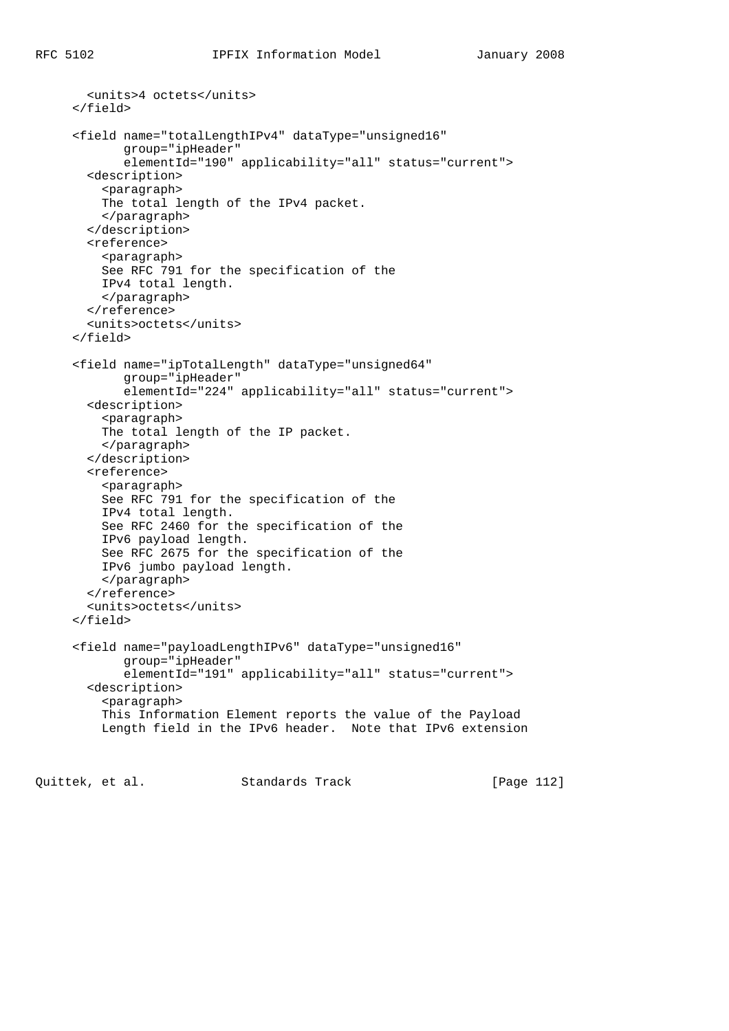```
 <units>4 octets</units>
</field>
<field name="totalLengthIPv4" dataType="unsigned16"
       group="ipHeader"
       elementId="190" applicability="all" status="current">
  <description>
    <paragraph>
   The total length of the IPv4 packet.
   </paragraph>
  </description>
  <reference>
    <paragraph>
   See RFC 791 for the specification of the
   IPv4 total length.
   </paragraph>
  </reference>
  <units>octets</units>
</field>
<field name="ipTotalLength" dataType="unsigned64"
       group="ipHeader"
       elementId="224" applicability="all" status="current">
  <description>
    <paragraph>
    The total length of the IP packet.
    </paragraph>
  </description>
  <reference>
    <paragraph>
   See RFC 791 for the specification of the
   IPv4 total length.
   See RFC 2460 for the specification of the
   IPv6 payload length.
   See RFC 2675 for the specification of the
   IPv6 jumbo payload length.
    </paragraph>
  </reference>
  <units>octets</units>
</field>
<field name="payloadLengthIPv6" dataType="unsigned16"
       group="ipHeader"
       elementId="191" applicability="all" status="current">
  <description>
    <paragraph>
    This Information Element reports the value of the Payload
   Length field in the IPv6 header. Note that IPv6 extension
```
Quittek, et al. Standards Track [Page 112]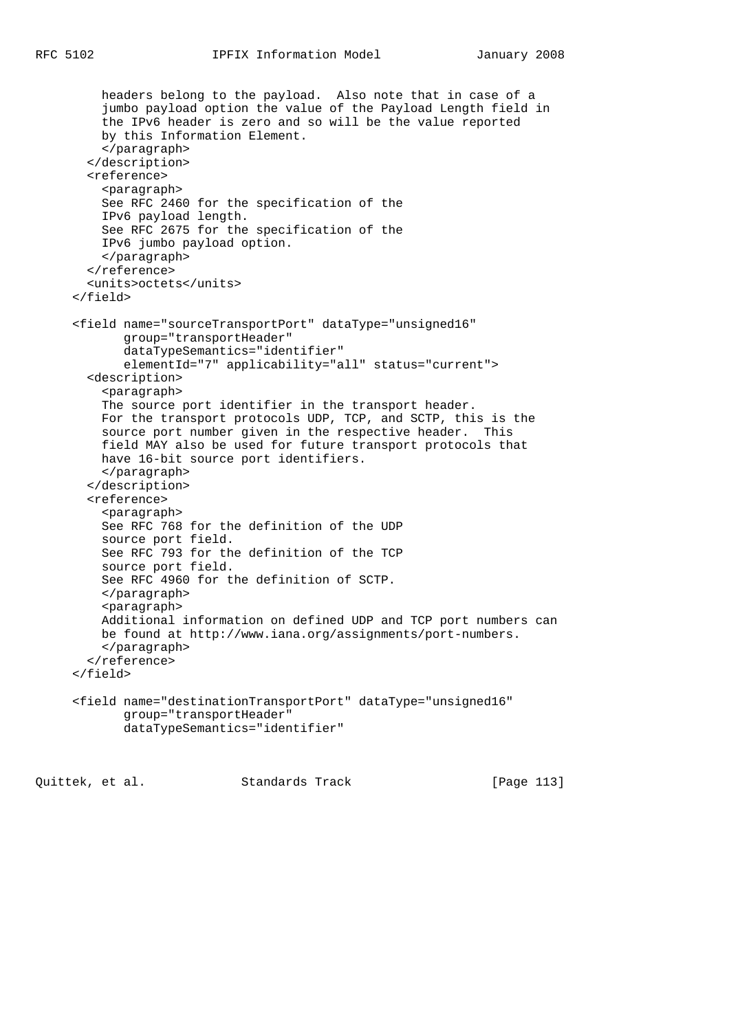```
 headers belong to the payload. Also note that in case of a
    jumbo payload option the value of the Payload Length field in
    the IPv6 header is zero and so will be the value reported
   by this Information Element.
    </paragraph>
 </description>
  <reference>
    <paragraph>
   See RFC 2460 for the specification of the
   IPv6 payload length.
   See RFC 2675 for the specification of the
   IPv6 jumbo payload option.
   </paragraph>
  </reference>
  <units>octets</units>
</field>
<field name="sourceTransportPort" dataType="unsigned16"
       group="transportHeader"
       dataTypeSemantics="identifier"
       elementId="7" applicability="all" status="current">
  <description>
    <paragraph>
   The source port identifier in the transport header.
   For the transport protocols UDP, TCP, and SCTP, this is the
   source port number given in the respective header. This
   field MAY also be used for future transport protocols that
   have 16-bit source port identifiers.
    </paragraph>
 </description>
 <reference>
    <paragraph>
   See RFC 768 for the definition of the UDP
   source port field.
   See RFC 793 for the definition of the TCP
   source port field.
   See RFC 4960 for the definition of SCTP.
   </paragraph>
    <paragraph>
   Additional information on defined UDP and TCP port numbers can
   be found at http://www.iana.org/assignments/port-numbers.
    </paragraph>
 </reference>
</field>
<field name="destinationTransportPort" dataType="unsigned16"
       group="transportHeader"
       dataTypeSemantics="identifier"
```
Quittek, et al. Standards Track [Page 113]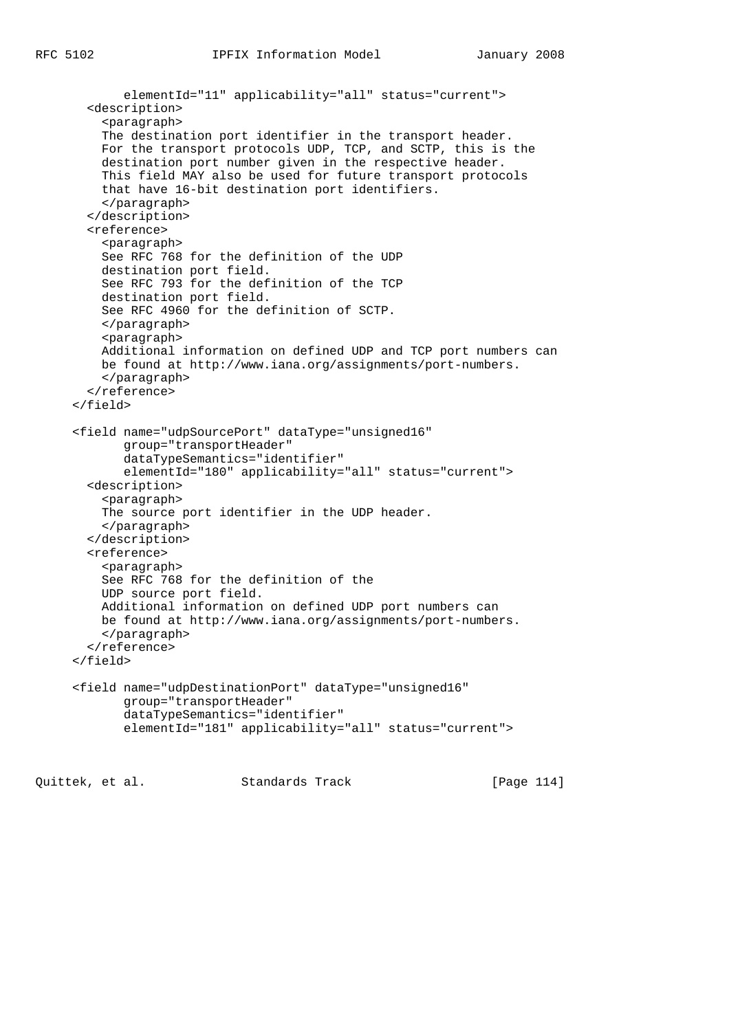```
 elementId="11" applicability="all" status="current">
  <description>
    <paragraph>
    The destination port identifier in the transport header.
   For the transport protocols UDP, TCP, and SCTP, this is the
   destination port number given in the respective header.
   This field MAY also be used for future transport protocols
   that have 16-bit destination port identifiers.
    </paragraph>
 </description>
  <reference>
    <paragraph>
   See RFC 768 for the definition of the UDP
   destination port field.
   See RFC 793 for the definition of the TCP
   destination port field.
   See RFC 4960 for the definition of SCTP.
   </paragraph>
   <paragraph>
   Additional information on defined UDP and TCP port numbers can
   be found at http://www.iana.org/assignments/port-numbers.
    </paragraph>
  </reference>
</field>
<field name="udpSourcePort" dataType="unsigned16"
       group="transportHeader"
       dataTypeSemantics="identifier"
      elementId="180" applicability="all" status="current">
 <description>
    <paragraph>
   The source port identifier in the UDP header.
    </paragraph>
 </description>
 <reference>
    <paragraph>
   See RFC 768 for the definition of the
   UDP source port field.
   Additional information on defined UDP port numbers can
   be found at http://www.iana.org/assignments/port-numbers.
   </paragraph>
 </reference>
</field>
<field name="udpDestinationPort" dataType="unsigned16"
       group="transportHeader"
       dataTypeSemantics="identifier"
       elementId="181" applicability="all" status="current">
```
Quittek, et al. Standards Track [Page 114]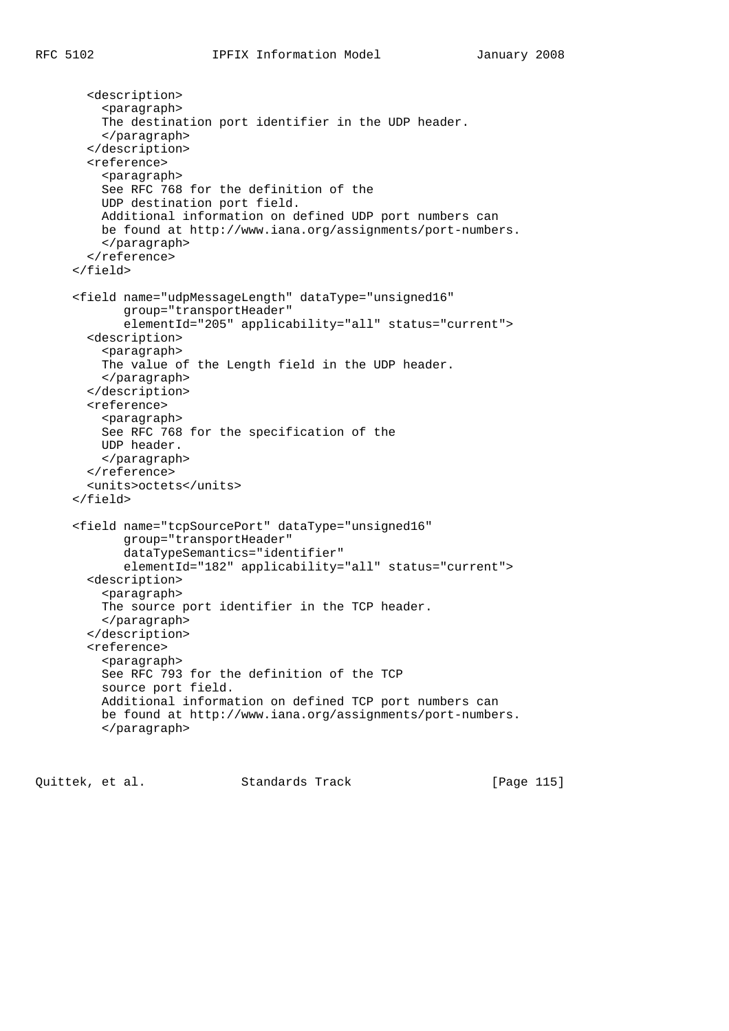```
 <description>
    <paragraph>
    The destination port identifier in the UDP header.
    </paragraph>
  </description>
  <reference>
    <paragraph>
   See RFC 768 for the definition of the
   UDP destination port field.
   Additional information on defined UDP port numbers can
   be found at http://www.iana.org/assignments/port-numbers.
    </paragraph>
  </reference>
</field>
<field name="udpMessageLength" dataType="unsigned16"
       group="transportHeader"
       elementId="205" applicability="all" status="current">
  <description>
    <paragraph>
    The value of the Length field in the UDP header.
    </paragraph>
  </description>
  <reference>
    <paragraph>
   See RFC 768 for the specification of the
   UDP header.
    </paragraph>
  </reference>
  <units>octets</units>
</field>
<field name="tcpSourcePort" dataType="unsigned16"
       group="transportHeader"
       dataTypeSemantics="identifier"
       elementId="182" applicability="all" status="current">
  <description>
    <paragraph>
    The source port identifier in the TCP header.
    </paragraph>
  </description>
  <reference>
    <paragraph>
   See RFC 793 for the definition of the TCP
   source port field.
   Additional information on defined TCP port numbers can
   be found at http://www.iana.org/assignments/port-numbers.
    </paragraph>
```
Quittek, et al. Standards Track [Page 115]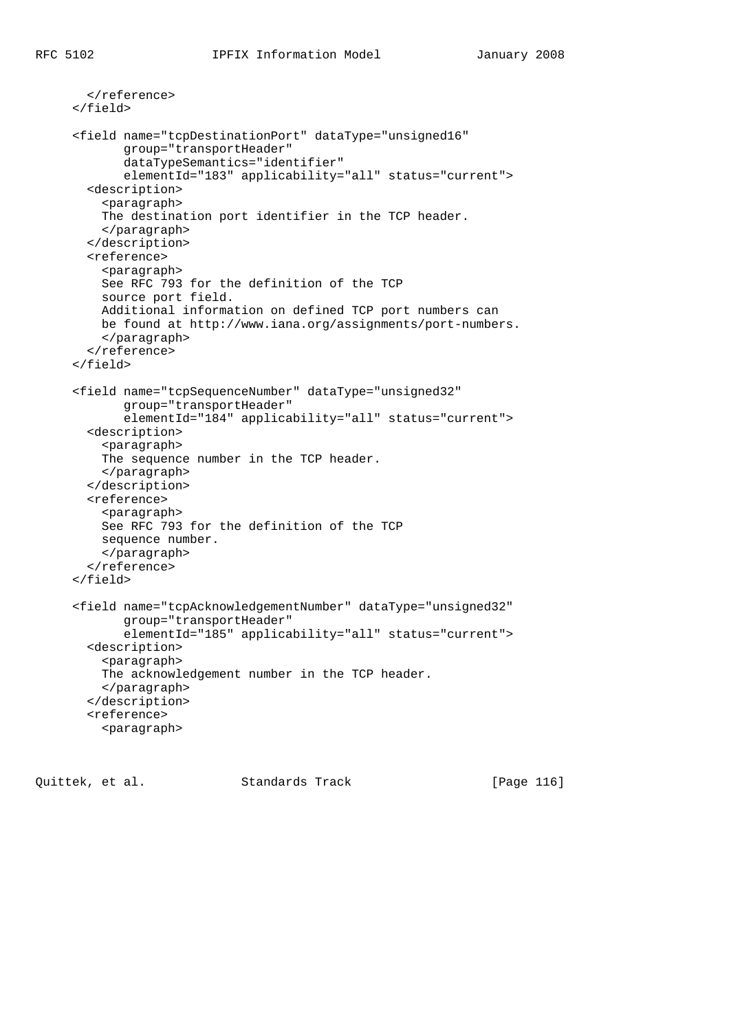</reference>

```
 </field>
<field name="tcpDestinationPort" dataType="unsigned16"
       group="transportHeader"
       dataTypeSemantics="identifier"
       elementId="183" applicability="all" status="current">
  <description>
    <paragraph>
   The destination port identifier in the TCP header.
    </paragraph>
  </description>
  <reference>
    <paragraph>
   See RFC 793 for the definition of the TCP
   source port field.
   Additional information on defined TCP port numbers can
   be found at http://www.iana.org/assignments/port-numbers.
   </paragraph>
  </reference>
</field>
<field name="tcpSequenceNumber" dataType="unsigned32"
       group="transportHeader"
       elementId="184" applicability="all" status="current">
  <description>
    <paragraph>
    The sequence number in the TCP header.
    </paragraph>
  </description>
  <reference>
    <paragraph>
   See RFC 793 for the definition of the TCP
   sequence number.
   </paragraph>
  </reference>
</field>
<field name="tcpAcknowledgementNumber" dataType="unsigned32"
       group="transportHeader"
       elementId="185" applicability="all" status="current">
  <description>
    <paragraph>
   The acknowledgement number in the TCP header.
    </paragraph>
  </description>
  <reference>
    <paragraph>
```
Quittek, et al. Standards Track [Page 116]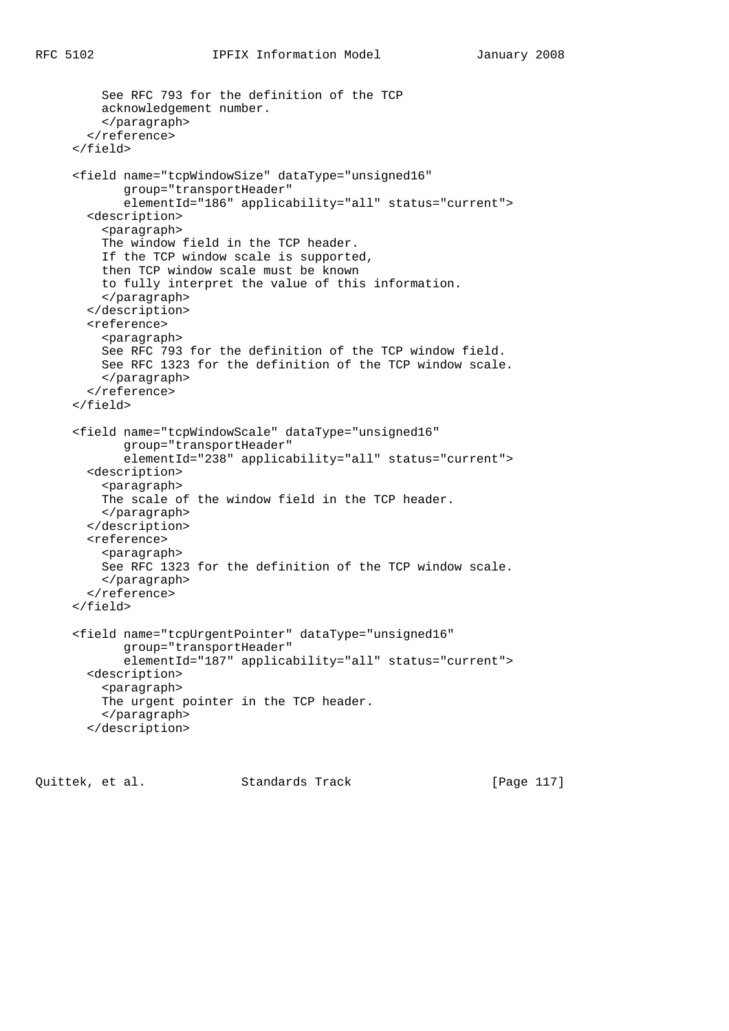```
 See RFC 793 for the definition of the TCP
    acknowledgement number.
    </paragraph>
  </reference>
</field>
<field name="tcpWindowSize" dataType="unsigned16"
       group="transportHeader"
       elementId="186" applicability="all" status="current">
  <description>
    <paragraph>
    The window field in the TCP header.
    If the TCP window scale is supported,
    then TCP window scale must be known
   to fully interpret the value of this information.
    </paragraph>
  </description>
  <reference>
    <paragraph>
   See RFC 793 for the definition of the TCP window field.
   See RFC 1323 for the definition of the TCP window scale.
    </paragraph>
  </reference>
</field>
<field name="tcpWindowScale" dataType="unsigned16"
       group="transportHeader"
       elementId="238" applicability="all" status="current">
  <description>
    <paragraph>
   The scale of the window field in the TCP header.
    </paragraph>
  </description>
  <reference>
   <paragraph>
   See RFC 1323 for the definition of the TCP window scale.
    </paragraph>
  </reference>
</field>
<field name="tcpUrgentPointer" dataType="unsigned16"
       group="transportHeader"
       elementId="187" applicability="all" status="current">
  <description>
    <paragraph>
   The urgent pointer in the TCP header.
    </paragraph>
  </description>
```
Quittek, et al. Standards Track [Page 117]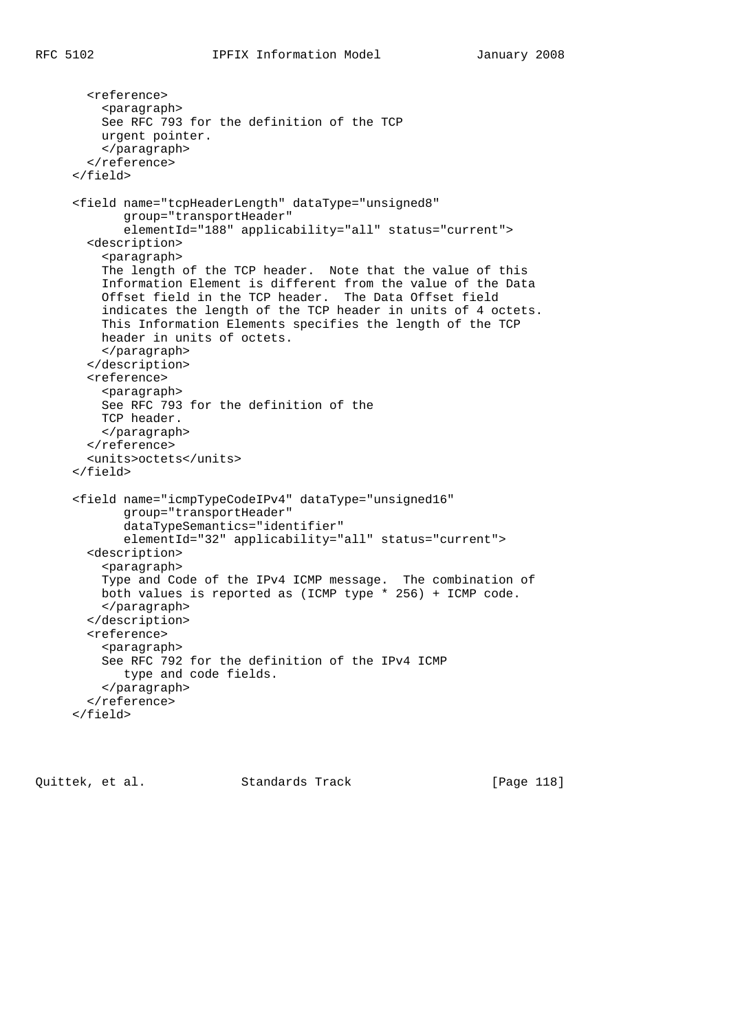```
 <reference>
    <paragraph>
    See RFC 793 for the definition of the TCP
   urgent pointer.
    </paragraph>
  </reference>
</field>
<field name="tcpHeaderLength" dataType="unsigned8"
       group="transportHeader"
       elementId="188" applicability="all" status="current">
  <description>
    <paragraph>
    The length of the TCP header. Note that the value of this
    Information Element is different from the value of the Data
   Offset field in the TCP header. The Data Offset field
    indicates the length of the TCP header in units of 4 octets.
   This Information Elements specifies the length of the TCP
   header in units of octets.
   </paragraph>
  </description>
  <reference>
    <paragraph>
   See RFC 793 for the definition of the
   TCP header.
    </paragraph>
  </reference>
  <units>octets</units>
</field>
<field name="icmpTypeCodeIPv4" dataType="unsigned16"
       group="transportHeader"
       dataTypeSemantics="identifier"
       elementId="32" applicability="all" status="current">
  <description>
    <paragraph>
   Type and Code of the IPv4 ICMP message. The combination of
   both values is reported as (ICMP type * 256) + ICMP code.
    </paragraph>
  </description>
  <reference>
    <paragraph>
   See RFC 792 for the definition of the IPv4 ICMP
       type and code fields.
   </paragraph>
 </reference>
</field>
```
Quittek, et al. Standards Track [Page 118]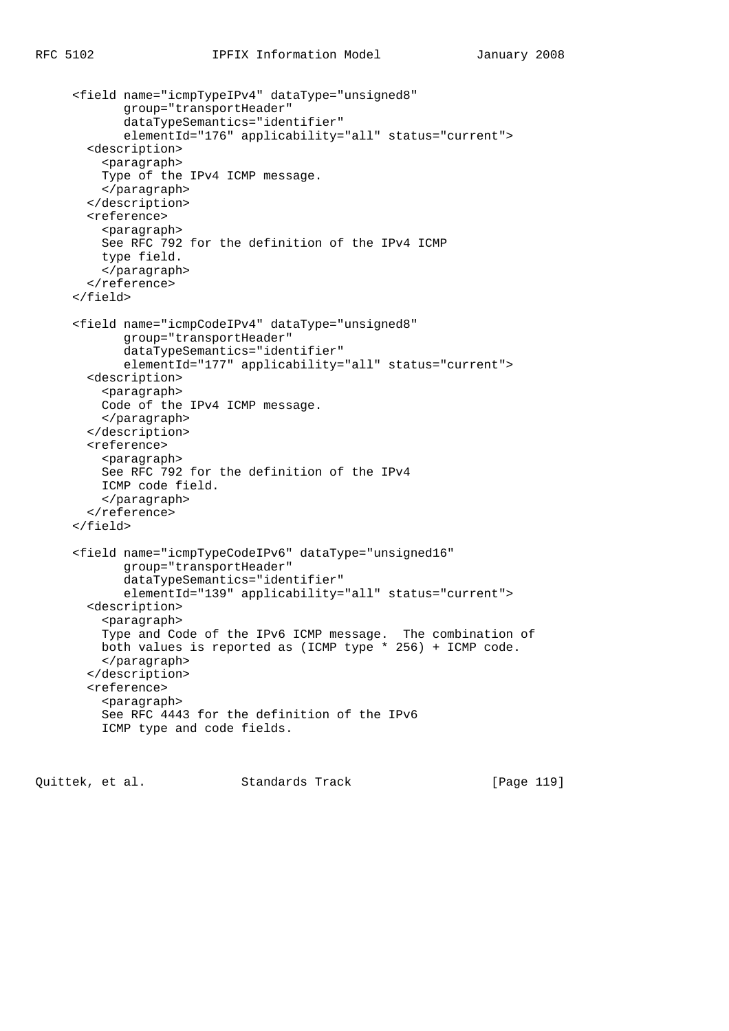```
 <field name="icmpTypeIPv4" dataType="unsigned8"
       group="transportHeader"
       dataTypeSemantics="identifier"
       elementId="176" applicability="all" status="current">
  <description>
    <paragraph>
    Type of the IPv4 ICMP message.
    </paragraph>
  </description>
  <reference>
    <paragraph>
    See RFC 792 for the definition of the IPv4 ICMP
   type field.
    </paragraph>
  </reference>
</field>
<field name="icmpCodeIPv4" dataType="unsigned8"
       group="transportHeader"
       dataTypeSemantics="identifier"
       elementId="177" applicability="all" status="current">
  <description>
    <paragraph>
    Code of the IPv4 ICMP message.
    </paragraph>
  </description>
  <reference>
    <paragraph>
   See RFC 792 for the definition of the IPv4
   ICMP code field.
    </paragraph>
  </reference>
</field>
<field name="icmpTypeCodeIPv6" dataType="unsigned16"
       group="transportHeader"
       dataTypeSemantics="identifier"
       elementId="139" applicability="all" status="current">
  <description>
    <paragraph>
    Type and Code of the IPv6 ICMP message. The combination of
   both values is reported as (ICMP type * 256) + ICMP code.
    </paragraph>
  </description>
  <reference>
    <paragraph>
    See RFC 4443 for the definition of the IPv6
    ICMP type and code fields.
```
Quittek, et al. Standards Track [Page 119]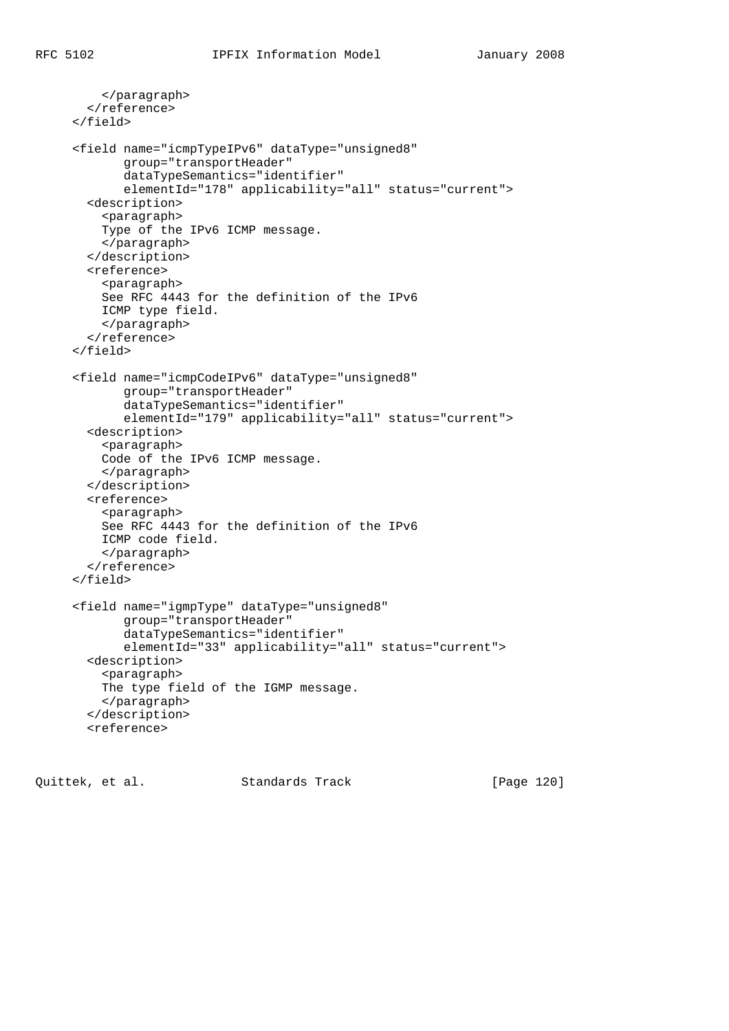```
 </paragraph>
  </reference>
</field>
<field name="icmpTypeIPv6" dataType="unsigned8"
       group="transportHeader"
       dataTypeSemantics="identifier"
       elementId="178" applicability="all" status="current">
  <description>
    <paragraph>
    Type of the IPv6 ICMP message.
    </paragraph>
  </description>
  <reference>
    <paragraph>
   See RFC 4443 for the definition of the IPv6
   ICMP type field.
    </paragraph>
  </reference>
</field>
<field name="icmpCodeIPv6" dataType="unsigned8"
       group="transportHeader"
       dataTypeSemantics="identifier"
       elementId="179" applicability="all" status="current">
  <description>
    <paragraph>
   Code of the IPv6 ICMP message.
    </paragraph>
  </description>
  <reference>
    <paragraph>
   See RFC 4443 for the definition of the IPv6
   ICMP code field.
   </paragraph>
  </reference>
</field>
<field name="igmpType" dataType="unsigned8"
       group="transportHeader"
       dataTypeSemantics="identifier"
       elementId="33" applicability="all" status="current">
 <description>
    <paragraph>
    The type field of the IGMP message.
    </paragraph>
  </description>
  <reference>
```
Quittek, et al. Standards Track [Page 120]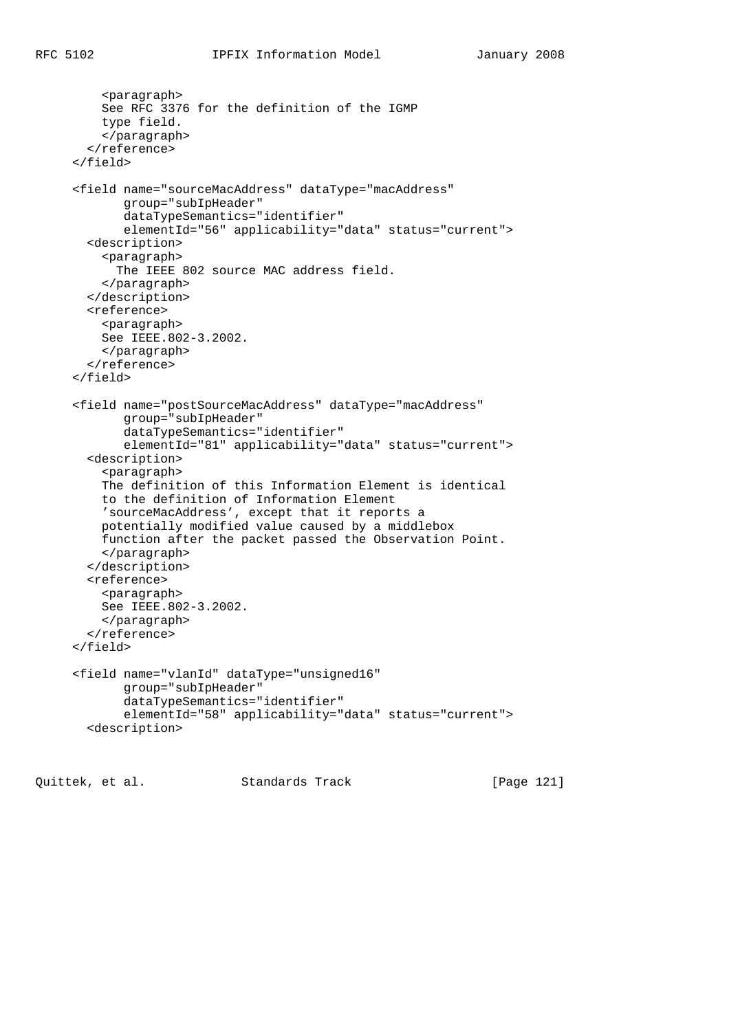```
 <paragraph>
    See RFC 3376 for the definition of the IGMP
    type field.
    </paragraph>
 </reference>
</field>
<field name="sourceMacAddress" dataType="macAddress"
       group="subIpHeader"
       dataTypeSemantics="identifier"
       elementId="56" applicability="data" status="current">
  <description>
    <paragraph>
     The IEEE 802 source MAC address field.
    </paragraph>
 </description>
 <reference>
    <paragraph>
   See IEEE.802-3.2002.
   </paragraph>
  </reference>
</field>
<field name="postSourceMacAddress" dataType="macAddress"
       group="subIpHeader"
       dataTypeSemantics="identifier"
       elementId="81" applicability="data" status="current">
 <description>
    <paragraph>
   The definition of this Information Element is identical
   to the definition of Information Element
   'sourceMacAddress', except that it reports a
   potentially modified value caused by a middlebox
   function after the packet passed the Observation Point.
   </paragraph>
 </description>
 <reference>
    <paragraph>
   See IEEE.802-3.2002.
   </paragraph>
 </reference>
</field>
<field name="vlanId" dataType="unsigned16"
       group="subIpHeader"
       dataTypeSemantics="identifier"
       elementId="58" applicability="data" status="current">
 <description>
```
Quittek, et al. Standards Track [Page 121]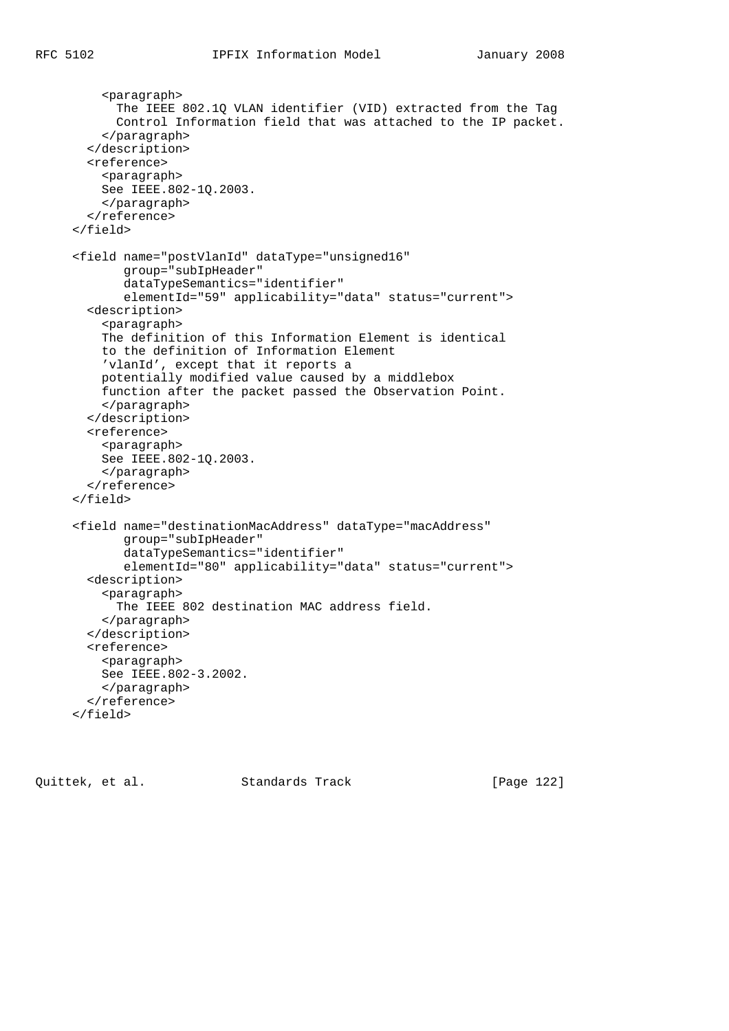```
 <paragraph>
      The IEEE 802.1Q VLAN identifier (VID) extracted from the Tag
      Control Information field that was attached to the IP packet.
    </paragraph>
  </description>
  <reference>
    <paragraph>
   See IEEE.802-1Q.2003.
   </paragraph>
  </reference>
</field>
<field name="postVlanId" dataType="unsigned16"
       group="subIpHeader"
       dataTypeSemantics="identifier"
       elementId="59" applicability="data" status="current">
  <description>
    <paragraph>
   The definition of this Information Element is identical
   to the definition of Information Element
    'vlanId', except that it reports a
   potentially modified value caused by a middlebox
   function after the packet passed the Observation Point.
    </paragraph>
  </description>
  <reference>
    <paragraph>
   See IEEE.802-1Q.2003.
   </paragraph>
  </reference>
</field>
<field name="destinationMacAddress" dataType="macAddress"
       group="subIpHeader"
       dataTypeSemantics="identifier"
       elementId="80" applicability="data" status="current">
  <description>
    <paragraph>
      The IEEE 802 destination MAC address field.
    </paragraph>
  </description>
  <reference>
   <paragraph>
   See IEEE.802-3.2002.
   </paragraph>
 </reference>
</field>
```
Quittek, et al. Standards Track [Page 122]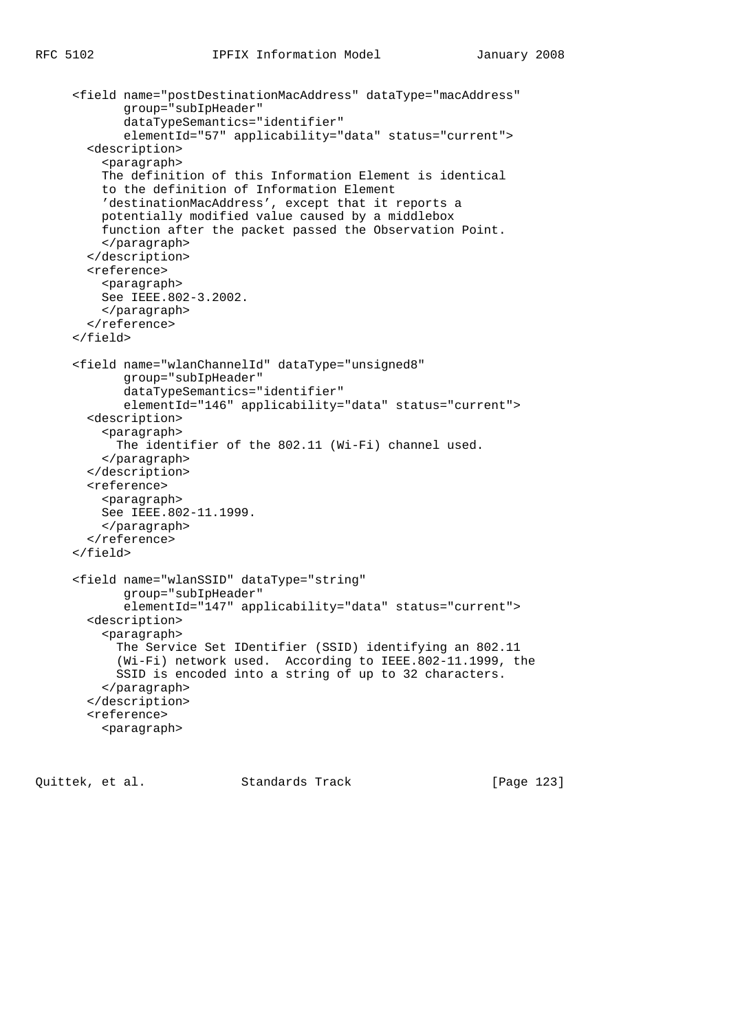```
 <field name="postDestinationMacAddress" dataType="macAddress"
       group="subIpHeader"
       dataTypeSemantics="identifier"
       elementId="57" applicability="data" status="current">
  <description>
    <paragraph>
   The definition of this Information Element is identical
   to the definition of Information Element
    'destinationMacAddress', except that it reports a
   potentially modified value caused by a middlebox
   function after the packet passed the Observation Point.
    </paragraph>
  </description>
  <reference>
   <paragraph>
   See IEEE.802-3.2002.
   </paragraph>
  </reference>
</field>
<field name="wlanChannelId" dataType="unsigned8"
       group="subIpHeader"
       dataTypeSemantics="identifier"
       elementId="146" applicability="data" status="current">
  <description>
    <paragraph>
      The identifier of the 802.11 (Wi-Fi) channel used.
    </paragraph>
  </description>
  <reference>
   <paragraph>
   See IEEE.802-11.1999.
   </paragraph>
  </reference>
</field>
<field name="wlanSSID" dataType="string"
       group="subIpHeader"
       elementId="147" applicability="data" status="current">
  <description>
    <paragraph>
      The Service Set IDentifier (SSID) identifying an 802.11
      (Wi-Fi) network used. According to IEEE.802-11.1999, the
      SSID is encoded into a string of up to 32 characters.
    </paragraph>
  </description>
  <reference>
    <paragraph>
```
Quittek, et al. Standards Track [Page 123]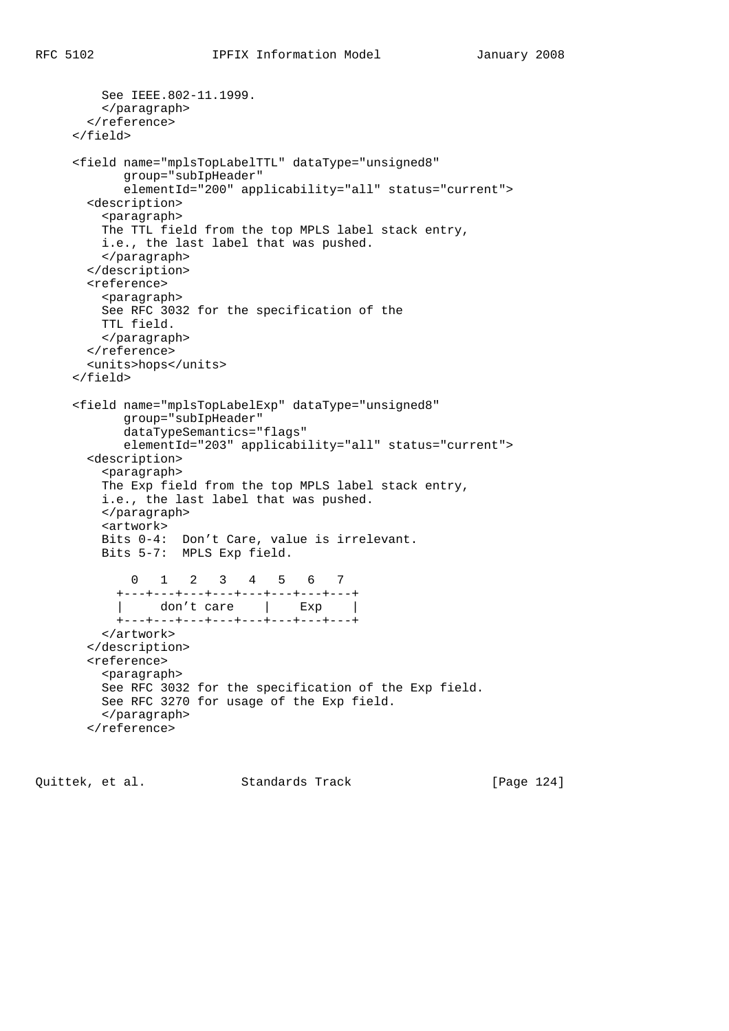```
 See IEEE.802-11.1999.
    </paragraph>
 </reference>
</field>
<field name="mplsTopLabelTTL" dataType="unsigned8"
      group="subIpHeader"
      elementId="200" applicability="all" status="current">
 <description>
   <paragraph>
   The TTL field from the top MPLS label stack entry,
   i.e., the last label that was pushed.
   </paragraph>
 </description>
 <reference>
   <paragraph>
   See RFC 3032 for the specification of the
   TTL field.
   </paragraph>
 </reference>
 <units>hops</units>
</field>
<field name="mplsTopLabelExp" dataType="unsigned8"
       group="subIpHeader"
      dataTypeSemantics="flags"
      elementId="203" applicability="all" status="current">
 <description>
    <paragraph>
   The Exp field from the top MPLS label stack entry,
   i.e., the last label that was pushed.
   </paragraph>
   <artwork>
   Bits 0-4: Don't Care, value is irrelevant.
   Bits 5-7: MPLS Exp field.
        0 1 2 3 4 5 6 7
      +---+---+---+---+---+---+---+---+
      | don't care | Exp |
      +---+---+---+---+---+---+---+---+
    </artwork>
 </description>
 <reference>
    <paragraph>
   See RFC 3032 for the specification of the Exp field.
   See RFC 3270 for usage of the Exp field.
   </paragraph>
  </reference>
```
Quittek, et al. Standards Track [Page 124]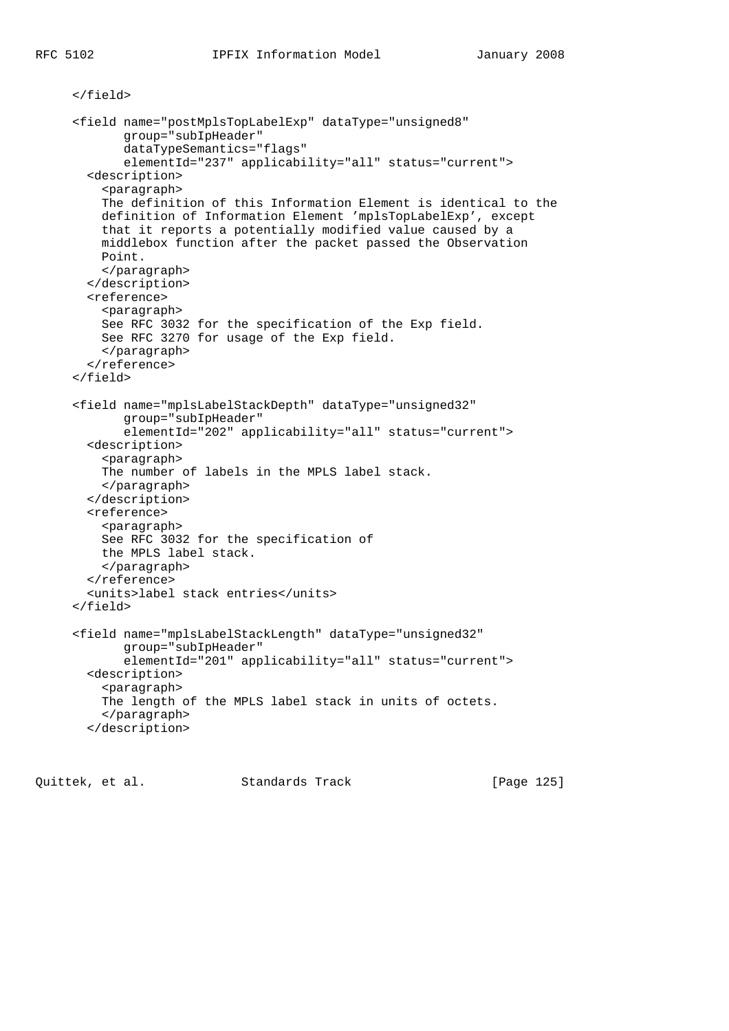</field>

```
 <field name="postMplsTopLabelExp" dataType="unsigned8"
       group="subIpHeader"
       dataTypeSemantics="flags"
       elementId="237" applicability="all" status="current">
  <description>
    <paragraph>
    The definition of this Information Element is identical to the
   definition of Information Element 'mplsTopLabelExp', except
    that it reports a potentially modified value caused by a
   middlebox function after the packet passed the Observation
   Point.
    </paragraph>
  </description>
  <reference>
    <paragraph>
   See RFC 3032 for the specification of the Exp field.
   See RFC 3270 for usage of the Exp field.
    </paragraph>
  </reference>
</field>
<field name="mplsLabelStackDepth" dataType="unsigned32"
       group="subIpHeader"
       elementId="202" applicability="all" status="current">
  <description>
    <paragraph>
    The number of labels in the MPLS label stack.
    </paragraph>
  </description>
  <reference>
    <paragraph>
   See RFC 3032 for the specification of
   the MPLS label stack.
    </paragraph>
  </reference>
  <units>label stack entries</units>
</field>
<field name="mplsLabelStackLength" dataType="unsigned32"
       group="subIpHeader"
       elementId="201" applicability="all" status="current">
  <description>
    <paragraph>
    The length of the MPLS label stack in units of octets.
    </paragraph>
  </description>
```
Quittek, et al. Standards Track [Page 125]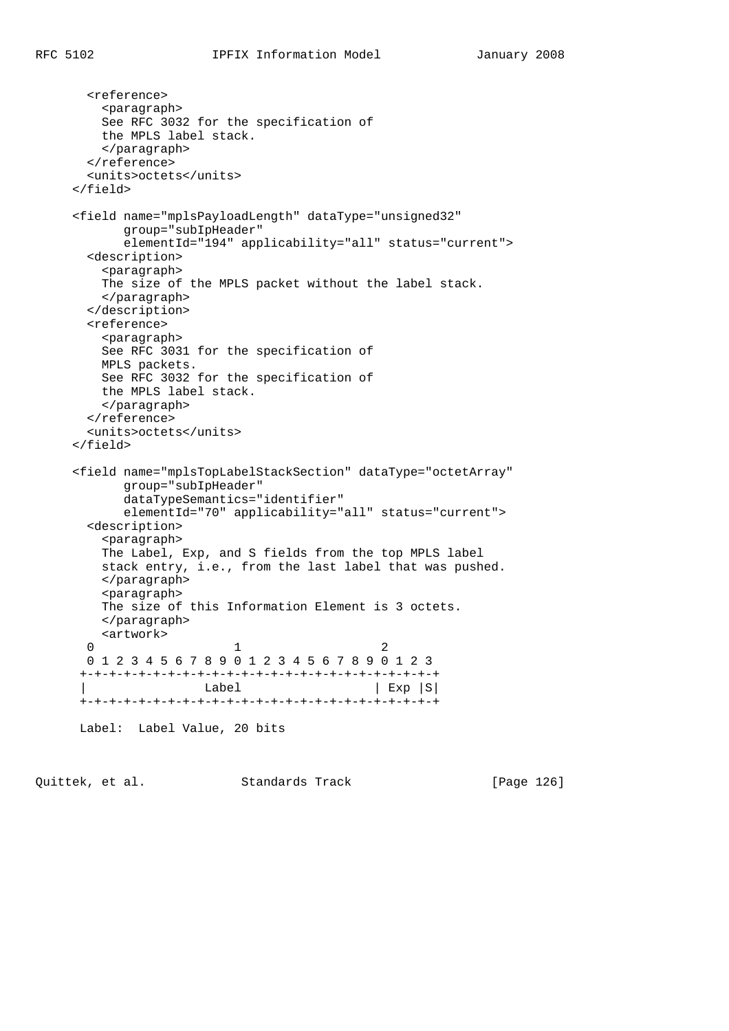<reference> <paragraph> See RFC 3032 for the specification of the MPLS label stack. </paragraph> </reference> <units>octets</units> </field> <field name="mplsPayloadLength" dataType="unsigned32" group="subIpHeader" elementId="194" applicability="all" status="current"> <description> <paragraph> The size of the MPLS packet without the label stack. </paragraph> </description> <reference> <paragraph> See RFC 3031 for the specification of MPLS packets. See RFC 3032 for the specification of the MPLS label stack. </paragraph> </reference> <units>octets</units> </field> <field name="mplsTopLabelStackSection" dataType="octetArray" group="subIpHeader" dataTypeSemantics="identifier" elementId="70" applicability="all" status="current"> <description> <paragraph> The Label, Exp, and S fields from the top MPLS label stack entry, i.e., from the last label that was pushed. </paragraph> <paragraph> The size of this Information Element is 3 octets. </paragraph> <artwork>  $0$  1 2 0 1 2 3 4 5 6 7 8 9 0 1 2 3 4 5 6 7 8 9 0 1 2 3

 +-+-+-+-+-+-+-+-+-+-+-+-+-+-+-+-+-+-+-+-+-+-+-+-+  $Label$ +-+-+-+-+-+-+-+-+-+-+-+-+-+-+-+-+-+-+-+-+-+-+-+-+

Label: Label Value, 20 bits

Quittek, et al. Standards Track [Page 126]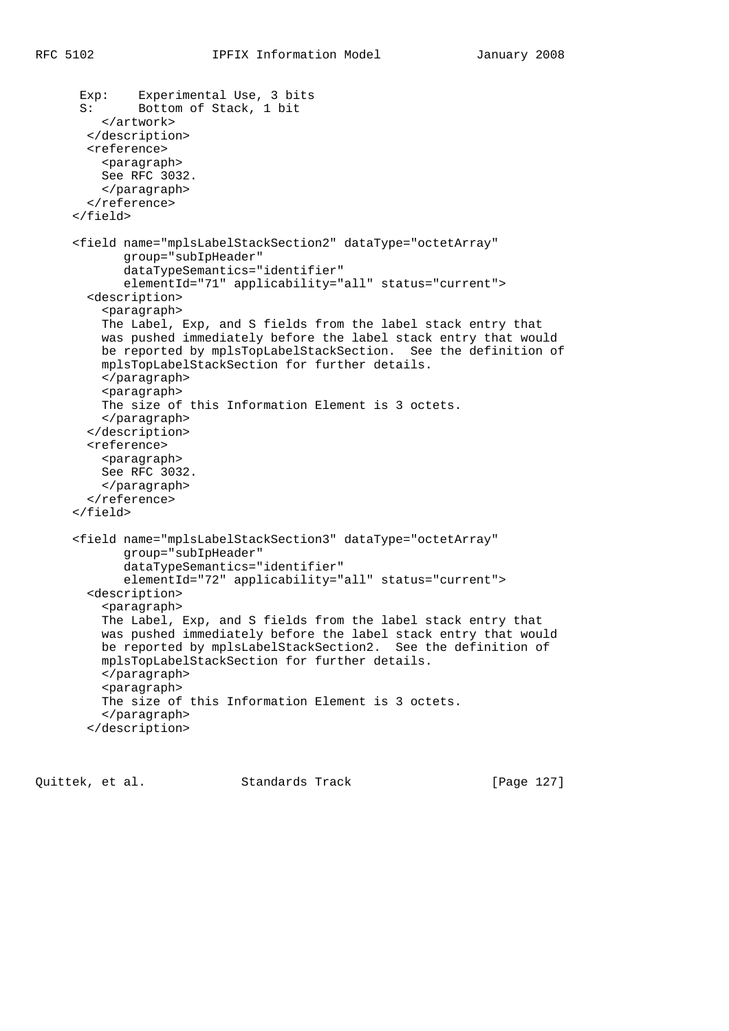```
 Exp: Experimental Use, 3 bits
S: Bottom of Stack, 1 bit
   </artwork>
 </description>
 <reference>
   <paragraph>
   See RFC 3032.
   </paragraph>
 </reference>
</field>
<field name="mplsLabelStackSection2" dataType="octetArray"
      group="subIpHeader"
       dataTypeSemantics="identifier"
       elementId="71" applicability="all" status="current">
 <description>
    <paragraph>
   The Label, Exp, and S fields from the label stack entry that
   was pushed immediately before the label stack entry that would
   be reported by mplsTopLabelStackSection. See the definition of
   mplsTopLabelStackSection for further details.
   </paragraph>
   <paragraph>
  The size of this Information Element is 3 octets.
    </paragraph>
 </description>
 <reference>
    <paragraph>
   See RFC 3032.
   </paragraph>
 </reference>
</field>
<field name="mplsLabelStackSection3" dataType="octetArray"
       group="subIpHeader"
       dataTypeSemantics="identifier"
       elementId="72" applicability="all" status="current">
  <description>
    <paragraph>
   The Label, Exp, and S fields from the label stack entry that
   was pushed immediately before the label stack entry that would
   be reported by mplsLabelStackSection2. See the definition of
   mplsTopLabelStackSection for further details.
   </paragraph>
    <paragraph>
   The size of this Information Element is 3 octets.
    </paragraph>
 </description>
```
Quittek, et al. Standards Track [Page 127]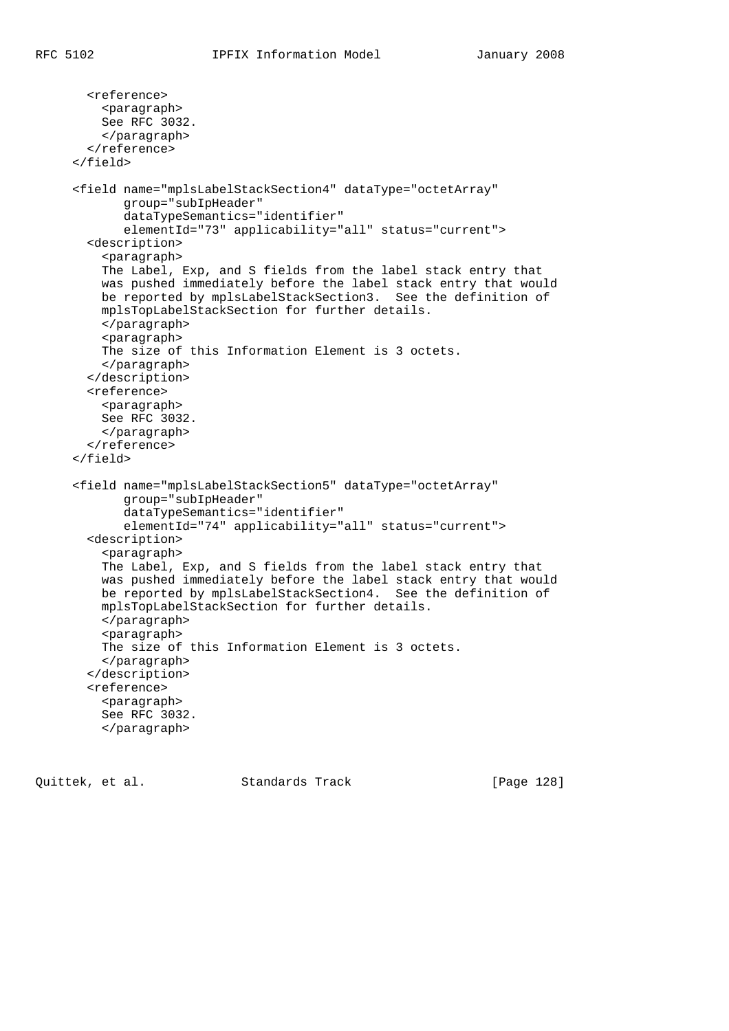```
 <reference>
    <paragraph>
   See RFC 3032.
   </paragraph>
  </reference>
</field>
<field name="mplsLabelStackSection4" dataType="octetArray"
       group="subIpHeader"
       dataTypeSemantics="identifier"
       elementId="73" applicability="all" status="current">
  <description>
    <paragraph>
    The Label, Exp, and S fields from the label stack entry that
   was pushed immediately before the label stack entry that would
   be reported by mplsLabelStackSection3. See the definition of
   mplsTopLabelStackSection for further details.
    </paragraph>
   <paragraph>
   The size of this Information Element is 3 octets.
    </paragraph>
  </description>
  <reference>
    <paragraph>
   See RFC 3032.
    </paragraph>
  </reference>
</field>
<field name="mplsLabelStackSection5" dataType="octetArray"
       group="subIpHeader"
       dataTypeSemantics="identifier"
       elementId="74" applicability="all" status="current">
  <description>
    <paragraph>
   The Label, Exp, and S fields from the label stack entry that
   was pushed immediately before the label stack entry that would
   be reported by mplsLabelStackSection4. See the definition of
   mplsTopLabelStackSection for further details.
    </paragraph>
    <paragraph>
   The size of this Information Element is 3 octets.
    </paragraph>
  </description>
  <reference>
    <paragraph>
    See RFC 3032.
    </paragraph>
```
Quittek, et al. Standards Track [Page 128]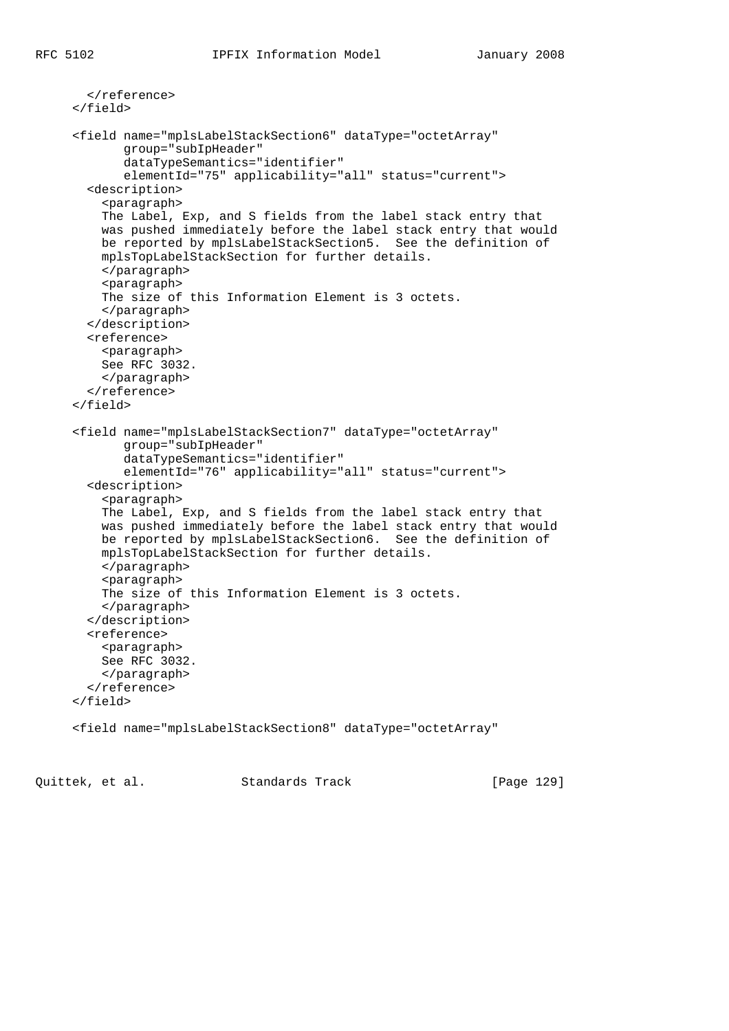```
 </reference>
</field>
<field name="mplsLabelStackSection6" dataType="octetArray"
       group="subIpHeader"
       dataTypeSemantics="identifier"
       elementId="75" applicability="all" status="current">
  <description>
    <paragraph>
    The Label, Exp, and S fields from the label stack entry that
   was pushed immediately before the label stack entry that would
   be reported by mplsLabelStackSection5. See the definition of
   mplsTopLabelStackSection for further details.
    </paragraph>
   <paragraph>
   The size of this Information Element is 3 octets.
    </paragraph>
  </description>
  <reference>
    <paragraph>
   See RFC 3032.
   </paragraph>
  </reference>
</field>
<field name="mplsLabelStackSection7" dataType="octetArray"
       group="subIpHeader"
       dataTypeSemantics="identifier"
       elementId="76" applicability="all" status="current">
  <description>
    <paragraph>
   The Label, Exp, and S fields from the label stack entry that
   was pushed immediately before the label stack entry that would
   be reported by mplsLabelStackSection6. See the definition of
   mplsTopLabelStackSection for further details.
    </paragraph>
    <paragraph>
   The size of this Information Element is 3 octets.
    </paragraph>
  </description>
  <reference>
   <paragraph>
   See RFC 3032.
   </paragraph>
  </reference>
</field>
<field name="mplsLabelStackSection8" dataType="octetArray"
```
Quittek, et al. Standards Track [Page 129]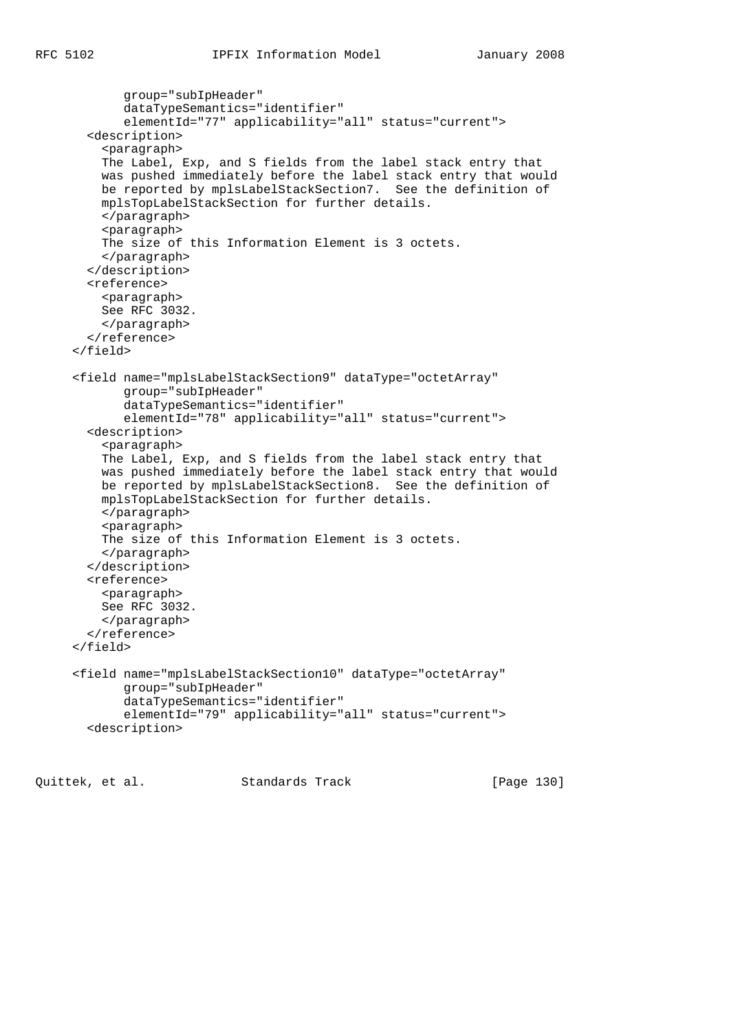```
 group="subIpHeader"
       dataTypeSemantics="identifier"
       elementId="77" applicability="all" status="current">
 <description>
    <paragraph>
   The Label, Exp, and S fields from the label stack entry that
   was pushed immediately before the label stack entry that would
   be reported by mplsLabelStackSection7. See the definition of
   mplsTopLabelStackSection for further details.
   </paragraph>
    <paragraph>
   The size of this Information Element is 3 octets.
    </paragraph>
 </description>
 <reference>
    <paragraph>
   See RFC 3032.
   </paragraph>
 </reference>
</field>
<field name="mplsLabelStackSection9" dataType="octetArray"
       group="subIpHeader"
       dataTypeSemantics="identifier"
       elementId="78" applicability="all" status="current">
  <description>
    <paragraph>
   The Label, Exp, and S fields from the label stack entry that
   was pushed immediately before the label stack entry that would
   be reported by mplsLabelStackSection8. See the definition of
   mplsTopLabelStackSection for further details.
   </paragraph>
    <paragraph>
   The size of this Information Element is 3 octets.
   </paragraph>
 </description>
 <reference>
    <paragraph>
   See RFC 3032.
   </paragraph>
 </reference>
</field>
<field name="mplsLabelStackSection10" dataType="octetArray"
       group="subIpHeader"
       dataTypeSemantics="identifier"
       elementId="79" applicability="all" status="current">
 <description>
```
Quittek, et al. Standards Track [Page 130]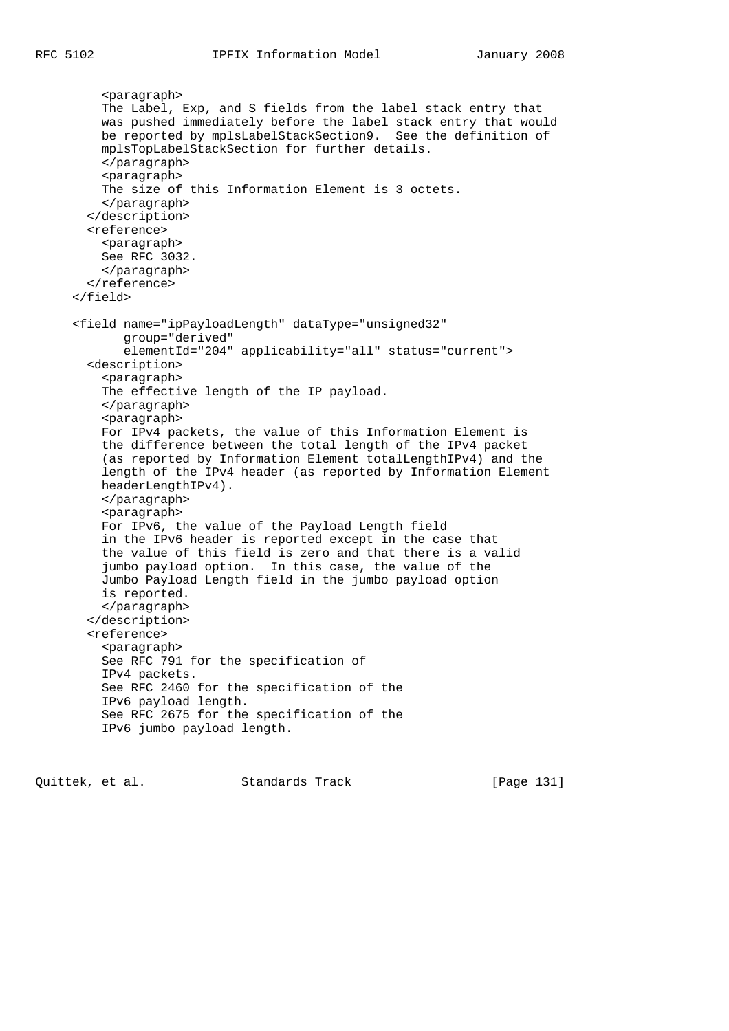```
 <paragraph>
    The Label, Exp, and S fields from the label stack entry that
   was pushed immediately before the label stack entry that would
   be reported by mplsLabelStackSection9. See the definition of
   mplsTopLabelStackSection for further details.
    </paragraph>
    <paragraph>
   The size of this Information Element is 3 octets.
   </paragraph>
 </description>
 <reference>
    <paragraph>
   See RFC 3032.
   </paragraph>
 </reference>
</field>
<field name="ipPayloadLength" dataType="unsigned32"
      group="derived"
       elementId="204" applicability="all" status="current">
  <description>
    <paragraph>
    The effective length of the IP payload.
    </paragraph>
    <paragraph>
   For IPv4 packets, the value of this Information Element is
   the difference between the total length of the IPv4 packet
    (as reported by Information Element totalLengthIPv4) and the
   length of the IPv4 header (as reported by Information Element
   headerLengthIPv4).
   </paragraph>
    <paragraph>
   For IPv6, the value of the Payload Length field
   in the IPv6 header is reported except in the case that
   the value of this field is zero and that there is a valid
    jumbo payload option. In this case, the value of the
   Jumbo Payload Length field in the jumbo payload option
   is reported.
    </paragraph>
 </description>
 <reference>
    <paragraph>
   See RFC 791 for the specification of
   IPv4 packets.
   See RFC 2460 for the specification of the
    IPv6 payload length.
    See RFC 2675 for the specification of the
    IPv6 jumbo payload length.
```
Quittek, et al. Standards Track [Page 131]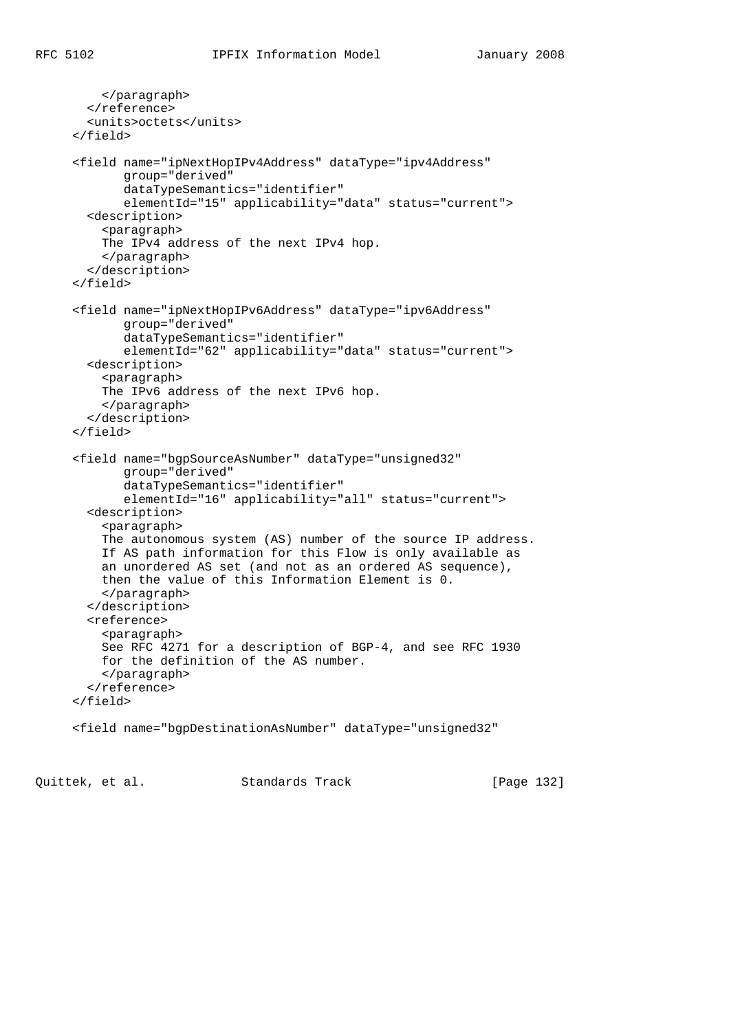```
 </paragraph>
  </reference>
  <units>octets</units>
</field>
<field name="ipNextHopIPv4Address" dataType="ipv4Address"
       group="derived"
       dataTypeSemantics="identifier"
       elementId="15" applicability="data" status="current">
  <description>
    <paragraph>
    The IPv4 address of the next IPv4 hop.
    </paragraph>
  </description>
</field>
<field name="ipNextHopIPv6Address" dataType="ipv6Address"
       group="derived"
       dataTypeSemantics="identifier"
       elementId="62" applicability="data" status="current">
  <description>
    <paragraph>
    The IPv6 address of the next IPv6 hop.
    </paragraph>
  </description>
</field>
<field name="bgpSourceAsNumber" dataType="unsigned32"
       group="derived"
       dataTypeSemantics="identifier"
       elementId="16" applicability="all" status="current">
  <description>
    <paragraph>
   The autonomous system (AS) number of the source IP address.
   If AS path information for this Flow is only available as
   an unordered AS set (and not as an ordered AS sequence),
   then the value of this Information Element is 0.
    </paragraph>
  </description>
  <reference>
    <paragraph>
    See RFC 4271 for a description of BGP-4, and see RFC 1930
   for the definition of the AS number.
    </paragraph>
  </reference>
</field>
<field name="bgpDestinationAsNumber" dataType="unsigned32"
```
Quittek, et al. Standards Track [Page 132]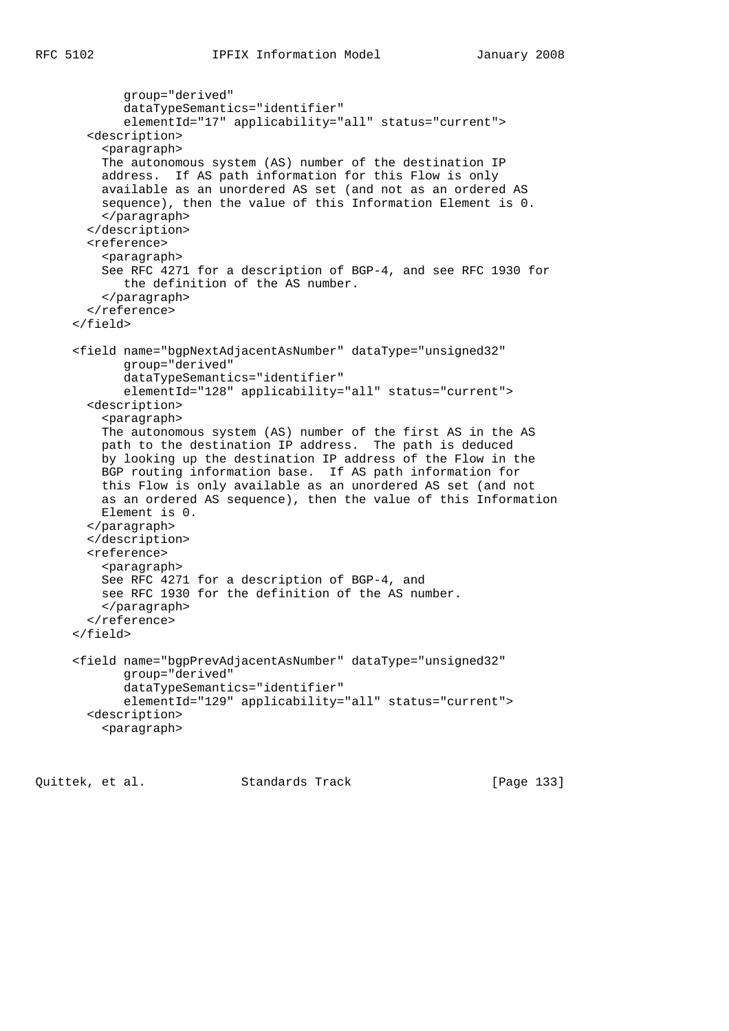```
 group="derived"
            dataTypeSemantics="identifier"
            elementId="17" applicability="all" status="current">
       <description>
         <paragraph>
        The autonomous system (AS) number of the destination IP
        address. If AS path information for this Flow is only
        available as an unordered AS set (and not as an ordered AS
        sequence), then the value of this Information Element is 0.
        </paragraph>
       </description>
       <reference>
         <paragraph>
         See RFC 4271 for a description of BGP-4, and see RFC 1930 for
            the definition of the AS number.
         </paragraph>
       </reference>
     </field>
     <field name="bgpNextAdjacentAsNumber" dataType="unsigned32"
            group="derived"
            dataTypeSemantics="identifier"
           elementId="128" applicability="all" status="current">
       <description>
         <paragraph>
        The autonomous system (AS) number of the first AS in the AS
        path to the destination IP address. The path is deduced
        by looking up the destination IP address of the Flow in the
BGP routing information base. If AS path information for
this Flow is only available as an unordered AS set (and not
        as an ordered AS sequence), then the value of this Information
        Element is 0.
       </paragraph>
       </description>
       <reference>
         <paragraph>
        See RFC 4271 for a description of BGP-4, and
        see RFC 1930 for the definition of the AS number.
         </paragraph>
       </reference>
     </field>
     <field name="bgpPrevAdjacentAsNumber" dataType="unsigned32"
           group="derived"
            dataTypeSemantics="identifier"
            elementId="129" applicability="all" status="current">
       <description>
         <paragraph>
```
Quittek, et al. Standards Track [Page 133]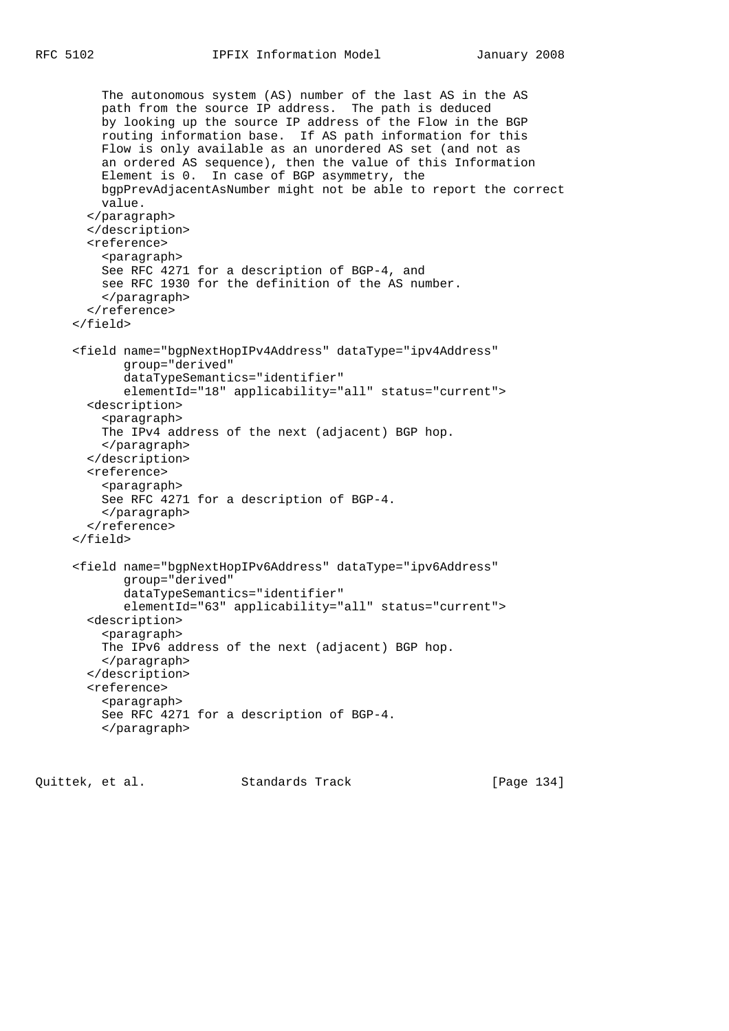The autonomous system (AS) number of the last AS in the AS path from the source IP address. The path is deduced by looking up the source IP address of the Flow in the BGP routing information base. If AS path information for this Flow is only available as an unordered AS set (and not as an ordered AS sequence), then the value of this Information Element is 0. In case of BGP asymmetry, the bgpPrevAdjacentAsNumber might not be able to report the correct value. </paragraph> </description> <reference> <paragraph> See RFC 4271 for a description of BGP-4, and see RFC 1930 for the definition of the AS number. </paragraph> </reference> </field> <field name="bgpNextHopIPv4Address" dataType="ipv4Address" group="derived" dataTypeSemantics="identifier" elementId="18" applicability="all" status="current"> <description> <paragraph> The IPv4 address of the next (adjacent) BGP hop. </paragraph> </description> <reference> <paragraph> See RFC 4271 for a description of BGP-4. </paragraph> </reference> </field> <field name="bgpNextHopIPv6Address" dataType="ipv6Address" group="derived" dataTypeSemantics="identifier" elementId="63" applicability="all" status="current"> <description> <paragraph> The IPv6 address of the next (adjacent) BGP hop. </paragraph> </description> <reference> <paragraph> See RFC 4271 for a description of BGP-4. </paragraph>

Quittek, et al. Standards Track [Page 134]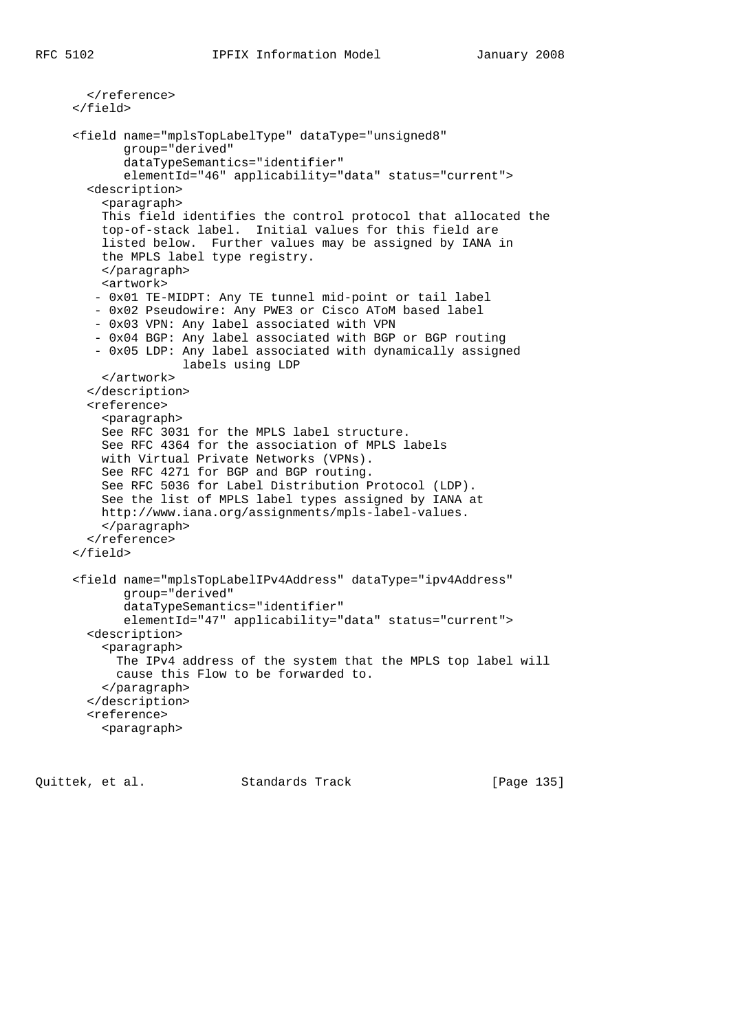```
 </reference>
</field>
<field name="mplsTopLabelType" dataType="unsigned8"
       group="derived"
       dataTypeSemantics="identifier"
       elementId="46" applicability="data" status="current">
  <description>
    <paragraph>
    This field identifies the control protocol that allocated the
    top-of-stack label. Initial values for this field are
    listed below. Further values may be assigned by IANA in
   the MPLS label type registry.
   </paragraph>
   <artwork>
   - 0x01 TE-MIDPT: Any TE tunnel mid-point or tail label
   - 0x02 Pseudowire: Any PWE3 or Cisco AToM based label
   - 0x03 VPN: Any label associated with VPN
   - 0x04 BGP: Any label associated with BGP or BGP routing
   - 0x05 LDP: Any label associated with dynamically assigned
               labels using LDP
    </artwork>
  </description>
  <reference>
    <paragraph>
    See RFC 3031 for the MPLS label structure.
   See RFC 4364 for the association of MPLS labels
   with Virtual Private Networks (VPNs).
   See RFC 4271 for BGP and BGP routing.
   See RFC 5036 for Label Distribution Protocol (LDP).
   See the list of MPLS label types assigned by IANA at
   http://www.iana.org/assignments/mpls-label-values.
    </paragraph>
  </reference>
</field>
<field name="mplsTopLabelIPv4Address" dataType="ipv4Address"
       group="derived"
       dataTypeSemantics="identifier"
       elementId="47" applicability="data" status="current">
  <description>
    <paragraph>
      The IPv4 address of the system that the MPLS top label will
      cause this Flow to be forwarded to.
    </paragraph>
  </description>
  <reference>
    <paragraph>
```
Quittek, et al. Standards Track [Page 135]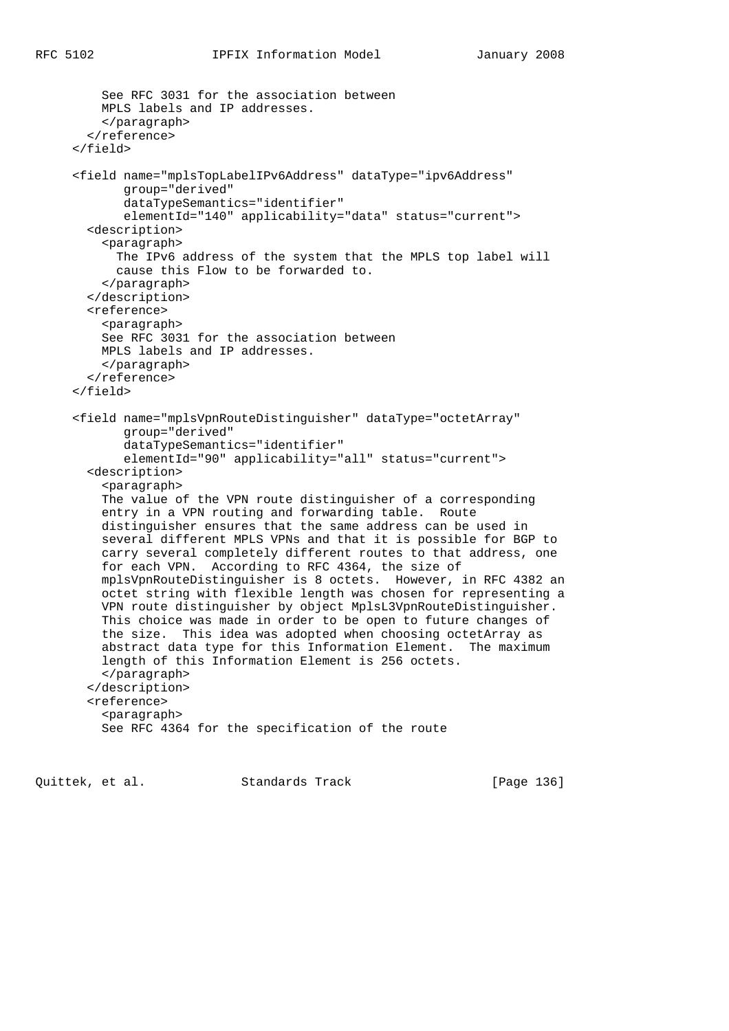```
 See RFC 3031 for the association between
   MPLS labels and IP addresses.
    </paragraph>
  </reference>
</field>
<field name="mplsTopLabelIPv6Address" dataType="ipv6Address"
       group="derived"
       dataTypeSemantics="identifier"
       elementId="140" applicability="data" status="current">
  <description>
    <paragraph>
     The IPv6 address of the system that the MPLS top label will
     cause this Flow to be forwarded to.
    </paragraph>
  </description>
  <reference>
    <paragraph>
   See RFC 3031 for the association between
   MPLS labels and IP addresses.
    </paragraph>
  </reference>
</field>
<field name="mplsVpnRouteDistinguisher" dataType="octetArray"
       group="derived"
       dataTypeSemantics="identifier"
       elementId="90" applicability="all" status="current">
  <description>
    <paragraph>
    The value of the VPN route distinguisher of a corresponding
   entry in a VPN routing and forwarding table. Route
   distinguisher ensures that the same address can be used in
   several different MPLS VPNs and that it is possible for BGP to
   carry several completely different routes to that address, one
   for each VPN. According to RFC 4364, the size of
   mplsVpnRouteDistinguisher is 8 octets. However, in RFC 4382 an
   octet string with flexible length was chosen for representing a
   VPN route distinguisher by object MplsL3VpnRouteDistinguisher.
   This choice was made in order to be open to future changes of
   the size. This idea was adopted when choosing octetArray as
   abstract data type for this Information Element. The maximum
    length of this Information Element is 256 octets.
    </paragraph>
  </description>
  <reference>
    <paragraph>
    See RFC 4364 for the specification of the route
```
Quittek, et al. Standards Track [Page 136]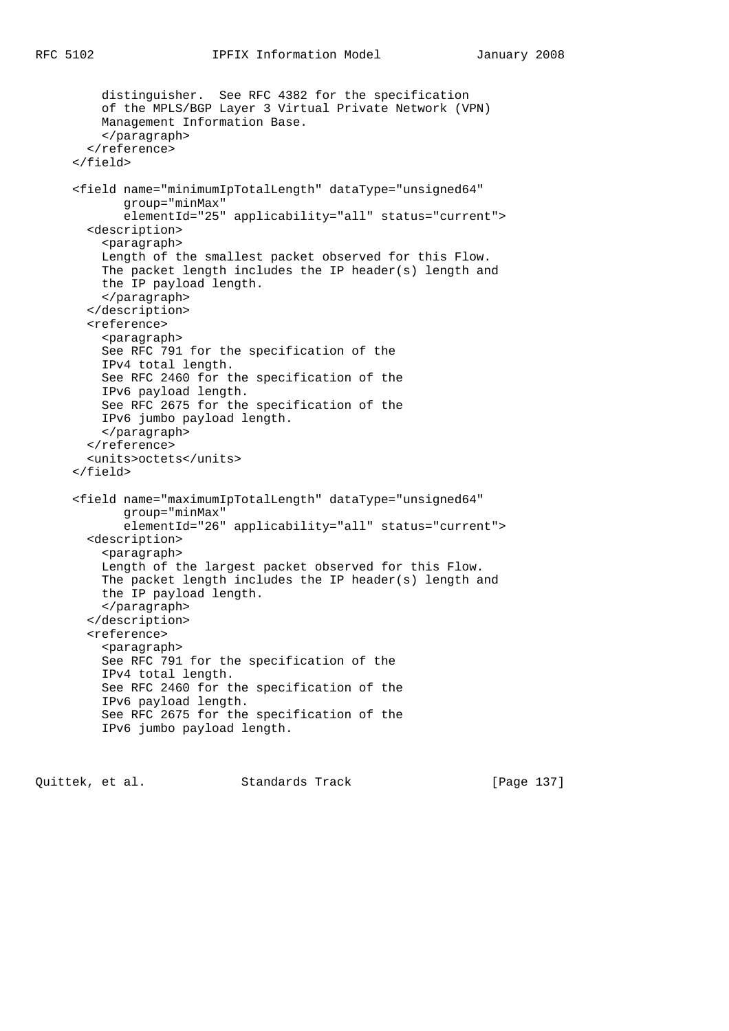```
 distinguisher. See RFC 4382 for the specification
    of the MPLS/BGP Layer 3 Virtual Private Network (VPN)
   Management Information Base.
   </paragraph>
 </reference>
</field>
<field name="minimumIpTotalLength" dataType="unsigned64"
       group="minMax"
       elementId="25" applicability="all" status="current">
 <description>
    <paragraph>
   Length of the smallest packet observed for this Flow.
   The packet length includes the IP header(s) length and
   the IP payload length.
    </paragraph>
 </description>
 <reference>
    <paragraph>
   See RFC 791 for the specification of the
   IPv4 total length.
   See RFC 2460 for the specification of the
   IPv6 payload length.
   See RFC 2675 for the specification of the
   IPv6 jumbo payload length.
    </paragraph>
 </reference>
 <units>octets</units>
</field>
<field name="maximumIpTotalLength" dataType="unsigned64"
       group="minMax"
       elementId="26" applicability="all" status="current">
 <description>
   <paragraph>
   Length of the largest packet observed for this Flow.
   The packet length includes the IP header(s) length and
   the IP payload length.
    </paragraph>
 </description>
 <reference>
    <paragraph>
   See RFC 791 for the specification of the
   IPv4 total length.
   See RFC 2460 for the specification of the
   IPv6 payload length.
   See RFC 2675 for the specification of the
    IPv6 jumbo payload length.
```
Quittek, et al. Standards Track [Page 137]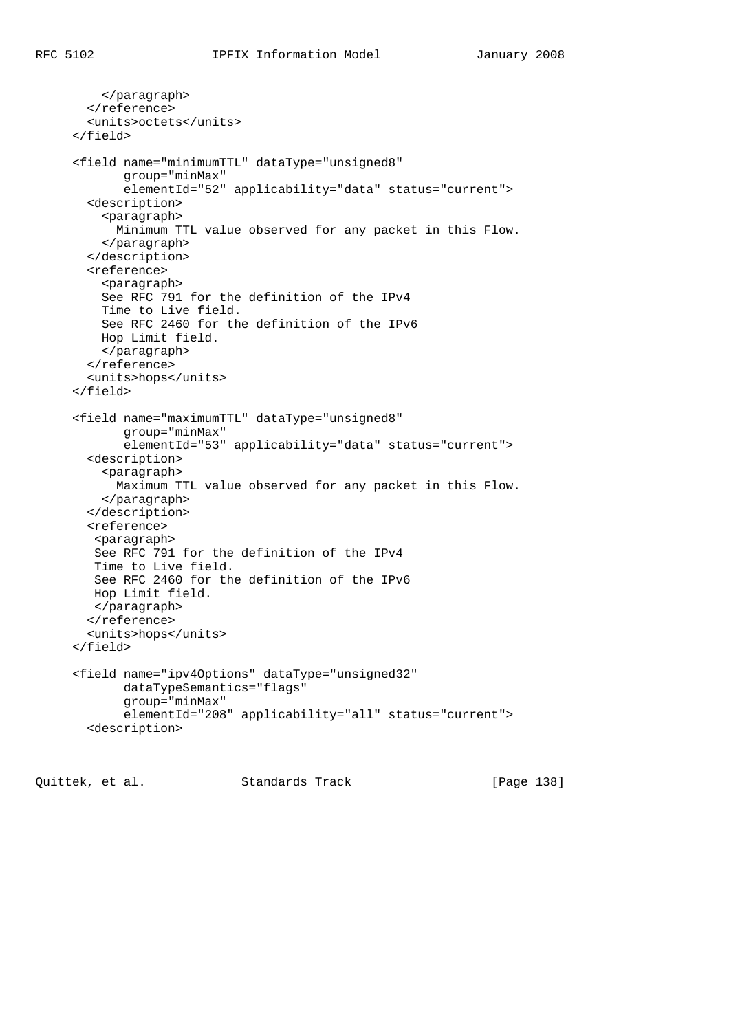```
 </paragraph>
  </reference>
  <units>octets</units>
</field>
<field name="minimumTTL" dataType="unsigned8"
       group="minMax"
       elementId="52" applicability="data" status="current">
  <description>
    <paragraph>
     Minimum TTL value observed for any packet in this Flow.
    </paragraph>
  </description>
  <reference>
    <paragraph>
    See RFC 791 for the definition of the IPv4
    Time to Live field.
    See RFC 2460 for the definition of the IPv6
    Hop Limit field.
    </paragraph>
  </reference>
  <units>hops</units>
</field>
<field name="maximumTTL" dataType="unsigned8"
       group="minMax"
       elementId="53" applicability="data" status="current">
  <description>
    <paragraph>
      Maximum TTL value observed for any packet in this Flow.
    </paragraph>
  </description>
  <reference>
   <paragraph>
  See RFC 791 for the definition of the IPv4
  Time to Live field.
  See RFC 2460 for the definition of the IPv6
  Hop Limit field.
  </paragraph>
  </reference>
  <units>hops</units>
</field>
<field name="ipv4Options" dataType="unsigned32"
       dataTypeSemantics="flags"
       group="minMax"
       elementId="208" applicability="all" status="current">
  <description>
```
Quittek, et al. Standards Track [Page 138]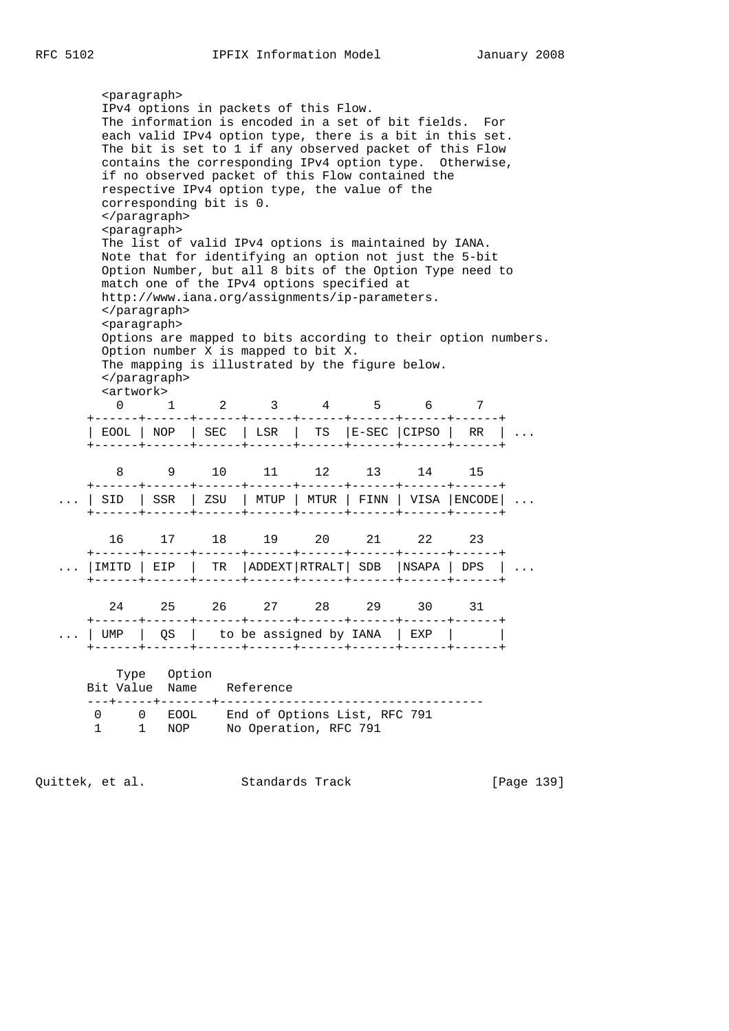<paragraph> IPv4 options in packets of this Flow. The information is encoded in a set of bit fields. For each valid IPv4 option type, there is a bit in this set. The bit is set to 1 if any observed packet of this Flow contains the corresponding IPv4 option type. Otherwise, if no observed packet of this Flow contained the respective IPv4 option type, the value of the corresponding bit is 0. </paragraph> <paragraph> The list of valid IPv4 options is maintained by IANA. Note that for identifying an option not just the 5-bit Option Number, but all 8 bits of the Option Type need to match one of the IPv4 options specified at http://www.iana.org/assignments/ip-parameters. </paragraph> <paragraph> Options are mapped to bits according to their option numbers. Option number X is mapped to bit X. The mapping is illustrated by the figure below. </paragraph> <artwork> 0 1 2 3 4 5 6 7 +------+------+------+------+------+------+------+------+ | EOOL | NOP | SEC | LSR | TS |E-SEC |CIPSO | RR | ... +------+------+------+------+------+------+------+------+ 8 9 10 11 12 13 14 15 +------+------+------+------+------+------+------+------+ ... | SID | SSR | ZSU | MTUP | MTUR | FINN | VISA |ENCODE| ... +------+------+------+------+------+------+------+------+ 16 17 18 19 20 21 22 23 +------+------+------+------+------+------+------+------+ ... |IMITD | EIP | TR |ADDEXT|RTRALT| SDB |NSAPA | DPS | ... +------+------+------+------+------+------+------+------+ 24 25 26 27 28 29 30 31 +------+------+------+------+------+------+------+------+ ... | UMP | QS | to be assigned by IANA | EXP | | +------+------+------+------+------+------+------+------+ Type Option Bit Value Name Reference ---+-----+-------+------------------------------------ 0 0 EOOL End of Options List, RFC 791 1 1 NOP No Operation, RFC 791

Quittek, et al. Standards Track [Page 139]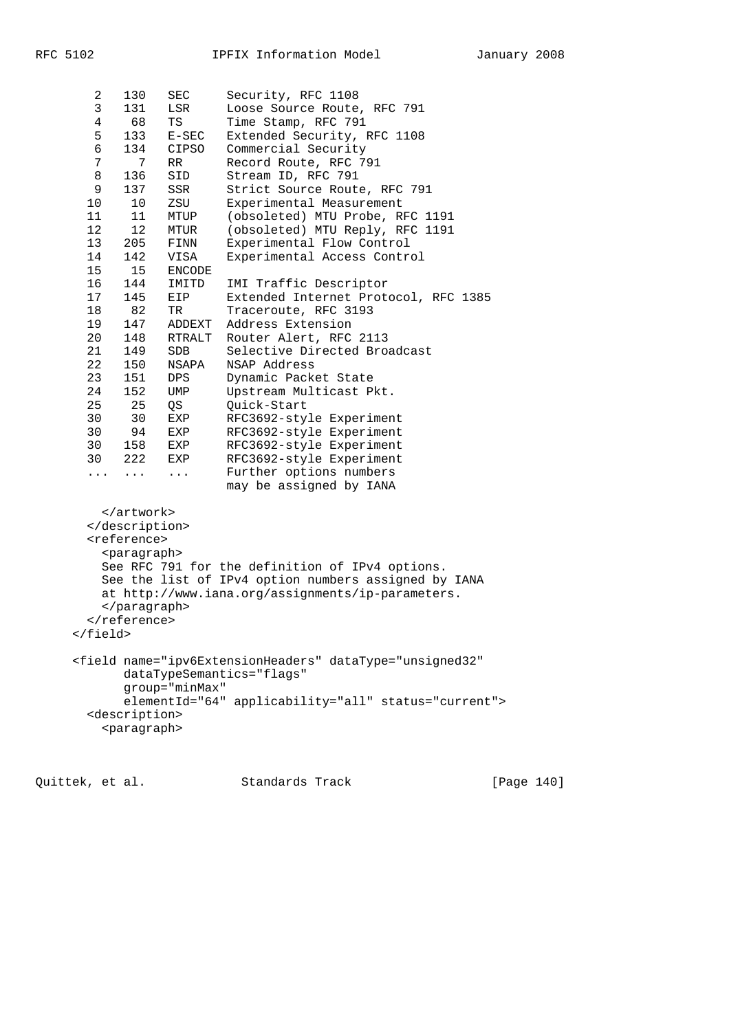|                                                                              | $\sqrt{2}$                                        | 130                         | <b>SEC</b> | Security, RFC 1108                   |  |
|------------------------------------------------------------------------------|---------------------------------------------------|-----------------------------|------------|--------------------------------------|--|
|                                                                              | 3                                                 | 131                         | LSR        | Loose Source Route, RFC 791          |  |
|                                                                              | 4                                                 | 68                          | TS         | Time Stamp, RFC 791                  |  |
|                                                                              | 5                                                 | 133                         | $E-SEC$    | Extended Security, RFC 1108          |  |
|                                                                              | 6                                                 | 134                         | CIPSO      | Commercial Security                  |  |
|                                                                              | 7                                                 | 7                           | RR         | Record Route, RFC 791                |  |
|                                                                              | 8                                                 | 136                         | SID        | Stream ID, RFC 791                   |  |
|                                                                              | 9                                                 | 137                         | SSR        | Strict Source Route, RFC 791         |  |
|                                                                              | 10                                                | 10                          | ZSU        | Experimental Measurement             |  |
|                                                                              | 11                                                | 11                          | MTUP       | (obsoleted) MTU Probe, RFC 1191      |  |
|                                                                              | 12                                                | 12                          | MTUR       | (obsoleted) MTU Reply, RFC 1191      |  |
|                                                                              | 13                                                | 205                         | FINN       | Experimental Flow Control            |  |
|                                                                              | 14                                                | 142                         | VISA       | Experimental Access Control          |  |
|                                                                              | 15                                                | 15                          | ENCODE     |                                      |  |
|                                                                              | 16                                                | 144                         | IMITD      | IMI Traffic Descriptor               |  |
|                                                                              | 17                                                | 145                         | EIP        | Extended Internet Protocol, RFC 1385 |  |
|                                                                              | 18                                                | 82                          | TR         | Traceroute, RFC 3193                 |  |
|                                                                              | 19                                                | 147                         | ADDEXT     | Address Extension                    |  |
|                                                                              | 20                                                | 148                         | RTRALT     | Router Alert, RFC 2113               |  |
|                                                                              | 21                                                | 149                         | <b>SDB</b> | Selective Directed Broadcast         |  |
|                                                                              | 22                                                | 150                         | NSAPA      | NSAP Address                         |  |
|                                                                              | 23                                                | 151                         | DPS        | Dynamic Packet State                 |  |
|                                                                              | 24                                                | 152                         | UMP        | Upstream Multicast Pkt.              |  |
|                                                                              | 25                                                | 25                          | QS         | Quick-Start                          |  |
|                                                                              | 30                                                | 30                          | EXP        | RFC3692-style Experiment             |  |
|                                                                              | 30                                                | 94                          | EXP        | RFC3692-style Experiment             |  |
|                                                                              | 30                                                | 158                         | EXP        | RFC3692-style Experiment             |  |
|                                                                              | 30                                                | 222                         | EXP        | RFC3692-style Experiment             |  |
|                                                                              | $\cdots$                                          | $\cdots$                    | .          | Further options numbers              |  |
|                                                                              |                                                   |                             |            | may be assigned by IANA              |  |
|                                                                              |                                                   |                             |            |                                      |  |
|                                                                              |                                                   |                             |            |                                      |  |
|                                                                              |                                                   |                             |            |                                      |  |
| <reference></reference>                                                      |                                                   |                             |            |                                      |  |
| <paragraph></paragraph>                                                      |                                                   |                             |            |                                      |  |
| See RFC 791 for the definition of IPv4 options.                              |                                                   |                             |            |                                      |  |
| See the list of IPv4 option numbers assigned by IANA                         |                                                   |                             |            |                                      |  |
|                                                                              | at http://www.iana.org/assignments/ip-parameters. |                             |            |                                      |  |
|                                                                              |                                                   |                             |            |                                      |  |
|                                                                              |                                                   |                             |            |                                      |  |
|                                                                              |                                                   |                             |            |                                      |  |
|                                                                              |                                                   |                             |            |                                      |  |
| <field <="" datatype="unsigned32" name="ipv6ExtensionHeaders" td=""></field> |                                                   |                             |            |                                      |  |
| dataTypeSemantics="flags"                                                    |                                                   |                             |            |                                      |  |
|                                                                              | group="minMax"                                    |                             |            |                                      |  |
| elementId="64" applicability="all" status="current">                         |                                                   |                             |            |                                      |  |
|                                                                              |                                                   | <description></description> |            |                                      |  |
| <paragraph></paragraph>                                                      |                                                   |                             |            |                                      |  |
|                                                                              |                                                   |                             |            |                                      |  |

Quittek, et al. Standards Track [Page 140]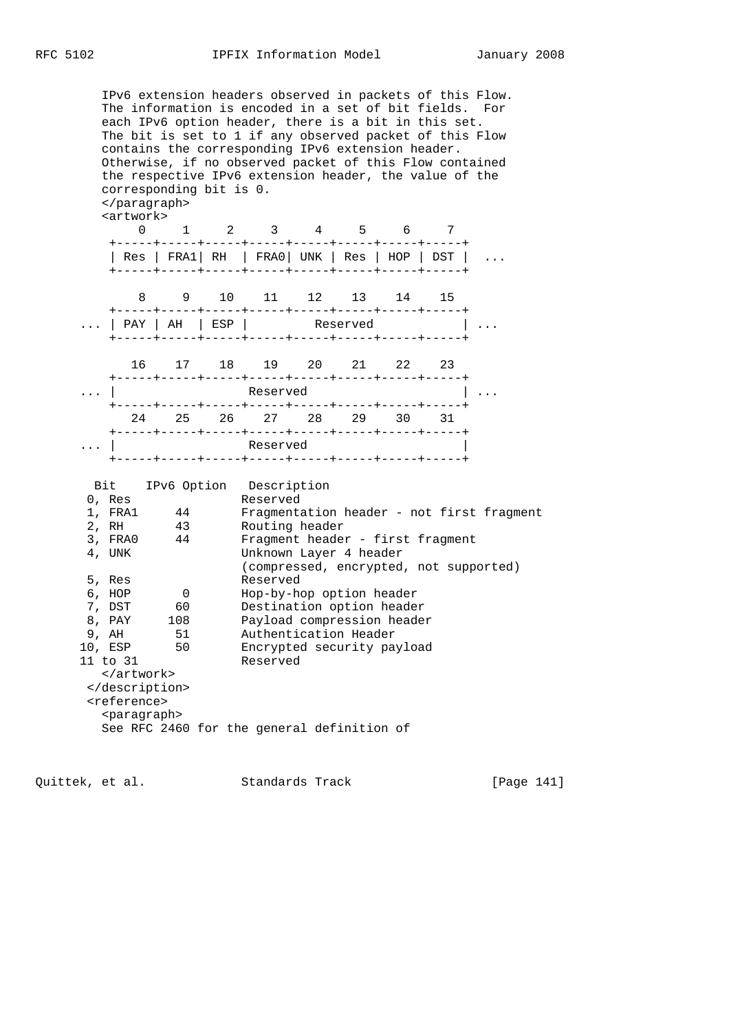IPv6 extension headers observed in packets of this Flow. The information is encoded in a set of bit fields. For each IPv6 option header, there is a bit in this set. The bit is set to 1 if any observed packet of this Flow contains the corresponding IPv6 extension header. Otherwise, if no observed packet of this Flow contained the respective IPv6 extension header, the value of the corresponding bit is 0. </paragraph> <artwork> Part Work 2 3 4 5 6 7 +-----+-----+-----+-----+-----+-----+-----+-----+ | Res | FRA1| RH | FRA0| UNK | Res | HOP | DST | ... +-----+-----+-----+-----+-----+-----+-----+-----+ 8 9 10 11 12 13 14 15 +-----+-----+-----+-----+-----+-----+-----+-----+ ... | PAY | AH | ESP | Reserved | ... +-----+-----+-----+-----+-----+-----+-----+-----+ 16 17 18 19 20 21 22 23 +-----+-----+-----+-----+-----+-----+-----+-----+ ... | Reserved +-----+-----+-----+-----+-----+-----+-----+-----+ 24 25 26 27 28 29 30 31 +-----+-----+-----+-----+-----+-----+-----+-----+ ... | Reserved +-----+-----+-----+-----+-----+-----+-----+-----+ Bit IPv6 Option Description 0, Res Reserved 1, FRA1 44 Fragmentation header - not first fragment 2, RH 43 Routing header 3, FRA0 44 Fragment header - first fragment 4, UNK Unknown Layer 4 header (compressed, encrypted, not supported) 5, Res Reserved 6, HOP 0 Hop-by-hop option header 7, DST 60 Destination option header 8, PAY 108 Payload compression header 9, AH 51 Authentication Header 10, ESP 50 Encrypted security payload 11 to 31 Reserved </artwork> </description> <reference> <paragraph> See RFC 2460 for the general definition of

Quittek, et al. Standards Track [Page 141]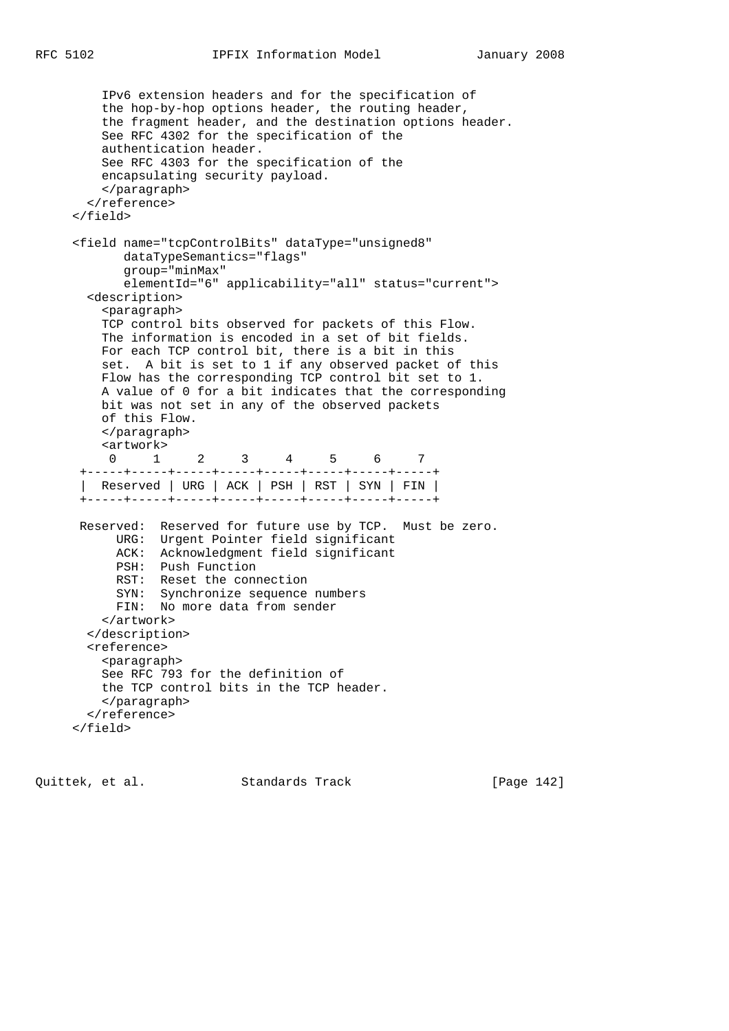```
 IPv6 extension headers and for the specification of
        the hop-by-hop options header, the routing header,
        the fragment header, and the destination options header.
        See RFC 4302 for the specification of the
        authentication header.
        See RFC 4303 for the specification of the
        encapsulating security payload.
        </paragraph>
      </reference>
    </field>
    <field name="tcpControlBits" dataType="unsigned8"
           dataTypeSemantics="flags"
           group="minMax"
           elementId="6" applicability="all" status="current">
      <description>
        <paragraph>
        TCP control bits observed for packets of this Flow.
        The information is encoded in a set of bit fields.
For each TCP control bit, there is a bit in this
set. A bit is set to 1 if any observed packet of this
        Flow has the corresponding TCP control bit set to 1.
        A value of 0 for a bit indicates that the corresponding
        bit was not set in any of the observed packets
        of this Flow.
        </paragraph>
        <artwork>
        0 1 2 3 4 5 6 7
     +-----+-----+-----+-----+-----+-----+-----+-----+
     | Reserved | URG | ACK | PSH | RST | SYN | FIN |
     +-----+-----+-----+-----+-----+-----+-----+-----+
     Reserved: Reserved for future use by TCP. Must be zero.
          URG: Urgent Pointer field significant
          ACK: Acknowledgment field significant
          PSH: Push Function
          RST: Reset the connection
          SYN: Synchronize sequence numbers
          FIN: No more data from sender
        </artwork>
      </description>
      <reference>
        <paragraph>
        See RFC 793 for the definition of
        the TCP control bits in the TCP header.
        </paragraph>
      </reference>
    </field>
```
Quittek, et al. Standards Track [Page 142]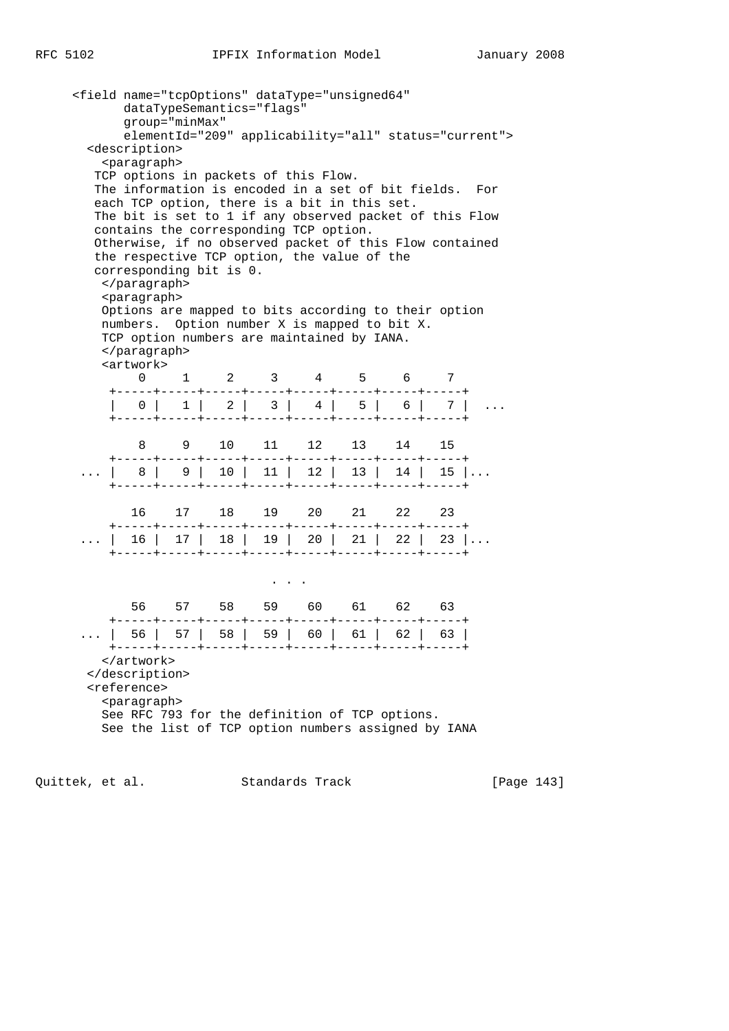```
 <field name="tcpOptions" dataType="unsigned64"
      dataTypeSemantics="flags"
      group="minMax"
      elementId="209" applicability="all" status="current">
 <description>
   <paragraph>
  TCP options in packets of this Flow.
  The information is encoded in a set of bit fields. For
  each TCP option, there is a bit in this set.
 The bit is set to 1 if any observed packet of this Flow
  contains the corresponding TCP option.
  Otherwise, if no observed packet of this Flow contained
  the respective TCP option, the value of the
  corresponding bit is 0.
   </paragraph>
   <paragraph>
   Options are mapped to bits according to their option
   numbers. Option number X is mapped to bit X.
   TCP option numbers are maintained by IANA.
   </paragraph>
   <artwork>
      0 1 2 3 4 5 6 7
    +-----+-----+-----+-----+-----+-----+-----+-----+
    | 0 | 1 | 2 | 3 | 4 | 5 | 6 | 7 | ...
    +-----+-----+-----+-----+-----+-----+-----+-----+
      8 9 10 11 12 13 14 15
    +-----+-----+-----+-----+-----+-----+-----+-----+
\ldots | 8 | 9 | 10 | 11 | 12 | 13 | 14 | 15 |...
    +-----+-----+-----+-----+-----+-----+-----+-----+
     16 17 18 19 20 21 22 23
    +-----+-----+-----+-----+-----+-----+-----+-----+
... | 16 | 17 | 18 | 19 | 20 | 21 | 22 | 23 |...
    +-----+-----+-----+-----+-----+-----+-----+-----+
                        . . .
      56 57 58 59 60 61 62 63
    +-----+-----+-----+-----+-----+-----+-----+-----+
 ... | 56 | 57 | 58 | 59 | 60 | 61 | 62 | 63 |
    +-----+-----+-----+-----+-----+-----+-----+-----+
   </artwork>
 </description>
 <reference>
   <paragraph>
   See RFC 793 for the definition of TCP options.
   See the list of TCP option numbers assigned by IANA
```
Quittek, et al. Standards Track [Page 143]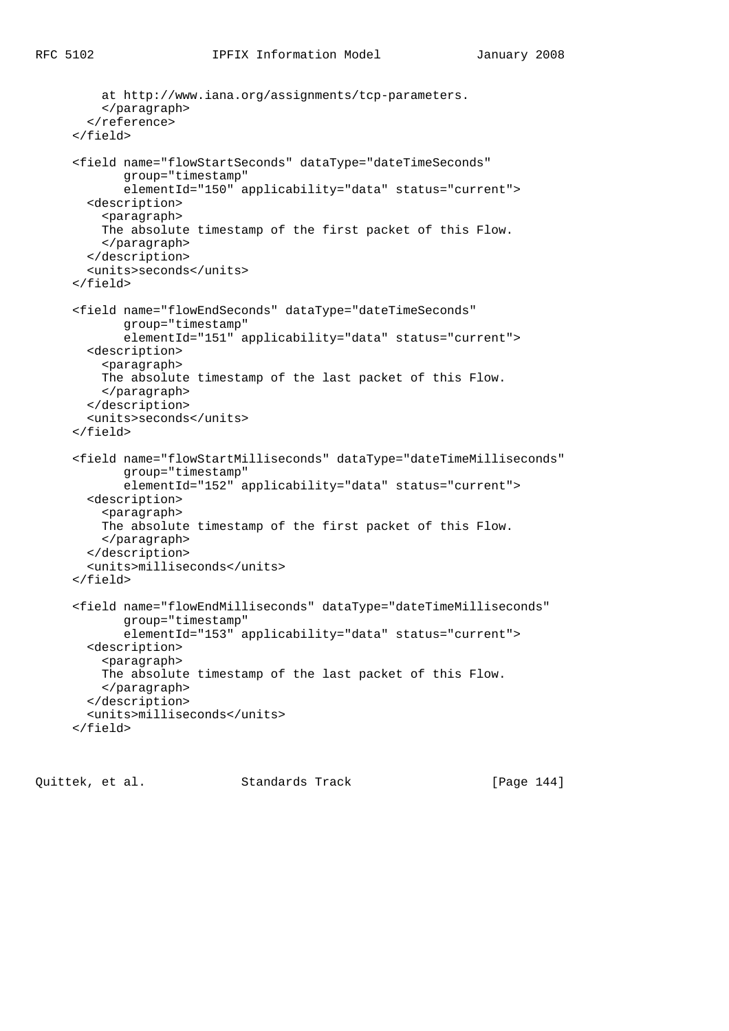```
 at http://www.iana.org/assignments/tcp-parameters.
    </paragraph>
  </reference>
</field>
<field name="flowStartSeconds" dataType="dateTimeSeconds"
       group="timestamp"
       elementId="150" applicability="data" status="current">
  <description>
    <paragraph>
    The absolute timestamp of the first packet of this Flow.
    </paragraph>
  </description>
  <units>seconds</units>
</field>
<field name="flowEndSeconds" dataType="dateTimeSeconds"
       group="timestamp"
       elementId="151" applicability="data" status="current">
  <description>
   <paragraph>
    The absolute timestamp of the last packet of this Flow.
    </paragraph>
  </description>
  <units>seconds</units>
</field>
<field name="flowStartMilliseconds" dataType="dateTimeMilliseconds"
       group="timestamp"
       elementId="152" applicability="data" status="current">
  <description>
    <paragraph>
   The absolute timestamp of the first packet of this Flow.
    </paragraph>
  </description>
  <units>milliseconds</units>
</field>
<field name="flowEndMilliseconds" dataType="dateTimeMilliseconds"
       group="timestamp"
       elementId="153" applicability="data" status="current">
  <description>
    <paragraph>
   The absolute timestamp of the last packet of this Flow.
    </paragraph>
  </description>
  <units>milliseconds</units>
</field>
```
Quittek, et al. Standards Track [Page 144]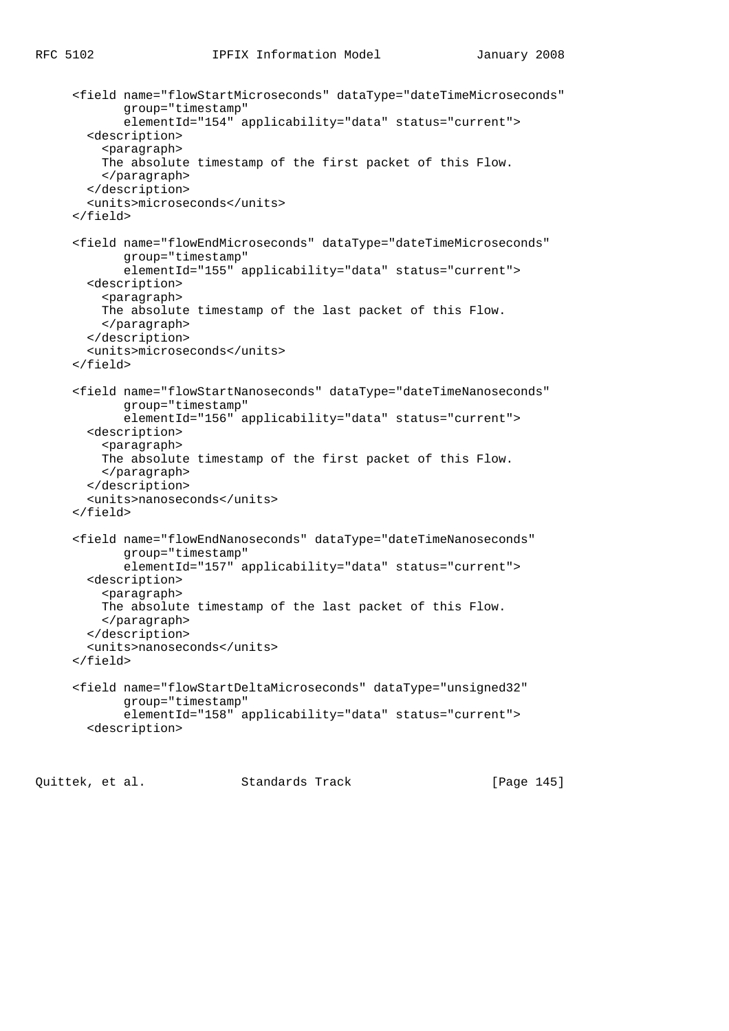```
 <field name="flowStartMicroseconds" dataType="dateTimeMicroseconds"
       group="timestamp"
       elementId="154" applicability="data" status="current">
 <description>
    <paragraph>
   The absolute timestamp of the first packet of this Flow.
    </paragraph>
 </description>
  <units>microseconds</units>
</field>
<field name="flowEndMicroseconds" dataType="dateTimeMicroseconds"
       group="timestamp"
       elementId="155" applicability="data" status="current">
 <description>
    <paragraph>
   The absolute timestamp of the last packet of this Flow.
    </paragraph>
 </description>
 <units>microseconds</units>
</field>
<field name="flowStartNanoseconds" dataType="dateTimeNanoseconds"
       group="timestamp"
       elementId="156" applicability="data" status="current">
 <description>
    <paragraph>
   The absolute timestamp of the first packet of this Flow.
    </paragraph>
 </description>
 <units>nanoseconds</units>
</field>
<field name="flowEndNanoseconds" dataType="dateTimeNanoseconds"
       group="timestamp"
       elementId="157" applicability="data" status="current">
 <description>
    <paragraph>
   The absolute timestamp of the last packet of this Flow.
    </paragraph>
 </description>
 <units>nanoseconds</units>
</field>
<field name="flowStartDeltaMicroseconds" dataType="unsigned32"
       group="timestamp"
       elementId="158" applicability="data" status="current">
 <description>
```
Quittek, et al. Standards Track [Page 145]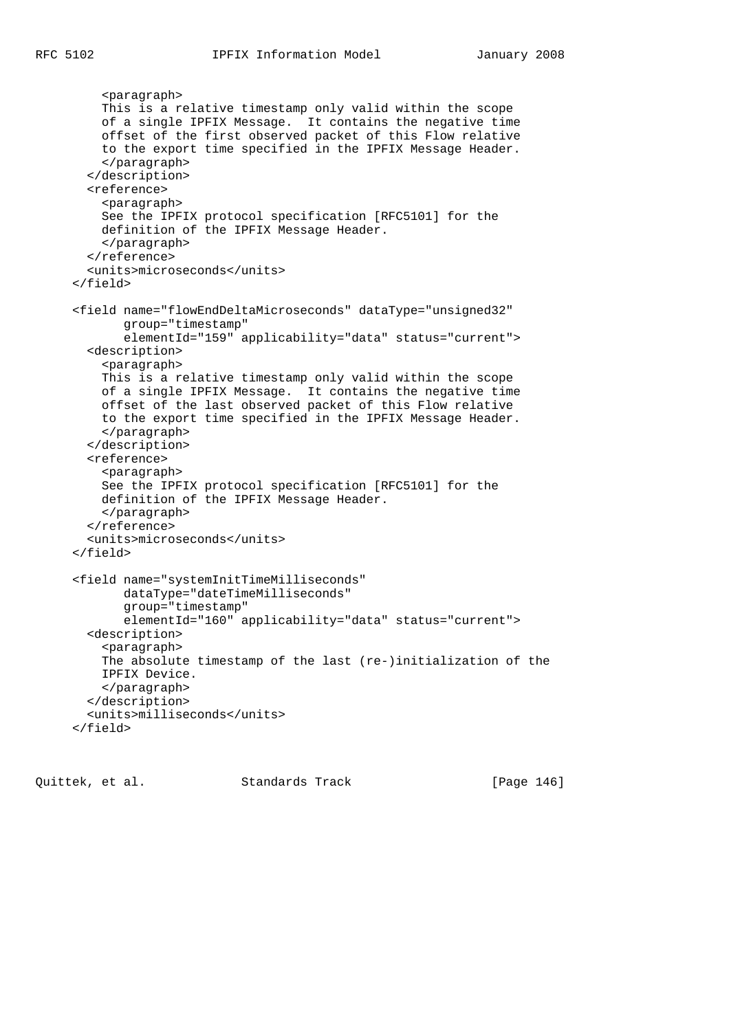```
 <paragraph>
         This is a relative timestamp only valid within the scope
        of a single IPFIX Message. It contains the negative time
        offset of the first observed packet of this Flow relative
         to the export time specified in the IPFIX Message Header.
         </paragraph>
       </description>
       <reference>
         <paragraph>
        See the IPFIX protocol specification [RFC5101] for the
        definition of the IPFIX Message Header.
         </paragraph>
       </reference>
       <units>microseconds</units>
    </field>
    <field name="flowEndDeltaMicroseconds" dataType="unsigned32"
            group="timestamp"
            elementId="159" applicability="data" status="current">
       <description>
         <paragraph>
         This is a relative timestamp only valid within the scope
of a single IPFIX Message. It contains the negative time
offset of the last observed packet of this Flow relative
         to the export time specified in the IPFIX Message Header.
         </paragraph>
       </description>
       <reference>
         <paragraph>
        See the IPFIX protocol specification [RFC5101] for the
        definition of the IPFIX Message Header.
        </paragraph>
       </reference>
       <units>microseconds</units>
     </field>
     <field name="systemInitTimeMilliseconds"
            dataType="dateTimeMilliseconds"
            group="timestamp"
            elementId="160" applicability="data" status="current">
       <description>
         <paragraph>
         The absolute timestamp of the last (re-)initialization of the
         IPFIX Device.
         </paragraph>
       </description>
       <units>milliseconds</units>
     </field>
```
Quittek, et al. Standards Track [Page 146]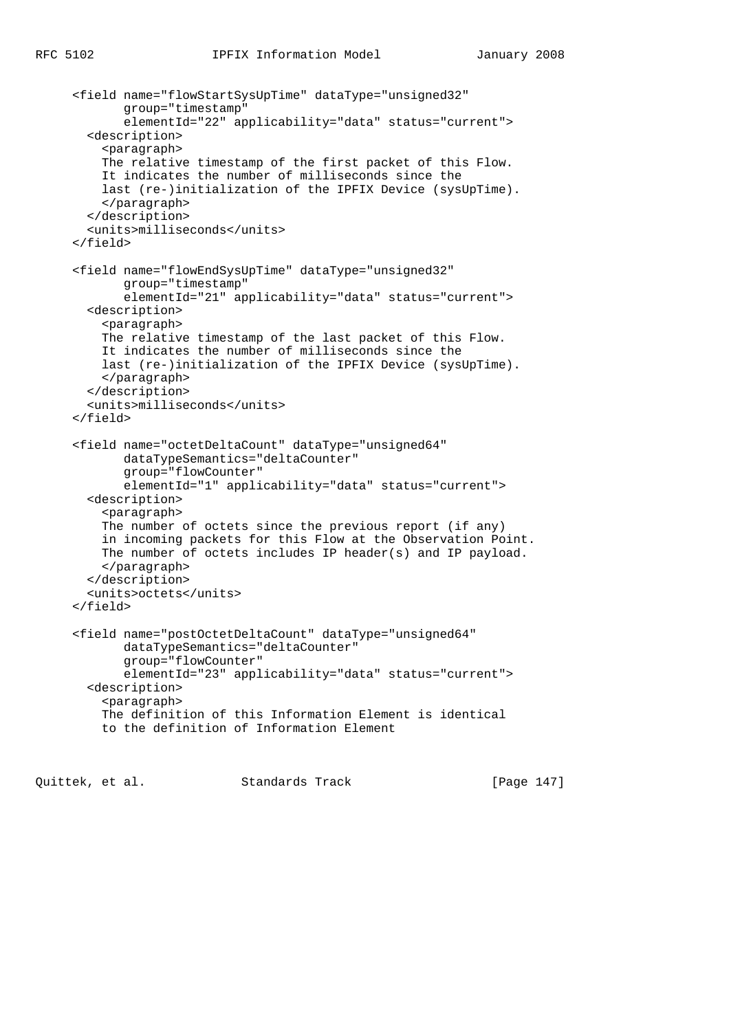```
 <field name="flowStartSysUpTime" dataType="unsigned32"
       group="timestamp"
       elementId="22" applicability="data" status="current">
  <description>
    <paragraph>
    The relative timestamp of the first packet of this Flow.
    It indicates the number of milliseconds since the
    last (re-)initialization of the IPFIX Device (sysUpTime).
    </paragraph>
  </description>
  <units>milliseconds</units>
</field>
<field name="flowEndSysUpTime" dataType="unsigned32"
       group="timestamp"
       elementId="21" applicability="data" status="current">
  <description>
    <paragraph>
    The relative timestamp of the last packet of this Flow.
    It indicates the number of milliseconds since the
    last (re-)initialization of the IPFIX Device (sysUpTime).
    </paragraph>
  </description>
  <units>milliseconds</units>
</field>
<field name="octetDeltaCount" dataType="unsigned64"
       dataTypeSemantics="deltaCounter"
       group="flowCounter"
       elementId="1" applicability="data" status="current">
  <description>
    <paragraph>
   The number of octets since the previous report (if any)
   in incoming packets for this Flow at the Observation Point.
   The number of octets includes IP header(s) and IP payload.
    </paragraph>
  </description>
  <units>octets</units>
</field>
<field name="postOctetDeltaCount" dataType="unsigned64"
       dataTypeSemantics="deltaCounter"
       group="flowCounter"
       elementId="23" applicability="data" status="current">
  <description>
    <paragraph>
    The definition of this Information Element is identical
    to the definition of Information Element
```
Quittek, et al. Standards Track [Page 147]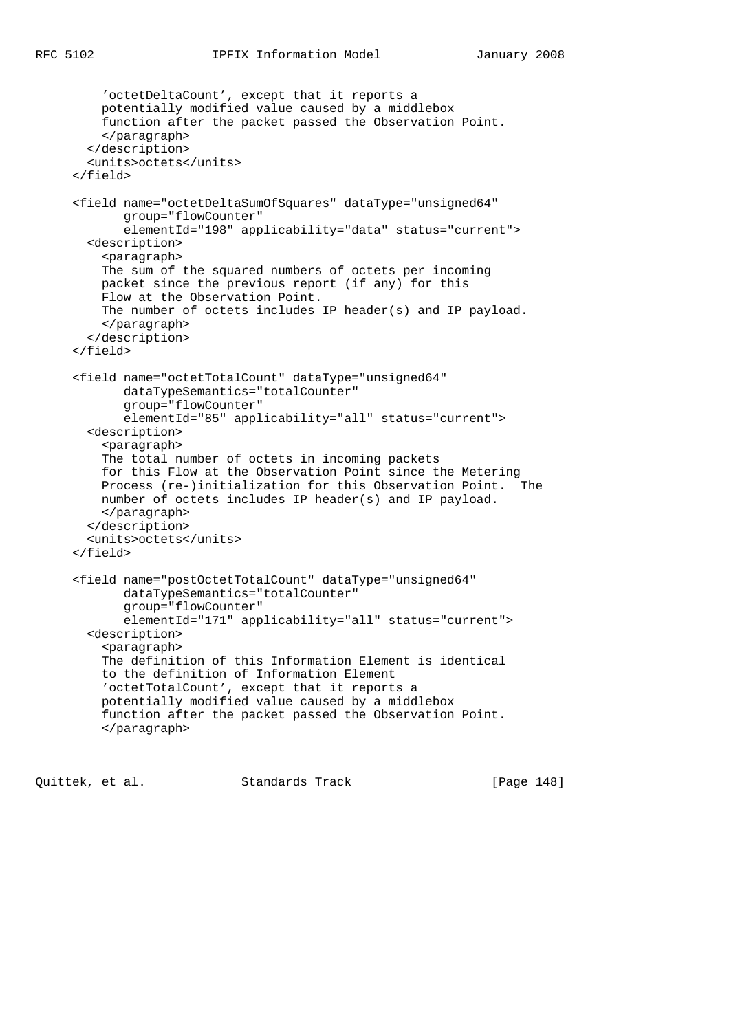```
 'octetDeltaCount', except that it reports a
    potentially modified value caused by a middlebox
   function after the packet passed the Observation Point.
    </paragraph>
  </description>
  <units>octets</units>
</field>
<field name="octetDeltaSumOfSquares" dataType="unsigned64"
       group="flowCounter"
       elementId="198" applicability="data" status="current">
  <description>
    <paragraph>
    The sum of the squared numbers of octets per incoming
   packet since the previous report (if any) for this
   Flow at the Observation Point.
   The number of octets includes IP header(s) and IP payload.
    </paragraph>
  </description>
</field>
<field name="octetTotalCount" dataType="unsigned64"
       dataTypeSemantics="totalCounter"
       group="flowCounter"
       elementId="85" applicability="all" status="current">
  <description>
    <paragraph>
    The total number of octets in incoming packets
   for this Flow at the Observation Point since the Metering
   Process (re-)initialization for this Observation Point. The
   number of octets includes IP header(s) and IP payload.
    </paragraph>
  </description>
  <units>octets</units>
</field>
<field name="postOctetTotalCount" dataType="unsigned64"
       dataTypeSemantics="totalCounter"
       group="flowCounter"
       elementId="171" applicability="all" status="current">
  <description>
    <paragraph>
    The definition of this Information Element is identical
    to the definition of Information Element
    'octetTotalCount', except that it reports a
   potentially modified value caused by a middlebox
    function after the packet passed the Observation Point.
    </paragraph>
```
Quittek, et al. Standards Track [Page 148]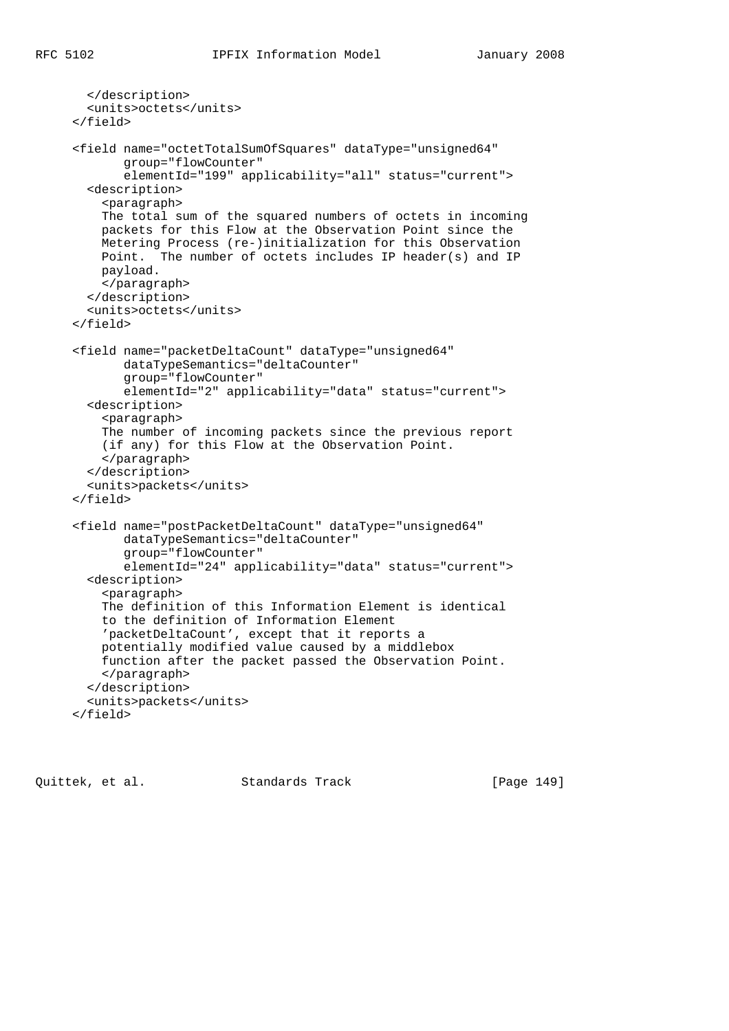</description> <units>octets</units> </field> <field name="octetTotalSumOfSquares" dataType="unsigned64" group="flowCounter" elementId="199" applicability="all" status="current"> <description> <paragraph> The total sum of the squared numbers of octets in incoming packets for this Flow at the Observation Point since the Metering Process (re-)initialization for this Observation Point. The number of octets includes IP header(s) and IP payload. </paragraph> </description> <units>octets</units> </field> <field name="packetDeltaCount" dataType="unsigned64" dataTypeSemantics="deltaCounter" group="flowCounter" elementId="2" applicability="data" status="current"> <description> <paragraph> The number of incoming packets since the previous report (if any) for this Flow at the Observation Point. </paragraph> </description> <units>packets</units> </field> <field name="postPacketDeltaCount" dataType="unsigned64" dataTypeSemantics="deltaCounter" group="flowCounter" elementId="24" applicability="data" status="current"> <description> <paragraph> The definition of this Information Element is identical to the definition of Information Element 'packetDeltaCount', except that it reports a potentially modified value caused by a middlebox function after the packet passed the Observation Point. </paragraph> </description> <units>packets</units> </field>

Quittek, et al. Standards Track [Page 149]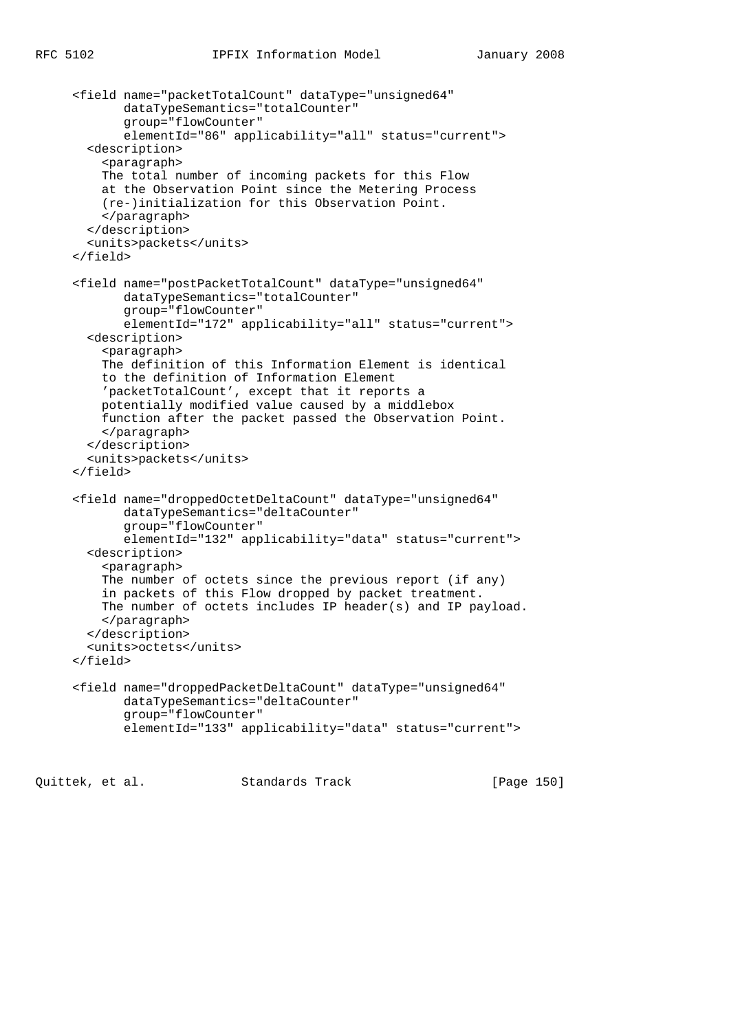```
 <field name="packetTotalCount" dataType="unsigned64"
       dataTypeSemantics="totalCounter"
       group="flowCounter"
       elementId="86" applicability="all" status="current">
  <description>
    <paragraph>
    The total number of incoming packets for this Flow
    at the Observation Point since the Metering Process
    (re-)initialization for this Observation Point.
    </paragraph>
  </description>
  <units>packets</units>
</field>
<field name="postPacketTotalCount" dataType="unsigned64"
       dataTypeSemantics="totalCounter"
       group="flowCounter"
       elementId="172" applicability="all" status="current">
  <description>
    <paragraph>
    The definition of this Information Element is identical
    to the definition of Information Element
    'packetTotalCount', except that it reports a
    potentially modified value caused by a middlebox
    function after the packet passed the Observation Point.
    </paragraph>
  </description>
  <units>packets</units>
</field>
<field name="droppedOctetDeltaCount" dataType="unsigned64"
       dataTypeSemantics="deltaCounter"
       group="flowCounter"
       elementId="132" applicability="data" status="current">
  <description>
    <paragraph>
    The number of octets since the previous report (if any)
    in packets of this Flow dropped by packet treatment.
    The number of octets includes IP header(s) and IP payload.
    </paragraph>
  </description>
  <units>octets</units>
</field>
<field name="droppedPacketDeltaCount" dataType="unsigned64"
       dataTypeSemantics="deltaCounter"
       group="flowCounter"
       elementId="133" applicability="data" status="current">
```
Quittek, et al. Standards Track [Page 150]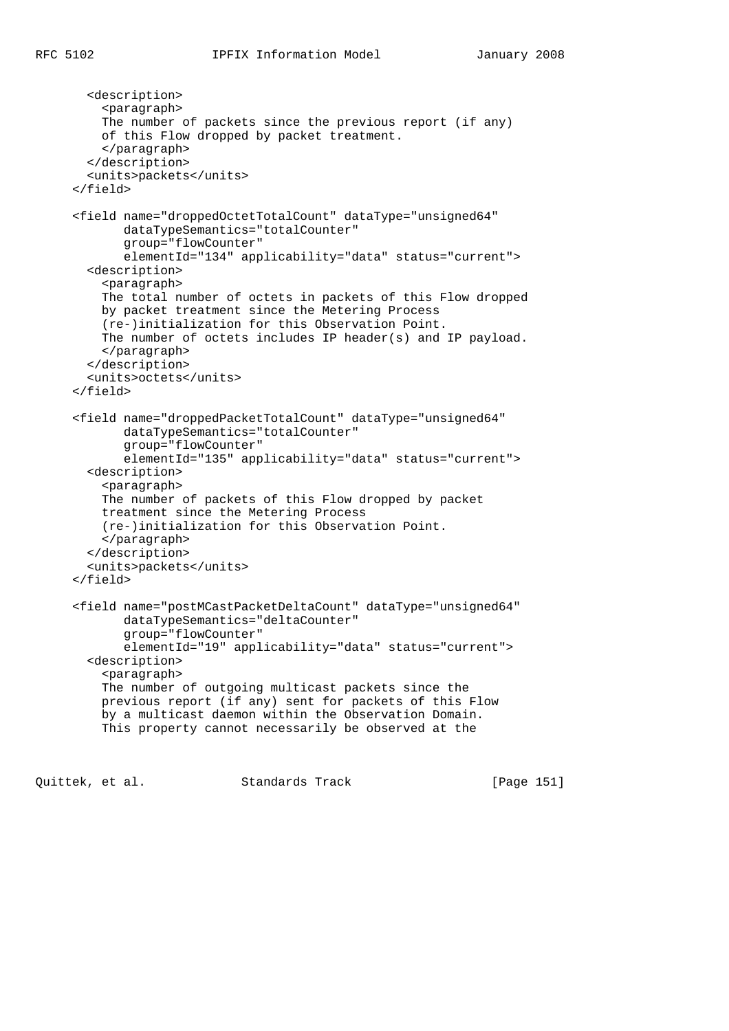```
 <description>
    <paragraph>
    The number of packets since the previous report (if any)
   of this Flow dropped by packet treatment.
    </paragraph>
 </description>
  <units>packets</units>
</field>
<field name="droppedOctetTotalCount" dataType="unsigned64"
       dataTypeSemantics="totalCounter"
       group="flowCounter"
      elementId="134" applicability="data" status="current">
  <description>
    <paragraph>
   The total number of octets in packets of this Flow dropped
   by packet treatment since the Metering Process
    (re-)initialization for this Observation Point.
   The number of octets includes IP header(s) and IP payload.
    </paragraph>
 </description>
  <units>octets</units>
</field>
<field name="droppedPacketTotalCount" dataType="unsigned64"
       dataTypeSemantics="totalCounter"
       group="flowCounter"
       elementId="135" applicability="data" status="current">
 <description>
    <paragraph>
   The number of packets of this Flow dropped by packet
   treatment since the Metering Process
    (re-)initialization for this Observation Point.
    </paragraph>
 </description>
 <units>packets</units>
</field>
<field name="postMCastPacketDeltaCount" dataType="unsigned64"
       dataTypeSemantics="deltaCounter"
       group="flowCounter"
       elementId="19" applicability="data" status="current">
 <description>
    <paragraph>
   The number of outgoing multicast packets since the
   previous report (if any) sent for packets of this Flow
   by a multicast daemon within the Observation Domain.
   This property cannot necessarily be observed at the
```
Quittek, et al. Standards Track [Page 151]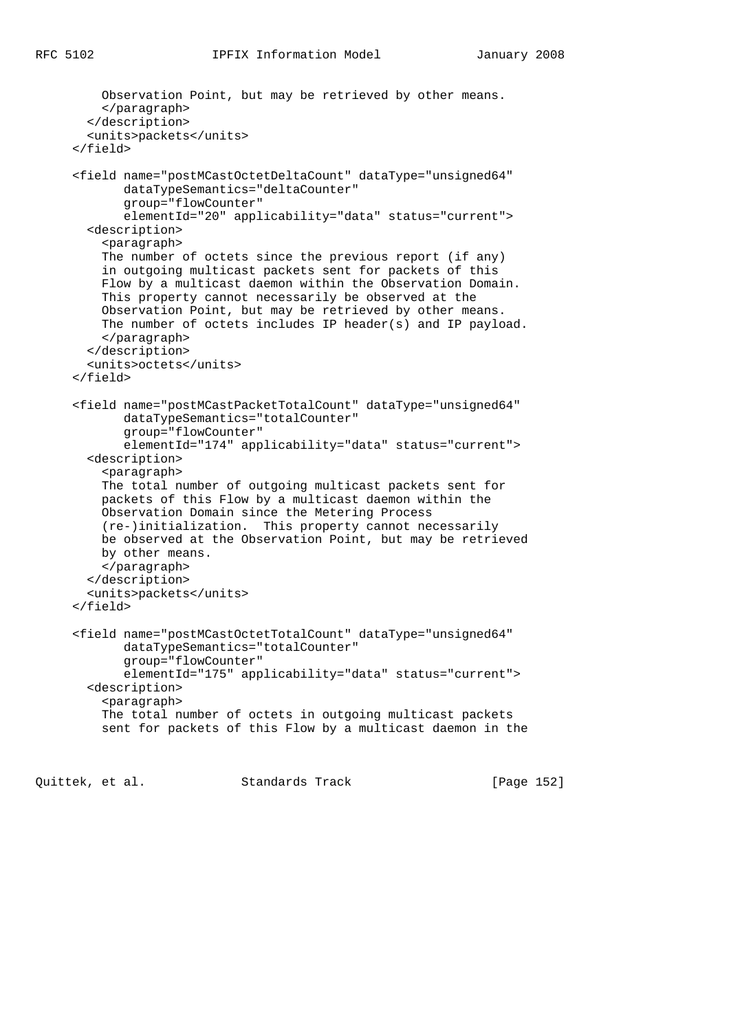```
 Observation Point, but may be retrieved by other means.
    </paragraph>
  </description>
  <units>packets</units>
</field>
<field name="postMCastOctetDeltaCount" dataType="unsigned64"
       dataTypeSemantics="deltaCounter"
       group="flowCounter"
       elementId="20" applicability="data" status="current">
  <description>
    <paragraph>
    The number of octets since the previous report (if any)
    in outgoing multicast packets sent for packets of this
    Flow by a multicast daemon within the Observation Domain.
   This property cannot necessarily be observed at the
    Observation Point, but may be retrieved by other means.
   The number of octets includes IP header(s) and IP payload.
   </paragraph>
  </description>
  <units>octets</units>
</field>
<field name="postMCastPacketTotalCount" dataType="unsigned64"
       dataTypeSemantics="totalCounter"
       group="flowCounter"
       elementId="174" applicability="data" status="current">
  <description>
    <paragraph>
   The total number of outgoing multicast packets sent for
   packets of this Flow by a multicast daemon within the
   Observation Domain since the Metering Process
   (re-)initialization. This property cannot necessarily
   be observed at the Observation Point, but may be retrieved
   by other means.
    </paragraph>
  </description>
  <units>packets</units>
</field>
<field name="postMCastOctetTotalCount" dataType="unsigned64"
       dataTypeSemantics="totalCounter"
       group="flowCounter"
       elementId="175" applicability="data" status="current">
  <description>
    <paragraph>
    The total number of octets in outgoing multicast packets
    sent for packets of this Flow by a multicast daemon in the
```
Quittek, et al. Standards Track [Page 152]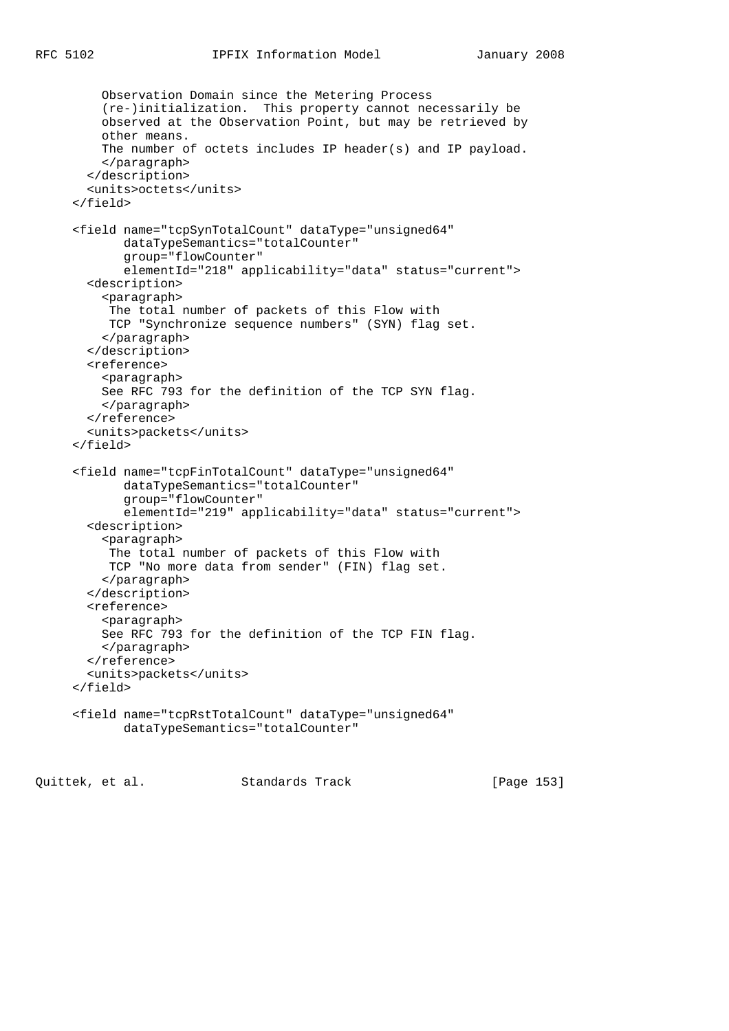```
 Observation Domain since the Metering Process
    (re-)initialization. This property cannot necessarily be
    observed at the Observation Point, but may be retrieved by
    other means.
   The number of octets includes IP header(s) and IP payload.
    </paragraph>
  </description>
  <units>octets</units>
</field>
<field name="tcpSynTotalCount" dataType="unsigned64"
       dataTypeSemantics="totalCounter"
       group="flowCounter"
       elementId="218" applicability="data" status="current">
  <description>
    <paragraph>
     The total number of packets of this Flow with
     TCP "Synchronize sequence numbers" (SYN) flag set.
    </paragraph>
  </description>
  <reference>
    <paragraph>
    See RFC 793 for the definition of the TCP SYN flag.
    </paragraph>
  </reference>
  <units>packets</units>
</field>
<field name="tcpFinTotalCount" dataType="unsigned64"
       dataTypeSemantics="totalCounter"
       group="flowCounter"
       elementId="219" applicability="data" status="current">
  <description>
    <paragraph>
     The total number of packets of this Flow with
     TCP "No more data from sender" (FIN) flag set.
    </paragraph>
  </description>
  <reference>
    <paragraph>
   See RFC 793 for the definition of the TCP FIN flag.
   </paragraph>
  </reference>
  <units>packets</units>
</field>
<field name="tcpRstTotalCount" dataType="unsigned64"
       dataTypeSemantics="totalCounter"
```
Quittek, et al. Standards Track [Page 153]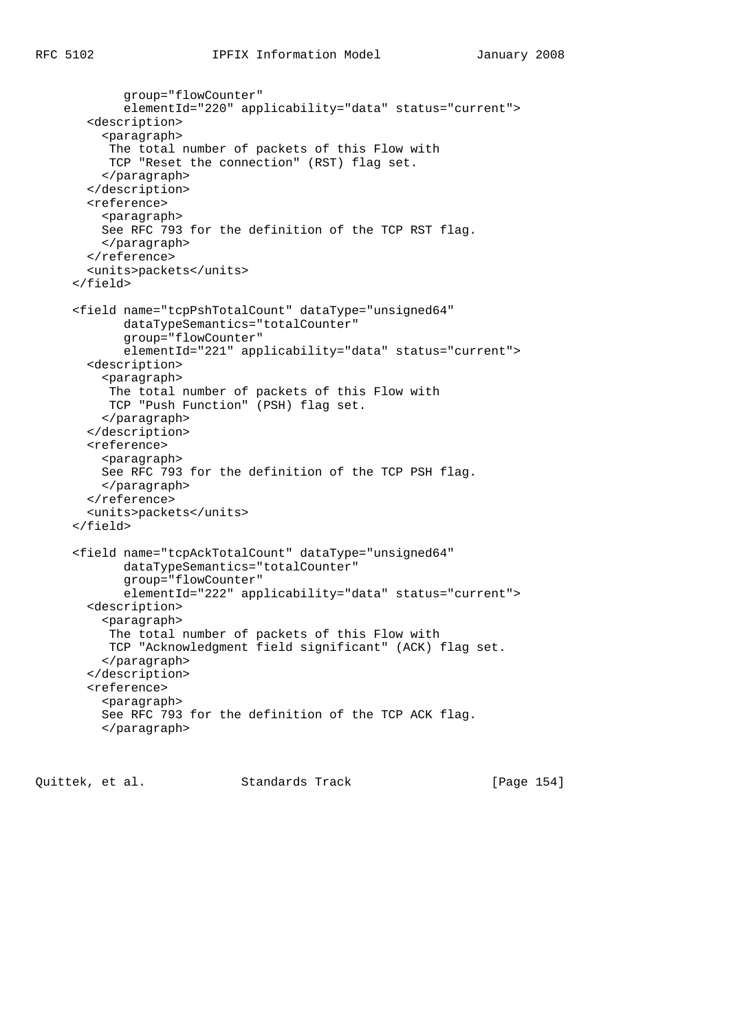```
 group="flowCounter"
       elementId="220" applicability="data" status="current">
  <description>
    <paragraph>
     The total number of packets of this Flow with
     TCP "Reset the connection" (RST) flag set.
    </paragraph>
  </description>
  <reference>
    <paragraph>
    See RFC 793 for the definition of the TCP RST flag.
    </paragraph>
  </reference>
  <units>packets</units>
</field>
<field name="tcpPshTotalCount" dataType="unsigned64"
       dataTypeSemantics="totalCounter"
       group="flowCounter"
       elementId="221" applicability="data" status="current">
  <description>
    <paragraph>
     The total number of packets of this Flow with
     TCP "Push Function" (PSH) flag set.
    </paragraph>
  </description>
  <reference>
    <paragraph>
    See RFC 793 for the definition of the TCP PSH flag.
    </paragraph>
  </reference>
  <units>packets</units>
</field>
<field name="tcpAckTotalCount" dataType="unsigned64"
       dataTypeSemantics="totalCounter"
       group="flowCounter"
       elementId="222" applicability="data" status="current">
  <description>
    <paragraph>
     The total number of packets of this Flow with
     TCP "Acknowledgment field significant" (ACK) flag set.
    </paragraph>
  </description>
  <reference>
    <paragraph>
    See RFC 793 for the definition of the TCP ACK flag.
    </paragraph>
```
Quittek, et al. Standards Track [Page 154]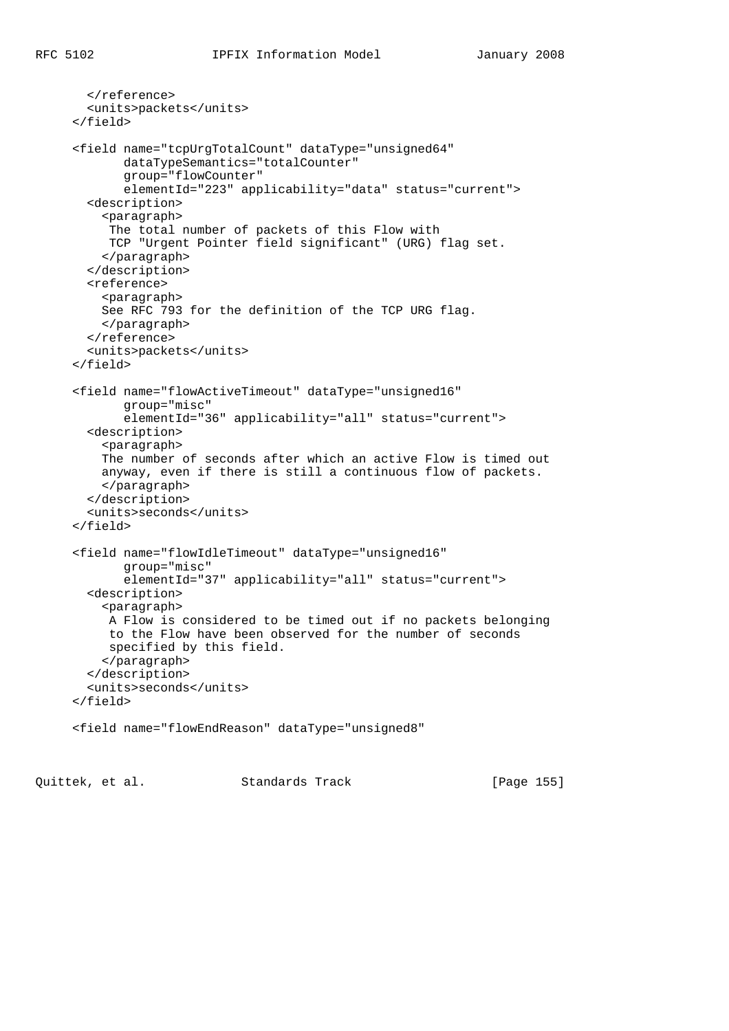```
 </reference>
  <units>packets</units>
</field>
<field name="tcpUrgTotalCount" dataType="unsigned64"
       dataTypeSemantics="totalCounter"
       group="flowCounter"
       elementId="223" applicability="data" status="current">
 <description>
    <paragraph>
    The total number of packets of this Flow with
    TCP "Urgent Pointer field significant" (URG) flag set.
    </paragraph>
 </description>
 <reference>
    <paragraph>
   See RFC 793 for the definition of the TCP URG flag.
   </paragraph>
 </reference>
 <units>packets</units>
</field>
<field name="flowActiveTimeout" dataType="unsigned16"
       group="misc"
       elementId="36" applicability="all" status="current">
 <description>
    <paragraph>
   The number of seconds after which an active Flow is timed out
   anyway, even if there is still a continuous flow of packets.
    </paragraph>
 </description>
 <units>seconds</units>
</field>
<field name="flowIdleTimeout" dataType="unsigned16"
       group="misc"
       elementId="37" applicability="all" status="current">
 <description>
    <paragraph>
    A Flow is considered to be timed out if no packets belonging
    to the Flow have been observed for the number of seconds
    specified by this field.
    </paragraph>
 </description>
 <units>seconds</units>
</field>
<field name="flowEndReason" dataType="unsigned8"
```
Quittek, et al. Standards Track [Page 155]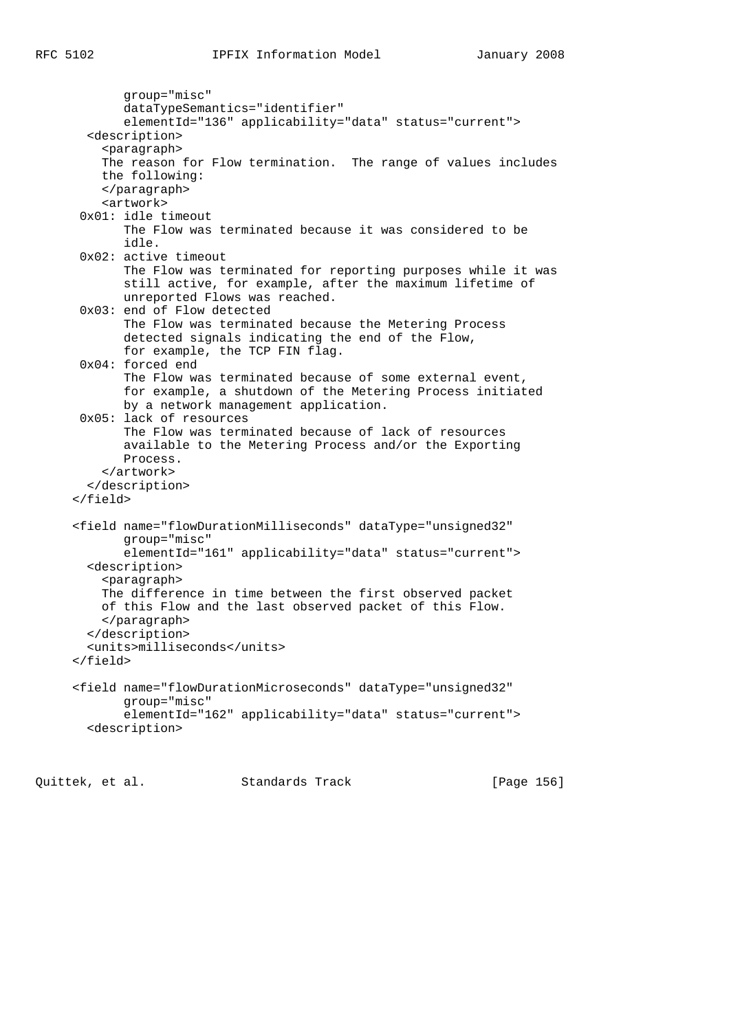group="misc" dataTypeSemantics="identifier" elementId="136" applicability="data" status="current"> <description> <paragraph> The reason for Flow termination. The range of values includes the following: </paragraph> <artwork> 0x01: idle timeout The Flow was terminated because it was considered to be idle. 0x02: active timeout The Flow was terminated for reporting purposes while it was still active, for example, after the maximum lifetime of unreported Flows was reached. 0x03: end of Flow detected The Flow was terminated because the Metering Process detected signals indicating the end of the Flow, for example, the TCP FIN flag. 0x04: forced end The Flow was terminated because of some external event, for example, a shutdown of the Metering Process initiated by a network management application. 0x05: lack of resources The Flow was terminated because of lack of resources available to the Metering Process and/or the Exporting Process. </artwork> </description> </field> <field name="flowDurationMilliseconds" dataType="unsigned32" group="misc" elementId="161" applicability="data" status="current"> <description> <paragraph> The difference in time between the first observed packet of this Flow and the last observed packet of this Flow. </paragraph> </description> <units>milliseconds</units> </field> <field name="flowDurationMicroseconds" dataType="unsigned32" group="misc" elementId="162" applicability="data" status="current"> <description>

Quittek, et al. Standards Track [Page 156]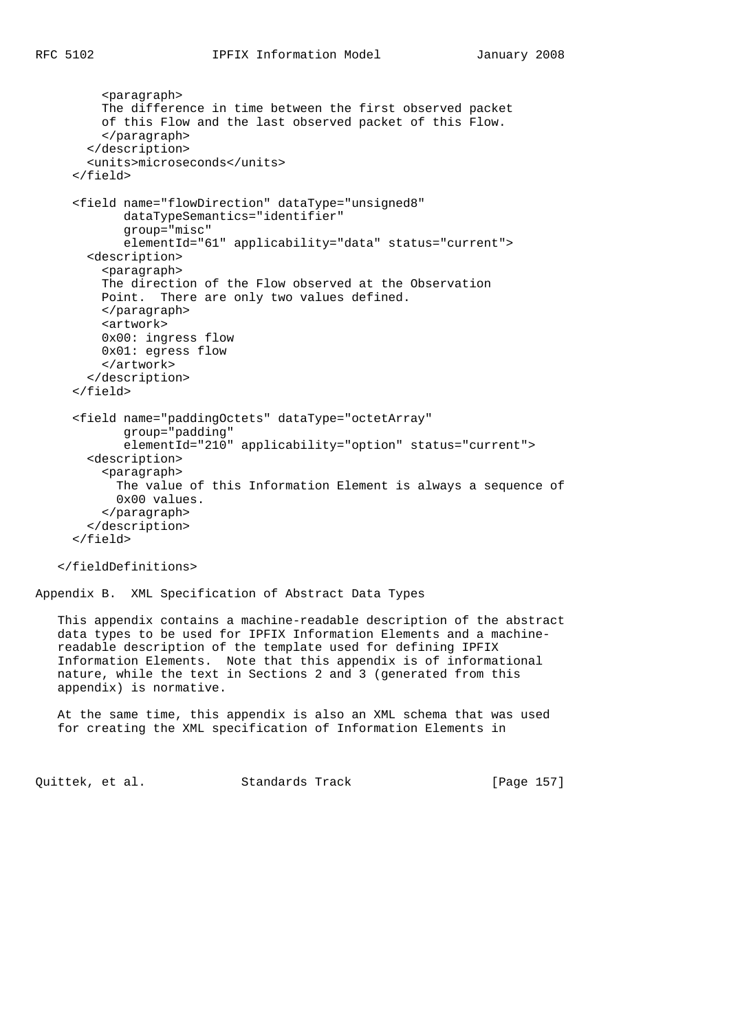```
 <paragraph>
    The difference in time between the first observed packet
    of this Flow and the last observed packet of this Flow.
    </paragraph>
  </description>
  <units>microseconds</units>
</field>
<field name="flowDirection" dataType="unsigned8"
       dataTypeSemantics="identifier"
       group="misc"
       elementId="61" applicability="data" status="current">
  <description>
    <paragraph>
    The direction of the Flow observed at the Observation
   Point. There are only two values defined.
    </paragraph>
    <artwork>
    0x00: ingress flow
    0x01: egress flow
    </artwork>
  </description>
</field>
<field name="paddingOctets" dataType="octetArray"
       group="padding"
       elementId="210" applicability="option" status="current">
```

```
 <description>
```

```
 <paragraph>
    The value of this Information Element is always a sequence of
    0x00 values.
  </paragraph>
</description>
```

```
 </field>
```

```
 </fieldDefinitions>
```
Appendix B. XML Specification of Abstract Data Types

 This appendix contains a machine-readable description of the abstract data types to be used for IPFIX Information Elements and a machine readable description of the template used for defining IPFIX Information Elements. Note that this appendix is of informational nature, while the text in Sections 2 and 3 (generated from this appendix) is normative.

 At the same time, this appendix is also an XML schema that was used for creating the XML specification of Information Elements in

Quittek, et al. Standards Track [Page 157]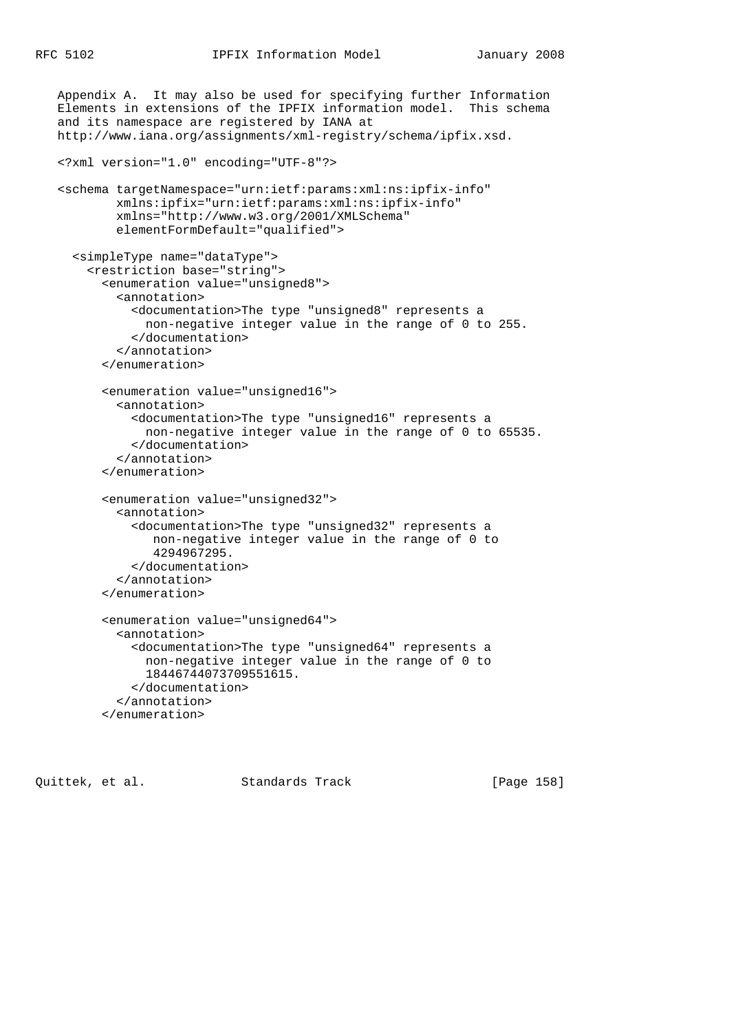```
 Appendix A. It may also be used for specifying further Information
Elements in extensions of the IPFIX information model. This schema
and its namespace are registered by IANA at
http://www.iana.org/assignments/xml-registry/schema/ipfix.xsd.
<?xml version="1.0" encoding="UTF-8"?>
<schema targetNamespace="urn:ietf:params:xml:ns:ipfix-info"
        xmlns:ipfix="urn:ietf:params:xml:ns:ipfix-info"
        xmlns="http://www.w3.org/2001/XMLSchema"
        elementFormDefault="qualified">
  <simpleType name="dataType">
    <restriction base="string">
      <enumeration value="unsigned8">
        <annotation>
          <documentation>The type "unsigned8" represents a
            non-negative integer value in the range of 0 to 255.
          </documentation>
        </annotation>
      </enumeration>
      <enumeration value="unsigned16">
        <annotation>
          <documentation>The type "unsigned16" represents a
            non-negative integer value in the range of 0 to 65535.
          </documentation>
        </annotation>
      </enumeration>
      <enumeration value="unsigned32">
        <annotation>
          <documentation>The type "unsigned32" represents a
             non-negative integer value in the range of 0 to
             4294967295.
          </documentation>
        </annotation>
      </enumeration>
      <enumeration value="unsigned64">
        <annotation>
          <documentation>The type "unsigned64" represents a
            non-negative integer value in the range of 0 to
            18446744073709551615.
          </documentation>
        </annotation>
      </enumeration>
```
Quittek, et al. Standards Track [Page 158]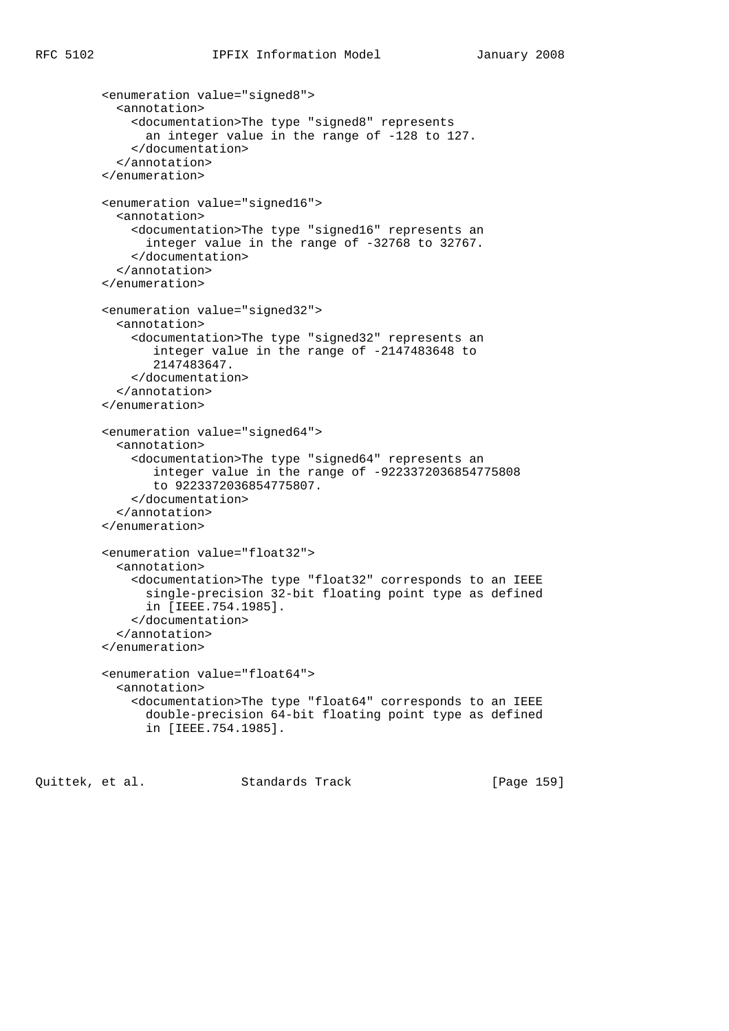```
 <enumeration value="signed8">
  <annotation>
    <documentation>The type "signed8" represents
      an integer value in the range of -128 to 127.
    </documentation>
  </annotation>
</enumeration>
<enumeration value="signed16">
  <annotation>
    <documentation>The type "signed16" represents an
      integer value in the range of -32768 to 32767.
    </documentation>
  </annotation>
</enumeration>
<enumeration value="signed32">
  <annotation>
    <documentation>The type "signed32" represents an
       integer value in the range of -2147483648 to
       2147483647.
    </documentation>
  </annotation>
</enumeration>
<enumeration value="signed64">
  <annotation>
    <documentation>The type "signed64" represents an
       integer value in the range of -9223372036854775808
       to 9223372036854775807.
    </documentation>
  </annotation>
</enumeration>
<enumeration value="float32">
  <annotation>
    <documentation>The type "float32" corresponds to an IEEE
      single-precision 32-bit floating point type as defined
      in [IEEE.754.1985].
    </documentation>
  </annotation>
</enumeration>
<enumeration value="float64">
  <annotation>
    <documentation>The type "float64" corresponds to an IEEE
      double-precision 64-bit floating point type as defined
      in [IEEE.754.1985].
```
Quittek, et al. Standards Track [Page 159]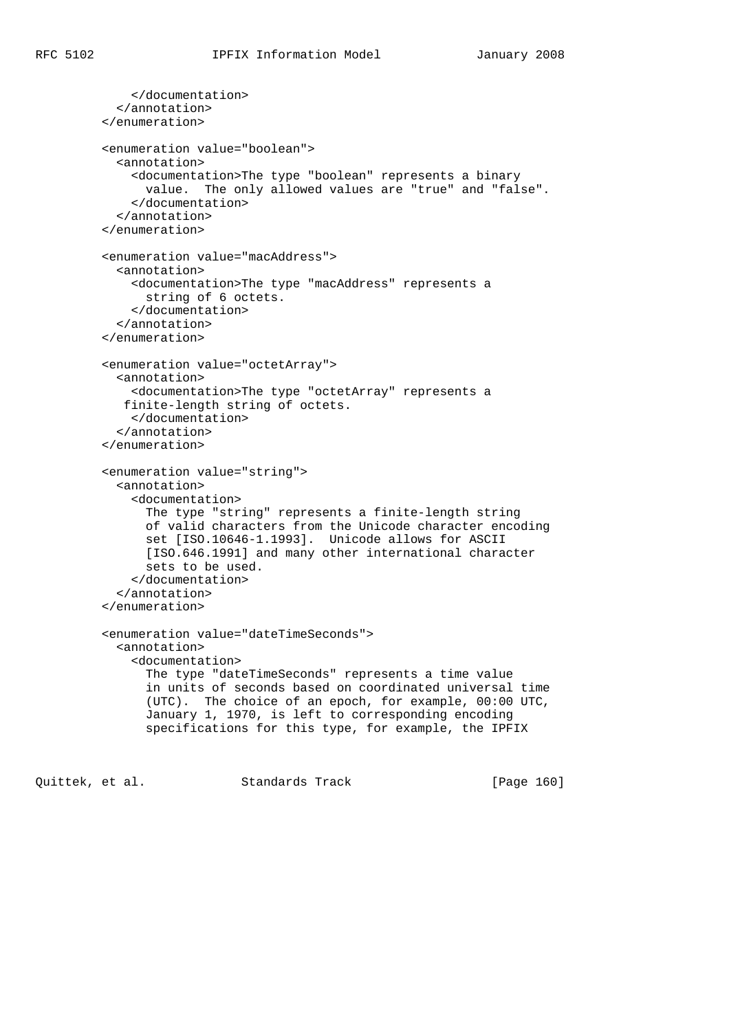```
 </documentation>
  </annotation>
</enumeration>
<enumeration value="boolean">
  <annotation>
    <documentation>The type "boolean" represents a binary
      value. The only allowed values are "true" and "false".
    </documentation>
  </annotation>
</enumeration>
<enumeration value="macAddress">
  <annotation>
   <documentation>The type "macAddress" represents a
     string of 6 octets.
    </documentation>
  </annotation>
</enumeration>
<enumeration value="octetArray">
  <annotation>
    <documentation>The type "octetArray" represents a
   finite-length string of octets.
    </documentation>
```

```
 </annotation>
</enumeration>
```

```
 <enumeration value="string">
  <annotation>
    <documentation>
     The type "string" represents a finite-length string
     of valid characters from the Unicode character encoding
     set [ISO.10646-1.1993]. Unicode allows for ASCII
    [ISO.646.1991] and many other international character
     sets to be used.
    </documentation>
  </annotation>
</enumeration>
<enumeration value="dateTimeSeconds">
  <annotation>
    <documentation>
     The type "dateTimeSeconds" represents a time value
      in units of seconds based on coordinated universal time
      (UTC). The choice of an epoch, for example, 00:00 UTC,
      January 1, 1970, is left to corresponding encoding
      specifications for this type, for example, the IPFIX
```

```
Quittek, et al. Standards Track [Page 160]
```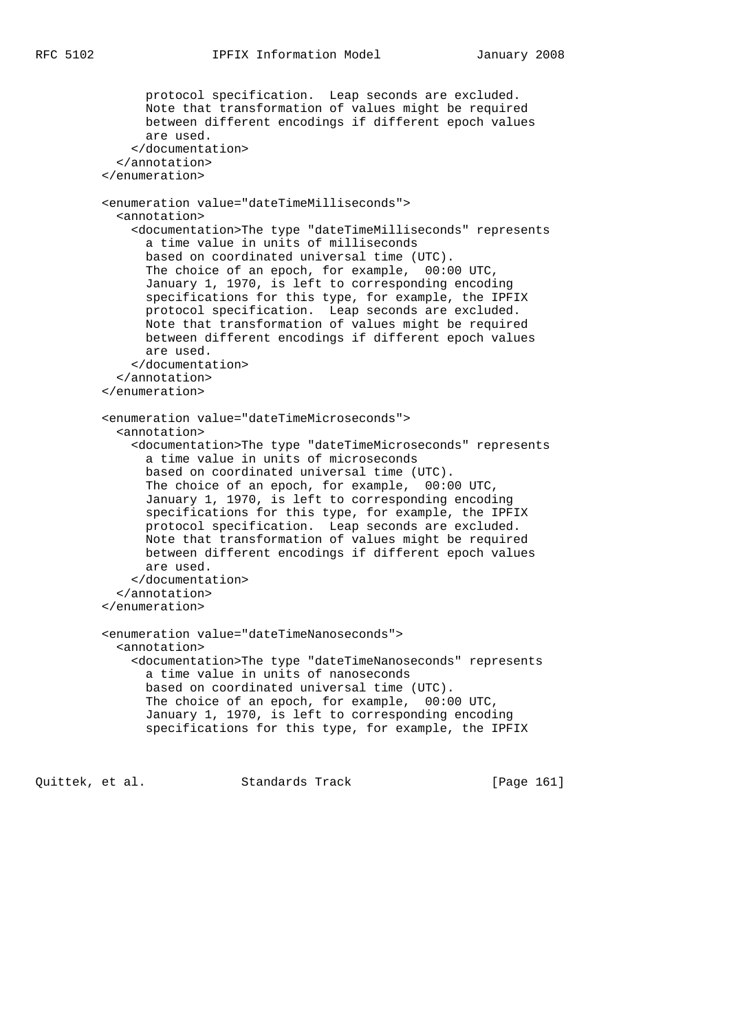```
 protocol specification. Leap seconds are excluded.
      Note that transformation of values might be required
     between different encodings if different epoch values
      are used.
    </documentation>
  </annotation>
</enumeration>
<enumeration value="dateTimeMilliseconds">
  <annotation>
    <documentation>The type "dateTimeMilliseconds" represents
      a time value in units of milliseconds
      based on coordinated universal time (UTC).
    The choice of an epoch, for example, 00:00 UTC,
      January 1, 1970, is left to corresponding encoding
      specifications for this type, for example, the IPFIX
      protocol specification. Leap seconds are excluded.
     Note that transformation of values might be required
     between different encodings if different epoch values
     are used.
    </documentation>
  </annotation>
</enumeration>
<enumeration value="dateTimeMicroseconds">
  <annotation>
    <documentation>The type "dateTimeMicroseconds" represents
      a time value in units of microseconds
     based on coordinated universal time (UTC).
    The choice of an epoch, for example, 00:00 UTC,
     January 1, 1970, is left to corresponding encoding
     specifications for this type, for example, the IPFIX
     protocol specification. Leap seconds are excluded.
     Note that transformation of values might be required
     between different encodings if different epoch values
     are used.
    </documentation>
  </annotation>
</enumeration>
<enumeration value="dateTimeNanoseconds">
  <annotation>
    <documentation>The type "dateTimeNanoseconds" represents
      a time value in units of nanoseconds
      based on coordinated universal time (UTC).
     The choice of an epoch, for example, 00:00 UTC,
      January 1, 1970, is left to corresponding encoding
      specifications for this type, for example, the IPFIX
```
Quittek, et al. Standards Track [Page 161]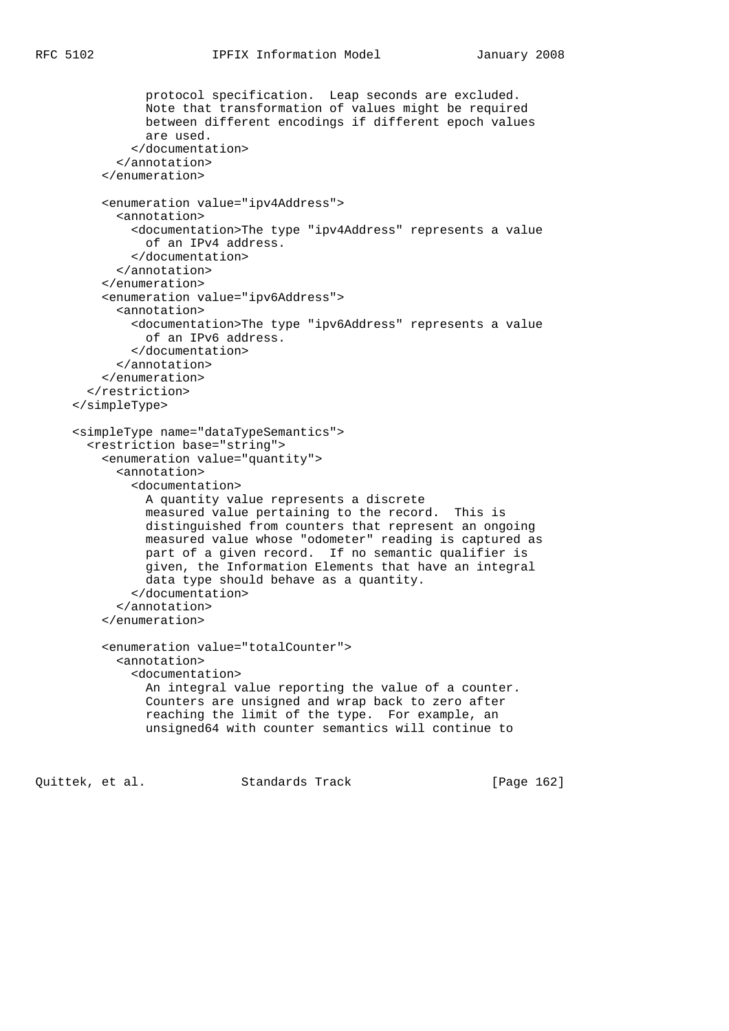```
 protocol specification. Leap seconds are excluded.
          Note that transformation of values might be required
          between different encodings if different epoch values
          are used.
        </documentation>
      </annotation>
    </enumeration>
    <enumeration value="ipv4Address">
      <annotation>
        <documentation>The type "ipv4Address" represents a value
          of an IPv4 address.
        </documentation>
      </annotation>
    </enumeration>
    <enumeration value="ipv6Address">
      <annotation>
        <documentation>The type "ipv6Address" represents a value
          of an IPv6 address.
        </documentation>
      </annotation>
    </enumeration>
  </restriction>
</simpleType>
<simpleType name="dataTypeSemantics">
  <restriction base="string">
    <enumeration value="quantity">
      <annotation>
        <documentation>
          A quantity value represents a discrete
          measured value pertaining to the record. This is
         distinguished from counters that represent an ongoing
         measured value whose "odometer" reading is captured as
         part of a given record. If no semantic qualifier is
         given, the Information Elements that have an integral
          data type should behave as a quantity.
        </documentation>
      </annotation>
    </enumeration>
    <enumeration value="totalCounter">
      <annotation>
        <documentation>
          An integral value reporting the value of a counter.
          Counters are unsigned and wrap back to zero after
          reaching the limit of the type. For example, an
          unsigned64 with counter semantics will continue to
```
Quittek, et al. Standards Track [Page 162]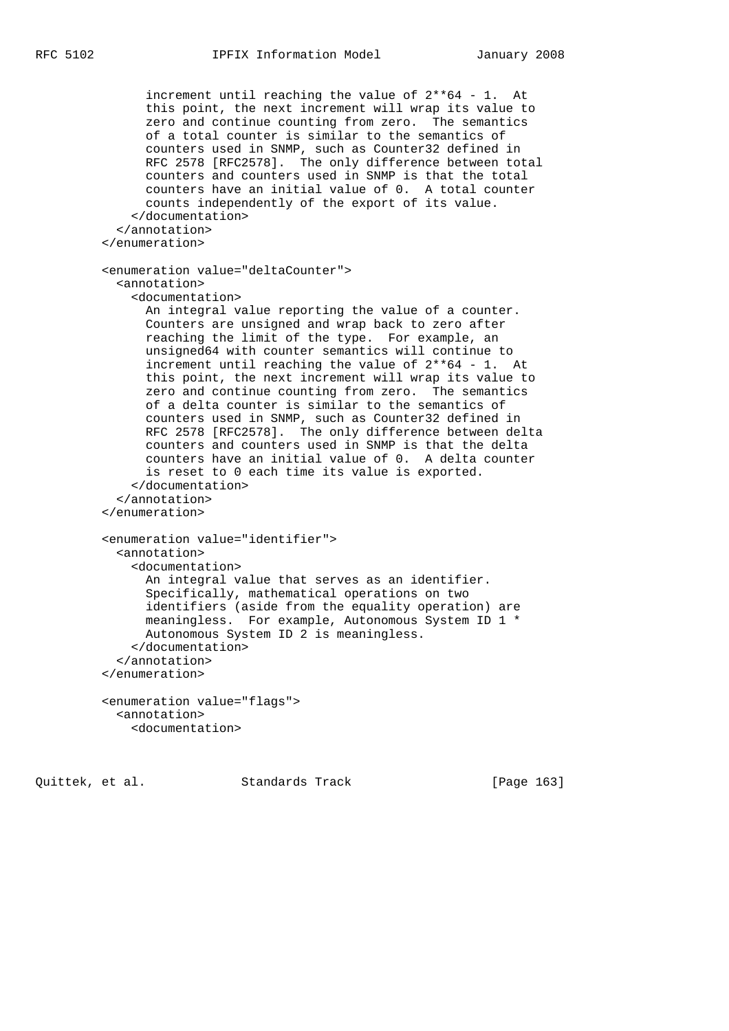```
 increment until reaching the value of 2**64 - 1. At
      this point, the next increment will wrap its value to
      zero and continue counting from zero. The semantics
      of a total counter is similar to the semantics of
      counters used in SNMP, such as Counter32 defined in
     RFC 2578 [RFC2578]. The only difference between total
     counters and counters used in SNMP is that the total
      counters have an initial value of 0. A total counter
      counts independently of the export of its value.
    </documentation>
  </annotation>
</enumeration>
<enumeration value="deltaCounter">
  <annotation>
    <documentation>
      An integral value reporting the value of a counter.
      Counters are unsigned and wrap back to zero after
     reaching the limit of the type. For example, an
     unsigned64 with counter semantics will continue to
      increment until reaching the value of 2**64 - 1. At
      this point, the next increment will wrap its value to
      zero and continue counting from zero. The semantics
      of a delta counter is similar to the semantics of
      counters used in SNMP, such as Counter32 defined in
     RFC 2578 [RFC2578]. The only difference between delta
     counters and counters used in SNMP is that the delta
     counters have an initial value of 0. A delta counter
     is reset to 0 each time its value is exported.
    </documentation>
  </annotation>
</enumeration>
<enumeration value="identifier">
  <annotation>
    <documentation>
      An integral value that serves as an identifier.
      Specifically, mathematical operations on two
      identifiers (aside from the equality operation) are
     meaningless. For example, Autonomous System ID 1 *
     Autonomous System ID 2 is meaningless.
    </documentation>
  </annotation>
</enumeration>
<enumeration value="flags">
 <annotation>
    <documentation>
```
Quittek, et al. Standards Track [Page 163]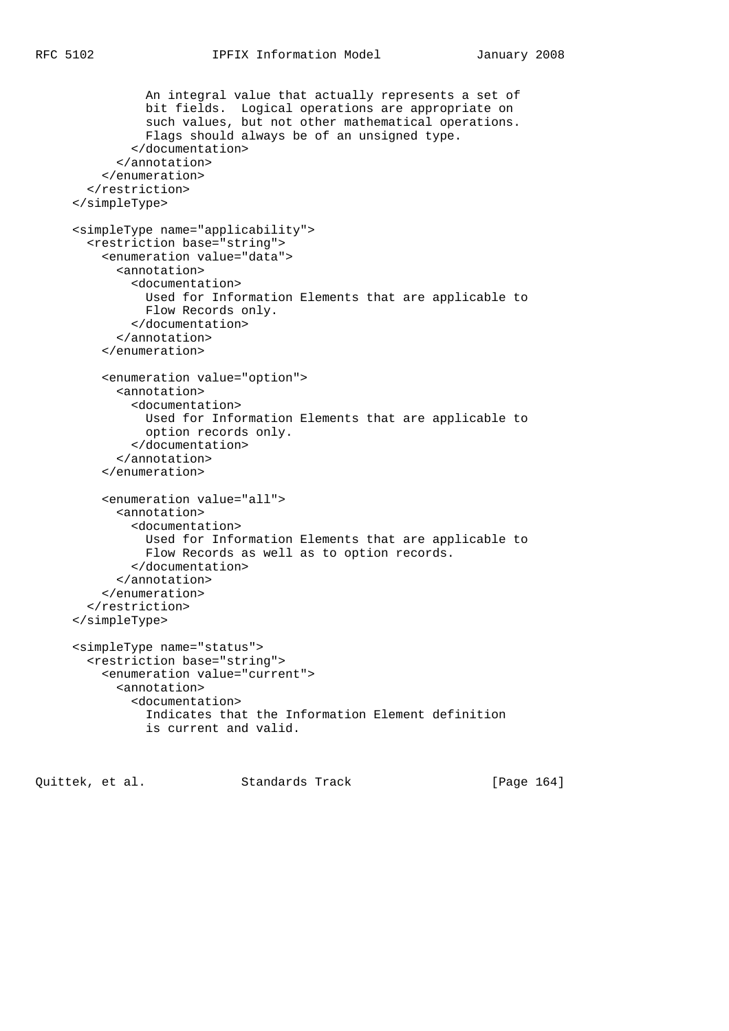```
 An integral value that actually represents a set of
bit fields. Logical operations are appropriate on
such values, but not other mathematical operations.
               Flags should always be of an unsigned type.
             </documentation>
           </annotation>
         </enumeration>
       </restriction>
     </simpleType>
     <simpleType name="applicability">
       <restriction base="string">
         <enumeration value="data">
           <annotation>
             <documentation>
               Used for Information Elements that are applicable to
               Flow Records only.
             </documentation>
           </annotation>
         </enumeration>
         <enumeration value="option">
           <annotation>
             <documentation>
               Used for Information Elements that are applicable to
               option records only.
             </documentation>
           </annotation>
         </enumeration>
         <enumeration value="all">
           <annotation>
             <documentation>
               Used for Information Elements that are applicable to
               Flow Records as well as to option records.
             </documentation>
           </annotation>
         </enumeration>
       </restriction>
     </simpleType>
     <simpleType name="status">
       <restriction base="string">
         <enumeration value="current">
           <annotation>
             <documentation>
               Indicates that the Information Element definition
               is current and valid.
```
Quittek, et al. Standards Track [Page 164]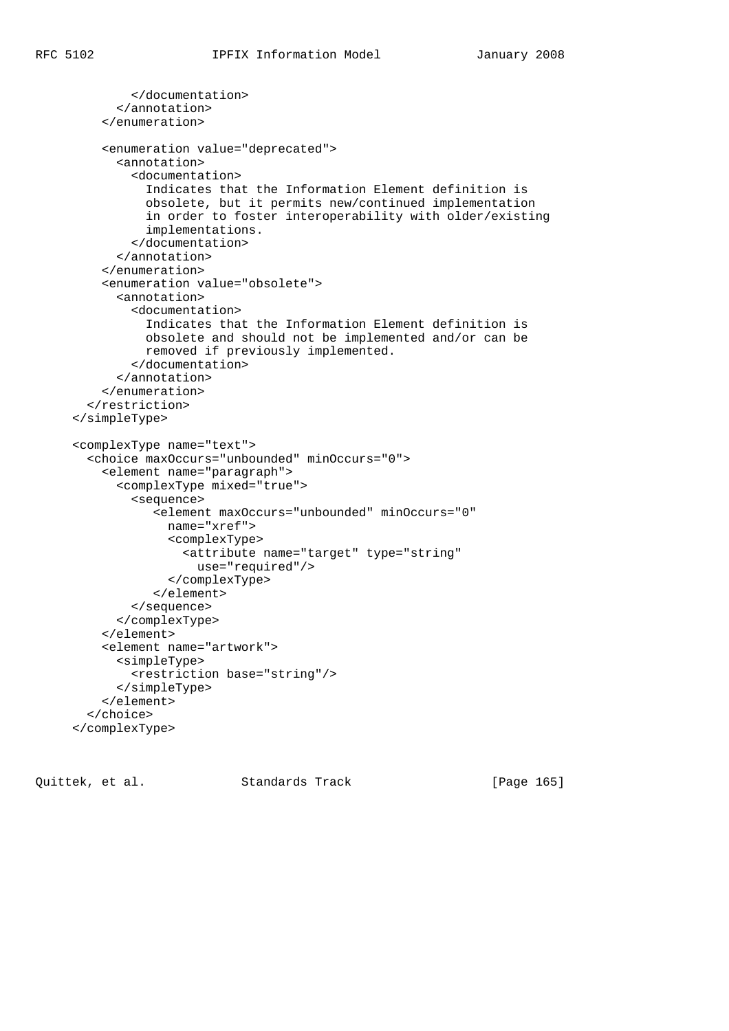```
 </documentation>
      </annotation>
    </enumeration>
    <enumeration value="deprecated">
      <annotation>
        <documentation>
          Indicates that the Information Element definition is
          obsolete, but it permits new/continued implementation
          in order to foster interoperability with older/existing
          implementations.
        </documentation>
      </annotation>
    </enumeration>
    <enumeration value="obsolete">
      <annotation>
        <documentation>
          Indicates that the Information Element definition is
          obsolete and should not be implemented and/or can be
          removed if previously implemented.
        </documentation>
      </annotation>
    </enumeration>
  </restriction>
</simpleType>
<complexType name="text">
  <choice maxOccurs="unbounded" minOccurs="0">
    <element name="paragraph">
      <complexType mixed="true">
        <sequence>
           <element maxOccurs="unbounded" minOccurs="0"
             name="xref">
             <complexType>
               <attribute name="target" type="string"
                 use="required"/>
             </complexType>
           </element>
        </sequence>
      </complexType>
    </element>
    <element name="artwork">
      <simpleType>
        <restriction base="string"/>
      </simpleType>
    </element>
  </choice>
</complexType>
```
Quittek, et al. Standards Track [Page 165]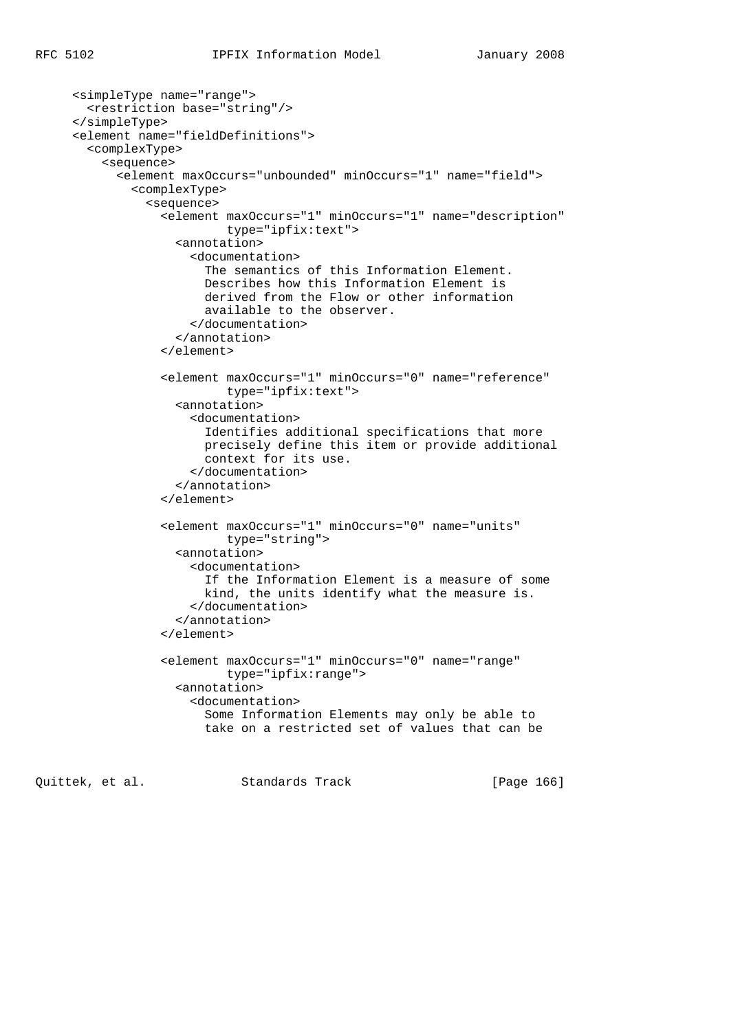```
 <simpleType name="range">
  <restriction base="string"/>
</simpleType>
<element name="fieldDefinitions">
 <complexType>
    <sequence>
      <element maxOccurs="unbounded" minOccurs="1" name="field">
        <complexType>
          <sequence>
            <element maxOccurs="1" minOccurs="1" name="description"
                     type="ipfix:text">
              <annotation>
                <documentation>
                  The semantics of this Information Element.
                  Describes how this Information Element is
                  derived from the Flow or other information
                  available to the observer.
                </documentation>
              </annotation>
            </element>
            <element maxOccurs="1" minOccurs="0" name="reference"
                      type="ipfix:text">
              <annotation>
                <documentation>
                  Identifies additional specifications that more
                  precisely define this item or provide additional
                  context for its use.
                </documentation>
              </annotation>
            </element>
            <element maxOccurs="1" minOccurs="0" name="units"
                     type="string">
              <annotation>
                <documentation>
                  If the Information Element is a measure of some
                  kind, the units identify what the measure is.
                </documentation>
              </annotation>
            </element>
            <element maxOccurs="1" minOccurs="0" name="range"
                      type="ipfix:range">
              <annotation>
                <documentation>
                  Some Information Elements may only be able to
                  take on a restricted set of values that can be
```
Quittek, et al. Standards Track [Page 166]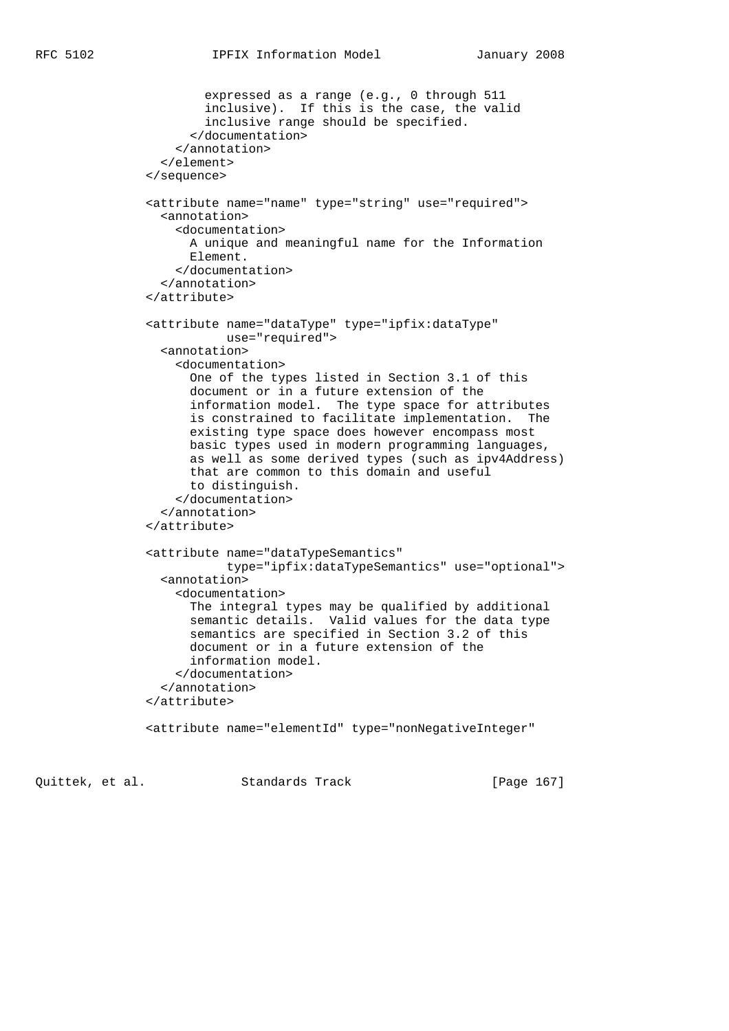```
 expressed as a range (e.g., 0 through 511
        inclusive). If this is the case, the valid
        inclusive range should be specified.
      </documentation>
    </annotation>
  </element>
</sequence>
<attribute name="name" type="string" use="required">
  <annotation>
    <documentation>
      A unique and meaningful name for the Information
      Element.
    </documentation>
  </annotation>
</attribute>
<attribute name="dataType" type="ipfix:dataType"
          use="required">
  <annotation>
    <documentation>
      One of the types listed in Section 3.1 of this
      document or in a future extension of the
      information model. The type space for attributes
      is constrained to facilitate implementation. The
      existing type space does however encompass most
      basic types used in modern programming languages,
      as well as some derived types (such as ipv4Address)
      that are common to this domain and useful
      to distinguish.
    </documentation>
  </annotation>
</attribute>
<attribute name="dataTypeSemantics"
           type="ipfix:dataTypeSemantics" use="optional">
  <annotation>
    <documentation>
      The integral types may be qualified by additional
      semantic details. Valid values for the data type
      semantics are specified in Section 3.2 of this
      document or in a future extension of the
      information model.
    </documentation>
  </annotation>
</attribute>
<attribute name="elementId" type="nonNegativeInteger"
```
Quittek, et al. Standards Track [Page 167]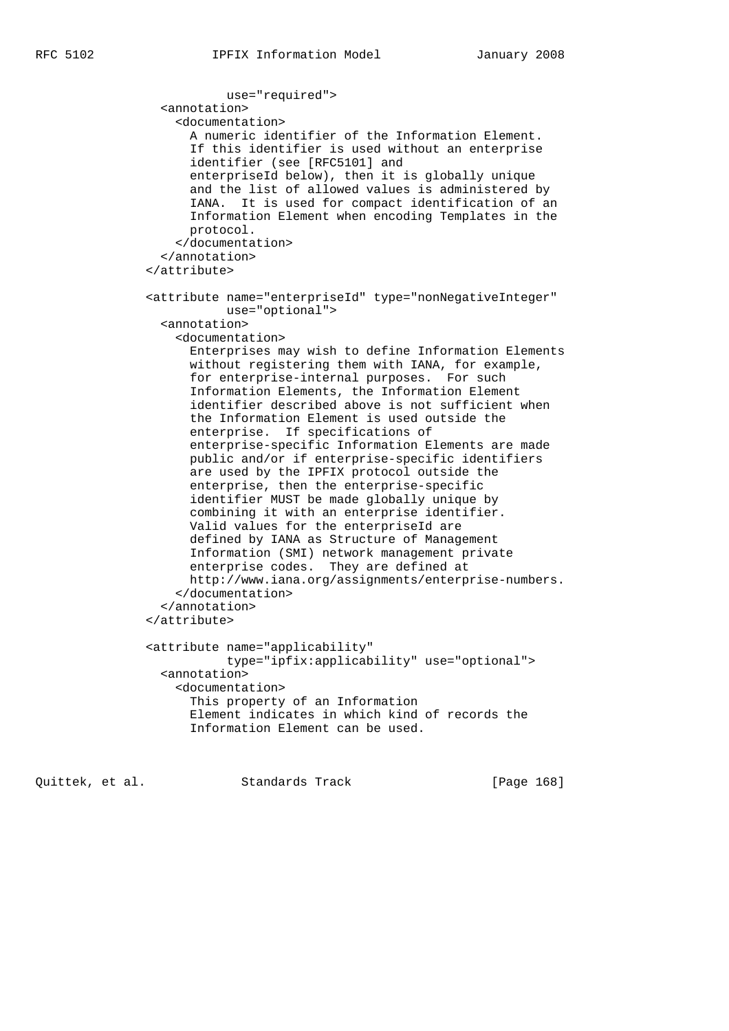```
 use="required">
  <annotation>
    <documentation>
     A numeric identifier of the Information Element.
      If this identifier is used without an enterprise
      identifier (see [RFC5101] and
     enterpriseId below), then it is globally unique
     and the list of allowed values is administered by
      IANA. It is used for compact identification of an
      Information Element when encoding Templates in the
     protocol.
    </documentation>
  </annotation>
</attribute>
<attribute name="enterpriseId" type="nonNegativeInteger"
          use="optional">
  <annotation>
    <documentation>
      Enterprises may wish to define Information Elements
      without registering them with IANA, for example,
      for enterprise-internal purposes. For such
      Information Elements, the Information Element
      identifier described above is not sufficient when
      the Information Element is used outside the
      enterprise. If specifications of
     enterprise-specific Information Elements are made
     public and/or if enterprise-specific identifiers
     are used by the IPFIX protocol outside the
     enterprise, then the enterprise-specific
     identifier MUST be made globally unique by
     combining it with an enterprise identifier.
     Valid values for the enterpriseId are
     defined by IANA as Structure of Management
     Information (SMI) network management private
      enterprise codes. They are defined at
     http://www.iana.org/assignments/enterprise-numbers.
    </documentation>
  </annotation>
</attribute>
<attribute name="applicability"
          type="ipfix:applicability" use="optional">
  <annotation>
    <documentation>
      This property of an Information
      Element indicates in which kind of records the
      Information Element can be used.
```
Quittek, et al. Standards Track [Page 168]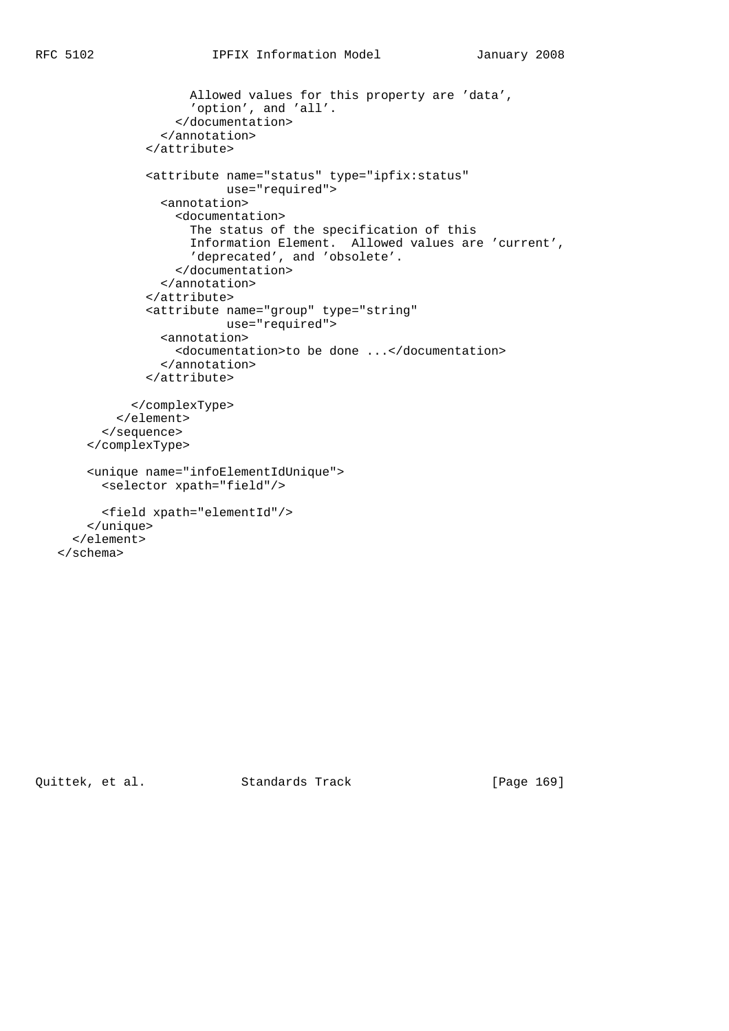```
 Allowed values for this property are 'data',
                   'option', and 'all'.
                </documentation>
              </annotation>
            </attribute>
            <attribute name="status" type="ipfix:status"
                       use="required">
              <annotation>
                <documentation>
                  The status of the specification of this
                   Information Element. Allowed values are 'current',
                   'deprecated', and 'obsolete'.
                </documentation>
              </annotation>
            </attribute>
            <attribute name="group" type="string"
                        use="required">
              <annotation>
                <documentation>to be done ...</documentation>
              </annotation>
            </attribute>
          </complexType>
        </element>
      </sequence>
    </complexType>
    <unique name="infoElementIdUnique">
      <selector xpath="field"/>
     <field xpath="elementId"/>
    </unique>
  </element>
</schema>
```
Quittek, et al. Standards Track [Page 169]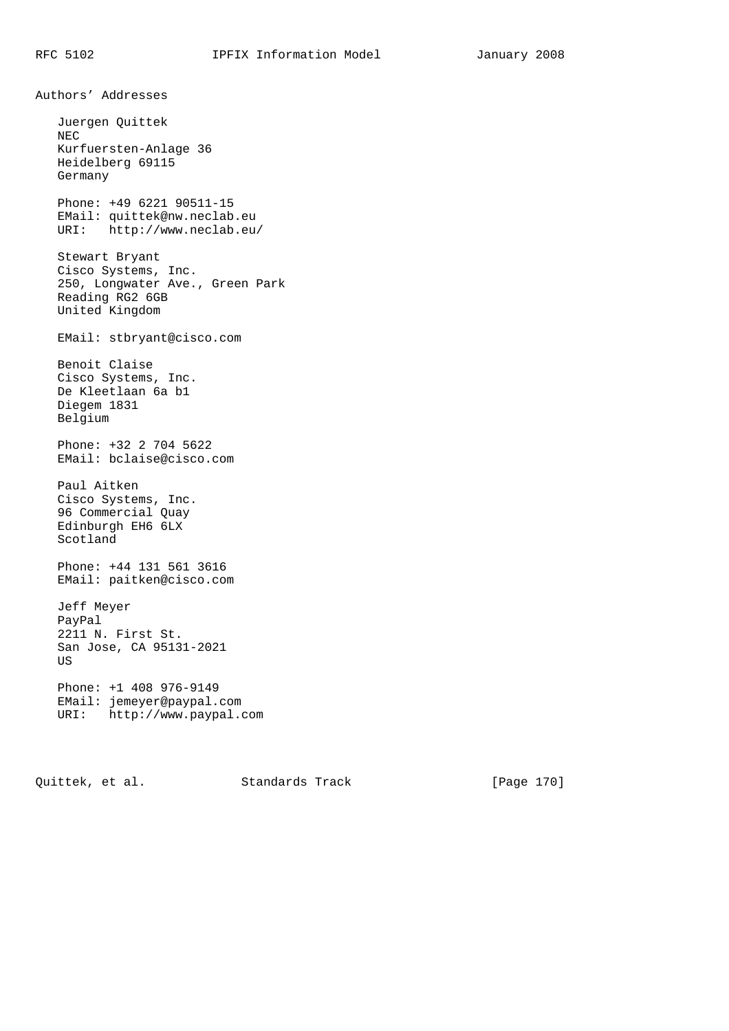Authors' Addresses Juergen Quittek NEC Kurfuersten-Anlage 36 Heidelberg 69115 Germany Phone: +49 6221 90511-15 EMail: quittek@nw.neclab.eu URI: http://www.neclab.eu/ Stewart Bryant Cisco Systems, Inc. 250, Longwater Ave., Green Park Reading RG2 6GB United Kingdom EMail: stbryant@cisco.com Benoit Claise Cisco Systems, Inc. De Kleetlaan 6a b1 Diegem 1831 Belgium Phone: +32 2 704 5622 EMail: bclaise@cisco.com Paul Aitken Cisco Systems, Inc. 96 Commercial Quay Edinburgh EH6 6LX Scotland Phone: +44 131 561 3616 EMail: paitken@cisco.com Jeff Meyer PayPal 2211 N. First St. San Jose, CA 95131-2021 US Phone: +1 408 976-9149 EMail: jemeyer@paypal.com<br>URI: http://www.paypal.o http://www.paypal.com

Quittek, et al. Standards Track [Page 170]